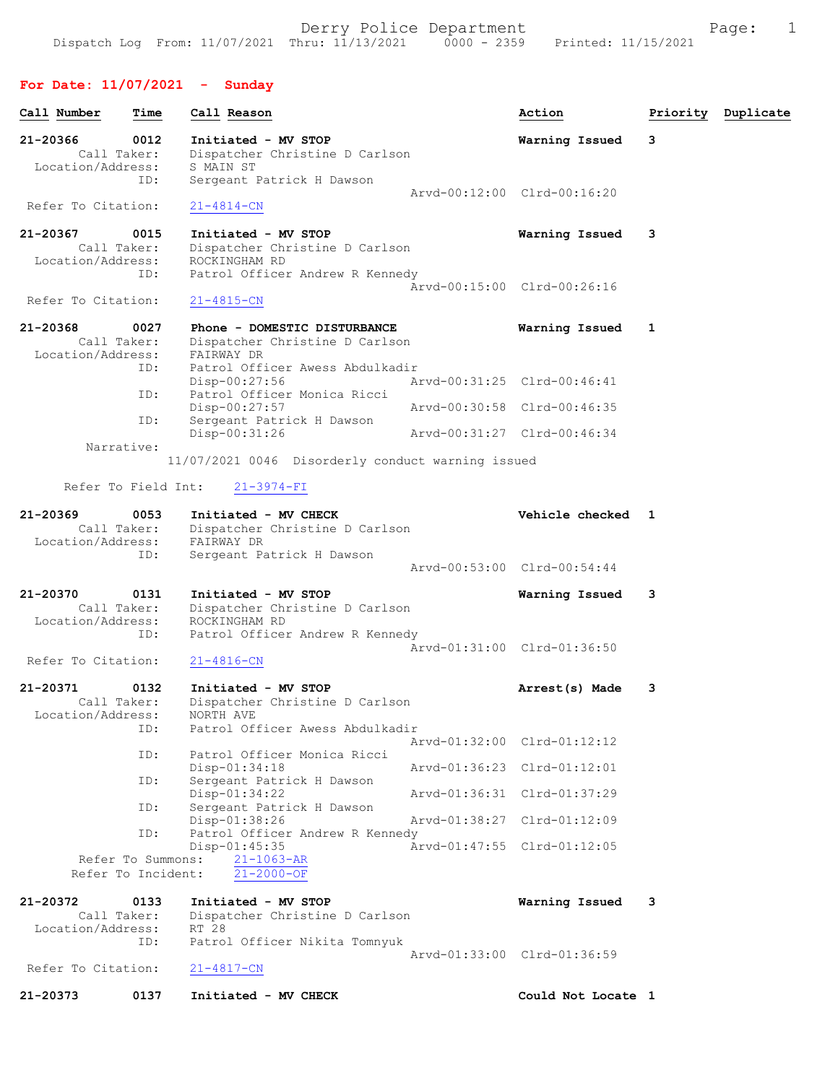# For Date: 11/07/2021 - Sunday

| Call Number                   | Time                                    | Call Reason                                                                                                     | Action                      |   | Priority Duplicate |
|-------------------------------|-----------------------------------------|-----------------------------------------------------------------------------------------------------------------|-----------------------------|---|--------------------|
| 21-20366                      | 0012<br>Call Taker:                     | Initiated - MV STOP<br>Dispatcher Christine D Carlson                                                           | Warning Issued              | 3 |                    |
| Location/Address:             | ID:                                     | S MAIN ST<br>Sergeant Patrick H Dawson                                                                          |                             |   |                    |
| Refer To Citation:            |                                         | $21 - 4814 - CN$                                                                                                | Arvd-00:12:00 Clrd-00:16:20 |   |                    |
| 21-20367<br>Location/Address: | 0015<br>Call Taker:                     | Initiated - MV STOP<br>Dispatcher Christine D Carlson<br>ROCKINGHAM RD                                          | Warning Issued              | 3 |                    |
| Refer To Citation:            | ID:                                     | Patrol Officer Andrew R Kennedy<br>$21 - 4815 - CN$                                                             | Arvd-00:15:00 Clrd-00:26:16 |   |                    |
|                               |                                         |                                                                                                                 |                             |   |                    |
| 21-20368<br>Location/Address: | 0027<br>Call Taker:<br>ID:              | Phone - DOMESTIC DISTURBANCE<br>Dispatcher Christine D Carlson<br>FAIRWAY DR<br>Patrol Officer Awess Abdulkadir | Warning Issued              | 1 |                    |
|                               | ID:                                     | Disp-00:27:56<br>Patrol Officer Monica Ricci                                                                    | Arvd-00:31:25 Clrd-00:46:41 |   |                    |
|                               |                                         | Disp-00:27:57                                                                                                   | Arvd-00:30:58 Clrd-00:46:35 |   |                    |
|                               | ID:<br>Narrative:                       | Sergeant Patrick H Dawson<br>$Disp-00:31:26$                                                                    | Arvd-00:31:27 Clrd-00:46:34 |   |                    |
|                               |                                         | 11/07/2021 0046 Disorderly conduct warning issued                                                               |                             |   |                    |
|                               | Refer To Field Int:                     | $21 - 3974 - FI$                                                                                                |                             |   |                    |
| 21-20369<br>Location/Address: | 0053<br>Call Taker:                     | Initiated - MV CHECK<br>Dispatcher Christine D Carlson<br>FAIRWAY DR                                            | Vehicle checked 1           |   |                    |
|                               | ID:                                     | Sergeant Patrick H Dawson                                                                                       | Arvd-00:53:00 Clrd-00:54:44 |   |                    |
| 21-20370<br>Location/Address: | 0131<br>Call Taker:                     | Initiated - MV STOP<br>Dispatcher Christine D Carlson<br>ROCKINGHAM RD                                          | Warning Issued              | 3 |                    |
| Refer To Citation:            | ID:                                     | Patrol Officer Andrew R Kennedy<br>$21 - 4816 - CN$                                                             | Arvd-01:31:00 Clrd-01:36:50 |   |                    |
|                               |                                         |                                                                                                                 |                             |   |                    |
| 21-20371<br>Location/Address: | 0132<br>Call Taker:                     | Initiated - MV STOP<br>Dispatcher Christine D Carlson<br>NORTH AVE                                              | Arrest(s) Made              | 3 |                    |
|                               | ID:<br>ID:                              | Patrol Officer Awess Abdulkadir<br>Patrol Officer Monica Ricci                                                  | Arvd-01:32:00 Clrd-01:12:12 |   |                    |
|                               |                                         | Disp-01:34:18                                                                                                   | Arvd-01:36:23 Clrd-01:12:01 |   |                    |
|                               | ID:                                     | Sergeant Patrick H Dawson<br>Disp-01:34:22                                                                      | Arvd-01:36:31 Clrd-01:37:29 |   |                    |
|                               | ID:                                     | Sergeant Patrick H Dawson<br>Disp-01:38:26                                                                      | Arvd-01:38:27 Clrd-01:12:09 |   |                    |
|                               | ID:                                     | Patrol Officer Andrew R Kennedy<br>$Disp-01:45:35$                                                              | Arvd-01:47:55 Clrd-01:12:05 |   |                    |
|                               | Refer To Summons:<br>Refer To Incident: | $21 - 1063 - AR$<br>$21 - 2000 - OF$                                                                            |                             |   |                    |
| 21-20372                      | 0133                                    | Initiated - MV STOP                                                                                             | Warning Issued              | 3 |                    |
| Location/Address:             | Call Taker:<br>ID:                      | Dispatcher Christine D Carlson<br>RT 28<br>Patrol Officer Nikita Tomnyuk                                        |                             |   |                    |
| Refer To Citation:            |                                         | $21 - 4817 - CN$                                                                                                | Arvd-01:33:00 Clrd-01:36:59 |   |                    |
| 21-20373                      | 0137                                    | Initiated - MV CHECK                                                                                            | Could Not Locate 1          |   |                    |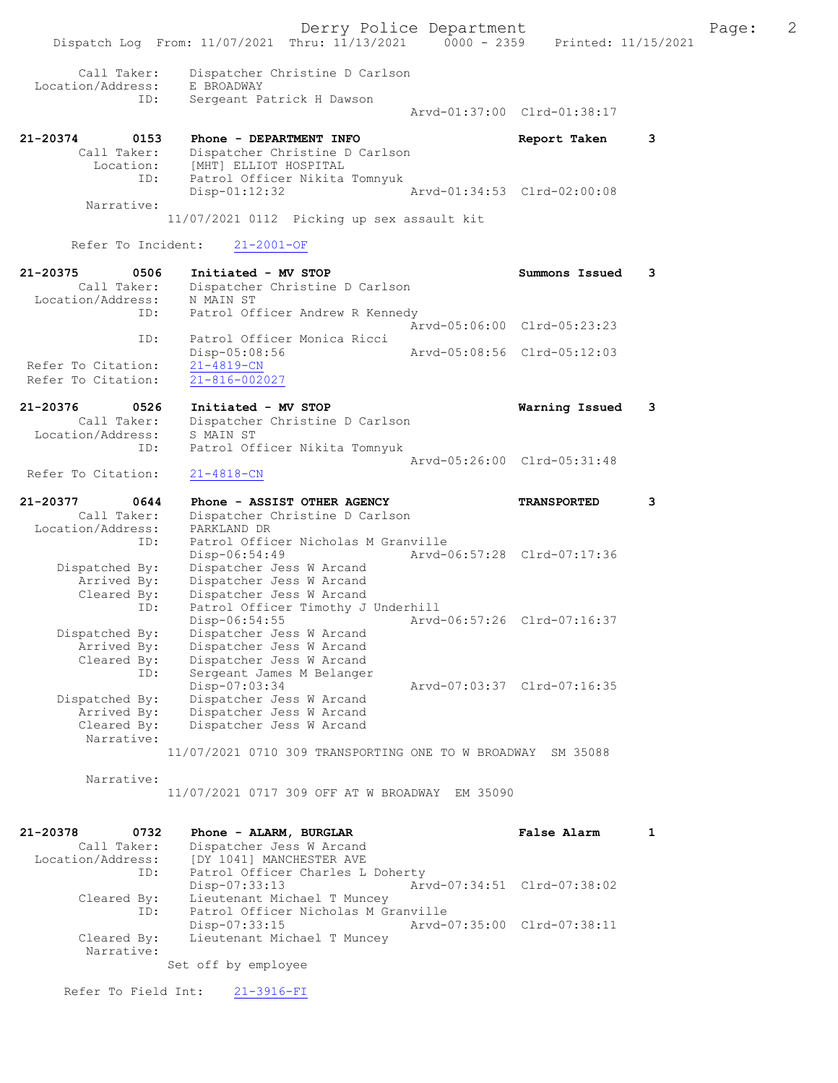|                                                      | Dispatch Log From: 11/07/2021 Thru: 11/13/2021 0000 - 2359 Printed: 11/15/2021                                | Derry Police Department |                             |              | Page: | 2 |
|------------------------------------------------------|---------------------------------------------------------------------------------------------------------------|-------------------------|-----------------------------|--------------|-------|---|
| Call Taker:<br>Location/Address:                     | Dispatcher Christine D Carlson<br>E BROADWAY                                                                  |                         |                             |              |       |   |
| ID:                                                  | Sergeant Patrick H Dawson                                                                                     |                         | Arvd-01:37:00 Clrd-01:38:17 |              |       |   |
| 21-20374<br>0153<br>Call Taker:<br>Location:         | Phone - DEPARTMENT INFO<br>Dispatcher Christine D Carlson<br>[MHT] ELLIOT HOSPITAL                            |                         | Report Taken                | 3            |       |   |
| ID:<br>Narrative:                                    | Patrol Officer Nikita Tomnyuk<br>$Disp-01:12:32$                                                              |                         | Arvd-01:34:53 Clrd-02:00:08 |              |       |   |
|                                                      | 11/07/2021 0112 Picking up sex assault kit                                                                    |                         |                             |              |       |   |
| Refer To Incident:                                   | $21 - 2001 - OF$                                                                                              |                         |                             |              |       |   |
| 21-20375<br>0506<br>Call Taker:<br>Location/Address: | Initiated - MV STOP<br>Dispatcher Christine D Carlson<br>N MAIN ST                                            |                         | Summons Issued              | 3            |       |   |
| ID:<br>ID:                                           | Patrol Officer Andrew R Kennedy<br>Patrol Officer Monica Ricci                                                |                         | Arvd-05:06:00 Clrd-05:23:23 |              |       |   |
| Refer To Citation:<br>Refer To Citation:             | Disp-05:08:56<br>$21 - 4819 - CN$<br>$21 - 816 - 002027$                                                      |                         | Arvd-05:08:56 Clrd-05:12:03 |              |       |   |
| 21-20376<br>0526                                     | Initiated - MV STOP                                                                                           |                         | Warning Issued              | 3            |       |   |
| Call Taker:<br>Location/Address:<br>ID:              | Dispatcher Christine D Carlson<br>S MAIN ST<br>Patrol Officer Nikita Tomnyuk                                  |                         |                             |              |       |   |
| Refer To Citation:                                   | $21 - 4818 - CN$                                                                                              |                         | Arvd-05:26:00 Clrd-05:31:48 |              |       |   |
| 21-20377<br>0644<br>Call Taker:<br>Location/Address: | Phone - ASSIST OTHER AGENCY<br>Dispatcher Christine D Carlson<br>PARKLAND DR                                  |                         | <b>TRANSPORTED</b>          | 3            |       |   |
| ID:<br>Dispatched By:<br>Arrived By:                 | Patrol Officer Nicholas M Granville<br>Disp-06:54:49<br>Dispatcher Jess W Arcand<br>Dispatcher Jess W Arcand  |                         | Arvd-06:57:28 Clrd-07:17:36 |              |       |   |
| Cleared By:<br>ID:<br>Dispatched By:                 | Dispatcher Jess W Arcand<br>Patrol Officer Timothy J Underhill<br>$Disp-06:54:55$<br>Dispatcher Jess W Arcand |                         | Arvd-06:57:26 Clrd-07:16:37 |              |       |   |
| Arrived By:<br>Cleared By:<br>ID:                    | Dispatcher Jess W Arcand<br>Dispatcher Jess W Arcand<br>Sergeant James M Belanger                             |                         |                             |              |       |   |
| Dispatched By:<br>Arrived By:<br>Cleared By:         | Disp-07:03:34<br>Dispatcher Jess W Arcand<br>Dispatcher Jess W Arcand<br>Dispatcher Jess W Arcand             |                         | Arvd-07:03:37 Clrd-07:16:35 |              |       |   |
| Narrative:                                           | 11/07/2021 0710 309 TRANSPORTING ONE TO W BROADWAY SM 35088                                                   |                         |                             |              |       |   |
| Narrative:                                           | 11/07/2021 0717 309 OFF AT W BROADWAY EM 35090                                                                |                         |                             |              |       |   |
| 21-20378<br>0732<br>Call Taker:<br>Location/Address: | Phone - ALARM, BURGLAR<br>Dispatcher Jess W Arcand<br>[DY 1041] MANCHESTER AVE                                |                         | <b>False Alarm</b>          | $\mathbf{1}$ |       |   |
| ID:<br>Cleared By:                                   | Patrol Officer Charles L Doherty<br>Disp-07:33:13<br>Lieutenant Michael T Muncey                              |                         | Arvd-07:34:51 Clrd-07:38:02 |              |       |   |
| ID:<br>Cleared By:<br>Narrative:                     | Patrol Officer Nicholas M Granville<br>Disp-07:33:15<br>Lieutenant Michael T Muncey                           |                         | Arvd-07:35:00 Clrd-07:38:11 |              |       |   |

Set off by employee

Refer To Field Int: 21-3916-FI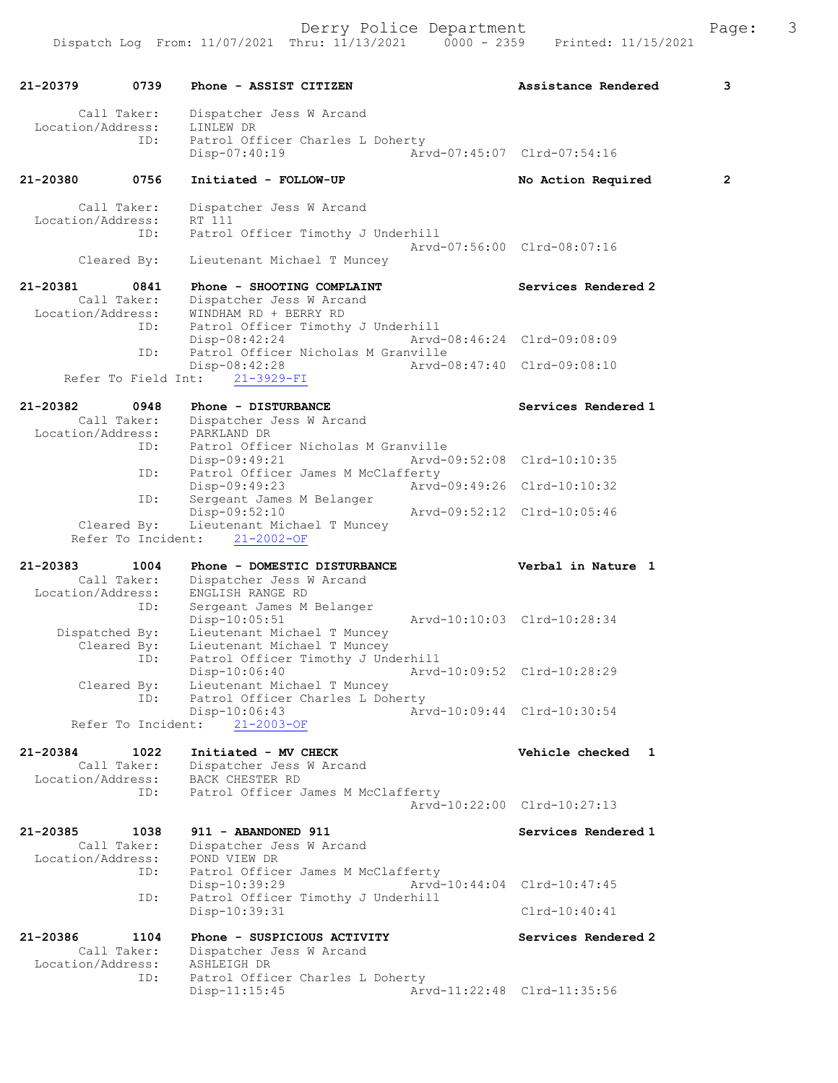21-20379 0739 Phone - ASSIST CITIZEN Assistance Rendered 3 Call Taker: Dispatcher Jess W Arcand Location/Address: LINLEW DR ID: Patrol Officer Charles L Doherty Disp-07:40:19 Arvd-07:45:07 Clrd-07:54:16 21-20380 0756 Initiated - FOLLOW-UP No Action Required 2 Call Taker: Dispatcher Jess W Arcand Location/Address: RT 111 ID: Patrol Officer Timothy J Underhill Arvd-07:56:00 Clrd-08:07:16<br>Cleared By: Lieutenant Michael T Muncey Lieutenant Michael T Muncey 21-20381 0841 Phone - SHOOTING COMPLAINT Services Rendered 2 Call Taker: Dispatcher Jess W Arcand Location/Address: WINDHAM RD + BERRY RD ID: Patrol Officer Timothy J Underhill<br>Disp-08:42:24 Arvd- Disp-08:42:24 Arvd-08:46:24 Clrd-09:08:09 ID: Patrol Officer Nicholas M Granville Disp-08:42:28 Arvd-08:47:40 Clrd-09:08:10 Refer To Field Int: 21-3929-FI 21-20382 0948 Phone - DISTURBANCE Services Rendered 1 Call Taker: Dispatcher Jess W Arcand Location/Address: PARKLAND DR ID: Patrol Officer Nicholas M Granville Disp-09:49:21 Arvd-09:52:08 Clrd-10:10:35 ID: Patrol Officer James M McClafferty Disp-09:49:23 Arvd-09:49:26 Clrd-10:10:32<br>ID: Sergeant James M Belanger Sergeant James M Belanger<br>Disp-09:52:10 Disp-09:52:10 Arvd-09:52:12 Clrd-10:05:46 Cleared By: Lieutenant Michael T Muncey Refer To Incident: 21-2002-OF 21-20383 1004 Phone - DOMESTIC DISTURBANCE Verbal in Nature 1 Call Taker: Dispatcher Jess W Arcand Location/Address: ENGLISH RANGE RD ID: Sergeant James M Belanger Disp-10:05:51 Arvd-10:10:03 Clrd-10:28:34 Dispatched By: Lieutenant Michael T Muncey Cleared By: Lieutenant Michael T Muncey ID: Patrol Officer Timothy J Underhill Disp-10:06:40 <br>Cleared By: Lieutenant Michael T Muncey<br>Cleared By: Lieutenant Michael T Muncey Cleared By: Lieutenant Michael T Muncey ID: Patrol Officer Charles L Doherty Disp-10:06:43 Arvd-10:09:44 Clrd-10:30:54 Refer To Incident: 21-2003-OF 21-20384 1022 Initiated - MV CHECK 1 21-20384 Vehicle checked 1 Call Taker: Dispatcher Jess W Arcand Location/Address: BACK CHESTER RD ID: Patrol Officer James M McClafferty Arvd-10:22:00 Clrd-10:27:13 21-20385 1038 911 - ABANDONED 911 Services Rendered 1 Call Taker: Dispatcher Jess W Arcand Location/Address: POND VIEW DR ID: Patrol Officer James M McClafferty Disp-10:39:29 Arvd-10:44:04 Clrd-10:47:45 ID: Patrol Officer Timothy J Underhill Disp-10:39:31 Clrd-10:40:41 21-20386 1104 Phone - SUSPICIOUS ACTIVITY Services Rendered 2 Call Taker: Dispatcher Jess W Arcand Location/Address: ASHLEIGH DR ID: Patrol Officer Charles L Doherty Disp-11:15:45 Arvd-11:22:48 Clrd-11:35:56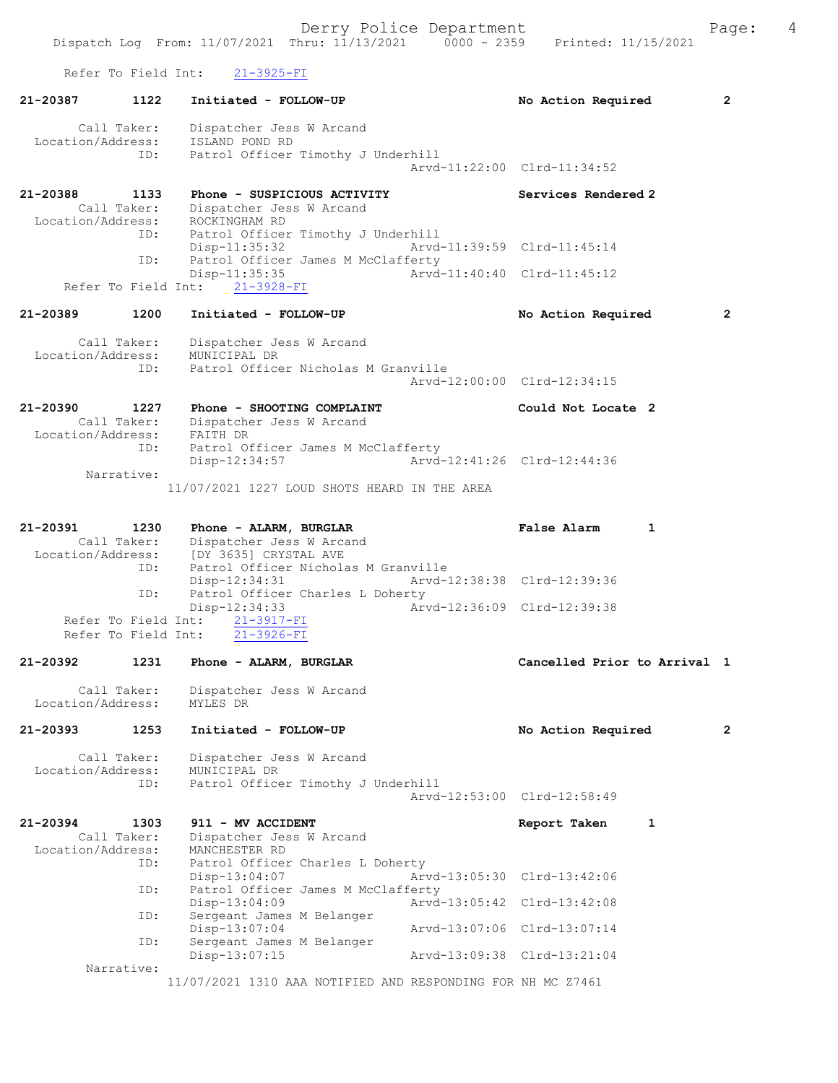Derry Police Department The Rage: 4 Dispatch Log From: 11/07/2021 Thru: 11/13/2021 0000 - 2359 Printed: 11/15/2021 Refer To Field Int: 21-3925-FI 21-20387 1122 Initiated - FOLLOW-UP No Action Required 2 Call Taker: Dispatcher Jess W Arcand Location/Address: ISLAND POND RD ID: Patrol Officer Timothy J Underhill Arvd-11:22:00 Clrd-11:34:52 21-20388 1133 Phone - SUSPICIOUS ACTIVITY Services Rendered 2 Call Taker: Dispatcher Jess W Arcand Location/Address: ROCKINGHAM RD ID: Patrol Officer Timothy J Underhill<br>Disp-11:35:32 Arvd- Disp-11:35:32 Arvd-11:39:59 Clrd-11:45:14 ID: Patrol Officer James M McClafferty Disp-11:35:35 <br>ht: 21-3928-FI <br>Arvd-11:40:40 Clrd-11:45:12 Refer To Field Int: 21-20389 1200 Initiated - FOLLOW-UP No Action Required 2 Call Taker: Dispatcher Jess W Arcand Location/Address: MUNICIPAL DR<br>TD: Patrol Office Patrol Officer Nicholas M Granville Arvd-12:00:00 Clrd-12:34:15 21-20390 1227 Phone - SHOOTING COMPLAINT Could Not Locate 2 Call Taker: Dispatcher Jess W Arcand Location/Address: FAITH DR ID: Patrol Officer James M McClafferty<br>Disp-12:34:57 hrvd-12:41:26 Clrd-12:44:36 Disp-12:34:57 Narrative: 11/07/2021 1227 LOUD SHOTS HEARD IN THE AREA 21-20391 1230 Phone - ALARM, BURGLAR FALSE Ralse Alarm 1 Call Taker: Dispatcher Jess W Arcand Location/Address: [DY 3635] CRYSTAL AVE ID: Patrol Officer Nicholas M Granville Disp-12:34:31 Arvd-12:38:38 Clrd-12:39:36<br>TD: Patrol Officer Charles L Doberty Patrol Officer Charles L Doherty<br>Disp-12:34:33 Art p-12:34:33 <br>
<u>21-3917-FI</u> Arvd-12:36:09 Clrd-12:39:38 Refer To Field Int:  $\frac{21-3917-FI}{21-3926-FI}$ Refer To Field Int: 21-20392 1231 Phone - ALARM, BURGLAR Cancelled Prior to Arrival 1 Call Taker: Dispatcher Jess W Arcand Location/Address: MYLES DR 21-20393 1253 Initiated - FOLLOW-UP No Action Required 2 Call Taker: Dispatcher Jess W Arcand Location/Address: MUNICIPAL DR ID: Patrol Officer Timothy J Underhill Arvd-12:53:00 Clrd-12:58:49 21-20394 1303 911 - MV ACCIDENT 1 1203 Report Taken 1<br>Call Taker: Dispatcher Jess W Arcand Dispatcher Jess W Arcand Call Ianoi. . ....<br>Location/Address: MANCHESTER RD<br>ID: Patrol Officer Patrol Officer Charles L Doherty Disp-13:04:07 Arvd-13:05:30 Clrd-13:42:06<br>ID: Patrol Officer James M McClafferty Patrol Officer James M McClafferty<br>Disp-13:04:09 Arvd-Disp-13:04:09 Arvd-13:05:42 Clrd-13:42:08<br>ID: Sergeant James M Belanger Sergeant James M Belanger<br>Disp-13:07:04 Disp-13:07:04 Arvd-13:07:06 Clrd-13:07:14<br>ID: Sergeant James M Belanger Sergeant James M Belanger<br>Disp-13:07:15 Disp-13:07:15 Arvd-13:09:38 Clrd-13:21:04 Narrative:

11/07/2021 1310 AAA NOTIFIED AND RESPONDING FOR NH MC Z7461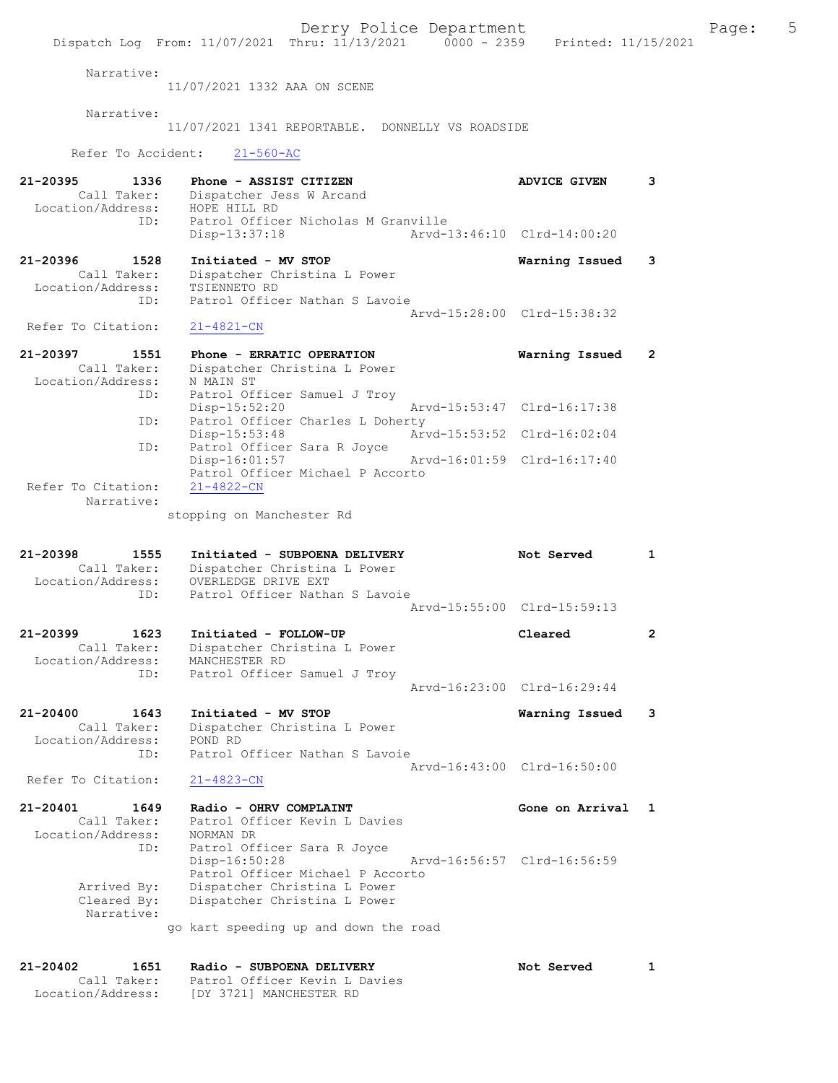Derry Police Department Fage: 5 Dispatch Log From: 11/07/2021 Thru: 11/13/2021 0000 - 2359 Printed: 11/15/2021 Narrative: 11/07/2021 1332 AAA ON SCENE Narrative: 11/07/2021 1341 REPORTABLE. DONNELLY VS ROADSIDE Refer To Accident: 21-560-AC 21-20395 1336 Phone - ASSIST CITIZEN ADVICE GIVEN 3 Call Taker: Dispatcher Jess W Arcand Location/Address: HOPE HILL RD ID: Patrol Officer Nicholas M Granville<br>Disp-13:37:18 Arvd-1 Disp-13:37:18 Arvd-13:46:10 Clrd-14:00:20 21-20396 1528 Initiated - MV STOP Warning Issued 3 Call Taker: Dispatcher Christina L Power Location/Address: TSIENNETO RD ID: Patrol Officer Nathan S Lavoie Arvd-15:28:00 Clrd-15:38:32 Refer To Citation: 21-4821-CN 21-20397 1551 Phone - ERRATIC OPERATION Warning Issued 2 Call Taker: Dispatcher Christina L Power Location/Address: N MAIN ST ID: Patrol Officer Samuel J Troy Disp-15:52:20 Arvd-15:53:47 Clrd-16:17:38 ID: Patrol Officer Charles L Doherty<br>Disp-15:53:48 Arvd-15:53:52 Clrd-16:02:04<br>ID: Patrol Officer Sara R Joyce<br>Arvd-16:01:59 Clrd-16:17:40 Disp-15:53:48 Arvd-15:53:52 Clrd-16:02:04 ID: Patrol Officer Sara R Joyce Disp-16:01:57 Arvd-16:01:59 Clrd-16:17:40 Patrol Officer Michael P Accorto Refer To Citation: Narrative: stopping on Manchester Rd 21-20398 1555 Initiated - SUBPOENA DELIVERY Not Served 1 Call Taker: Dispatcher Christina L Power Location/Address: OVERLEDGE DRIVE EXT ID: Patrol Officer Nathan S Lavoie Arvd-15:55:00 Clrd-15:59:13 21-20399 1623 Initiated - FOLLOW-UP Cleared 2 Call Taker: Dispatcher Christina L Power Location/Address: MANCHESTER RD ID: Patrol Officer Samuel J Troy Arvd-16:23:00 Clrd-16:29:44 21-20400 1643 Initiated - MV STOP Warning Issued 3 Call Taker: Dispatcher Christina L Power Location/Address: POND RD ID: Patrol Officer Nathan S Lavoie Arvd-16:43:00 Clrd-16:50:00<br>
21-4823-CN Refer To Citation: 21-20401 1649 Radio - OHRV COMPLAINT 1999 Cone on Arrival 1 Call Taker: Patrol Officer Kevin L Davies Location/Address: NORMAN DR ID: Patrol Officer Sara R Joyce Disp-16:50:28 Arvd-16:56:57 Clrd-16:56:59 Patrol Officer Michael P Accorto Arrived By: Dispatcher Christina L Power Cleared By: Dispatcher Christina L Power Narrative: go kart speeding up and down the road 21-20402 1651 Radio - SUBPOENA DELIVERY Not Served 1 Call Taker: Patrol Officer Kevin L Davies Location/Address: [DY 3721] MANCHESTER RD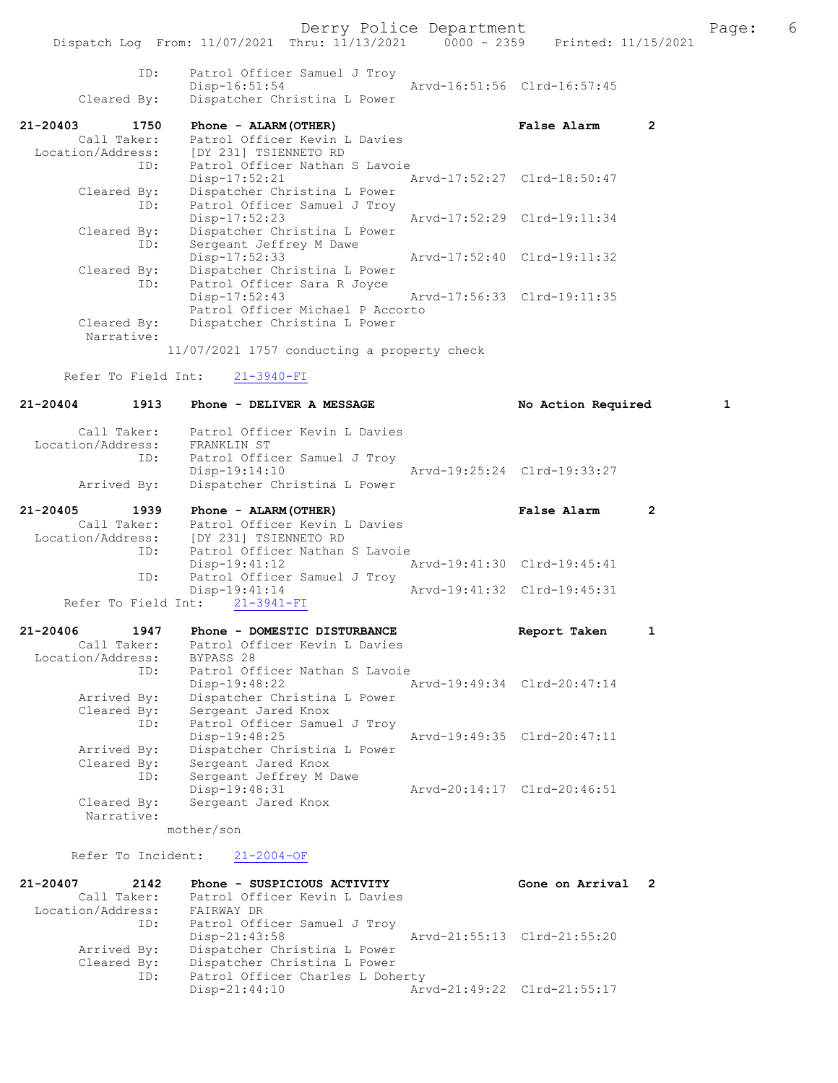|  | Dispatch Log From: 11/07/2021 Thru: 11/13/2021 | $0000 - 2359$ Printed: $11/15/2021$ |
|--|------------------------------------------------|-------------------------------------|
|  |                                                |                                     |

| Patrol Officer Samuel J Troy             |                             |  |
|------------------------------------------|-----------------------------|--|
| Disp-16:51:54                            | Arvd-16:51:56 Clrd-16:57:45 |  |
| Cleared By: Dispatcher Christina L Power |                             |  |

| 21-20403<br>1750          |     | Phone - ALARM (OTHER)            |                             | False Alarm                 |  |
|---------------------------|-----|----------------------------------|-----------------------------|-----------------------------|--|
| Call Taker:               |     | Patrol Officer Kevin L Davies    |                             |                             |  |
| Location/Address:         |     | [DY 231] TSIENNETO RD            |                             |                             |  |
|                           | ID: | Patrol Officer Nathan S Lavoie   |                             |                             |  |
|                           |     | $Disp-17:52:21$                  | Arvd-17:52:27 Clrd-18:50:47 |                             |  |
| Cleared By:               |     | Dispatcher Christina L Power     |                             |                             |  |
|                           | ID: | Patrol Officer Samuel J Troy     |                             |                             |  |
|                           |     | $Disp-17:52:23$                  | Arvd-17:52:29 Clrd-19:11:34 |                             |  |
| Cleared By:               |     | Dispatcher Christina L Power     |                             |                             |  |
|                           | ID: | Sergeant Jeffrey M Dawe          |                             |                             |  |
|                           |     | $Disp-17:52:33$                  |                             | Arvd-17:52:40 Clrd-19:11:32 |  |
| Cleared By:               |     | Dispatcher Christina L Power     |                             |                             |  |
|                           | ID: | Patrol Officer Sara R Joyce      |                             |                             |  |
|                           |     | $Disp-17:52:43$                  | Arvd-17:56:33 Clrd-19:11:35 |                             |  |
|                           |     | Patrol Officer Michael P Accorto |                             |                             |  |
| Cleared By:<br>Narrative: |     | Dispatcher Christina L Power     |                             |                             |  |

11/07/2021 1757 conducting a property check

Refer To Field Int: 21-3940-FI

| $21 - 20404$      | 1913        | <b>Phone - DELIVER A MESSAGE</b>                |                             | No Action Required          |   |  |
|-------------------|-------------|-------------------------------------------------|-----------------------------|-----------------------------|---|--|
|                   | Call Taker: | Patrol Officer Kevin L Davies                   |                             |                             |   |  |
| Location/Address: |             | FRANKLIN ST                                     |                             |                             |   |  |
|                   | ID:         | Patrol Officer Samuel J Troy<br>$Disp-19:14:10$ | Arvd-19:25:24 Clrd-19:33:27 |                             |   |  |
|                   | Arrived By: | Dispatcher Christina L Power                    |                             |                             |   |  |
| $21 - 20405$      | 1939        | Phone - ALARM (OTHER)                           |                             | False Alarm                 | 2 |  |
|                   |             | Call Taker: Patrol Officer Kevin L Davies       |                             |                             |   |  |
|                   |             | Location/Address: [DY 231] TSIENNETO RD         |                             |                             |   |  |
|                   | ID:         | Patrol Officer Nathan S Lavoie                  |                             |                             |   |  |
|                   |             | Disp-19:41:12                                   | Arvd-19:41:30 Clrd-19:45:41 |                             |   |  |
|                   | ID:         | Patrol Officer Samuel J Troy                    |                             |                             |   |  |
|                   |             | $Disp-19:41:14$                                 |                             | Arvd-19:41:32 Clrd-19:45:31 |   |  |
|                   |             | Refer To Field Int: 21-3941-FI                  |                             |                             |   |  |
| $21 - 20406$      | 1947        | Phone - DOMESTIC DISTURBANCE                    |                             | Report Taken                |   |  |

|                   |             |                                | $100010 + 140001$           |  |
|-------------------|-------------|--------------------------------|-----------------------------|--|
|                   | Call Taker: | Patrol Officer Kevin L Davies  |                             |  |
| Location/Address: |             | BYPASS 28                      |                             |  |
|                   | ID:         | Patrol Officer Nathan S Lavoie |                             |  |
|                   |             | $Disp-19:48:22$                | Arvd-19:49:34 Clrd-20:47:14 |  |
|                   | Arrived By: | Dispatcher Christina L Power   |                             |  |
|                   | Cleared By: | Sergeant Jared Knox            |                             |  |
|                   | ID:         | Patrol Officer Samuel J Troy   |                             |  |
|                   |             | Disp-19:48:25                  | Arvd-19:49:35 Clrd-20:47:11 |  |
|                   | Arrived By: | Dispatcher Christina L Power   |                             |  |
|                   | Cleared By: | Sergeant Jared Knox            |                             |  |
|                   | ID:         | Sergeant Jeffrey M Dawe        |                             |  |
|                   |             | Disp-19:48:31                  | Arvd-20:14:17 Clrd-20:46:51 |  |
|                   | Cleared By: | Sergeant Jared Knox            |                             |  |
|                   | Narrative:  |                                |                             |  |
|                   |             |                                |                             |  |

mother/son

Refer To Incident: 21-2004-OF

| 21-20407          | 2142        | Phone - SUSPICIOUS ACTIVITY      | Gone on Arrival 2           |  |
|-------------------|-------------|----------------------------------|-----------------------------|--|
|                   | Call Taker: | Patrol Officer Kevin L Davies    |                             |  |
| Location/Address: |             | FAIRWAY DR                       |                             |  |
|                   | ID:         | Patrol Officer Samuel J Troy     |                             |  |
|                   |             | $Disp-21:43:58$                  | Arvd-21:55:13 Clrd-21:55:20 |  |
|                   | Arrived By: | Dispatcher Christina L Power     |                             |  |
|                   | Cleared By: | Dispatcher Christina L Power     |                             |  |
|                   | ID:         | Patrol Officer Charles L Doherty |                             |  |
|                   |             | $Disp-21:44:10$                  | Arvd-21:49:22 Clrd-21:55:17 |  |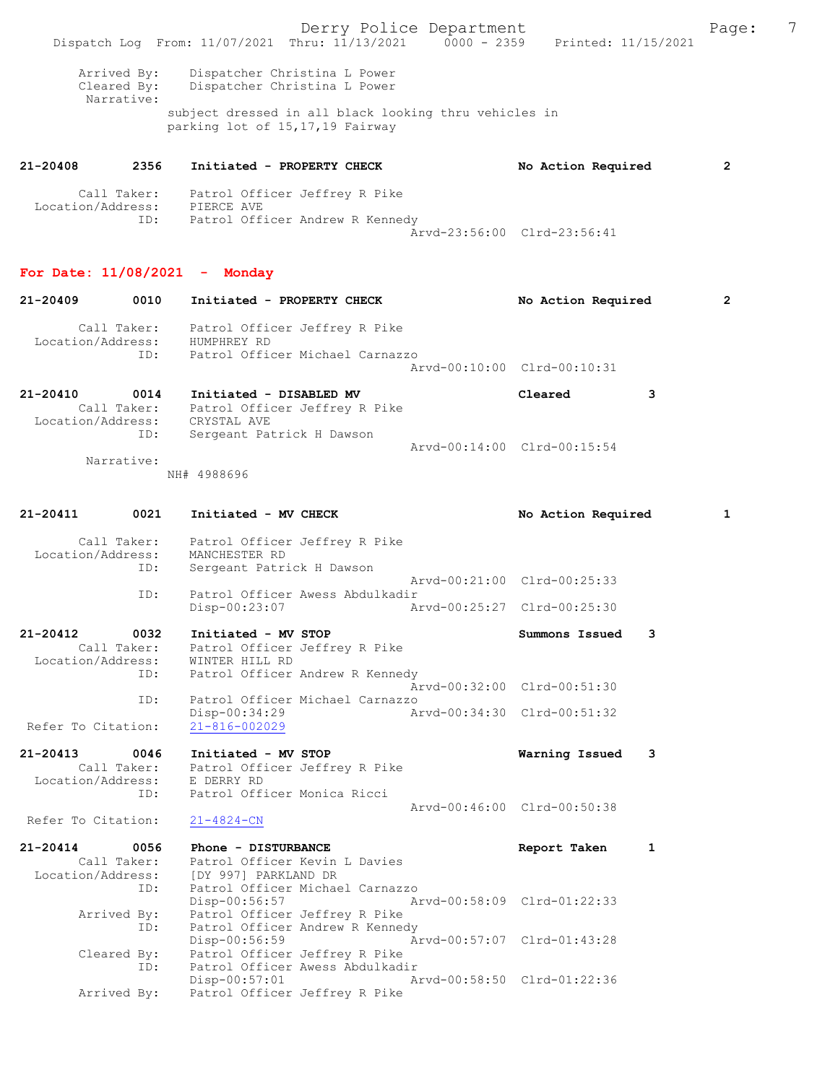Derry Police Department The Page: 7 Dispatch Log From: 11/07/2021 Thru: 11/13/2021 0000 - 2359 Printed: 11/15/2021 Arrived By: Dispatcher Christina L Power Cleared By: Dispatcher Christina L Power Narrative: subject dressed in all black looking thru vehicles in parking lot of 15,17,19 Fairway

| 21-20408          | 2356 | Initiated - PROPERTY CHECK                              | No Action Required          | 2 |
|-------------------|------|---------------------------------------------------------|-----------------------------|---|
| Location/Address: |      | Call Taker: Patrol Officer Jeffrey R Pike<br>PIERCE AVE |                             |   |
|                   | ID:  | Patrol Officer Andrew R Kennedy                         |                             |   |
|                   |      |                                                         | Arvd-23:56:00 Clrd-23:56:41 |   |

# For Date: 11/08/2021 - Monday

| $21 - 20409$      | 0010        | Initiated - PROPERTY CHECK                   | No Action Required          |   | 2 |
|-------------------|-------------|----------------------------------------------|-----------------------------|---|---|
| Location/Address: | Call Taker: | Patrol Officer Jeffrey R Pike<br>HUMPHREY RD |                             |   |   |
|                   | ID:         | Patrol Officer Michael Carnazzo              |                             |   |   |
|                   |             |                                              | Arvd-00:10:00 Clrd-00:10:31 |   |   |
| 21-20410          | 0014        | Initiated - DISABLED MV                      | Cleared                     | 3 |   |
|                   | Call Taker: | Patrol Officer Jeffrey R Pike                |                             |   |   |
| Location/Address: |             | CRYSTAL AVE                                  |                             |   |   |
|                   | ID:         | Sergeant Patrick H Dawson                    |                             |   |   |
|                   |             |                                              | Aryd-00:14:00 Clrd-00:15:54 |   |   |
|                   | Narrative:  |                                              |                             |   |   |
|                   |             | NH# 4988696                                  |                             |   |   |

| 21-20411           | 0021               | Initiated - MV CHECK                                                                                 |                             | No Action Required          | $\mathbf{1}$ |
|--------------------|--------------------|------------------------------------------------------------------------------------------------------|-----------------------------|-----------------------------|--------------|
| Location/Address:  | Call Taker:<br>ID: | Patrol Officer Jeffrey R Pike<br>MANCHESTER RD<br>Sergeant Patrick H Dawson                          |                             |                             |              |
|                    |                    |                                                                                                      |                             | Arvd-00:21:00 Clrd-00:25:33 |              |
|                    | ID:                | Patrol Officer Awess Abdulkadir                                                                      |                             |                             |              |
|                    |                    | Disp-00:23:07                                                                                        |                             |                             |              |
| 21-20412           | 0032               | Initiated - MV STOP<br>Call Taker: Patrol Officer Jeffrey R Pike<br>Location/Address: WINTER HILL RD |                             | Summons Issued              | 3            |
|                    | ID:                | Patrol Officer Andrew R Kennedy                                                                      |                             |                             |              |
|                    |                    |                                                                                                      |                             | Arvd-00:32:00 Clrd-00:51:30 |              |
|                    | ID:                | Patrol Officer Michael Carnazzo                                                                      |                             |                             |              |
| Refer To Citation: |                    | Disp-00:34:29<br>21-816-002029                                                                       | Arvd-00:34:30 Clrd-00:51:32 |                             |              |
| 21-20413 0046      |                    | Initiated - MV STOP<br>Call Taker: Patrol Officer Jeffrey R Pike<br>Location/Address: E DERRY RD     |                             | Warning Issued 3            |              |
|                    | ID:                | Patrol Officer Monica Ricci                                                                          |                             | Arvd-00:46:00 Clrd-00:50:38 |              |
| Refer To Citation: |                    | $21 - 4824 - CN$                                                                                     |                             |                             |              |
| 21-20414 0056      |                    | Phone - DISTURBANCE<br>Call Taker: Patrol Officer Kevin L Davies                                     |                             | Report Taken                | 1            |
|                    |                    | Location/Address: [DY 997] PARKLAND DR                                                               |                             |                             |              |

| Call Taker:<br>Location/Address: | [DY 997] PARKLAND DR | Patrol Officer Kevin L Davies   |  |
|----------------------------------|----------------------|---------------------------------|--|
| ID:                              |                      | Patrol Officer Michael Carnazzo |  |
|                                  | Disp-00:56:57        | Arvd-00:58:09 Clrd-01:22:33     |  |
| Arrived By:                      |                      | Patrol Officer Jeffrey R Pike   |  |
| ID:                              |                      | Patrol Officer Andrew R Kennedy |  |
|                                  | Disp-00:56:59        | Arvd-00:57:07 Clrd-01:43:28     |  |
| Cleared By:                      |                      | Patrol Officer Jeffrey R Pike   |  |
| ID:                              |                      | Patrol Officer Awess Abdulkadir |  |
|                                  | $Disp-00:57:01$      | Arvd-00:58:50 Clrd-01:22:36     |  |
| Arrived By:                      |                      | Patrol Officer Jeffrey R Pike   |  |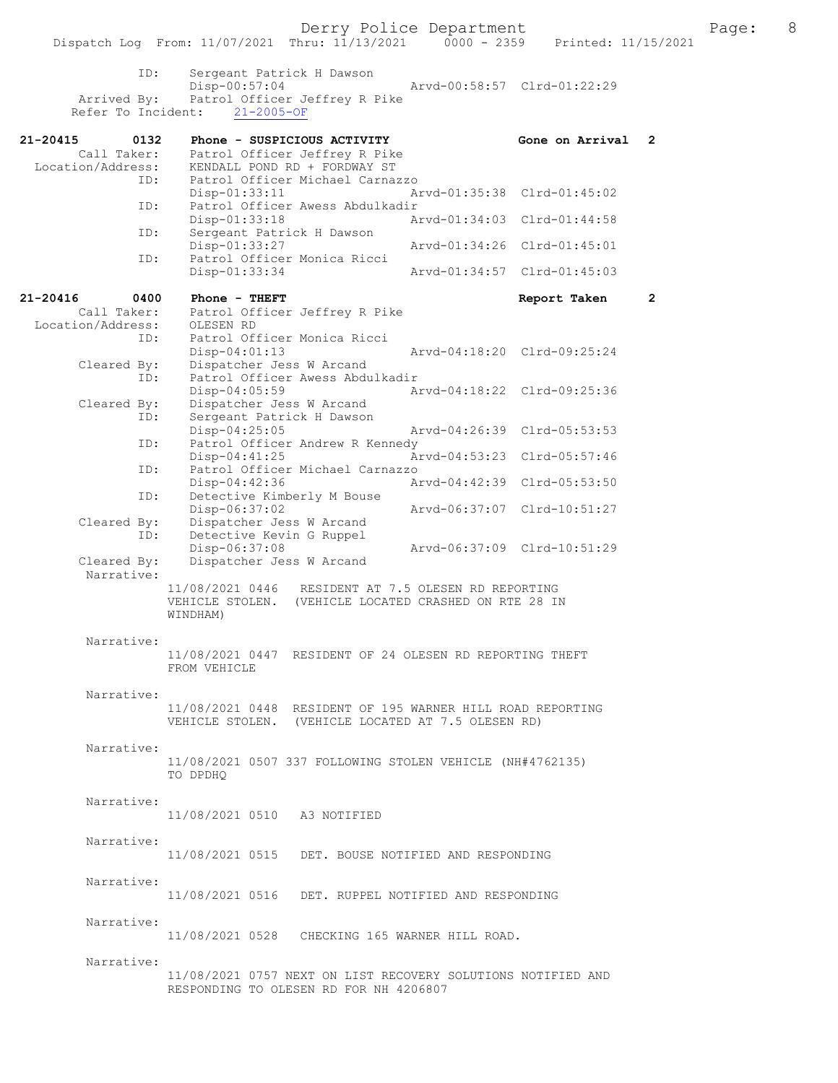|                                   | Dispatch Log From: 11/07/2021 Thru: 11/13/2021<br>$0000 - 2359$                                                    | Printed: 11/15/2021         |                |
|-----------------------------------|--------------------------------------------------------------------------------------------------------------------|-----------------------------|----------------|
| ID:                               | Sergeant Patrick H Dawson<br>Disp-00:57:04                                                                         | Arvd-00:58:57 Clrd-01:22:29 |                |
| Arrived By:<br>Refer To Incident: | Patrol Officer Jeffrey R Pike<br>$21 - 2005 - OF$                                                                  |                             |                |
| 21-20415<br>0132                  | Phone - SUSPICIOUS ACTIVITY                                                                                        | Gone on Arrival             | $\overline{2}$ |
| Call Taker:<br>Location/Address:  | Patrol Officer Jeffrey R Pike<br>KENDALL POND RD + FORDWAY ST                                                      |                             |                |
| ID:                               | Patrol Officer Michael Carnazzo                                                                                    |                             |                |
|                                   | Disp-01:33:11                                                                                                      | Arvd-01:35:38 Clrd-01:45:02 |                |
| ID:                               | Patrol Officer Awess Abdulkadir                                                                                    |                             |                |
| ID:                               | Disp-01:33:18<br>Sergeant Patrick H Dawson                                                                         | Arvd-01:34:03 Clrd-01:44:58 |                |
|                                   | Disp-01:33:27                                                                                                      | Arvd-01:34:26 Clrd-01:45:01 |                |
| ID:                               | Patrol Officer Monica Ricci                                                                                        |                             |                |
|                                   | $Disp-01:33:34$                                                                                                    | Arvd-01:34:57 Clrd-01:45:03 |                |
| 21-20416<br>0400                  | Phone - THEFT                                                                                                      | Report Taken                | $\overline{2}$ |
| Call Taker:                       | Patrol Officer Jeffrey R Pike                                                                                      |                             |                |
| Location/Address:                 | OLESEN RD                                                                                                          |                             |                |
| ID:                               | Patrol Officer Monica Ricci                                                                                        |                             |                |
| Cleared By:                       | Disp-04:01:13<br>Dispatcher Jess W Arcand                                                                          | Arvd-04:18:20 Clrd-09:25:24 |                |
| ID:                               | Patrol Officer Awess Abdulkadir                                                                                    |                             |                |
|                                   | Disp-04:05:59                                                                                                      | Arvd-04:18:22 Clrd-09:25:36 |                |
| Cleared By:<br>ID:                | Dispatcher Jess W Arcand<br>Sergeant Patrick H Dawson                                                              |                             |                |
|                                   | $Disp-04:25:05$                                                                                                    | Arvd-04:26:39 Clrd-05:53:53 |                |
| ID:                               | Patrol Officer Andrew R Kennedy                                                                                    |                             |                |
|                                   | Disp-04:41:25                                                                                                      | Arvd-04:53:23 Clrd-05:57:46 |                |
| ID:                               | Patrol Officer Michael Carnazzo<br>Disp-04:42:36                                                                   | Arvd-04:42:39 Clrd-05:53:50 |                |
| ID:                               | Detective Kimberly M Bouse                                                                                         |                             |                |
|                                   | Disp-06:37:02                                                                                                      | Arvd-06:37:07 Clrd-10:51:27 |                |
| Cleared By:<br>ID:                | Dispatcher Jess W Arcand<br>Detective Kevin G Ruppel                                                               |                             |                |
|                                   | Disp-06:37:08                                                                                                      | Arvd-06:37:09 Clrd-10:51:29 |                |
| Cleared By:                       | Dispatcher Jess W Arcand                                                                                           |                             |                |
| Narrative:                        |                                                                                                                    |                             |                |
|                                   | 11/08/2021 0446<br>RESIDENT AT 7.5 OLESEN RD REPORTING<br>VEHICLE STOLEN.<br>(VEHICLE LOCATED CRASHED ON RTE 28 IN |                             |                |
|                                   | WINDHAM)                                                                                                           |                             |                |
|                                   |                                                                                                                    |                             |                |
| Narrative:                        | 11/08/2021 0447 RESIDENT OF 24 OLESEN RD REPORTING THEFT                                                           |                             |                |
|                                   | FROM VEHICLE                                                                                                       |                             |                |
|                                   |                                                                                                                    |                             |                |
| Narrative:                        |                                                                                                                    |                             |                |
|                                   | 11/08/2021 0448 RESIDENT OF 195 WARNER HILL ROAD REPORTING<br>VEHICLE STOLEN. (VEHICLE LOCATED AT 7.5 OLESEN RD)   |                             |                |
|                                   |                                                                                                                    |                             |                |
| Narrative:                        |                                                                                                                    |                             |                |
|                                   | 11/08/2021 0507 337 FOLLOWING STOLEN VEHICLE (NH#4762135)<br>TO DPDHO                                              |                             |                |
|                                   |                                                                                                                    |                             |                |
| Narrative:                        |                                                                                                                    |                             |                |
|                                   | 11/08/2021 0510 A3 NOTIFIED                                                                                        |                             |                |
| Narrative:                        |                                                                                                                    |                             |                |
|                                   | 11/08/2021 0515 DET. BOUSE NOTIFIED AND RESPONDING                                                                 |                             |                |
|                                   |                                                                                                                    |                             |                |
| Narrative:                        |                                                                                                                    |                             |                |
|                                   | 11/08/2021 0516 DET. RUPPEL NOTIFIED AND RESPONDING                                                                |                             |                |
| Narrative:                        |                                                                                                                    |                             |                |
|                                   | 11/08/2021 0528 CHECKING 165 WARNER HILL ROAD.                                                                     |                             |                |
|                                   |                                                                                                                    |                             |                |
| Narrative:                        | 11/08/2021 0757 NEXT ON LIST RECOVERY SOLUTIONS NOTIFIED AND                                                       |                             |                |
|                                   |                                                                                                                    |                             |                |

RESPONDING TO OLESEN RD FOR NH 4206807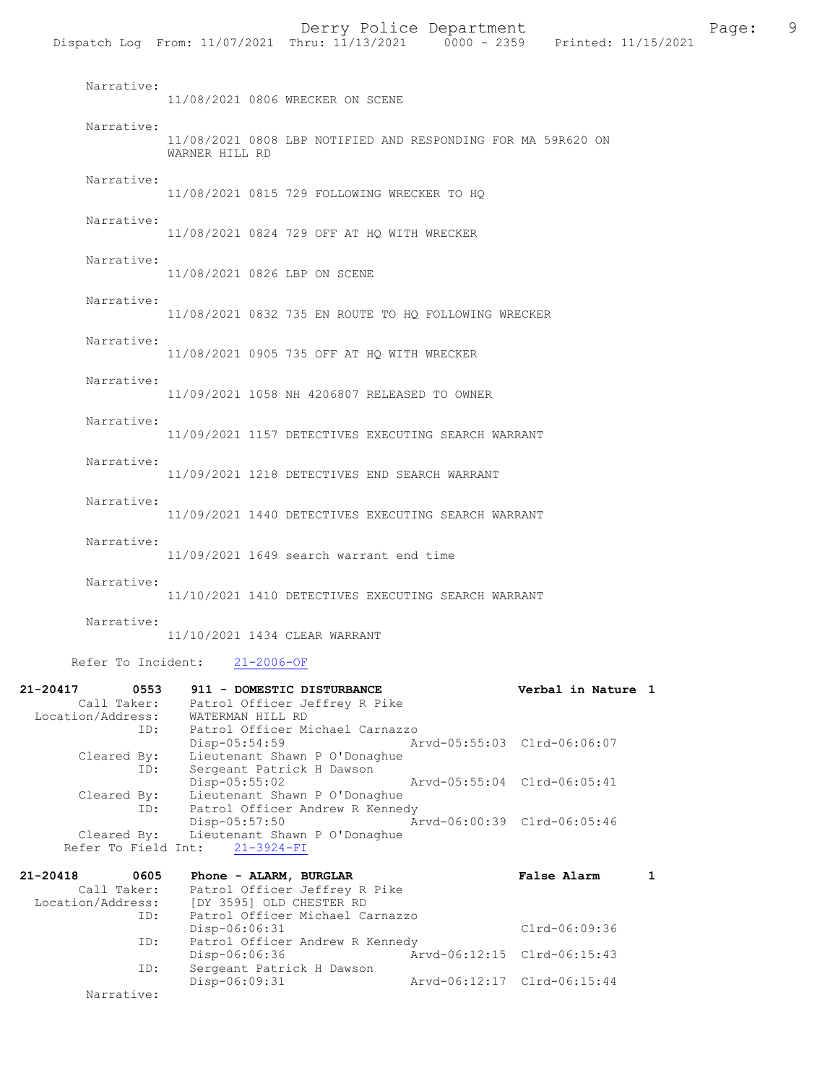|             | ٠<br>× |  |
|-------------|--------|--|
| I<br>×<br>v | ٠      |  |

| Narrative:                                           | 11/08/2021 0806 WRECKER ON SCENE                                                                      |                             |              |
|------------------------------------------------------|-------------------------------------------------------------------------------------------------------|-----------------------------|--------------|
| Narrative:                                           | 11/08/2021 0808 LBP NOTIFIED AND RESPONDING FOR MA 59R620 ON<br>WARNER HILL RD                        |                             |              |
| Narrative:                                           | 11/08/2021 0815 729 FOLLOWING WRECKER TO HO                                                           |                             |              |
| Narrative:                                           | 11/08/2021 0824 729 OFF AT HQ WITH WRECKER                                                            |                             |              |
| Narrative:                                           | 11/08/2021 0826 LBP ON SCENE                                                                          |                             |              |
| Narrative:                                           | 11/08/2021 0832 735 EN ROUTE TO HQ FOLLOWING WRECKER                                                  |                             |              |
| Narrative:                                           | 11/08/2021 0905 735 OFF AT HQ WITH WRECKER                                                            |                             |              |
| Narrative:                                           | 11/09/2021 1058 NH 4206807 RELEASED TO OWNER                                                          |                             |              |
| Narrative:                                           | 11/09/2021 1157 DETECTIVES EXECUTING SEARCH WARRANT                                                   |                             |              |
| Narrative:                                           | 11/09/2021 1218 DETECTIVES END SEARCH WARRANT                                                         |                             |              |
| Narrative:                                           | 11/09/2021 1440 DETECTIVES EXECUTING SEARCH WARRANT                                                   |                             |              |
| Narrative:                                           | 11/09/2021 1649 search warrant end time                                                               |                             |              |
| Narrative:                                           | 11/10/2021 1410 DETECTIVES EXECUTING SEARCH WARRANT                                                   |                             |              |
| Narrative:                                           | 11/10/2021 1434 CLEAR WARRANT                                                                         |                             |              |
|                                                      | Refer To Incident: 21-2006-OF                                                                         |                             |              |
| 21-20417<br>0553<br>Call Taker:                      | 911 - DOMESTIC DISTURBANCE<br>Patrol Officer Jeffrey R Pike                                           | Verbal in Nature 1          |              |
| Location/Address:<br>ID:                             | WATERMAN HILL RD<br>Patrol Officer Michael Carnazzo<br>Disp-05:54:59<br>Lieutenant Shawn P O'Donaghue | Aryd-05:55:03 Clrd-06:06:07 |              |
| Cleared By:<br>ID:<br>Cleared By:                    | Sergeant Patrick H Dawson<br>Disp-05:55:02<br>Lieutenant Shawn P O'Donaghue                           | Arvd-05:55:04 Clrd-06:05:41 |              |
| ID:<br>Cleared By:                                   | Patrol Officer Andrew R Kennedy<br>Disp-05:57:50<br>Lieutenant Shawn P O'Donaghue                     | Arvd-06:00:39 Clrd-06:05:46 |              |
| Refer To Field Int:                                  | $21 - 3924 - FI$                                                                                      |                             |              |
| 21-20418<br>0605<br>Call Taker:<br>Location/Address: | Phone - ALARM, BURGLAR<br>Patrol Officer Jeffrey R Pike<br>[DY 3595] OLD CHESTER RD                   | False Alarm                 | $\mathbf{1}$ |
| ID:<br>ID:                                           | Patrol Officer Michael Carnazzo<br>Disp-06:06:31<br>Patrol Officer Andrew R Kennedy                   | Clrd-06:09:36               |              |
| ID:                                                  | Arvd-06:12:15<br>Disp-06:06:36<br>Sergeant Patrick H Dawson                                           | $Clrd-06:15:43$             |              |
| Narrative:                                           | Disp-06:09:31                                                                                         | Arvd-06:12:17 Clrd-06:15:44 |              |
|                                                      |                                                                                                       |                             |              |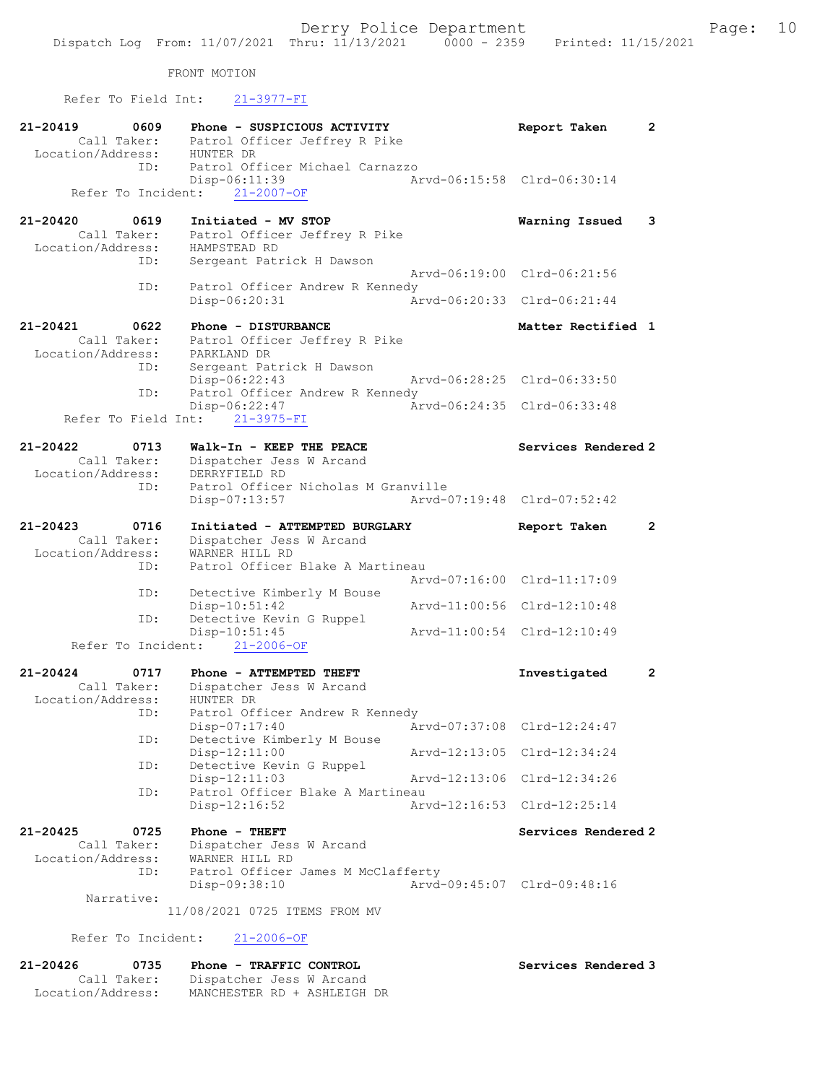## FRONT MOTION

 Call Taker: Dispatcher Jess W Arcand Location/Address: MANCHESTER RD + ASHLEIGH DR

| Refer To Field Int: |      | $21 - 3977 - FI$                                  |               |                             |                       |
|---------------------|------|---------------------------------------------------|---------------|-----------------------------|-----------------------|
| $21 - 20419$        | 0609 | Phone - SUSPICIOUS ACTIVITY                       |               | Report Taken                | $\overline{2}$        |
| Call Taker:         |      | Patrol Officer Jeffrey R Pike                     |               |                             |                       |
| Location/Address:   |      | HUNTER DR                                         |               |                             |                       |
|                     | ID:  | Patrol Officer Michael Carnazzo<br>Disp-06:11:39  |               | Arvd-06:15:58 Clrd-06:30:14 |                       |
| Refer To Incident:  |      | $21 - 2007 - OF$                                  |               |                             |                       |
|                     |      |                                                   |               |                             |                       |
| $21 - 20420$        | 0619 | Initiated - MV STOP                               |               | Warning Issued              | 3                     |
| Call Taker:         |      | Patrol Officer Jeffrey R Pike                     |               |                             |                       |
| Location/Address:   |      | HAMPSTEAD RD                                      |               |                             |                       |
|                     | ID:  | Sergeant Patrick H Dawson                         |               |                             |                       |
|                     |      |                                                   |               | Arvd-06:19:00 Clrd-06:21:56 |                       |
|                     | ID:  | Patrol Officer Andrew R Kennedy                   |               |                             |                       |
|                     |      | Disp-06:20:31                                     |               | Arvd-06:20:33 Clrd-06:21:44 |                       |
|                     |      |                                                   |               |                             |                       |
| 21-20421            | 0622 | Phone - DISTURBANCE                               |               | Matter Rectified 1          |                       |
| Call Taker:         |      | Patrol Officer Jeffrey R Pike                     |               |                             |                       |
| Location/Address:   |      | PARKLAND DR                                       |               |                             |                       |
|                     | ID:  | Sergeant Patrick H Dawson                         |               |                             |                       |
|                     | ID:  | Disp-06:22:43<br>Patrol Officer Andrew R Kennedy  |               | Arvd-06:28:25 Clrd-06:33:50 |                       |
|                     |      | Disp-06:22:47                                     |               | Arvd-06:24:35 Clrd-06:33:48 |                       |
|                     |      | Refer To Field Int: 21-3975-FI                    |               |                             |                       |
|                     |      |                                                   |               |                             |                       |
| $21 - 20422$        | 0713 | Walk-In - KEEP THE PEACE                          |               | Services Rendered 2         |                       |
| Call Taker:         |      | Dispatcher Jess W Arcand                          |               |                             |                       |
| Location/Address:   |      | DERRYFIELD RD                                     |               |                             |                       |
|                     | ID:  | Patrol Officer Nicholas M Granville               |               |                             |                       |
|                     |      | $Disp-07:13:57$                                   |               | Arvd-07:19:48 Clrd-07:52:42 |                       |
|                     |      |                                                   |               |                             |                       |
| $21 - 20423$        | 0716 | Initiated - ATTEMPTED BURGLARY                    |               | Report Taken                | $\mathbf{2}^{\prime}$ |
| Call Taker:         |      | Dispatcher Jess W Arcand                          |               |                             |                       |
| Location/Address:   |      | WARNER HILL RD                                    |               |                             |                       |
|                     | ID:  | Patrol Officer Blake A Martineau                  |               |                             |                       |
|                     |      |                                                   |               | Arvd-07:16:00 Clrd-11:17:09 |                       |
|                     | ID:  | Detective Kimberly M Bouse<br>Disp-10:51:42       |               | Arvd-11:00:56 Clrd-12:10:48 |                       |
|                     | ID:  | Detective Kevin G Ruppel                          |               |                             |                       |
|                     |      | Disp-10:51:45                                     |               | Arvd-11:00:54 Clrd-12:10:49 |                       |
| Refer To Incident:  |      | $21 - 2006 - OF$                                  |               |                             |                       |
|                     |      |                                                   |               |                             |                       |
| $21 - 20424$        | 0717 | Phone - ATTEMPTED THEFT                           |               | Investigated                | $\mathbf{2}$          |
| Call Taker:         |      | Dispatcher Jess W Arcand                          |               |                             |                       |
| Location/Address:   |      | HUNTER DR                                         |               |                             |                       |
|                     | ID:  | Patrol Officer Andrew R Kennedy                   |               |                             |                       |
|                     |      | Disp-07:17:40                                     | Arvd-07:37:08 | Clrd-12:24:47               |                       |
|                     | ID:  | Detective Kimberly M Bouse                        |               |                             |                       |
|                     |      | Disp-12:11:00                                     | Arvd-12:13:05 | Clrd-12:34:24               |                       |
|                     | ID:  | Detective Kevin G Ruppel                          |               |                             |                       |
|                     | ID:  | Disp-12:11:03<br>Patrol Officer Blake A Martineau |               | Arvd-12:13:06 Clrd-12:34:26 |                       |
|                     |      | Disp-12:16:52                                     | Arvd-12:16:53 | Clrd-12:25:14               |                       |
|                     |      |                                                   |               |                             |                       |
| $21 - 20425$        | 0725 | Phone - THEFT                                     |               | Services Rendered 2         |                       |
| Call Taker:         |      | Dispatcher Jess W Arcand                          |               |                             |                       |
| Location/Address:   |      | WARNER HILL RD                                    |               |                             |                       |
|                     | ID:  | Patrol Officer James M McClafferty                |               |                             |                       |
|                     |      | Disp-09:38:10                                     |               | Arvd-09:45:07 Clrd-09:48:16 |                       |
| Narrative:          |      |                                                   |               |                             |                       |
|                     |      | 11/08/2021 0725 ITEMS FROM MV                     |               |                             |                       |
|                     |      |                                                   |               |                             |                       |
| Refer To Incident:  |      | $21 - 2006 - OF$                                  |               |                             |                       |
| $21 - 20426$        | 0735 | Phone - TRAFFIC CONTROL                           |               | Services Rendered 3         |                       |
|                     |      |                                                   |               |                             |                       |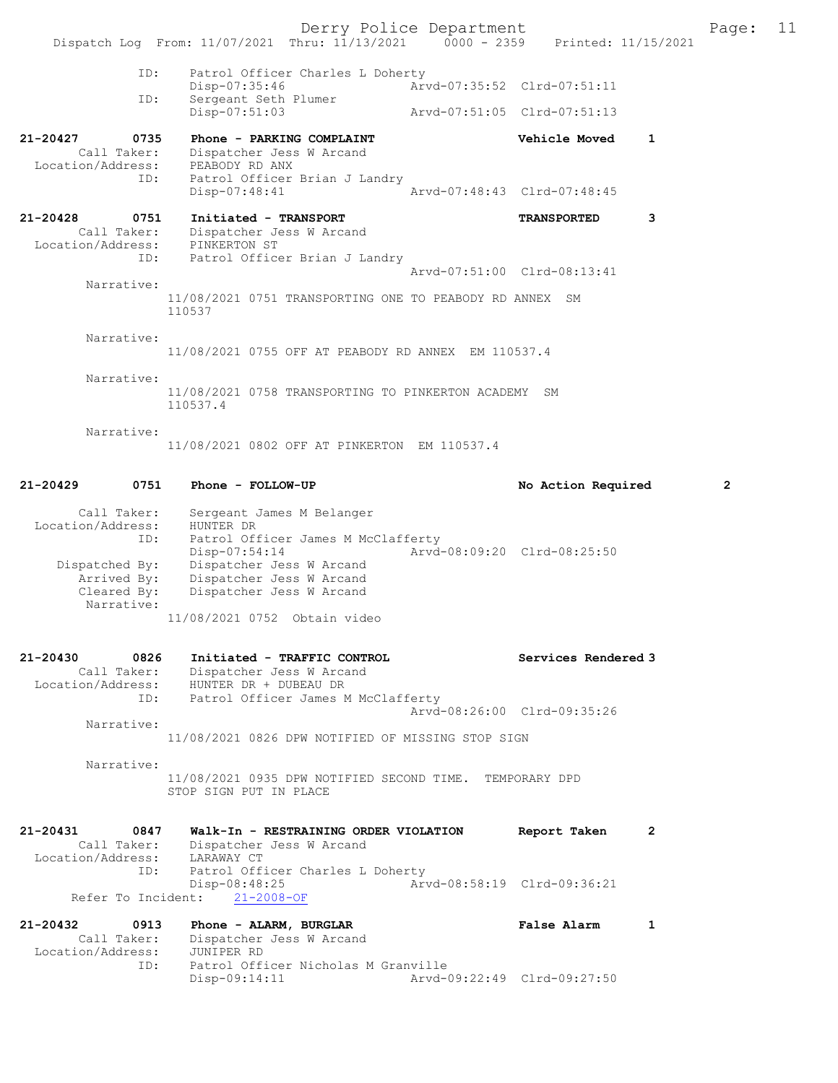Derry Police Department Fage: 11 Dispatch Log From: 11/07/2021 Thru: 11/13/2021 0000 - 2359 Printed: 11/15/2021 ID: Patrol Officer Charles L Doherty Disp-07:35:46 Arvd-07:35:52 Clrd-07:51:11 ID: Sergeant Seth Plumer Disp-07:51:03 Arvd-07:51:05 Clrd-07:51:13 21-20427 0735 Phone - PARKING COMPLAINT Vehicle Moved 1 Call Taker: Dispatcher Jess W Arcand Location/Address: PEABODY RD ANX ID: Patrol Officer Brian J Landry Disp-07:48:41 Arvd-07:48:43 Clrd-07:48:45 21-20428 0751 Initiated - TRANSPORT TRANSPORTED 3 Call Taker: Dispatcher Jess W Arcand Location/Address: PINKERTON ST ID: Patrol Officer Brian J Landry Arvd-07:51:00 Clrd-08:13:41 Narrative: 11/08/2021 0751 TRANSPORTING ONE TO PEABODY RD ANNEX SM 110537 Narrative: 11/08/2021 0755 OFF AT PEABODY RD ANNEX EM 110537.4 Narrative: 11/08/2021 0758 TRANSPORTING TO PINKERTON ACADEMY SM 110537.4 Narrative: 11/08/2021 0802 OFF AT PINKERTON EM 110537.4 21-20429 0751 Phone - FOLLOW-UP No Action Required 2 Call Taker: Sergeant James M Belanger Location/Address: HUNTER DR ID: Patrol Officer James M McClafferty Disp-07:54:14 Arvd-08:09:20 Clrd-08:25:50 Dispatched By: Dispatcher Jess W Arcand Arrived By: Dispatcher Jess W Arcand Cleared By: Dispatcher Jess W Arcand Narrative: 11/08/2021 0752 Obtain video 21-20430 0826 Initiated - TRAFFIC CONTROL Services Rendered 3 Call Taker: Dispatcher Jess W Arcand Location/Address: HUNTER DR + DUBEAU DR ID: Patrol Officer James M McClafferty Arvd-08:26:00 Clrd-09:35:26 Narrative: 11/08/2021 0826 DPW NOTIFIED OF MISSING STOP SIGN Narrative: 11/08/2021 0935 DPW NOTIFIED SECOND TIME. TEMPORARY DPD STOP SIGN PUT IN PLACE 21-20431 0847 Walk-In - RESTRAINING ORDER VIOLATION Report Taken 2 Call Taker: Dispatcher Jess W Arcand Location/Address: LARAWAY CT ID: Patrol Officer Charles L Doherty<br>Disp-08:48:25 Art Disp-08:48:25 Arvd-08:58:19 Clrd-09:36:21 Refer To Incident: 21-2008-OF 21-20432 0913 Phone - ALARM, BURGLAR False Alarm 1 Call Taker: Dispatcher Jess W Arcand Location/Address: JUNIPER RD ID: Patrol Officer Nicholas M Granville Disp-09:14:11 Arvd-09:22:49 Clrd-09:27:50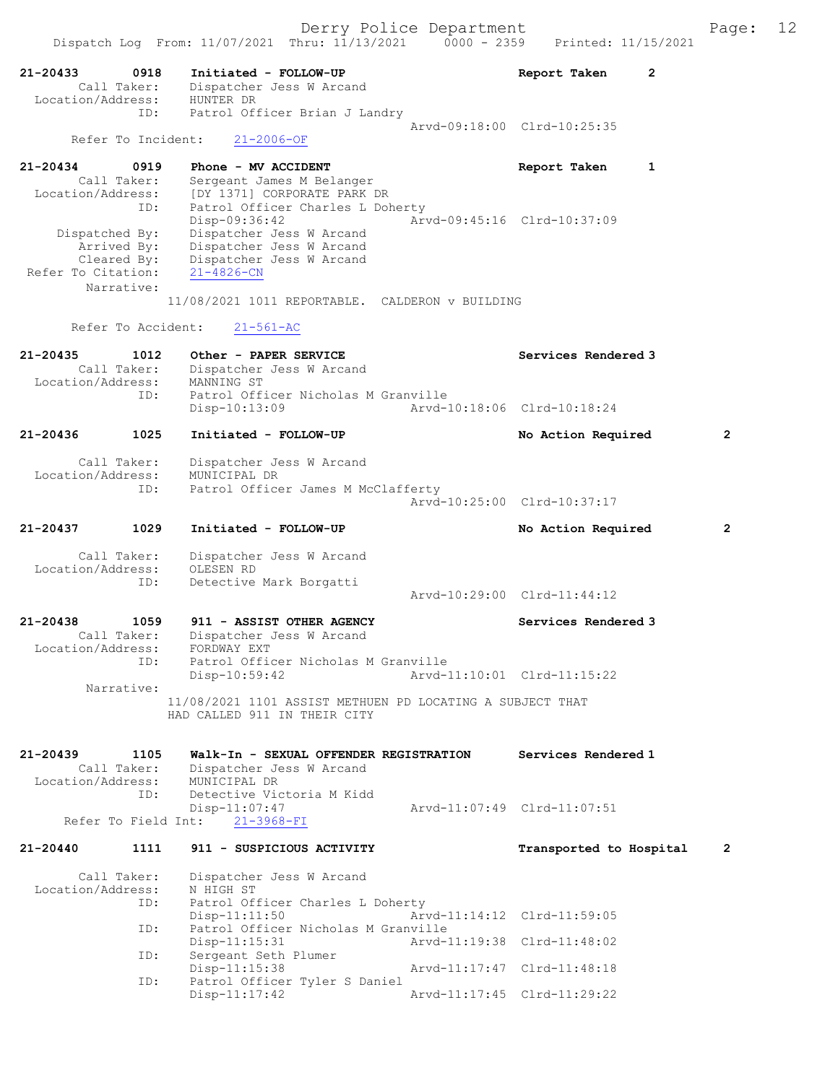21-20433 0918 Initiated - FOLLOW-UP Report Taken 2<br>Call Taker: Dispatcher Jess W Arcand Dispatcher Jess W Arcand<br>HUNTER DR Location/Address:<br>ID: Patrol Officer Brian J Landry Arvd-09:18:00 Clrd-10:25:35 Refer To Incident: 21-2006-OF 21-20434 0919 Phone - MV ACCIDENT Report Taken 1 Call Taker: Sergeant James M Belanger Location/Address: [DY 1371] CORPORATE PARK DR ESS. [DI ISTI] CONFORTED: Patrol Officer Charles L Doherty<br>Disp-09:36:42 Arv Disp-09:36:42 Arvd-09:45:16 Clrd-10:37:09 Dispatched By: Dispatcher Jess W Arcand Arrived By: Dispatcher Jess W Arcand Cleared By: Dispatcher Jess W Arcand ALLIVON 2.<br>Cleared By: Dispatcher<br>Refer To Citation: 21-4826-CN Narrative: 11/08/2021 1011 REPORTABLE. CALDERON v BUILDING Refer To Accident: 21-561-AC 21-20435 1012 Other - PAPER SERVICE Superior Services Rendered 3 Call Taker: Dispatcher Jess W Arcand -20435<br>Call Taker: Dispaction<br>Location/Address: MANNING ST<br>ID: Patrol Off ID: Patrol Officer Nicholas M Granville Disp-10:13:09 Arvd-10:18:06 Clrd-10:18:24 21-20436 1025 Initiated - FOLLOW-UP No Action Required 2 Call Taker: Dispatcher Jess W Arcand Location/Address: MUNICIPAL DR ID: Patrol Officer James M McClafferty Arvd-10:25:00 Clrd-10:37:17 21-20437 1029 Initiated - FOLLOW-UP No Action Required 2 Call Taker: Dispatcher Jess W Arcand<br>ion/Address: OLESEN RD Location/Address:<br>ID: Detective Mark Borgatti Arvd-10:29:00 Clrd-11:44:12 21-20438 1059 911 - ASSIST OTHER AGENCY<br>Call Taker: Dispatcher Jess W Arcand Dispatcher Jess W Arcand<br>FORDWAY EXT Location/Address: ID: Patrol Officer Nicholas M Granville<br>Disp-10:59:42 Arvd-2 Disp-10:59:42 Arvd-11:10:01 Clrd-11:15:22 Narrative: 11/08/2021 1101 ASSIST METHUEN PD LOCATING A SUBJECT THAT HAD CALLED 911 IN THEIR CITY 21-20439 1105 Walk-In - SEXUAL OFFENDER REGISTRATION Services Rendered 1 Call Taker: Dispatcher Jess W Arcand<br>ion/Address: MUNICIPAL DR Location/Address: ID: Detective Victoria M Kidd Disp-11:07:47<br>ht: 21-3968-FI<br> $\overline{P}$  Arvd-11:07:49 Clrd-11:07:51 Refer To Field Int: 21-20440 1111 911 - SUSPICIOUS ACTIVITY Transported to Hospital 2 Call Taker: Dispatcher Jess W Arcand<br>.on/Address: N HIGH ST Location/Address:<br>ID: Patrol Officer Charles L Doherty<br>Disp-11:11:50 Arv Arvd-11:14:12 Clrd-11:59:05 ID: Patrol Officer Nicholas M Granville Disp-11:15:31 Arvd-11:19:38 Clrd-11:48:02<br>ID: Sergeant Seth Plumer Sergeant Seth Plumer<br>Disp-11:15:38 Disp-11:15:38 Arvd-11:17:47 Clrd-11:48:18<br>ID: Patrol Officer Tyler S Daniel Patrol Officer Tyler S Daniel Disp-11:17:42 Arvd-11:17:45 Clrd-11:29:22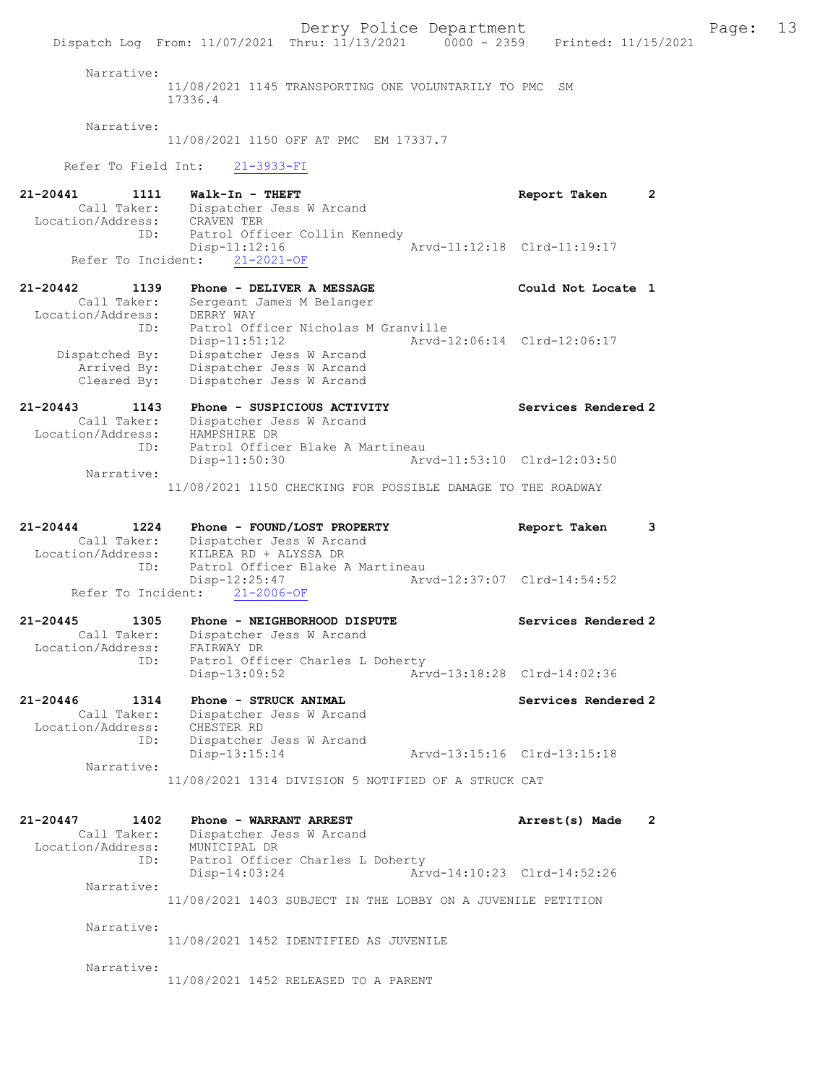Derry Police Department Fage: 13 Dispatch Log From: 11/07/2021 Thru: 11/13/2021 0000 - 2359 Printed: 11/15/2021 Narrative: 11/08/2021 1145 TRANSPORTING ONE VOLUNTARILY TO PMC SM 17336.4 Narrative: 11/08/2021 1150 OFF AT PMC EM 17337.7 Refer To Field Int: 21-3933-FI 21-20441 1111 Walk-In - THEFT Report Taken 2 Call Taker: Dispatcher Jess W Arcand Location/Address: CRAVEN TER ID: Patrol Officer Collin Kennedy<br>Disp-11:12:16 Disp-11:12:16 Arvd-11:12:18 Clrd-11:19:17 Refer To Incident: 21-2021-OF 21-20442 1139 Phone - DELIVER A MESSAGE Could Not Locate 1 Call Taker: Sergeant James M Belanger Location/Address: DERRY WAY ID: Patrol Officer Nicholas M Granville Disp-11:51:12 Arvd-12:06:14 Clrd-12:06:17 Dispatched By: Dispatcher Jess W Arcand Arrived By: Dispatcher Jess W Arcand Cleared By: Dispatcher Jess W Arcand 21-20443 1143 Phone - SUSPICIOUS ACTIVITY Services Rendered 2 Call Taker: Dispatcher Jess W Arcand Location/Address: HAMPSHIRE DR ID: Patrol Officer Blake A Martineau Disp-11:50:30 Arvd-11:53:10 Clrd-12:03:50 Narrative: 11/08/2021 1150 CHECKING FOR POSSIBLE DAMAGE TO THE ROADWAY 21-20444 1224 Phone - FOUND/LOST PROPERTY Report Taken 3<br>Call Taker: Dispatcher Jess W Arcand Call Taker: Dispatcher Jess W Arcand Location/Address: KILREA RD + ALYSSA DR ID: Patrol Officer Blake A Martineau<br>Disp-12:25:47 Art Disp-12:25:47 Arvd-12:37:07 Clrd-14:54:52 Refer To Incident: 21-2006-OF 21-20445 1305 Phone - NEIGHBORHOOD DISPUTE Services Rendered 2 Call Taker: Dispatcher Jess W Arcand Location/Address: FAIRWAY DR ID: Patrol Officer Charles L Doherty<br>Disp-13:09:52 Arv Disp-13:09:52 Arvd-13:18:28 Clrd-14:02:36 21-20446 1314 Phone - STRUCK ANIMAL 121-20446 Services Rendered 2 Call Taker: Dispatcher Jess W Arcand Location/Address: CHESTER RD ID: Dispatcher Jess W Arcand Disp-13:15:14 Arvd-13:15:16 Clrd-13:15:18 Narrative: 11/08/2021 1314 DIVISION 5 NOTIFIED OF A STRUCK CAT 21-20447 1402 Phone - WARRANT ARREST Arrest(s) Made 2 Call Taker: Dispatcher Jess W Arcand Location/Address: MUNICIPAL DR ID: Patrol Officer Charles L Doherty<br>Disp-14:03:24 Art Disp-14:03:24 Arvd-14:10:23 Clrd-14:52:26 Narrative: 11/08/2021 1403 SUBJECT IN THE LOBBY ON A JUVENILE PETITION Narrative: 11/08/2021 1452 IDENTIFIED AS JUVENILE Narrative: 11/08/2021 1452 RELEASED TO A PARENT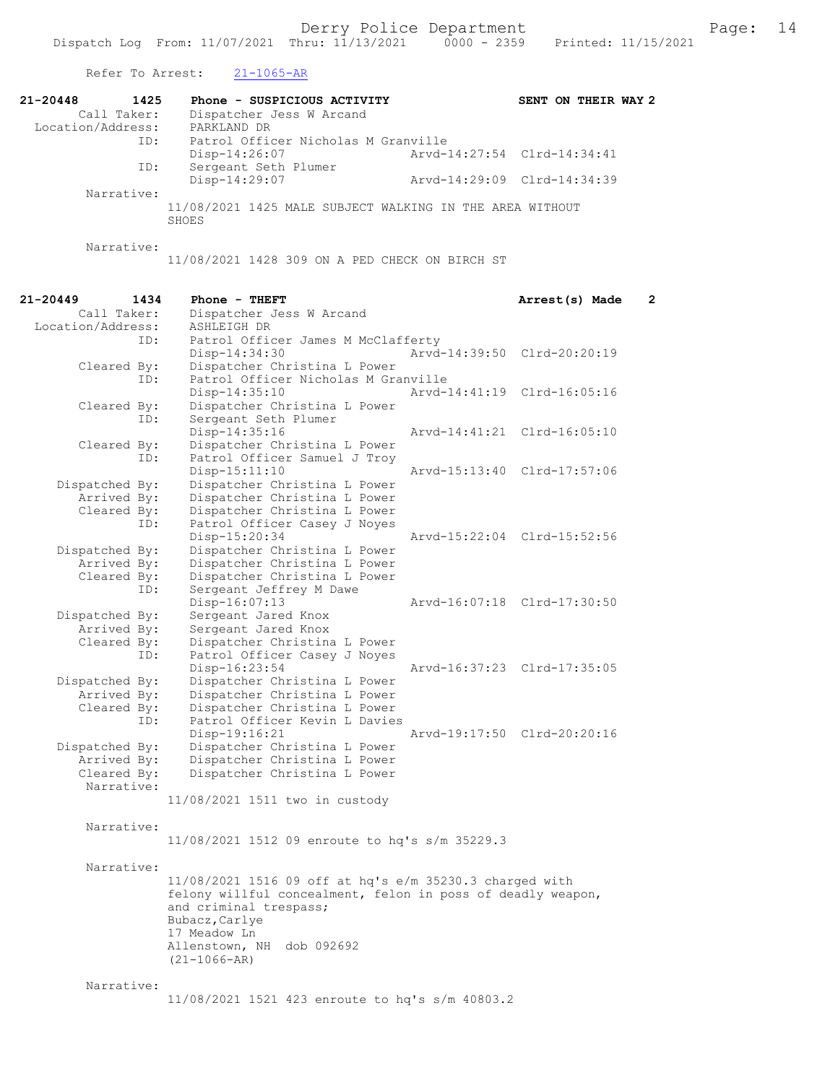# Refer To Arrest: 21-1065-AR

| $21 - 20448$<br>1425 | Phone - SUSPICIOUS ACTIVITY                              |                             | SENT ON THEIR WAY 2 |
|----------------------|----------------------------------------------------------|-----------------------------|---------------------|
| Call Taker:          | Dispatcher Jess W Arcand                                 |                             |                     |
| Location/Address:    | PARKLAND DR                                              |                             |                     |
| ID:                  | Patrol Officer Nicholas M Granville                      |                             |                     |
|                      | $Disp-14:26:07$                                          | Arvd-14:27:54 Clrd-14:34:41 |                     |
| ID:                  | Sergeant Seth Plumer                                     |                             |                     |
|                      | Disp-14:29:07                                            | Aryd-14:29:09 Clrd-14:34:39 |                     |
| Narrative:           |                                                          |                             |                     |
|                      | 11/08/2021 1425 MALE SUBJECT WALKING IN THE AREA WITHOUT |                             |                     |
|                      | SHOES                                                    |                             |                     |
|                      |                                                          |                             |                     |
| Narrative:           |                                                          |                             |                     |
|                      | 11/08/2021 1428 309 ON A PED CHECK ON BIRCH ST           |                             |                     |
|                      |                                                          |                             |                     |

| $21 - 20449$               | 1434 | Phone - THEFT                                                |               | Arrest(s) Made              | $\mathbf{2}$ |
|----------------------------|------|--------------------------------------------------------------|---------------|-----------------------------|--------------|
| Call Taker:                |      | Dispatcher Jess W Arcand                                     |               |                             |              |
| Location/Address:          |      | ASHLEIGH DR                                                  |               |                             |              |
|                            | ID:  | Patrol Officer James M McClafferty                           |               |                             |              |
|                            |      | Disp-14:34:30                                                |               | Arvd-14:39:50 Clrd-20:20:19 |              |
| Cleared By:                |      | Dispatcher Christina L Power                                 |               |                             |              |
|                            | ID:  | Patrol Officer Nicholas M Granville                          |               |                             |              |
|                            |      | Disp-14:35:10                                                | Arvd-14:41:19 | $Clrd-16:05:16$             |              |
| Cleared By:                |      | Dispatcher Christina L Power                                 |               |                             |              |
|                            | ID:  | Sergeant Seth Plumer                                         |               |                             |              |
|                            |      | Disp-14:35:16                                                |               | Arvd-14:41:21 Clrd-16:05:10 |              |
| Cleared By:                |      | Dispatcher Christina L Power                                 |               |                             |              |
|                            | ID:  | Patrol Officer Samuel J Troy                                 |               |                             |              |
|                            |      | Disp-15:11:10                                                | Arvd-15:13:40 | Clrd-17:57:06               |              |
| Dispatched By:             |      | Dispatcher Christina L Power                                 |               |                             |              |
| Arrived By:                |      | Dispatcher Christina L Power                                 |               |                             |              |
| Cleared By:                |      | Dispatcher Christina L Power                                 |               |                             |              |
|                            | ID:  | Patrol Officer Casey J Noyes                                 |               |                             |              |
|                            |      | Disp-15:20:34                                                |               | Arvd-15:22:04 Clrd-15:52:56 |              |
| Dispatched By:             |      | Dispatcher Christina L Power                                 |               |                             |              |
| Arrived By:                |      | Dispatcher Christina L Power                                 |               |                             |              |
| Cleared By:                |      | Dispatcher Christina L Power                                 |               |                             |              |
|                            | ID:  | Sergeant Jeffrey M Dawe                                      |               |                             |              |
|                            |      | Disp-16:07:13                                                |               | Arvd-16:07:18 Clrd-17:30:50 |              |
| Dispatched By:             |      | Sergeant Jared Knox                                          |               |                             |              |
| Arrived By:                |      | Sergeant Jared Knox                                          |               |                             |              |
| Cleared By:                |      | Dispatcher Christina L Power                                 |               |                             |              |
|                            | ID:  | Patrol Officer Casey J Noyes                                 |               |                             |              |
|                            |      | Disp-16:23:54                                                |               | Arvd-16:37:23 Clrd-17:35:05 |              |
| Dispatched By:             |      | Dispatcher Christina L Power                                 |               |                             |              |
| Arrived By:<br>Cleared By: |      | Dispatcher Christina L Power<br>Dispatcher Christina L Power |               |                             |              |
|                            | ID:  | Patrol Officer Kevin L Davies                                |               |                             |              |
|                            |      | $Disp-19:16:21$                                              |               | Arvd-19:17:50 Clrd-20:20:16 |              |
| Dispatched By:             |      | Dispatcher Christina L Power                                 |               |                             |              |
| Arrived By:                |      | Dispatcher Christina L Power                                 |               |                             |              |
| Cleared By:                |      | Dispatcher Christina L Power                                 |               |                             |              |
| Narrative:                 |      |                                                              |               |                             |              |
|                            |      | 11/08/2021 1511 two in custody                               |               |                             |              |
|                            |      |                                                              |               |                             |              |
| Narrative:                 |      |                                                              |               |                             |              |
|                            |      | 11/08/2021 1512 09 enroute to hq's s/m 35229.3               |               |                             |              |
|                            |      |                                                              |               |                             |              |
| Narrative:                 |      |                                                              |               |                             |              |
|                            |      | 11/08/2021 1516 09 off at hq's e/m 35230.3 charged with      |               |                             |              |
|                            |      | felony willful concealment, felon in poss of deadly weapon,  |               |                             |              |
|                            |      | and criminal trespass;                                       |               |                             |              |
|                            |      | Bubacz, Carlye                                               |               |                             |              |
|                            |      | 17 Meadow Ln                                                 |               |                             |              |
|                            |      | Allenstown, NH dob 092692                                    |               |                             |              |
|                            |      | $(21 - 1066 - AR)$                                           |               |                             |              |
|                            |      |                                                              |               |                             |              |
| Narrative:                 |      |                                                              |               |                             |              |
|                            |      | 11/08/2021 1521 423 enroute to hq's s/m 40803.2              |               |                             |              |
|                            |      |                                                              |               |                             |              |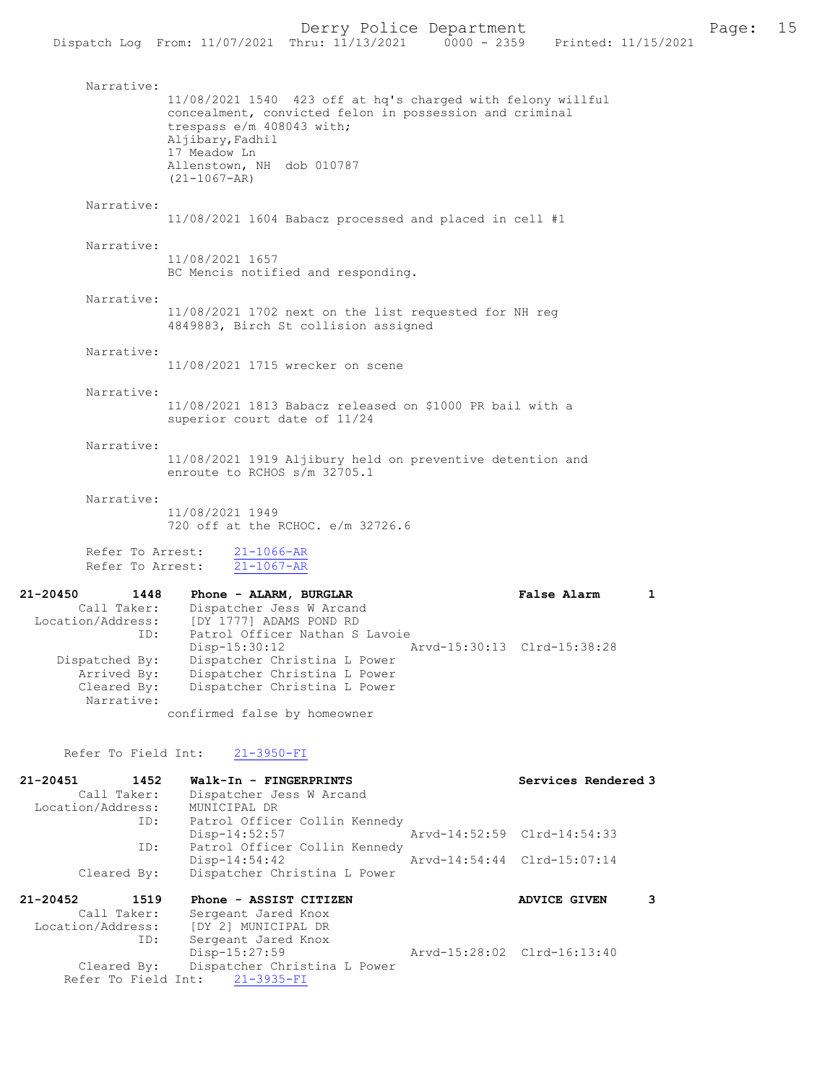Narrative: 11/08/2021 1540 423 off at hq's charged with felony willful concealment, convicted felon in possession and criminal trespass e/m 408043 with; Aljibary,Fadhil 17 Meadow Ln Allenstown, NH dob 010787 (21-1067-AR)

#### Narrative:

11/08/2021 1604 Babacz processed and placed in cell #1

#### Narrative:

11/08/2021 1657 BC Mencis notified and responding.

Narrative:

11/08/2021 1702 next on the list requested for NH reg 4849883, Birch St collision assigned

Narrative:

11/08/2021 1715 wrecker on scene

#### Narrative:

11/08/2021 1813 Babacz released on \$1000 PR bail with a superior court date of 11/24

#### Narrative:

11/08/2021 1919 Aljibury held on preventive detention and enroute to RCHOS s/m 32705.1

Narrative:

11/08/2021 1949 720 off at the RCHOC. e/m 32726.6

 Refer To Arrest: 21-1066-AR Refer To Arrest: 21-1067-AR

21-20450 1448 Phone - ALARM, BURGLAR False Alarm 1 Call Taker: Dispatcher Jess W Arcand<br>Location/Address: [DY 1777] ADAMS POND RD Location/Address: [DY 1777] ADAMS POND RD ESS: [*Di 1777]* Hotman Sammer Lavoie<br>
ID: Patrol Officer Nathan S Lavoie<br>
Disp-15:30:12 Disp-15:30:12 Arvd-15:30:13 Clrd-15:38:28<br>Dispatched By: Dispatcher Christina L Power patched By: Dispatcher Christina L Power<br>Arrived By: Dispatcher Christina L Power Arrived By: Dispatcher Christina L Power<br>Cleared Bv: Dispatcher Christina L Power Dispatcher Christina L Power Narrative:

confirmed false by homeowner

## Refer To Field Int: 21-3950-FI

| $21 - 20451$<br>1452<br>Call Taker:<br>Location/Address:<br>ID: | Walk-In - FINGERPRINTS<br>Dispatcher Jess W Arcand<br>MUNICIPAL DR<br>Patrol Officer Collin Kennedy | Services Rendered 3         |   |
|-----------------------------------------------------------------|-----------------------------------------------------------------------------------------------------|-----------------------------|---|
|                                                                 | Disp-14:52:57                                                                                       | Arvd-14:52:59 Clrd-14:54:33 |   |
| ID:                                                             | Patrol Officer Collin Kennedy<br>$Disp-14:54:42$                                                    | Arvd-14:54:44 Clrd-15:07:14 |   |
| Cleared By:                                                     | Dispatcher Christina L Power                                                                        |                             |   |
| $21 - 20452$<br>1519<br>Call Taker:<br>Location/Address:<br>ID: | Phone - ASSIST CITIZEN<br>Sergeant Jared Knox<br>[DY 2] MUNICIPAL DR<br>Sergeant Jared Knox         | <b>ADVICE GIVEN</b>         | з |
|                                                                 | Disp-15:27:59                                                                                       | Arvd-15:28:02 Clrd-16:13:40 |   |

 Cleared By: Dispatcher Christina L Power Refer To Field Int: 21-3935-FI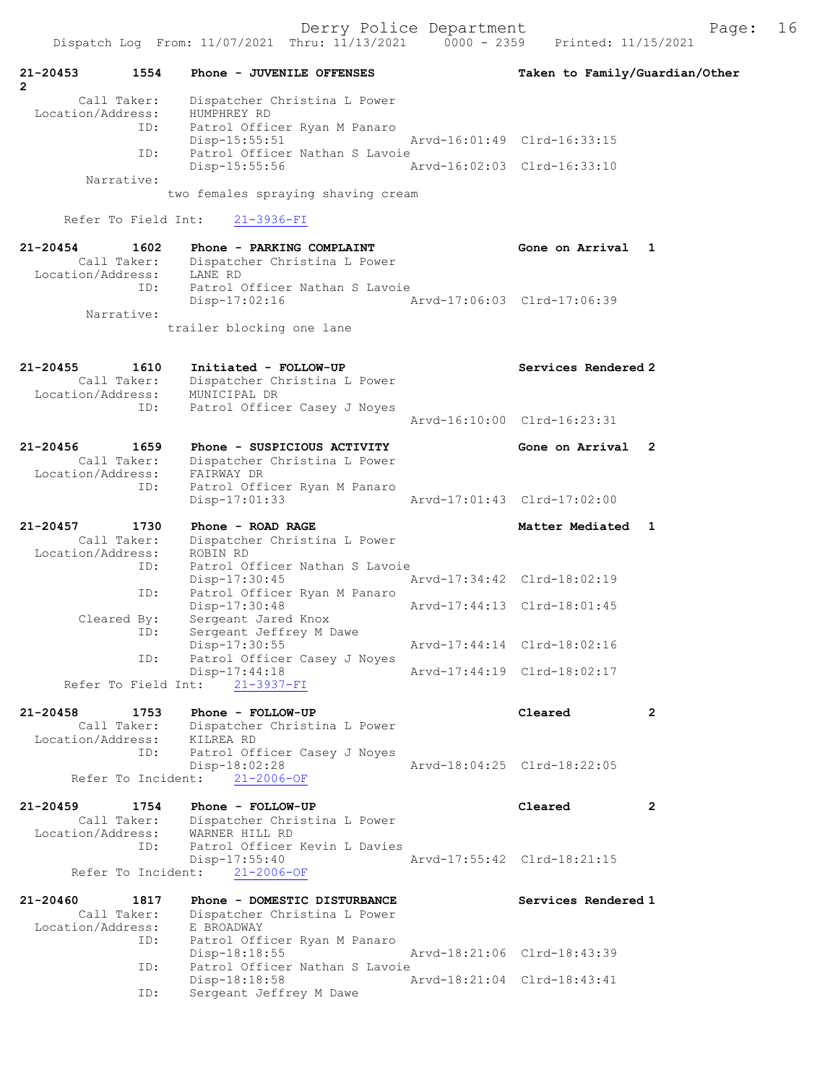Derry Police Department Fage: 16

| 21-20453<br>$\overline{2}$        | 1554                       | Phone - JUVENILE OFFENSES                                                                                  | Taken to Family/Guardian/Other |                |
|-----------------------------------|----------------------------|------------------------------------------------------------------------------------------------------------|--------------------------------|----------------|
| Location/Address:                 | Call Taker:                | Dispatcher Christina L Power<br>HUMPHREY RD                                                                |                                |                |
|                                   | ID:                        | Patrol Officer Ryan M Panaro<br>$Disp-15:55:51$                                                            | Arvd-16:01:49 Clrd-16:33:15    |                |
|                                   | ID:                        | Patrol Officer Nathan S Lavoie<br>Disp-15:55:56                                                            | Arvd-16:02:03 Clrd-16:33:10    |                |
|                                   | Narrative:                 | two females spraying shaving cream                                                                         |                                |                |
|                                   | Refer To Field Int:        | $21 - 3936 - FI$                                                                                           |                                |                |
| $21 - 20454$<br>Location/Address: | 1602<br>Call Taker:        | Phone - PARKING COMPLAINT<br>Dispatcher Christina L Power<br>LANE RD                                       | Gone on Arrival 1              |                |
|                                   | ID:                        | Patrol Officer Nathan S Lavoie<br>Disp-17:02:16                                                            | Arvd-17:06:03 Clrd-17:06:39    |                |
|                                   | Narrative:                 | trailer blocking one lane                                                                                  |                                |                |
| 21-20455<br>Location/Address:     | 1610<br>Call Taker:        | Initiated - FOLLOW-UP<br>Dispatcher Christina L Power<br>MUNICIPAL DR                                      | Services Rendered 2            |                |
|                                   | ID:                        | Patrol Officer Casey J Noyes                                                                               | Arvd-16:10:00 Clrd-16:23:31    |                |
| 21-20456<br>Location/Address:     | 1659<br>Call Taker:        | Phone - SUSPICIOUS ACTIVITY<br>Dispatcher Christina L Power<br>FAIRWAY DR                                  | Gone on Arrival 2              |                |
|                                   | ID:                        | Patrol Officer Ryan M Panaro<br>$Disp-17:01:33$                                                            | Arvd-17:01:43 Clrd-17:02:00    |                |
| 21-20457<br>Location/Address:     | 1730<br>Call Taker:        | Phone - ROAD RAGE<br>Dispatcher Christina L Power<br>ROBIN RD                                              | Matter Mediated 1              |                |
|                                   | ID:<br>ID:                 | Patrol Officer Nathan S Lavoie<br>$Disp-17:30:45$<br>Patrol Officer Ryan M Panaro                          | Arvd-17:34:42 Clrd-18:02:19    |                |
|                                   | Cleared By:                | Disp-17:30:48<br>Sergeant Jared Knox                                                                       | Arvd-17:44:13 Clrd-18:01:45    |                |
|                                   | ID:<br>ID:                 | Sergeant Jeffrey M Dawe<br>$Disp-17:30:55$<br>Patrol Officer Casey J Noyes                                 | Arvd-17:44:14 Clrd-18:02:16    |                |
|                                   | Refer To Field Int:        | Disp-17:44:18<br>$21 - 3937 - FI$                                                                          | Arvd-17:44:19 Clrd-18:02:17    |                |
| 21-20458<br>Location/Address:     | 1753<br>Call Taker:        | Phone - FOLLOW-UP<br>Dispatcher Christina L Power<br>KILREA RD                                             | Cleared                        | $\overline{2}$ |
|                                   | ID:                        | Patrol Officer Casey J Noyes<br>Disp-18:02:28<br>Refer To Incident: 21-2006-OF                             | Arvd-18:04:25 Clrd-18:22:05    |                |
| 21-20459                          | 1754                       | Phone - FOLLOW-UP                                                                                          | Cleared                        | $\mathbf{2}$   |
| Location/Address:                 | Call Taker:<br>ID:         | Dispatcher Christina L Power<br>WARNER HILL RD<br>Patrol Officer Kevin L Davies                            |                                |                |
|                                   | Refer To Incident:         | Disp-17:55:40<br>$21 - 2006 - OF$                                                                          | Arvd-17:55:42 Clrd-18:21:15    |                |
| $21 - 20460$<br>Location/Address: | 1817<br>Call Taker:<br>ID: | Phone - DOMESTIC DISTURBANCE<br>Dispatcher Christina L Power<br>E BROADWAY<br>Patrol Officer Ryan M Panaro | Services Rendered 1            |                |
|                                   | ID:                        | Disp-18:18:55<br>Patrol Officer Nathan S Lavoie                                                            | Arvd-18:21:06 Clrd-18:43:39    |                |
|                                   | ID:                        | $Disp-18:18:58$<br>Sergeant Jeffrey M Dawe                                                                 | Arvd-18:21:04 Clrd-18:43:41    |                |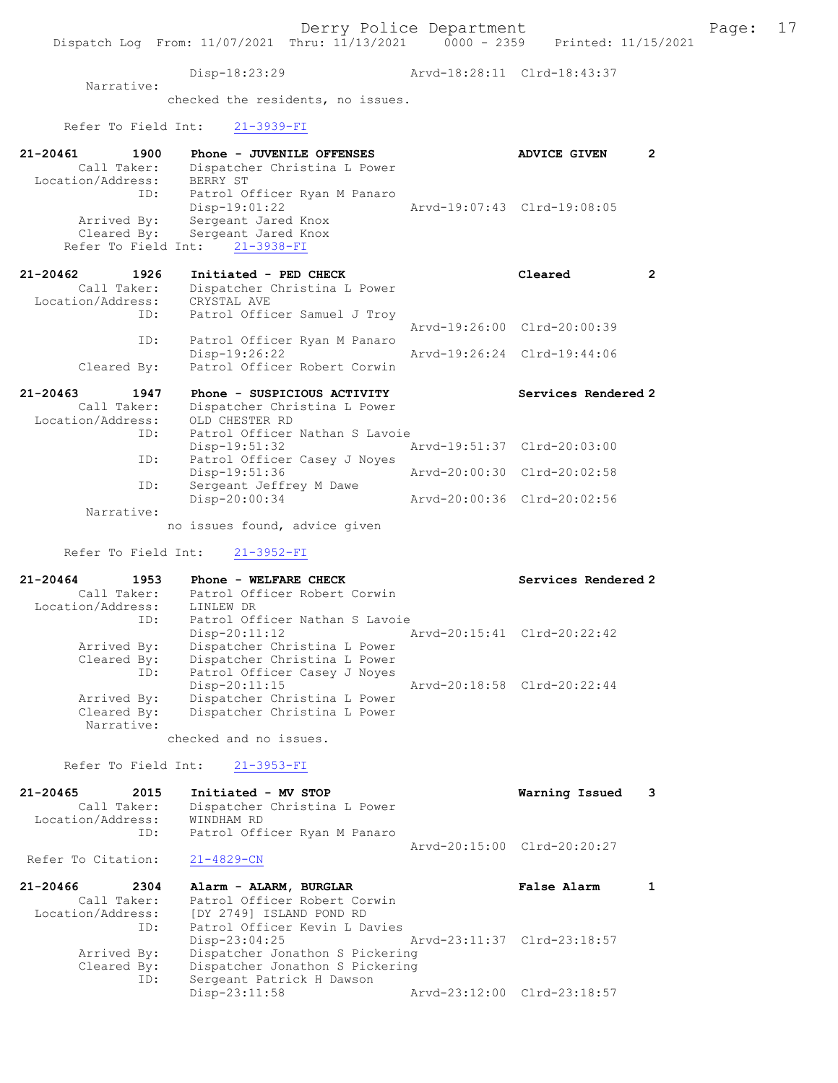## Disp-18:23:29 Arvd-18:28:11 Clrd-18:43:37 Narrative:

checked the residents, no issues.

## Refer To Field Int: 21-3939-FI

| $21 - 20461$<br>1900<br>Call Taker:<br>Location/Address: | Phone - JUVENILE OFFENSES<br>Dispatcher Christina L Power<br>BERRY ST<br>ID:<br>Patrol Officer Ryan M Panaro            | ADVICE GIVEN                | $\overline{2}$ |
|----------------------------------------------------------|-------------------------------------------------------------------------------------------------------------------------|-----------------------------|----------------|
|                                                          | $Disp-19:01:22$<br>Arrived By: Sergeant Jared Knox<br>Cleared By: Sergeant Jared Knox<br>Refer To Field Int: 21-3938-FI | Arvd-19:07:43 Clrd-19:08:05 |                |
| 21-20462 1926                                            | Initiated - PED CHECK                                                                                                   | Cleared                     | $\overline{2}$ |
| Call Taker:                                              | Dispatcher Christina L Power                                                                                            |                             |                |
| Location/Address:                                        | CRYSTAL AVE                                                                                                             |                             |                |
|                                                          | ID:<br>Patrol Officer Samuel J Troy                                                                                     |                             |                |
|                                                          |                                                                                                                         | Arvd-19:26:00 Clrd-20:00:39 |                |
|                                                          | ID:<br>Patrol Officer Ryan M Panaro                                                                                     |                             |                |
|                                                          | Disp-19:26:22                                                                                                           | Arvd-19:26:24 Clrd-19:44:06 |                |
| Cleared By:                                              | Patrol Officer Robert Corwin                                                                                            |                             |                |
| 21-20463 1947                                            | Phone - SUSPICIOUS ACTIVITY                                                                                             | Services Rendered 2         |                |
| Call Taker:                                              | Dispatcher Christina L Power                                                                                            |                             |                |
| Location/Address:                                        | OLD CHESTER RD                                                                                                          |                             |                |
| ID:                                                      | Patrol Officer Nathan S Lavoie                                                                                          |                             |                |
|                                                          | Disp-19:51:32                                                                                                           | Arvd-19:51:37 Clrd-20:03:00 |                |
| ID:                                                      | Patrol Officer Casey J Noyes                                                                                            |                             |                |

Disp-19:51:36 Arvd-20:00:30 Clrd-20:02:58

 Disp-20:00:34 Arvd-20:00:36 Clrd-20:02:56 Narrative:

no issues found, advice given

Refer To Field Int: 21-3952-FI

ID: Sergeant Jeffrey M Dawe

| 21-20464          | 1953        | Phone - WELFARE CHECK          | Services Rendered 2         |
|-------------------|-------------|--------------------------------|-----------------------------|
|                   | Call Taker: | Patrol Officer Robert Corwin   |                             |
| Location/Address: |             | LINLEW DR                      |                             |
|                   | ID:         | Patrol Officer Nathan S Lavoie |                             |
|                   |             | $Disp-20:11:12$                | Arvd-20:15:41 Clrd-20:22:42 |
|                   | Arrived By: | Dispatcher Christina L Power   |                             |
|                   | Cleared By: | Dispatcher Christina L Power   |                             |
|                   | ID:         | Patrol Officer Casey J Noves   |                             |
|                   |             | $Disp-20:11:15$                | Arvd-20:18:58 Clrd-20:22:44 |
|                   | Arrived By: | Dispatcher Christina L Power   |                             |
|                   | Cleared By: | Dispatcher Christina L Power   |                             |
|                   | Narrative:  |                                |                             |
|                   |             | checked and no issues.         |                             |

Refer To Field Int: 21-3953-FI

| 21-20465           | 2015        | Initiated - MV STOP          | Warning Issued 3            |  |
|--------------------|-------------|------------------------------|-----------------------------|--|
|                    | Call Taker: | Dispatcher Christina L Power |                             |  |
| Location/Address:  |             | WINDHAM RD                   |                             |  |
|                    | ID:         | Patrol Officer Ryan M Panaro |                             |  |
|                    |             |                              | Aryd-20:15:00 Clrd-20:20:27 |  |
| Refer To Citation: |             | 21-4829-CN                   |                             |  |

| 21-20466          | 2304        | Alarm - ALARM, BURGLAR          | False Alarm                 |  |
|-------------------|-------------|---------------------------------|-----------------------------|--|
|                   | Call Taker: | Patrol Officer Robert Corwin    |                             |  |
| Location/Address: |             | [DY 2749] ISLAND POND RD        |                             |  |
|                   | ID:         | Patrol Officer Kevin L Davies   |                             |  |
|                   |             | $Disp-23:04:25$                 | Arvd-23:11:37 Clrd-23:18:57 |  |
|                   | Arrived By: | Dispatcher Jonathon S Pickering |                             |  |
|                   | Cleared By: | Dispatcher Jonathon S Pickering |                             |  |
|                   | ID:         | Sergeant Patrick H Dawson       |                             |  |
|                   |             | Disp-23:11:58                   | Arvd-23:12:00 Clrd-23:18:57 |  |
|                   |             |                                 |                             |  |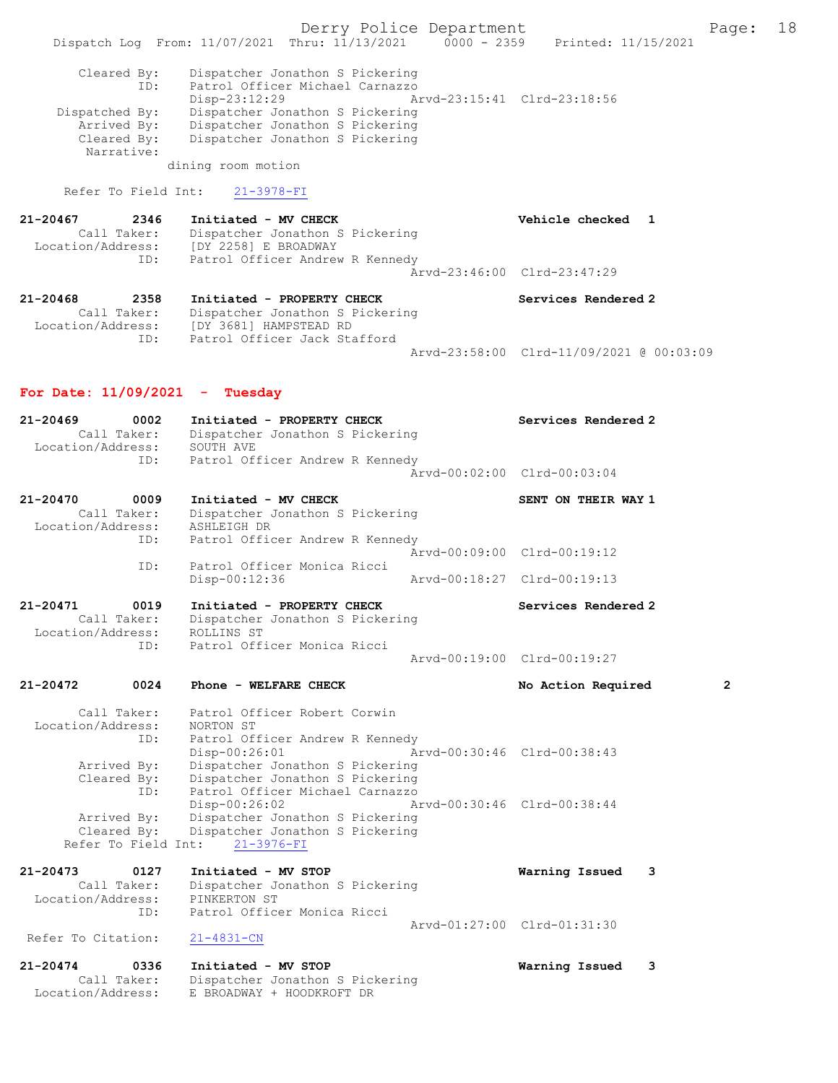Derry Police Department The Rage: 18 Dispatch Log From: 11/07/2021 Thru: 11/13/2021 0000 - 2359 Printed: 11/15/2021 Cleared By: Dispatcher Jonathon S Pickering ID: Patrol Officer Michael Carnazzo Disp-23:12:29 Arvd-23:15:41 Clrd-23:18:56 Dispatched By: Dispatcher Jonathon S Pickering Arrived By: Dispatcher Jonathon S Pickering<br>Cleared By: Dispatcher Jonathon S Pickering Dispatcher Jonathon S Pickering Narrative: dining room motion Refer To Field Int: 21-3978-FI 21-20467 2346 Initiated - MV CHECK Vehicle checked 1 Call Taker: Dispatcher Jonathon S Pickering Location/Address: [DY 2258] E BROADWAY ID: Patrol Officer Andrew R Kennedy Arvd-23:46:00 Clrd-23:47:29 21-20468 2358 Initiated - PROPERTY CHECK Services Rendered 2 Call Taker: Dispatcher Jonathon S Pickering Location/Address: [DY 3681] HAMPSTEAD RD ID: Patrol Officer Jack Stafford Arvd-23:58:00 Clrd-11/09/2021 @ 00:03:09 For Date: 11/09/2021 - Tuesday 21-20469 0002 Initiated - PROPERTY CHECK Services Rendered 2 Call Taker: Dispatcher Jonathon S Pickering Location/Address: SOUTH AVE ID: Patrol Officer Andrew R Kennedy Arvd-00:02:00 Clrd-00:03:04 21-20470 0009 Initiated - MV CHECK SENT ON THEIR WAY 1 Call Taker: Dispatcher Jonathon S Pickering Location/Address: ASHLEIGH DR ID: Patrol Officer Andrew R Kennedy Arvd-00:09:00 Clrd-00:19:12 ID: Patrol Officer Monica Ricci Disp-00:12:36 Arvd-00:18:27 Clrd-00:19:13 21-20471 0019 Initiated - PROPERTY CHECK Services Rendered 2 Call Taker: Dispatcher Jonathon S Pickering Location/Address: ROLLINS ST ID: Patrol Officer Monica Ricci Arvd-00:19:00 Clrd-00:19:27 21-20472 0024 Phone - WELFARE CHECK No Action Required 2 Call Taker: Patrol Officer Robert Corwin Location/Address: NORTON ST ID: Patrol Officer Andrew R Kennedy Disp-00:26:01 Arvd-00:30:46 Clrd-00:38:43 Arrived By: Dispatcher Jonathon S Pickering Cleared By: Dispatcher Jonathon S Pickering ID: Patrol Officer Michael Carnazzo Disp-00:26:02 Arvd-00:30:46 Clrd-00:38:44 Arrived By: Dispatcher Jonathon S Pickering Cleared By: Dispatcher Jonathon S Pickering Refer To Field Int: 21-3976-FI 21-20473 0127 Initiated - MV STOP Warning Issued 3 Call Taker: Dispatcher Jonathon S Pickering Location/Address: PINKERTON ST ID: Patrol Officer Monica Ricci Arvd-01:27:00 Clrd-01:31:30<br>21-4831-CN Refer To Citation: 21-20474 0336 Initiated - MV STOP Warning Issued 3 Call Taker: Dispatcher Jonathon S Pickering

Location/Address: E BROADWAY + HOODKROFT DR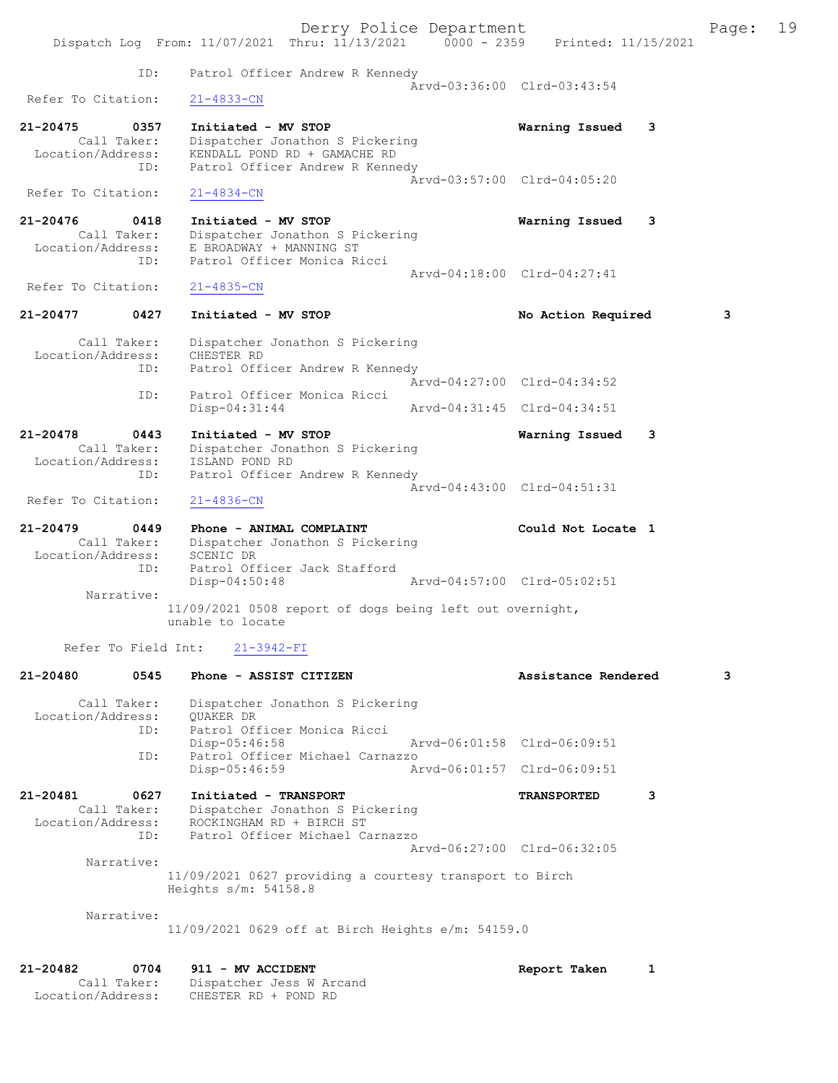|                                         | Derry Police Department<br>Dispatch Log From: 11/07/2021 Thru: 11/13/2021 0000 - 2359              | Printed: 11/15/2021         |              | Page: | 19 |
|-----------------------------------------|----------------------------------------------------------------------------------------------------|-----------------------------|--------------|-------|----|
| ID:                                     | Patrol Officer Andrew R Kennedy                                                                    |                             |              |       |    |
| Refer To Citation:                      | $21 - 4833 - CN$                                                                                   | Arvd-03:36:00 Clrd-03:43:54 |              |       |    |
| 21-20475<br>0357                        | Initiated - MV STOP                                                                                | Warning Issued              | 3            |       |    |
| Call Taker:<br>Location/Address:<br>ID: | Dispatcher Jonathon S Pickering<br>KENDALL POND RD + GAMACHE RD<br>Patrol Officer Andrew R Kennedy |                             |              |       |    |
| Refer To Citation:                      | $21 - 4834 - CN$                                                                                   | Arvd-03:57:00 Clrd-04:05:20 |              |       |    |
| 21-20476<br>0418                        | Initiated - MV STOP                                                                                | Warning Issued              | 3            |       |    |
| Call Taker:<br>Location/Address:        | Dispatcher Jonathon S Pickering<br>E BROADWAY + MANNING ST                                         |                             |              |       |    |
| ID:                                     | Patrol Officer Monica Ricci                                                                        | Arvd-04:18:00 Clrd-04:27:41 |              |       |    |
| Refer To Citation:                      | $21 - 4835 - CN$                                                                                   |                             |              |       |    |
| 21-20477<br>0427                        | Initiated - MV STOP                                                                                | No Action Required          |              | 3     |    |
| Call Taker:<br>Location/Address:        | Dispatcher Jonathon S Pickering<br>CHESTER RD                                                      |                             |              |       |    |
| ID:                                     | Patrol Officer Andrew R Kennedy                                                                    | Arvd-04:27:00 Clrd-04:34:52 |              |       |    |
| ID:                                     | Patrol Officer Monica Ricci                                                                        |                             |              |       |    |
|                                         | $Disp-04:31:44$                                                                                    | Arvd-04:31:45 Clrd-04:34:51 |              |       |    |
| 21-20478<br>0443<br>Call Taker:         | Initiated - MV STOP<br>Dispatcher Jonathon S Pickering                                             | Warning Issued              | 3            |       |    |
| Location/Address:<br>ID:                | ISLAND POND RD<br>Patrol Officer Andrew R Kennedy                                                  |                             |              |       |    |
| Refer To Citation:                      | $21 - 4836 - CN$                                                                                   | Arvd-04:43:00 Clrd-04:51:31 |              |       |    |
| $21 - 20479$<br>0449                    | Phone - ANIMAL COMPLAINT                                                                           | Could Not Locate 1          |              |       |    |
| Call Taker:<br>Location/Address:        | Dispatcher Jonathon S Pickering<br>SCENIC DR                                                       |                             |              |       |    |
| ID:                                     | Patrol Officer Jack Stafford                                                                       |                             |              |       |    |
| Narrative:                              | Disp-04:50:48                                                                                      | Arvd-04:57:00 Clrd-05:02:51 |              |       |    |
|                                         | 11/09/2021 0508 report of dogs being left out overnight,<br>unable to locate                       |                             |              |       |    |
| Refer To Field Int:                     | 21-3942-FI                                                                                         |                             |              |       |    |
| $21 - 20480$<br>0545                    | Phone - ASSIST CITIZEN                                                                             | Assistance Rendered         |              | 3     |    |
| Call Taker:<br>Location/Address:        | Dispatcher Jonathon S Pickering<br>OUAKER DR                                                       |                             |              |       |    |
| ID:                                     | Patrol Officer Monica Ricci<br>$Disp-05:46:58$                                                     | Arvd-06:01:58 Clrd-06:09:51 |              |       |    |
| ID:                                     | Patrol Officer Michael Carnazzo                                                                    |                             |              |       |    |
|                                         | Disp-05:46:59                                                                                      | Arvd-06:01:57 Clrd-06:09:51 |              |       |    |
| 21-20481<br>0627<br>Call Taker:         | Initiated - TRANSPORT<br>Dispatcher Jonathon S Pickering                                           | <b>TRANSPORTED</b>          | 3            |       |    |
| Location/Address:<br>ID:                | ROCKINGHAM RD + BIRCH ST<br>Patrol Officer Michael Carnazzo                                        |                             |              |       |    |
| Narrative:                              |                                                                                                    | Arvd-06:27:00 Clrd-06:32:05 |              |       |    |
|                                         | 11/09/2021 0627 providing a courtesy transport to Birch<br>Heights s/m: 54158.8                    |                             |              |       |    |
| Narrative:                              |                                                                                                    |                             |              |       |    |
|                                         | 11/09/2021 0629 off at Birch Heights e/m: 54159.0                                                  |                             |              |       |    |
| 21-20482<br>0704                        | 911 - MV ACCIDENT                                                                                  | Report Taken                | $\mathbf{1}$ |       |    |
| Call Taker:<br>Location/Address:        | Dispatcher Jess W Arcand<br>CHESTER RD + POND RD                                                   |                             |              |       |    |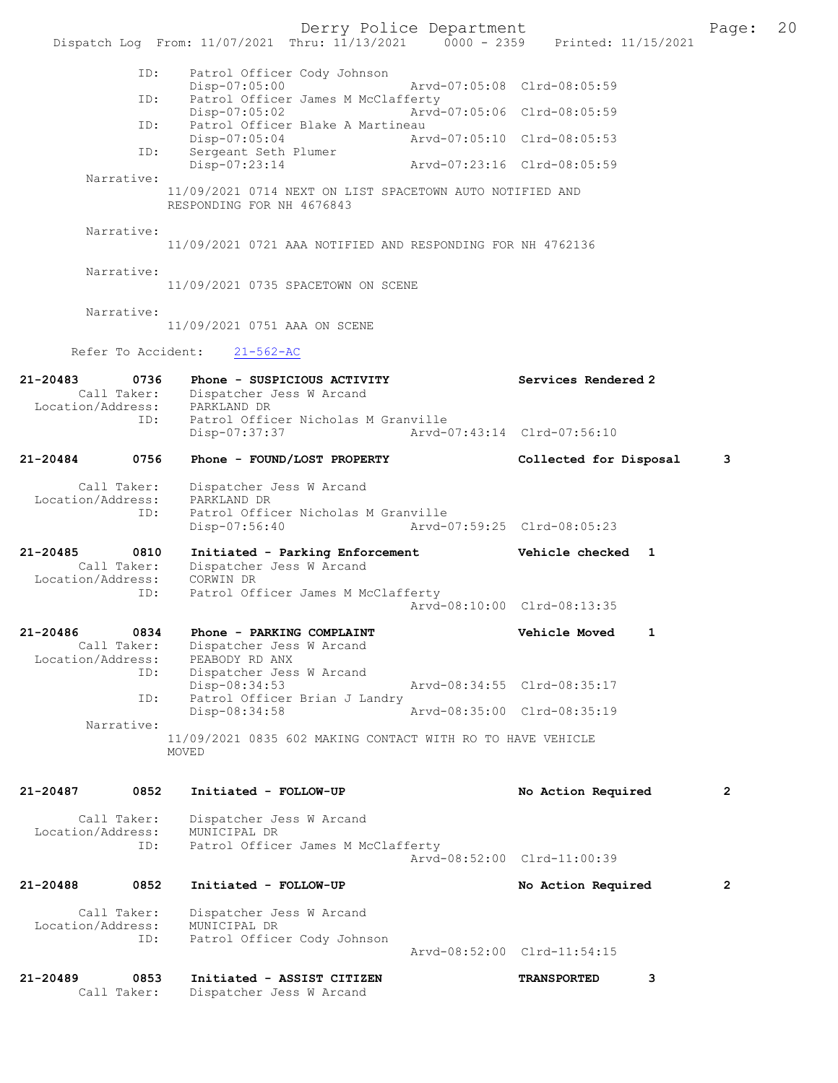Derry Police Department Form Page: 20 Dispatch Log From: 11/07/2021 Thru: 11/13/2021 0000 - 2359 Printed: 11/15/2021 ID: Patrol Officer Cody Johnson Disp-07:05:00 Arvd-07:05:08 Clrd-08:05:59<br>TD: Patrol Officer James M McClafferty ning<br>Disp-07:05:02 McClafferty<br>Disp-07:05:02 Arvd- Disp-07:05:02 Arvd-07:05:06 Clrd-08:05:59 ID: Patrol Officer Blake A Martineau<br>Disp-07:05:04 Arvd-07:05:10 Clrd-08:05:53  $Disp-07:05:04$ ID: Sergeant Seth Plumer<br>Disp-07:23:14 Disp-07:23:14 Arvd-07:23:16 Clrd-08:05:59 Narrative: 11/09/2021 0714 NEXT ON LIST SPACETOWN AUTO NOTIFIED AND RESPONDING FOR NH 4676843 Narrative: 11/09/2021 0721 AAA NOTIFIED AND RESPONDING FOR NH 4762136 Narrative: 11/09/2021 0735 SPACETOWN ON SCENE Narrative: 11/09/2021 0751 AAA ON SCENE Refer To Accident: 21-562-AC 21-20483 0736 Phone - SUSPICIOUS ACTIVITY Services Rendered 2 Call Taker: Dispatcher Jess W Arcand Location/Address: PARKLAND DR ID: Patrol Officer Nicholas M Granville Disp-07:37:37 Arvd-07:43:14 Clrd-07:56:10 21-20484 0756 Phone - FOUND/LOST PROPERTY Collected for Disposal 3 Call Taker: Dispatcher Jess W Arcand Location/Address: PARKLAND DR ID: Patrol Officer Nicholas M Granville<br>Disp-07:56:40 Arvd-0 Disp-07:56:40 Arvd-07:59:25 Clrd-08:05:23 21-20485 0810 Initiated - Parking Enforcement Vehicle checked 1 Call Taker: Dispatcher Jess W Arcand Location/Address: CORWIN DR ID: Patrol Officer James M McClafferty Arvd-08:10:00 Clrd-08:13:35 21-20486 0834 Phone - PARKING COMPLAINT Vehicle Moved 1 Call Taker: Dispatcher Jess W Arcand Location/Address: PEABODY RD ANX ID: Dispatcher Jess W Arcand Disp-08:34:53 Arvd-08:34:55 Clrd-08:35:17<br>TD: Patrol Officer Brian J Landry Patrol Officer Brian J Landry Disp-08:34:58 Arvd-08:35:00 Clrd-08:35:19 Narrative: 11/09/2021 0835 602 MAKING CONTACT WITH RO TO HAVE VEHICLE MOVED 21-20487 0852 Initiated - FOLLOW-UP No Action Required 2 Call Taker: Dispatcher Jess W Arcand Location/Address: MUNICIPAL DR<br>TD: Patrol Office Patrol Officer James M McClafferty Arvd-08:52:00 Clrd-11:00:39 21-20488 0852 Initiated - FOLLOW-UP No Action Required 2 Call Taker: Dispatcher Jess W Arcand<br>ion/Address: MUNICIPAL DR Location/Address:<br>ID: Patrol Officer Cody Johnson Arvd-08:52:00 Clrd-11:54:15 21-20489 0853 Initiated - ASSIST CITIZEN TRANSPORTED 3 Call Taker: Dispatcher Jess W Arcand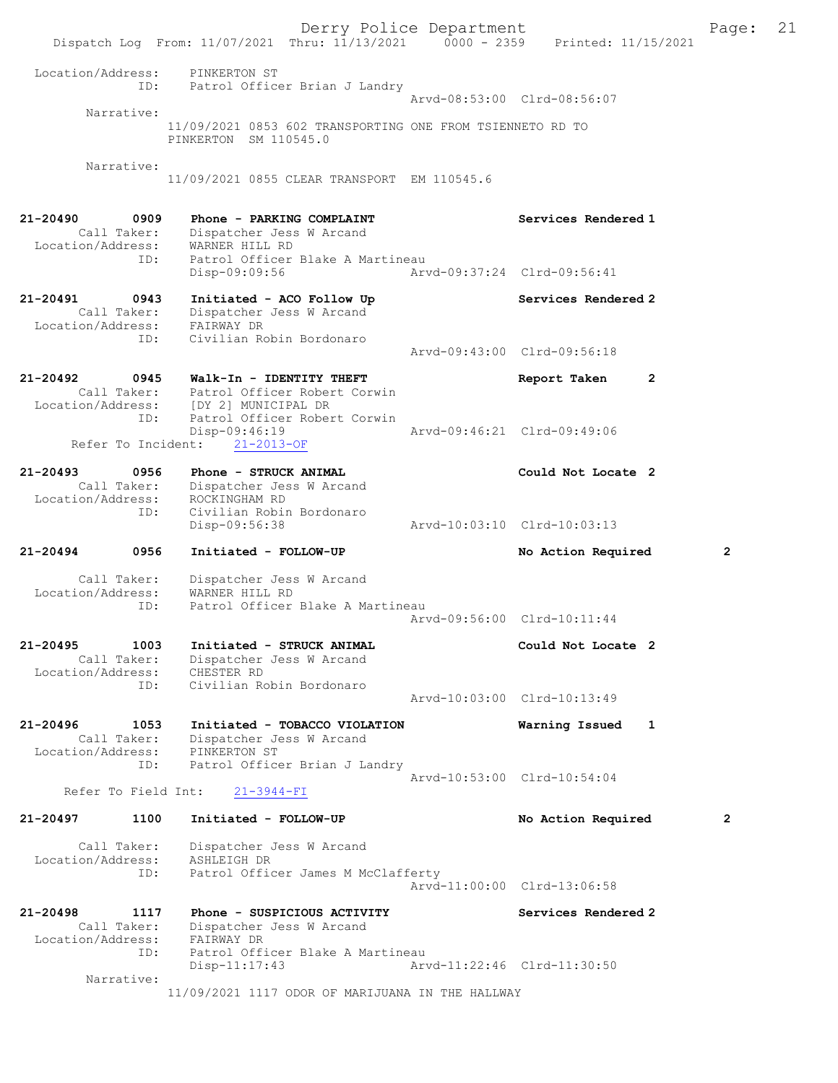Derry Police Department Fage: 21 Dispatch Log From: 11/07/2021 Thru: 11/13/2021 0000 - 2359 Printed: 11/15/2021 Location/Address: PINKERTON ST ID: Patrol Officer Brian J Landry Arvd-08:53:00 Clrd-08:56:07 Narrative: 11/09/2021 0853 602 TRANSPORTING ONE FROM TSIENNETO RD TO PINKERTON SM 110545.0 Narrative: 11/09/2021 0855 CLEAR TRANSPORT EM 110545.6 21-20490 0909 Phone - PARKING COMPLAINT Services Rendered 1 Call Taker: Dispatcher Jess W Arcand Location/Address: WARNER HILL RD ID: Patrol Officer Blake A Martineau Disp-09:09:56 Arvd-09:37:24 Clrd-09:56:41 21-20491 0943 Initiated - ACO Follow Up Services Rendered 2 Call Taker: Dispatcher Jess W Arcand Location/Address: FAIRWAY DR ID: Civilian Robin Bordonaro Arvd-09:43:00 Clrd-09:56:18 21-20492 0945 Walk-In - IDENTITY THEFT Report Taken 2 Call Taker: Patrol Officer Robert Corwin Location/Address: [DY 2] MUNICIPAL DR ID: Patrol Officer Robert Corwin Disp-09:46:19 Arvd-09:46:21 Clrd-09:49:06 Refer To Incident: 21-2013-OF 21-20493 0956 Phone - STRUCK ANIMAL Could Not Locate 2 Call Taker: Dispatcher Jess W Arcand Location/Address: ROCKINGHAM RD ID: Civilian Robin Bordonaro Disp-09:56:38 Arvd-10:03:10 Clrd-10:03:13 21-20494 0956 Initiated - FOLLOW-UP No Action Required 2 Call Taker: Dispatcher Jess W Arcand Location/Address: WARNER HILL RD ID: Patrol Officer Blake A Martineau Arvd-09:56:00 Clrd-10:11:44 21-20495 1003 Initiated - STRUCK ANIMAL Could Not Locate 2 Call Taker: Dispatcher Jess W Arcand Location/Address: CHESTER RD ID: Civilian Robin Bordonaro Arvd-10:03:00 Clrd-10:13:49 21-20496 1053 Initiated - TOBACCO VIOLATION Warning Issued 1 Call Taker: Dispatcher Jess W Arcand Location/Address: PINKERTON ST ID: Patrol Officer Brian J Landry Arvd-10:53:00 Clrd-10:54:04 Refer To Field Int: 21-3944-FI 21-20497 1100 Initiated - FOLLOW-UP 12 No Action Required 2 Call Taker: Dispatcher Jess W Arcand Location/Address: ASHLEIGH DR ID: Patrol Officer James M McClafferty Arvd-11:00:00 Clrd-13:06:58 21-20498 1117 Phone - SUSPICIOUS ACTIVITY Services Rendered 2 Call Taker: Dispatcher Jess W Arcand Location/Address: FAIRWAY DR ID: Patrol Officer Blake A Martineau Disp-11:17:43 Arvd-11:22:46 Clrd-11:30:50 Narrative: 11/09/2021 1117 ODOR OF MARIJUANA IN THE HALLWAY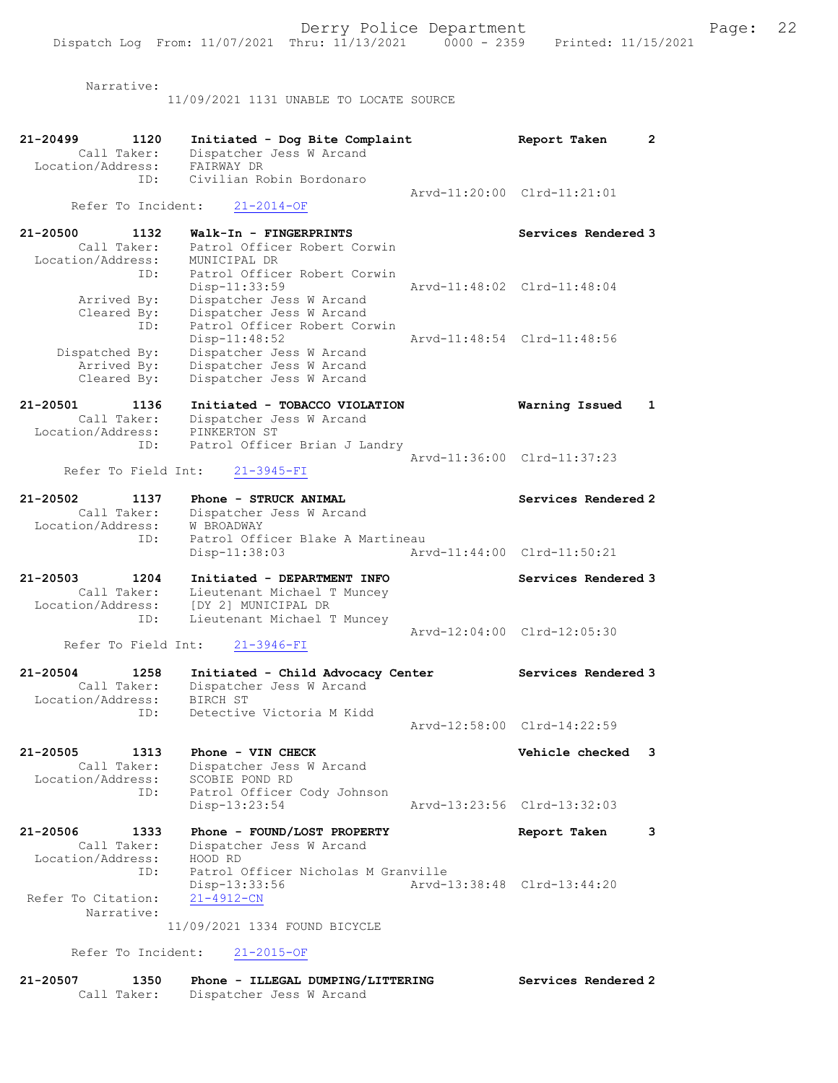Narrative:

11/09/2021 1131 UNABLE TO LOCATE SOURCE

| 21-20499<br>Location/Address:     | 1120<br>Call Taker:               | Initiated - Dog Bite Complaint<br>Dispatcher Jess W Arcand<br>FAIRWAY DR                                                          | Report Taken                | $\mathbf{2}$ |
|-----------------------------------|-----------------------------------|-----------------------------------------------------------------------------------------------------------------------------------|-----------------------------|--------------|
|                                   | ID:<br>Refer To Incident:         | Civilian Robin Bordonaro<br>21-2014-OF                                                                                            | Arvd-11:20:00 Clrd-11:21:01 |              |
| 21-20500                          | 1132                              | Walk-In - FINGERPRINTS                                                                                                            | Services Rendered 3         |              |
| Location/Address:                 | Call Taker:<br>ID:                | Patrol Officer Robert Corwin<br>MUNICIPAL DR<br>Patrol Officer Robert Corwin                                                      |                             |              |
|                                   | Arrived By:<br>Cleared By:        | $Disp-11:33:59$<br>Dispatcher Jess W Arcand<br>Dispatcher Jess W Arcand                                                           | Arvd-11:48:02 Clrd-11:48:04 |              |
| Dispatched By:                    | ID:<br>Arrived By:<br>Cleared By: | Patrol Officer Robert Corwin<br>Disp-11:48:52<br>Dispatcher Jess W Arcand<br>Dispatcher Jess W Arcand<br>Dispatcher Jess W Arcand | Arvd-11:48:54 Clrd-11:48:56 |              |
| 21-20501                          | 1136<br>Call Taker:               | Initiated - TOBACCO VIOLATION<br>Dispatcher Jess W Arcand                                                                         | Warning Issued              | 1            |
| Location/Address:                 | ID:<br>Refer To Field Int:        | PINKERTON ST<br>Patrol Officer Brian J Landry<br>$21 - 3945 - FI$                                                                 | Arvd-11:36:00 Clrd-11:37:23 |              |
| 21-20502                          | 1137                              | Phone - STRUCK ANIMAL                                                                                                             | Services Rendered 2         |              |
| Location/Address:                 | Call Taker:                       | Dispatcher Jess W Arcand<br>W BROADWAY                                                                                            |                             |              |
|                                   | ID:                               | Patrol Officer Blake A Martineau<br>Disp-11:38:03                                                                                 | Arvd-11:44:00 Clrd-11:50:21 |              |
| $21 - 20503$<br>Location/Address: | 1204<br>Call Taker:               | Initiated - DEPARTMENT INFO<br>Lieutenant Michael T Muncey<br>[DY 2] MUNICIPAL DR                                                 | Services Rendered 3         |              |
|                                   | ID:<br>Refer To Field Int:        | Lieutenant Michael T Muncey<br>$21 - 3946 - FI$                                                                                   | Arvd-12:04:00 Clrd-12:05:30 |              |
| $21 - 20504$<br>Location/Address: | 1258<br>Call Taker:               | Initiated - Child Advocacy Center<br>Dispatcher Jess W Arcand<br>BIRCH ST                                                         | Services Rendered 3         |              |
|                                   | ID:                               | Detective Victoria M Kidd                                                                                                         | Arvd-12:58:00 Clrd-14:22:59 |              |
| 21-20505<br>Location/Address:     | 1313<br>Call Taker:               | Phone - VIN CHECK<br>Dispatcher Jess W Arcand<br>SCOBIE POND RD                                                                   | Vehicle checked             | 3            |
|                                   | ID:                               | Patrol Officer Cody Johnson<br>Disp-13:23:54                                                                                      | Arvd-13:23:56 Clrd-13:32:03 |              |
| 21-20506<br>Location/Address:     | 1333<br>Call Taker:<br>ID:        | Phone - FOUND/LOST PROPERTY<br>Dispatcher Jess W Arcand<br>HOOD RD<br>Patrol Officer Nicholas M Granville                         | Report Taken                | 3            |
| Refer To Citation:                | Narrative:                        | Disp-13:33:56<br>$21 - 4912 - CN$                                                                                                 | Arvd-13:38:48 Clrd-13:44:20 |              |
|                                   |                                   | 11/09/2021 1334 FOUND BICYCLE                                                                                                     |                             |              |
|                                   | Refer To Incident:                | $21 - 2015 - OF$                                                                                                                  |                             |              |

21-20507 1350 Phone - ILLEGAL DUMPING/LITTERING Services Rendered 2 Call Taker: Dispatcher Jess W Arcand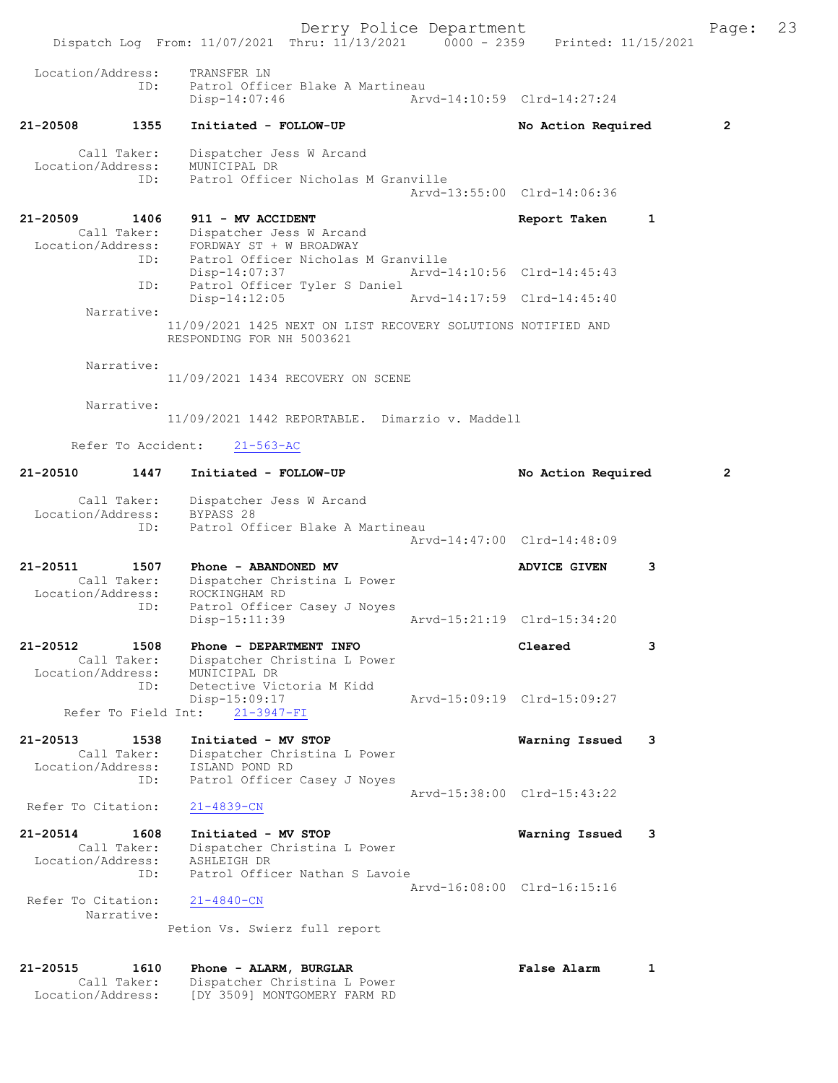Derry Police Department Fage: 23 Dispatch Log From: 11/07/2021 Thru: 11/13/2021 0000 - 2359 Printed: 11/15/2021 Location/Address: TRANSFER LN ID: Patrol Officer Blake A Martineau<br>Disp-14:07:46 Arv Disp-14:07:46 Arvd-14:10:59 Clrd-14:27:24 21-20508 1355 Initiated - FOLLOW-UP No Action Required 2 Call Taker: Dispatcher Jess W Arcand Location/Address: MUNICIPAL DR ID: Patrol Officer Nicholas M Granville Arvd-13:55:00 Clrd-14:06:36 21-20509 1406 911 - MV ACCIDENT Report Taken 1 Call Taker: Dispatcher Jess W Arcand<br>Location/Address: FORDWAY ST + W BROADWAY Location/Address: FORDWAY ST + W BROADWAY ID: Patrol Officer Nicholas M Granville Disp-14:07:37 Arvd-14:10:56 Clrd-14:45:43 ID: Patrol Officer Tyler S Daniel Disp-14:12:05 Arvd-14:17:59 Clrd-14:45:40 Narrative: 11/09/2021 1425 NEXT ON LIST RECOVERY SOLUTIONS NOTIFIED AND RESPONDING FOR NH 5003621 Narrative: 11/09/2021 1434 RECOVERY ON SCENE Narrative: 11/09/2021 1442 REPORTABLE. Dimarzio v. Maddell Refer To Accident: 21-563-AC 21-20510 1447 Initiated - FOLLOW-UP No Action Required 2 Call Taker: Dispatcher Jess W Arcand Location/Address: BYPASS 28 ID: Patrol Officer Blake A Martineau Arvd-14:47:00 Clrd-14:48:09 21-20511 1507 Phone - ABANDONED MV **ADVICE GIVEN** 3 Call Taker: Dispatcher Christina L Power Location/Address: ROCKINGHAM RD<br>ID: Patrol Officer<br>Disp-15:11:39 Patrol Officer Casey J Noyes Disp-15:11:39 Arvd-15:21:19 Clrd-15:34:20 21-20512 1508 Phone - DEPARTMENT INFO Cleared 3 Call Taker: Dispatcher Christina L Power Location/Address: MUNICIPAL DR<br>ID: Detective Vic Detective Victoria M Kidd Disp-15:09:17 Arvd-15:09:19 Clrd-15:09:27 Refer To Field Int: 21-3947-FI 21-20513 1538 Initiated - MV STOP Warning Issued 3 Call Taker: Dispatcher Christina L Power Location/Address: ISLAND POND RD ID: Patrol Officer Casey J Noyes Arvd-15:38:00 Clrd-15:43:22<br>21-4839-CN Refer To Citation: 21-20514 1608 Initiated - MV STOP Warning Issued 3 Call Taker: Dispatcher Christina L Power Location/Address: ASHLEIGH DR ID: Patrol Officer Nathan S Lavoie Arvd-16:08:00 Clrd-16:15:16 Refer To Citation: 21-4840-CN Narrative: Petion Vs. Swierz full report

21-20515 1610 Phone - ALARM, BURGLAR False Alarm 1 Call Taker: Dispatcher Christina L Power Location/Address: [DY 3509] MONTGOMERY FARM RD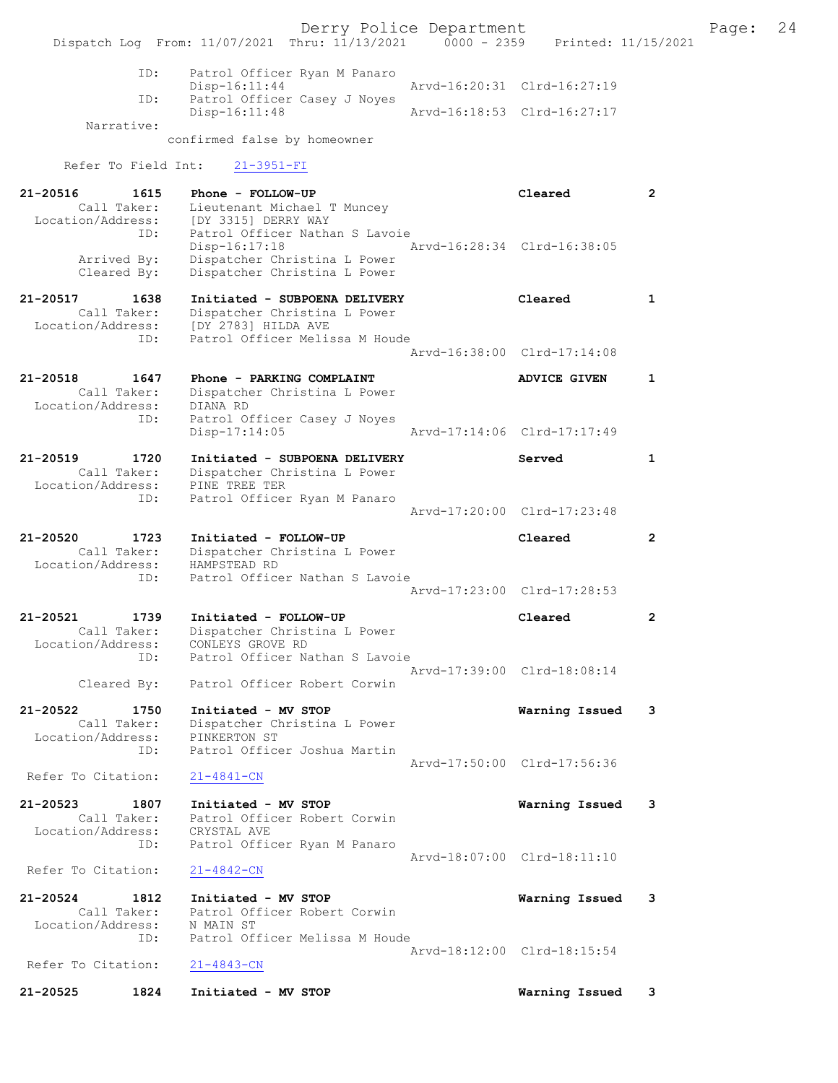Derry Police Department Fage: 24 Dispatch Log From: 11/07/2021 Thru: 11/13/2021 0000 - 2359 Printed: 11/15/2021 ID: Patrol Officer Ryan M Panaro Disp-16:11:44 Arvd-16:20:31 Clrd-16:27:19 ID: Patrol Officer Casey J Noyes<br>Disp-16:11:48 Arvd-16:18:53 Clrd-16:27:17 Disp-16:11:48 Narrative: confirmed false by homeowner Refer To Field Int: 21-3951-FI 21-20516 1615 Phone - FOLLOW-UP Cleared 2 Call Taker: Lieutenant Michael T Muncey Location/Address: [DY 3315] DERRY WAY ID: Patrol Officer Nathan S Lavoie Disp-16:17:18 Arvd-16:28:34 Clrd-16:38:05 Arrived By: Dispatcher Christina L Power Cleared By: Dispatcher Christina L Power 21-20517 1638 Initiated - SUBPOENA DELIVERY Cleared 1 Call Taker: Dispatcher Christina L Power Location/Address: [DY 2783] HILDA AVE ID: Patrol Officer Melissa M Houde Arvd-16:38:00 Clrd-17:14:08 21-20518 1647 Phone - PARKING COMPLAINT ADVICE GIVEN 1 Call Taker: Dispatcher Christina L Power Location/Address: DIANA RD ID: Patrol Officer Casey J Noyes Disp-17:14:05 Arvd-17:14:06 Clrd-17:17:49 21-20519 1720 Initiated - SUBPOENA DELIVERY Served 1 Call Taker: Dispatcher Christina L Power Location/Address: PINE TREE TER ID: Patrol Officer Ryan M Panaro Arvd-17:20:00 Clrd-17:23:48 21-20520 1723 Initiated - FOLLOW-UP Cleared 2 Call Taker: Dispatcher Christina L Power Location/Address: HAMPSTEAD RD ID: Patrol Officer Nathan S Lavoie Arvd-17:23:00 Clrd-17:28:53 21-20521 1739 Initiated - FOLLOW-UP Cleared 2 Call Taker: Dispatcher Christina L Power Location/Address: CONLEYS GROVE RD ID: Patrol Officer Nathan S Lavoie Arvd-17:39:00 Clrd-18:08:14 Cleared By: Patrol Officer Robert Corwin 21-20522 1750 Initiated - MV STOP Warning Issued 3 Call Taker: Dispatcher Christina L Power Location/Address: PINKERTON ST ID: Patrol Officer Joshua Martin Arvd-17:50:00 Clrd-17:56:36<br>21-4841-CN Refer To Citation: 21-20523 1807 Initiated - MV STOP Warning Issued 3 Call Taker: Patrol Officer Robert Corwin Location/Address: CRYSTAL AVE ID: Patrol Officer Ryan M Panaro Arvd-18:07:00 Clrd-18:11:10 Refer To Citation: 21-4842-CN 21-20524 1812 Initiated - MV STOP Warning Issued 3 Call Taker: Patrol Officer Robert Corwin Location/Address: N MAIN ST ID: Patrol Officer Melissa M Houde Arvd-18:12:00 Clrd-18:15:54<br>21-4843-CN Refer To Citation: 21-20525 1824 Initiated - MV STOP Warning Issued 3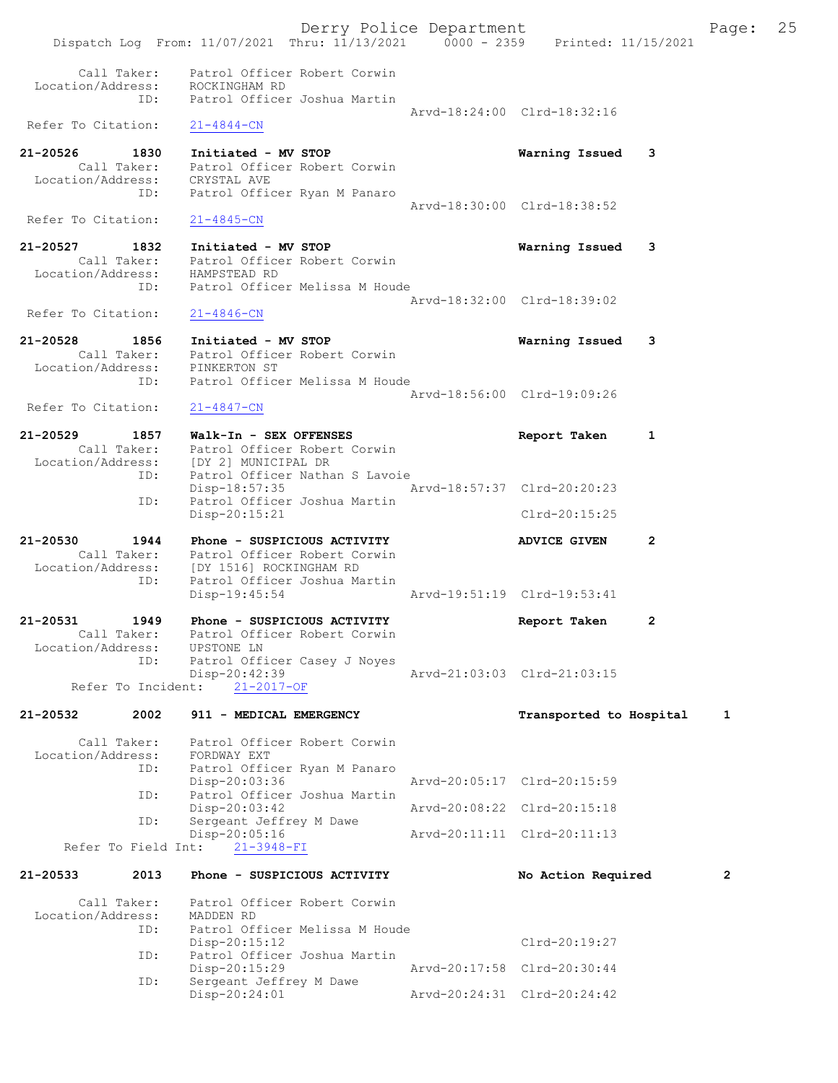|                                                                  | Dispatch Log From: 11/07/2021 Thru: 11/13/2021 0000 - 2359 Printed: 11/15/2021                                                                       | Derry Police Department |                             |              | Page:          | 25 |
|------------------------------------------------------------------|------------------------------------------------------------------------------------------------------------------------------------------------------|-------------------------|-----------------------------|--------------|----------------|----|
| Call Taker:<br>Location/Address:                                 | Patrol Officer Robert Corwin<br>ROCKINGHAM RD                                                                                                        |                         |                             |              |                |    |
| ID:                                                              | Patrol Officer Joshua Martin                                                                                                                         |                         | Arvd-18:24:00 Clrd-18:32:16 |              |                |    |
| Refer To Citation:                                               | $21 - 4844 - CN$                                                                                                                                     |                         |                             |              |                |    |
| 21-20526<br>1830<br>Call Taker:<br>Location/Address: CRYSTAL AVE | Initiated - MV STOP<br>Patrol Officer Robert Corwin                                                                                                  |                         | Warning Issued 3            |              |                |    |
| ID:<br>Refer To Citation:                                        | Patrol Officer Ryan M Panaro<br>$21 - 4845 - CN$                                                                                                     |                         | Arvd-18:30:00 Clrd-18:38:52 |              |                |    |
| 21-20527<br>1832<br>Location/Address: HAMPSTEAD RD               | Initiated - MV STOP<br>Call Taker: Patrol Officer Robert Corwin                                                                                      |                         | Warning Issued 3            |              |                |    |
| ID:<br>Refer To Citation:                                        | Patrol Officer Melissa M Houde<br>$21 - 4846 - CN$                                                                                                   |                         | Arvd-18:32:00 Clrd-18:39:02 |              |                |    |
| 21-20528<br>1856                                                 | Initiated - MV STOP<br>Call Taker: Patrol Officer Robert Corwin                                                                                      |                         | Warning Issued 3            |              |                |    |
| Location/Address: PINKERTON ST<br>ID:                            | Patrol Officer Melissa M Houde                                                                                                                       |                         | Arvd-18:56:00 Clrd-19:09:26 |              |                |    |
| Refer To Citation:                                               | $21 - 4847 - CN$                                                                                                                                     |                         |                             |              |                |    |
| 21-20529<br>1857                                                 | Walk-In - SEX OFFENSES<br>Call Taker: Patrol Officer Robert Corwin<br>Location/Address: [DY 2] MUNICIPAL DR                                          |                         | Report Taken                | $\mathbf{1}$ |                |    |
| ID:<br>ID:                                                       | Patrol Officer Nathan S Lavoie<br>$Disp-18:57:35$<br>Patrol Officer Joshua Martin                                                                    |                         | Arvd-18:57:37 Clrd-20:20:23 |              |                |    |
|                                                                  | Disp-20:15:21                                                                                                                                        |                         | Clrd-20:15:25               |              |                |    |
| 21-20530<br>1944<br>ID:                                          | Phone - SUSPICIOUS ACTIVITY<br>Call Taker: Patrol Officer Robert Corwin<br>Location/Address: [DY 1516] ROCKINGHAM RD<br>Patrol Officer Joshua Martin |                         | <b>ADVICE GIVEN</b>         | 2            |                |    |
|                                                                  | Disp-19:45:54                                                                                                                                        |                         | Arvd-19:51:19 Clrd-19:53:41 |              |                |    |
| 21-20531<br>1949<br>Call Taker:<br>Location/Address:             | Phone - SUSPICIOUS ACTIVITY<br>Patrol Officer Robert Corwin<br>UPSTONE LN                                                                            |                         | Report Taken                | 2            |                |    |
| ID:<br>Refer To Incident:                                        | Patrol Officer Casey J Noyes<br>Disp-20:42:39<br>$21 - 2017 - OF$                                                                                    |                         | Arvd-21:03:03 Clrd-21:03:15 |              |                |    |
| 21-20532<br>2002                                                 | 911 - MEDICAL EMERGENCY                                                                                                                              |                         | Transported to Hospital     |              | 1              |    |
| Call Taker:<br>Location/Address:<br>ID:                          | Patrol Officer Robert Corwin<br>FORDWAY EXT<br>Patrol Officer Ryan M Panaro                                                                          |                         |                             |              |                |    |
| ID:                                                              | Disp-20:03:36<br>Patrol Officer Joshua Martin                                                                                                        |                         | Arvd-20:05:17 Clrd-20:15:59 |              |                |    |
| ID:                                                              | Disp-20:03:42<br>Sergeant Jeffrey M Dawe                                                                                                             |                         | Arvd-20:08:22 Clrd-20:15:18 |              |                |    |
| Refer To Field Int:                                              | Disp-20:05:16<br>$21 - 3948 - FI$                                                                                                                    |                         | Arvd-20:11:11 Clrd-20:11:13 |              |                |    |
| 21-20533<br>2013                                                 | Phone - SUSPICIOUS ACTIVITY                                                                                                                          |                         | No Action Required          |              | $\overline{2}$ |    |
| Call Taker:<br>Location/Address:                                 | Patrol Officer Robert Corwin<br>MADDEN RD                                                                                                            |                         |                             |              |                |    |
| ID:                                                              | Patrol Officer Melissa M Houde<br>Disp-20:15:12                                                                                                      |                         | Clrd-20:19:27               |              |                |    |
| ID:                                                              | Patrol Officer Joshua Martin<br>$Disp-20:15:29$                                                                                                      |                         | Arvd-20:17:58 Clrd-20:30:44 |              |                |    |
| ID:                                                              | Sergeant Jeffrey M Dawe<br>Disp-20:24:01                                                                                                             |                         | Arvd-20:24:31 Clrd-20:24:42 |              |                |    |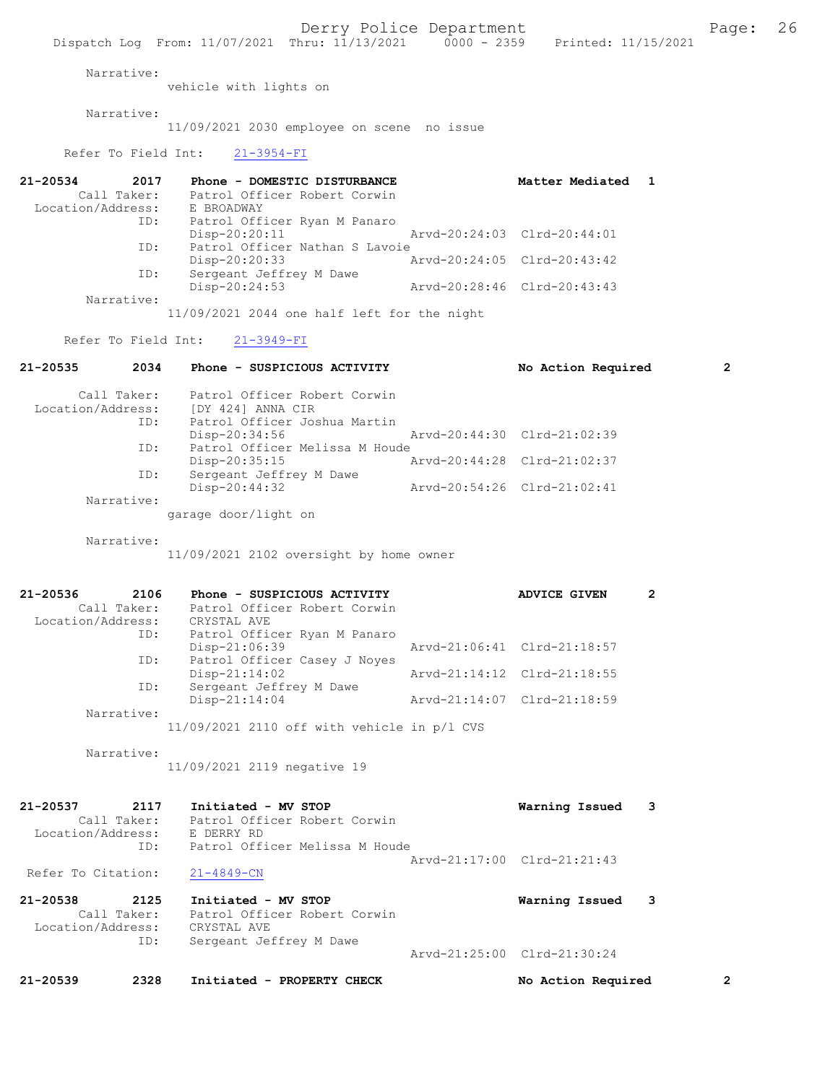|                                                             | Dispatch Log From: 11/07/2021 Thru: 11/13/2021 0000 - 2359 Printed: 11/15/2021                                   | Derry Police Department |                             | Page:          | 26 |
|-------------------------------------------------------------|------------------------------------------------------------------------------------------------------------------|-------------------------|-----------------------------|----------------|----|
| Narrative:                                                  |                                                                                                                  |                         |                             |                |    |
|                                                             | vehicle with lights on                                                                                           |                         |                             |                |    |
| Narrative:                                                  | 11/09/2021 2030 employee on scene no issue                                                                       |                         |                             |                |    |
| Refer To Field Int:                                         | $21 - 3954 - FI$                                                                                                 |                         |                             |                |    |
| $21 - 20534$<br>2017<br>Call Taker:                         | Phone - DOMESTIC DISTURBANCE<br>Patrol Officer Robert Corwin                                                     |                         | Matter Mediated 1           |                |    |
| Location/Address: E BROADWAY<br>ID:                         | Patrol Officer Ryan M Panaro<br>Disp-20:20:11                                                                    |                         | Arvd-20:24:03 Clrd-20:44:01 |                |    |
| ID:<br>ID:                                                  | Patrol Officer Nathan S Lavoie<br>Disp-20:20:33<br>Sergeant Jeffrey M Dawe                                       |                         | Arvd-20:24:05 Clrd-20:43:42 |                |    |
|                                                             | Disp-20:24:53                                                                                                    |                         | Arvd-20:28:46 Clrd-20:43:43 |                |    |
| Narrative:                                                  | 11/09/2021 2044 one half left for the night                                                                      |                         |                             |                |    |
| Refer To Field Int:                                         | $21 - 3949 - FI$                                                                                                 |                         |                             |                |    |
| 21-20535<br>2034                                            | Phone - SUSPICIOUS ACTIVITY                                                                                      |                         | No Action Required          | $\overline{2}$ |    |
| Call Taker:<br>Location/Address:                            | Patrol Officer Robert Corwin<br>[DY 424] ANNA CIR                                                                |                         |                             |                |    |
| ID:<br>ID:                                                  | Patrol Officer Joshua Martin<br>Disp-20:34:56<br>Patrol Officer Melissa M Houde                                  |                         | Arvd-20:44:30 Clrd-21:02:39 |                |    |
| ID:                                                         | Disp-20:35:15<br>Sergeant Jeffrey M Dawe                                                                         |                         | Arvd-20:44:28 Clrd-21:02:37 |                |    |
|                                                             | Disp-20:44:32                                                                                                    |                         | Arvd-20:54:26 Clrd-21:02:41 |                |    |
| Narrative:                                                  | garage door/light on                                                                                             |                         |                             |                |    |
| Narrative:                                                  | 11/09/2021 2102 oversight by home owner                                                                          |                         |                             |                |    |
| 21-20536<br>2106<br>Call Taker:<br>Location/Address:<br>ID: | Phone - SUSPICIOUS ACTIVITY<br>Patrol Officer Robert Corwin<br>CRYSTAL AVE<br>Patrol Officer Ryan M Panaro       |                         | 2<br><b>ADVICE GIVEN</b>    |                |    |
|                                                             | Disp-21:06:39<br>Patrol Officer Casey J Noyes<br>ID:                                                             |                         | Arvd-21:06:41 Clrd-21:18:57 |                |    |
|                                                             | Disp-21:14:02<br>Sergeant Jeffrey M Dawe<br>ID:                                                                  |                         | Arvd-21:14:12 Clrd-21:18:55 |                |    |
| Narrative:                                                  | $Disp-21:14:04$                                                                                                  |                         | Arvd-21:14:07 Clrd-21:18:59 |                |    |
|                                                             | $11/09/2021$ 2110 off with vehicle in $p/1$ CVS                                                                  |                         |                             |                |    |
| Narrative:                                                  | 11/09/2021 2119 negative 19                                                                                      |                         |                             |                |    |
| $21 - 20537$<br>Location/Address: E DERRY RD                | 2117<br>Initiated - MV STOP<br>Call Taker: Patrol Officer Robert Corwin<br>Patrol Officer Melissa M Houde<br>ID: |                         | Warning Issued 3            |                |    |
| Refer To Citation:                                          | $21 - 4849 - CN$                                                                                                 |                         | Arvd-21:17:00 Clrd-21:21:43 |                |    |
| 21-20538<br>2125<br>Call Taker:<br>Location/Address:        | Initiated - MV STOP<br>Patrol Officer Robert Corwin<br>CRYSTAL AVE<br>Sergeant Jeffrey M Dawe<br>ID:             |                         | Warning Issued<br>3         |                |    |
|                                                             |                                                                                                                  |                         | Arvd-21:25:00 Clrd-21:30:24 |                |    |
| 2328<br>21-20539                                            | Initiated - PROPERTY CHECK                                                                                       |                         | No Action Required          | 2              |    |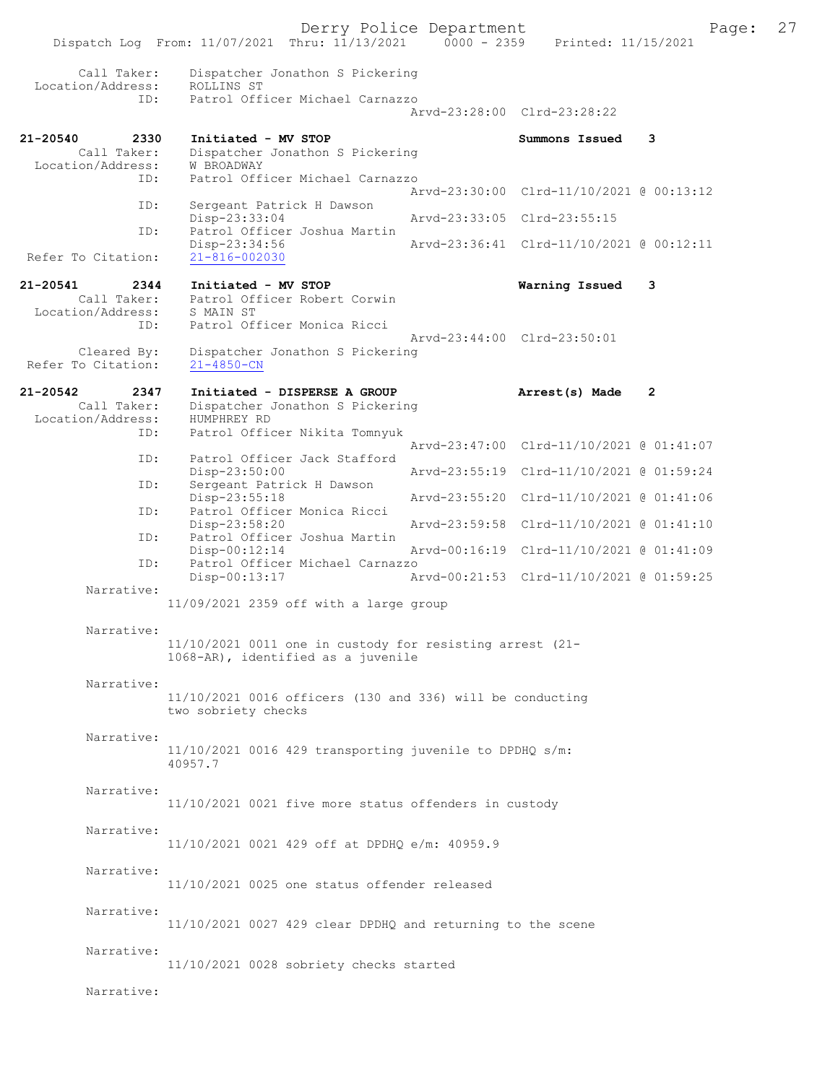Derry Police Department<br>
Page: 27<br>
Printed: 11/15/2021<br>
Printed: 11/15/2021 Dispatch Log From: 11/07/2021 Thru: 11/13/2021 Call Taker: Dispatcher Jonathon S Pickering Location/Address: ROLLINS ST<br>ID: Patrol Off Patrol Officer Michael Carnazzo Arvd-23:28:00 Clrd-23:28:22 21-20540 2330 Initiated - MV STOP Summons Issued 3<br>Call Taker: Dispatcher Jonathon S Pickering Dispatcher Jonathon S Pickering<br>W BROADWAY Location/Address: ID: Patrol Officer Michael Carnazzo Arvd-23:30:00 Clrd-11/10/2021 @ 00:13:12 ID: Sergeant Patrick H Dawson<br>Disp-23:33:04 Disp-23:33:04 Arvd-23:33:05 Clrd-23:55:15<br>TD: Patrol Officer Joshua Martin Patrol Officer Joshua Martin Disp-23:34:56 Arvd-23:36:41 Clrd-11/10/2021 @ 00:12:11<br>21-816-002030 Refer To Citation: 21-20541 2344 Initiated - MV STOP 1991 2008 Warning Issued 3<br>Call Taker: Patrol Officer Robert Corwin Patrol Officer Robert Corwin<br>S MAIN ST Location/Address:<br>ID: Patrol Officer Monica Ricci Arvd-23:44:00 Clrd-23:50:01<br>Cleared By: Dispatcher Jonathon S Pickering Dispatcher Jonathon S Pickering<br>21-4850-CN Refer To Citation: 21-20542 2347 Initiated - DISPERSE A GROUP Arrest(s) Made 2 Call Taker: Dispatcher Jonathon S Pickering<br>ion/Address: HUMPHREY RD Location/Address: ID: Patrol Officer Nikita Tomnyuk Arvd-23:47:00 Clrd-11/10/2021 @ 01:41:07<br>TD: Patrol Officer Jack Stafford Patrol Officer Jack Stafford<br>Disp-23:50:00 Disp-23:50:00 Arvd-23:55:19 Clrd-11/10/2021 @ 01:59:24<br>ID: Sergeant Patrick H Dawson Sergeant Patrick H Dawson<br>Disp-23:55:18 Disp-23:55:18 Arvd-23:55:20 Clrd-11/10/2021 @ 01:41:06 ID: Patrol Officer Monica Ricci<br>Disp-23:58:20 Arvd-23:59:58 Clrd-11/10/2021 @ 01:41:10 ID: Patrol Officer Joshua Martin Disp-00:12:14 Arvd-00:16:19 Clrd-11/10/2021 @ 01:41:09<br>TD: Patrol Officer Michael Carnazzo Patrol Officer Michael Carnazzo<br>Disp-00:13:17 A Arvd-00:21:53 Clrd-11/10/2021 @ 01:59:25 Narrative: 11/09/2021 2359 off with a large group Narrative: 11/10/2021 0011 one in custody for resisting arrest (21- 1068-AR), identified as a juvenile Narrative: 11/10/2021 0016 officers (130 and 336) will be conducting two sobriety checks Narrative: 11/10/2021 0016 429 transporting juvenile to DPDHQ s/m: 40957.7 Narrative: 11/10/2021 0021 five more status offenders in custody Narrative: 11/10/2021 0021 429 off at DPDHQ e/m: 40959.9 Narrative: 11/10/2021 0025 one status offender released Narrative: 11/10/2021 0027 429 clear DPDHQ and returning to the scene Narrative: 11/10/2021 0028 sobriety checks started Narrative: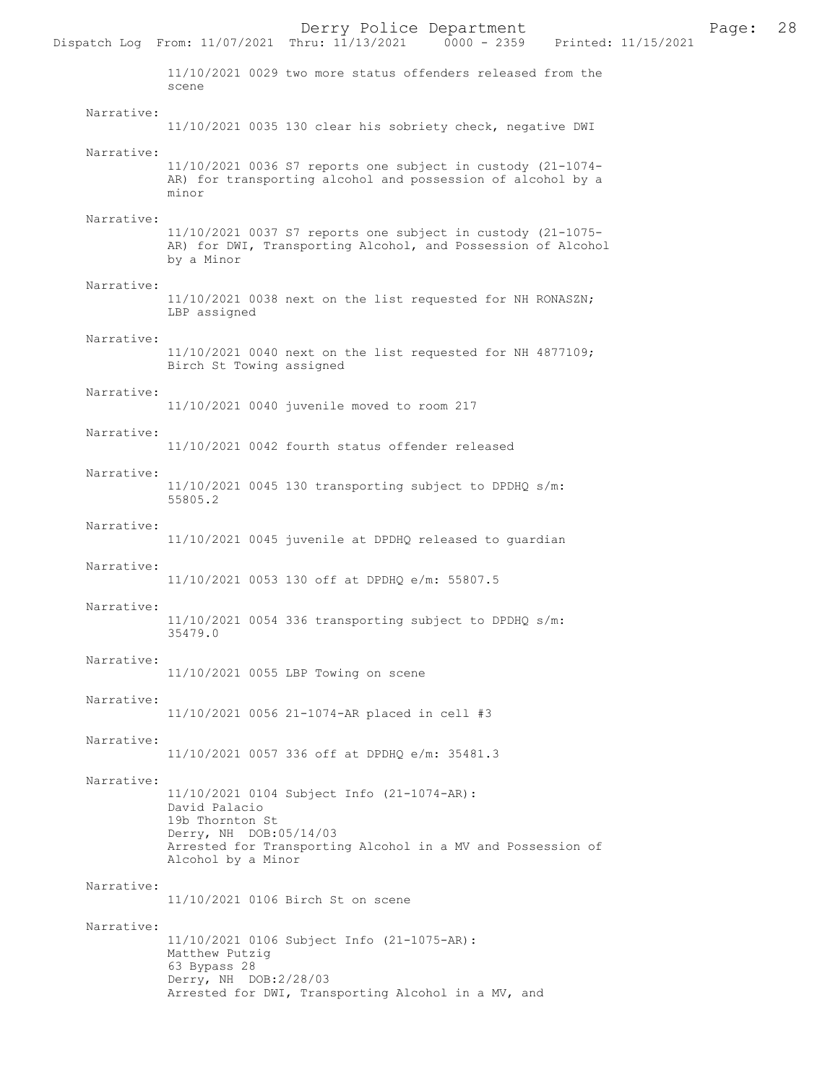Dispatch Log From:  $11/07/2021$  Thru:  $11/13/2021$ 11/10/2021 0029 two more status offenders released from the scene Narrative: 11/10/2021 0035 130 clear his sobriety check, negative DWI Narrative: 11/10/2021 0036 S7 reports one subject in custody (21-1074- AR) for transporting alcohol and possession of alcohol by a minor Narrative: 11/10/2021 0037 S7 reports one subject in custody (21-1075- AR) for DWI, Transporting Alcohol, and Possession of Alcohol by a Minor Narrative: 11/10/2021 0038 next on the list requested for NH RONASZN; LBP assigned Narrative: 11/10/2021 0040 next on the list requested for NH 4877109; Birch St Towing assigned Narrative: 11/10/2021 0040 juvenile moved to room 217 Narrative: 11/10/2021 0042 fourth status offender released Narrative: 11/10/2021 0045 130 transporting subject to DPDHQ s/m: 55805.2 Narrative: 11/10/2021 0045 juvenile at DPDHQ released to guardian Narrative: 11/10/2021 0053 130 off at DPDHQ e/m: 55807.5 Narrative: 11/10/2021 0054 336 transporting subject to DPDHQ s/m: 35479.0 Narrative: 11/10/2021 0055 LBP Towing on scene Narrative: 11/10/2021 0056 21-1074-AR placed in cell #3 Narrative: 11/10/2021 0057 336 off at DPDHQ e/m: 35481.3 Narrative: 11/10/2021 0104 Subject Info (21-1074-AR): David Palacio 19b Thornton St Derry, NH DOB:05/14/03 Arrested for Transporting Alcohol in a MV and Possession of Alcohol by a Minor Narrative: 11/10/2021 0106 Birch St on scene Narrative: 11/10/2021 0106 Subject Info (21-1075-AR): Matthew Putzig 63 Bypass 28 Derry, NH DOB: 2/28/03

Arrested for DWI, Transporting Alcohol in a MV, and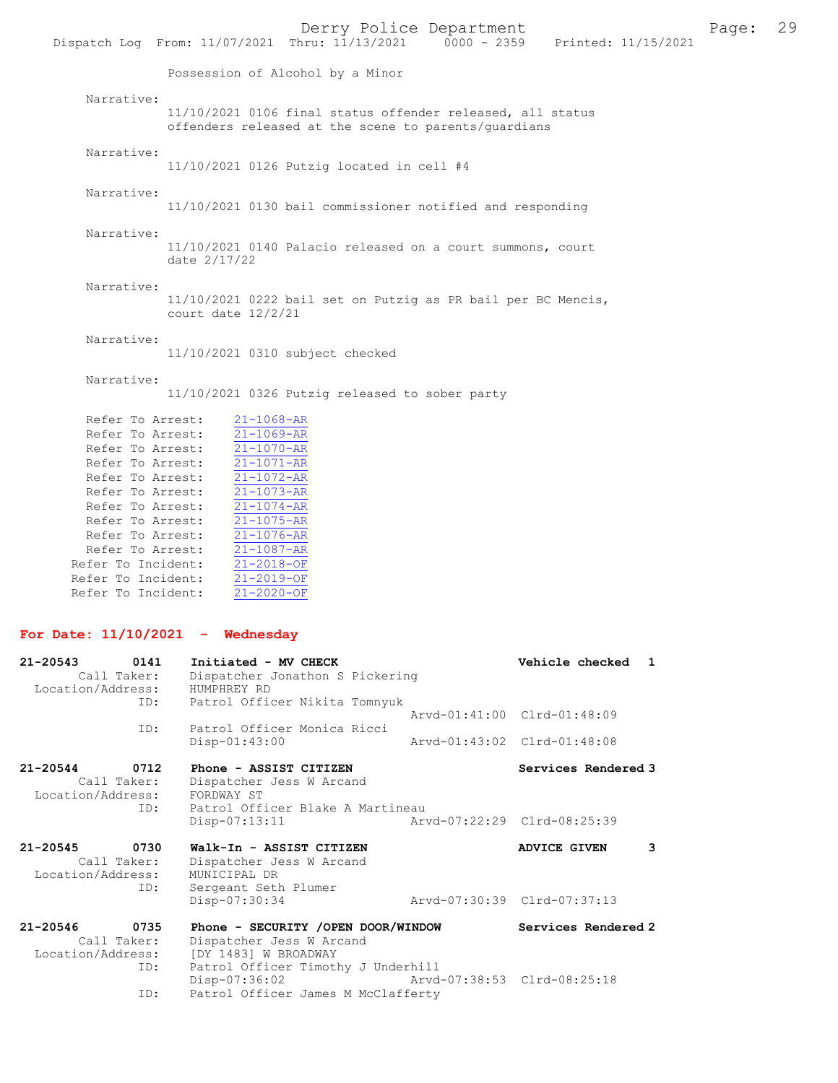|                                                                                                                                          |                      | Derry Police Department<br>Dispatch Log From: 11/07/2021 Thru: 11/13/2021                                                                | 0000 - 2359 Printed: 11/15/2021 | Page: | 29 |
|------------------------------------------------------------------------------------------------------------------------------------------|----------------------|------------------------------------------------------------------------------------------------------------------------------------------|---------------------------------|-------|----|
|                                                                                                                                          |                      | Possession of Alcohol by a Minor                                                                                                         |                                 |       |    |
| Narrative:                                                                                                                               |                      | 11/10/2021 0106 final status offender released, all status<br>offenders released at the scene to parents/quardians                       |                                 |       |    |
| Narrative:                                                                                                                               |                      | $11/10/2021$ 0126 Putzig located in cell #4                                                                                              |                                 |       |    |
| Narrative:                                                                                                                               |                      | 11/10/2021 0130 bail commissioner notified and responding                                                                                |                                 |       |    |
| Narrative:                                                                                                                               | date 2/17/22         | 11/10/2021 0140 Palacio released on a court summons, court                                                                               |                                 |       |    |
| Narrative:                                                                                                                               | court date $12/2/21$ | 11/10/2021 0222 bail set on Putzig as PR bail per BC Mencis,                                                                             |                                 |       |    |
| Narrative:                                                                                                                               |                      | 11/10/2021 0310 subject checked                                                                                                          |                                 |       |    |
| Narrative:                                                                                                                               |                      | 11/10/2021 0326 Putzig released to sober party                                                                                           |                                 |       |    |
| Refer To Arrest:<br>Refer To Arrest:<br>Refer To Arrest:<br>Refer To Arrest:<br>Refer To Arrest:<br>Refer To Arrest:<br>Refer To Arrest: |                      | $21 - 1068 - AR$<br>$21 - 1069 - AR$<br>$21 - 1070 - AR$<br>$21 - 1071 - AR$<br>$21 - 1072 - AR$<br>$21 - 1073 - AR$<br>$21 - 1074 - AR$ |                                 |       |    |
|                                                                                                                                          |                      |                                                                                                                                          |                                 |       |    |

 Refer To Arrest: 21-1075-AR Refer To Arrest: 21-1076-AR Refer To Arrest: 21-1087-AR Refer To Incident: 21-2018-OF Refer To Incident: 21-2019-OF Refer To Incident: 21-2020-OF

# For Date: 11/10/2021 - Wednesday

| $21 - 20543$<br>0141<br>Call Taker:<br>Location/Address:                   | Initiated - MV CHECK<br>Dispatcher Jonathon S Pickering<br>HUMPHREY RD                                                                                                                                          |                             | Vehicle checked 1                                       |
|----------------------------------------------------------------------------|-----------------------------------------------------------------------------------------------------------------------------------------------------------------------------------------------------------------|-----------------------------|---------------------------------------------------------|
| ID:<br>ID:                                                                 | Patrol Officer Nikita Tomnyuk<br>Patrol Officer Monica Ricci<br>$Disp-01:43:00$                                                                                                                                 | Arvd-01:43:02 Clrd-01:48:08 | Arvd-01:41:00 Clrd-01:48:09                             |
| $21 - 20544$<br>0712<br>Call Taker:<br>Location/Address: FORDWAY ST<br>ID: | Phone - ASSIST CITIZEN<br>Dispatcher Jess W Arcand<br>Patrol Officer Blake A Martineau<br>$Disp-07:13:11$                                                                                                       | Arvd-07:22:29 Clrd-08:25:39 | Services Rendered 3                                     |
| $21 - 20545$<br>0730<br>Call Taker:<br>Location/Address:<br>ID:            | Walk-In - ASSIST CITIZEN<br>Dispatcher Jess W Arcand<br>MUNICIPAL DR<br>Sergeant Seth Plumer<br>Disp-07:30:34                                                                                                   |                             | 3<br><b>ADVICE GIVEN</b><br>Arvd-07:30:39 Clrd-07:37:13 |
| $21 - 20546$<br>0735<br>Call Taker:<br>Location/Address:<br>ID:<br>ID:     | Phone - SECURITY /OPEN DOOR/WINDOW<br>Dispatcher Jess W Arcand<br>[DY 1483] W BROADWAY<br>Patrol Officer Timothy J Underhill<br>Disp-07:36:02 Arvd-07:38:53 Clrd-08:25:18<br>Patrol Officer James M McClafferty |                             | Services Rendered 2                                     |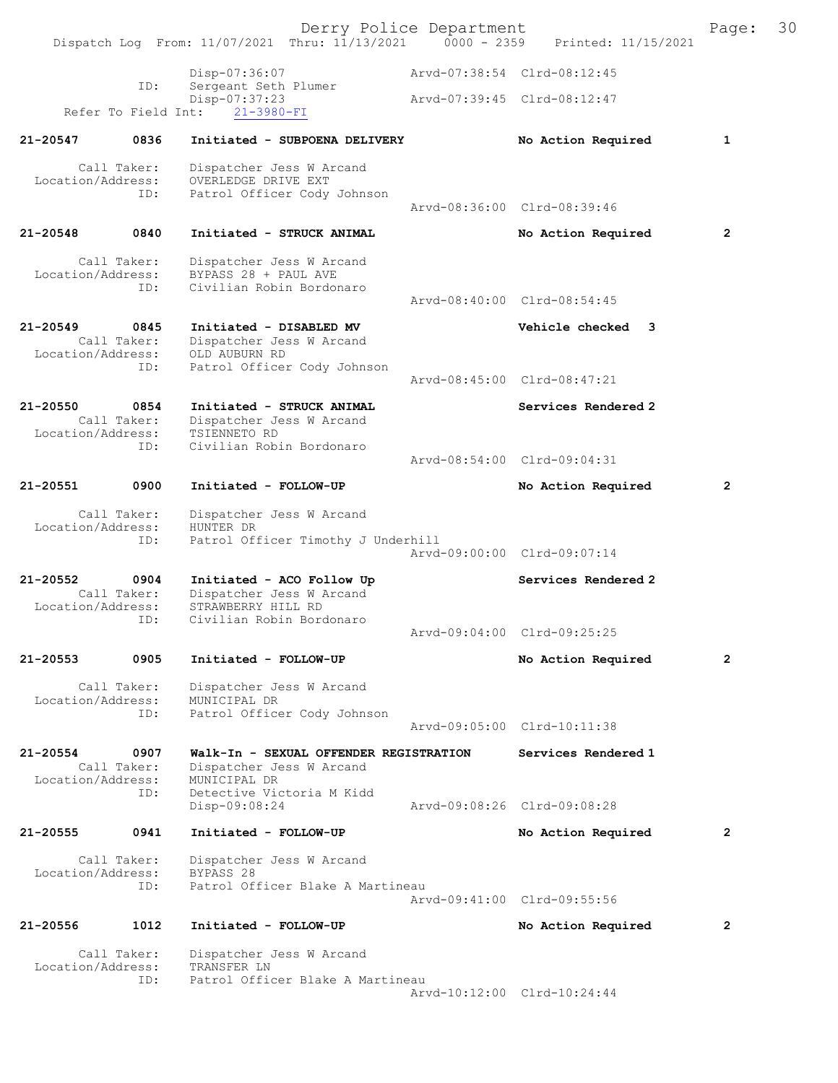Derry Police Department<br>Page: 30 Paru: 11/13/2021 0000 - 2359 Printed: 11/15/2021 Dispatch Log From: 11/07/2021 Thru: 11/13/2021 0000 - 2359 Disp-07:36:07 Arvd-07:38:54 Clrd-08:12:45 ID: Sergeant Seth Plumer<br>Disp-07:37:23 07:37:23 Arvd-07:39:45 Clrd-08:12:47<br>21-3980-FI Refer To Field Int: 21-20547 0836 Initiated - SUBPOENA DELIVERY No Action Required 1 Call Taker: Dispatcher Jess W Arcand<br>Location/Address: OVERLEDGE DRIVE EXT ess: OVERLEDGE DRIVE EXT<br>ID: Patrol Officer Codv Patrol Officer Cody Johnson Arvd-08:36:00 Clrd-08:39:46 21-20548 0840 Initiated - STRUCK ANIMAL No Action Required 2 Call Taker: Dispatcher Jess W Arcand<br>Location/Address: BYPASS 28 + PAUL AVE BYPASS 28 + PAUL AVE ID: Civilian Robin Bordonaro Arvd-08:40:00 Clrd-08:54:45 21-20549 0845 Initiated - DISABLED MV Vehicle checked 3 Call Taker: Dispatcher Jess W Arcand<br>ion/Address: OLD AUBURN RD Location/Address: ID: Patrol Officer Cody Johnson Arvd-08:45:00 Clrd-08:47:21 21-20550 0854 Initiated - STRUCK ANIMAL Services Rendered 2 Call Taker: Dispatcher Jess W Arcand<br>tion/Address: TSIENNETO RD Location/Address: ID: Civilian Robin Bordonaro Arvd-08:54:00 Clrd-09:04:31 21-20551 0900 Initiated - FOLLOW-UP No Action Required 2 Call Taker: Dispatcher Jess W Arcand Location/Address: HUNTER DR ID: Patrol Officer Timothy J Underhill Arvd-09:00:00 Clrd-09:07:14 21-20552 0904 Initiated - ACO Follow Up Services Rendered 2 Call Taker: Dispatcher Jess W Arcand<br>tion/Address: STRAWBERRY HILL RD Location/Address: ID: Civilian Robin Bordonaro Arvd-09:04:00 Clrd-09:25:25 21-20553 0905 Initiated - FOLLOW-UP No Action Required 2 Call Taker: Dispatcher Jess W Arcand<br>ion/Address: MUNICIPAL DR Location/Address:<br>TD: Patrol Officer Cody Johnson Arvd-09:05:00 Clrd-10:11:38 21-20554 0907 Walk-In - SEXUAL OFFENDER REGISTRATION Services Rendered 1<br>Call Taker: Dispatcher Jess W Arcand Dispatcher Jess W Arcand<br>MUNICIPAL DR Location/Address: ID: Detective Victoria M Kidd<br>Disp-09:08:24 Disp-09:08:24 Arvd-09:08:26 Clrd-09:08:28 21-20555 0941 Initiated - FOLLOW-UP No Action Required 2 Call Taker: Dispatcher Jess W Arcand<br>ion/Address: BYPASS 28 Location/Address:<br>TD: Patrol Officer Blake A Martineau Arvd-09:41:00 Clrd-09:55:56 21-20556 1012 Initiated - FOLLOW-UP No Action Required 2 Call Taker: Dispatcher Jess W Arcand Location/Address: TRANSFER LN<br>TD: Patrol Offic Patrol Officer Blake A Martineau Arvd-10:12:00 Clrd-10:24:44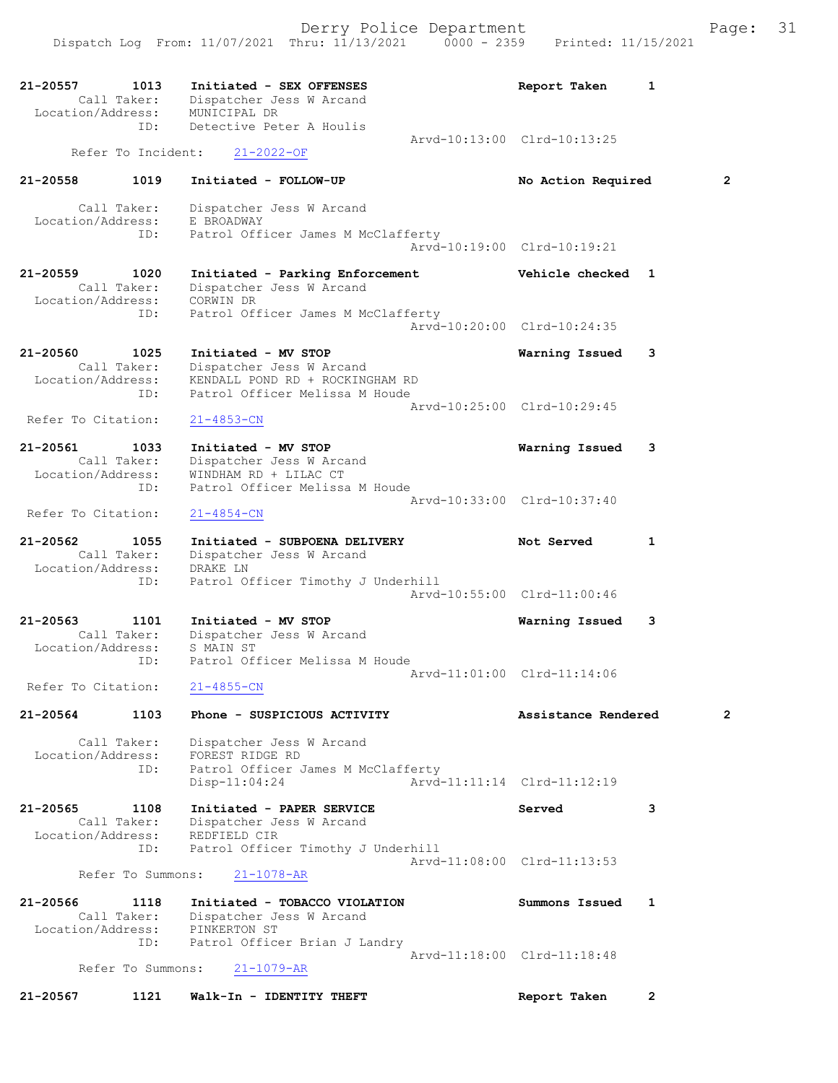| 21-20557<br>Location/Address: | 1013<br>Call Taker: | Initiated - SEX OFFENSES<br>Dispatcher Jess W Arcand<br>MUNICIPAL DR | Report Taken                | 1            |                |
|-------------------------------|---------------------|----------------------------------------------------------------------|-----------------------------|--------------|----------------|
|                               | ID:                 | Detective Peter A Houlis                                             |                             |              |                |
|                               | Refer To Incident:  | $21 - 2022 - 0F$                                                     | Arvd-10:13:00 Clrd-10:13:25 |              |                |
| $21 - 20558$                  | 1019                | Initiated - FOLLOW-UP                                                | No Action Required          |              | $\overline{2}$ |
|                               | Call Taker:         | Dispatcher Jess W Arcand                                             |                             |              |                |
| Location/Address:             | ID:                 | E BROADWAY                                                           |                             |              |                |
|                               |                     | Patrol Officer James M McClafferty                                   | Arvd-10:19:00 Clrd-10:19:21 |              |                |
| 21-20559                      | 1020                | Initiated - Parking Enforcement                                      | Vehicle checked 1           |              |                |
|                               | Call Taker:         | Dispatcher Jess W Arcand                                             |                             |              |                |
| Location/Address:             | ID:                 | CORWIN DR<br>Patrol Officer James M McClafferty                      |                             |              |                |
|                               |                     |                                                                      | Arvd-10:20:00 Clrd-10:24:35 |              |                |
| 21-20560                      | 1025                | Initiated - MV STOP                                                  | Warning Issued              | 3            |                |
| Location/Address:             | Call Taker:         | Dispatcher Jess W Arcand<br>KENDALL POND RD + ROCKINGHAM RD          |                             |              |                |
|                               | ID:                 | Patrol Officer Melissa M Houde                                       |                             |              |                |
|                               |                     |                                                                      | Arvd-10:25:00 Clrd-10:29:45 |              |                |
| Refer To Citation:            |                     | $21 - 4853 - CN$                                                     |                             |              |                |
| 21-20561                      | 1033                | Initiated - MV STOP                                                  | Warning Issued              | 3            |                |
| Location/Address:             | Call Taker:         | Dispatcher Jess W Arcand<br>WINDHAM RD + LILAC CT                    |                             |              |                |
|                               | ID:                 | Patrol Officer Melissa M Houde                                       |                             |              |                |
|                               |                     |                                                                      | Arvd-10:33:00 Clrd-10:37:40 |              |                |
| Refer To Citation:            |                     | $21 - 4854 - CN$                                                     |                             |              |                |
| 21-20562                      | 1055<br>Call Taker: | Initiated - SUBPOENA DELIVERY                                        | Not Served                  | 1            |                |
| Location/Address:             |                     | Dispatcher Jess W Arcand<br>DRAKE LN                                 |                             |              |                |
|                               | ID:                 | Patrol Officer Timothy J Underhill                                   | Aryd-10:55:00 Clrd-11:00:46 |              |                |
|                               |                     |                                                                      |                             |              |                |
| 21-20563                      | 1101                | Initiated - MV STOP                                                  | Warning Issued              | 3            |                |
| Location/Address:             | Call Taker:         | Dispatcher Jess W Arcand<br>S MAIN ST                                |                             |              |                |
|                               | ID:                 | Patrol Officer Melissa M Houde                                       |                             |              |                |
| Refer To Citation:            |                     | $21 - 4855 - CN$                                                     | Arvd-11:01:00 Clrd-11:14:06 |              |                |
|                               |                     |                                                                      |                             |              |                |
| 21-20564                      | 1103                | Phone - SUSPICIOUS ACTIVITY                                          | Assistance Rendered         |              | $\overline{2}$ |
|                               | Call Taker:         | Dispatcher Jess W Arcand                                             |                             |              |                |
| Location/Address:             | ID:                 | FOREST RIDGE RD<br>Patrol Officer James M McClafferty                |                             |              |                |
|                               |                     | Disp-11:04:24                                                        | Arvd-11:11:14 Clrd-11:12:19 |              |                |
| $21 - 20565$                  | 1108                | Initiated - PAPER SERVICE                                            | Served                      | 3            |                |
|                               | Call Taker:         | Dispatcher Jess W Arcand                                             |                             |              |                |
| Location/Address:             | ID:                 | REDFIELD CIR<br>Patrol Officer Timothy J Underhill                   |                             |              |                |
|                               |                     |                                                                      | Arvd-11:08:00 Clrd-11:13:53 |              |                |
|                               | Refer To Summons:   | $21 - 1078 - AR$                                                     |                             |              |                |
| 21-20566                      | 1118                | Initiated - TOBACCO VIOLATION                                        | Summons Issued              | 1            |                |
| Location/Address:             | Call Taker:         | Dispatcher Jess W Arcand<br>PINKERTON ST                             |                             |              |                |
|                               | ID:                 | Patrol Officer Brian J Landry                                        |                             |              |                |
|                               | Refer To Summons:   | $21 - 1079 - AR$                                                     | Arvd-11:18:00 Clrd-11:18:48 |              |                |
|                               |                     |                                                                      |                             |              |                |
| 21-20567                      | 1121                | Walk-In - IDENTITY THEFT                                             | Report Taken                | $\mathbf{2}$ |                |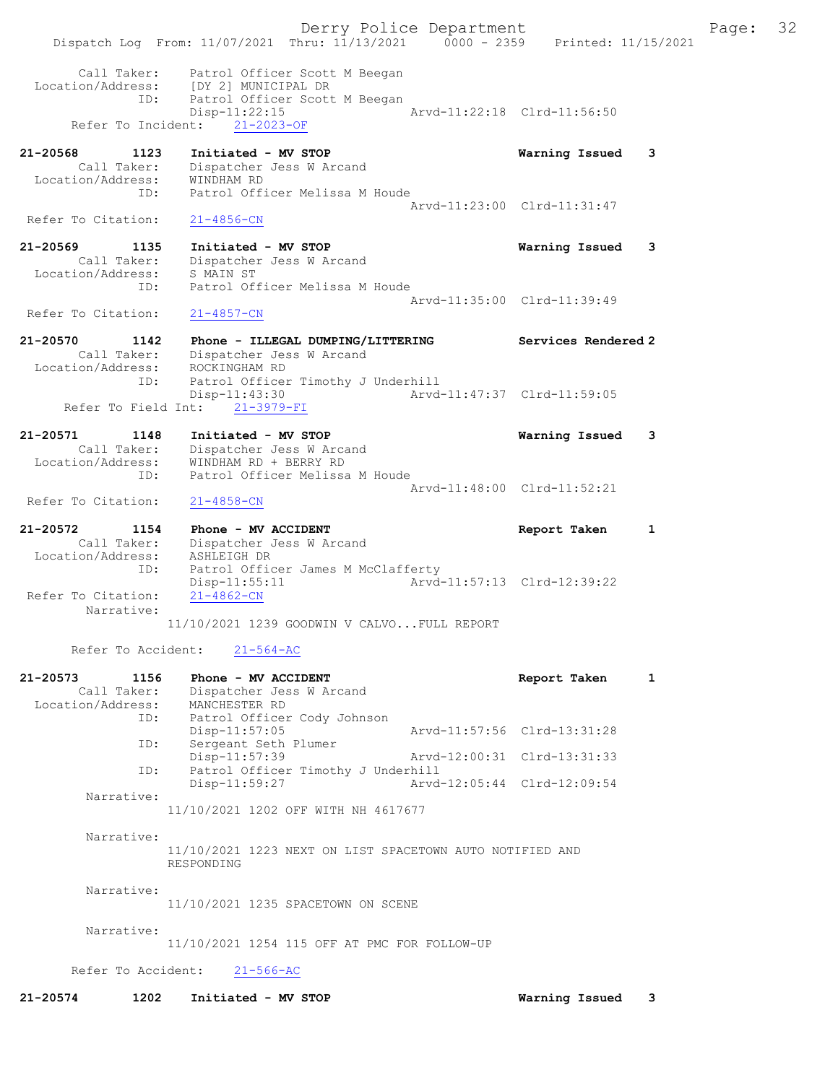Derry Police Department Fage: 32 Dispatch Log From: 11/07/2021 Thru: 11/13/2021 0000 - 2359 Printed: 11/15/2021 Call Taker: Patrol Officer Scott M Beegan Location/Address: [DY 2] MUNICIPAL DR ID: Patrol Officer Scott M Beegan Disp-11:22:15 Arvd-11:22:18 Clrd-11:56:50 Refer To Incident: 21-2023-OF 21-20568 1123 Initiated - MV STOP Warning Issued 3 Call Taker: Dispatcher Jess W Arcand Location/Address: WINDHAM RD ID: Patrol Officer Melissa M Houde Arvd-11:23:00 Clrd-11:31:47 Refer To Citation: 21-4856-CN 21-20569 1135 Initiated - MV STOP Warning Issued 3 Call Taker: Dispatcher Jess W Arcand Location/Address: S MAIN ST ID: Patrol Officer Melissa M Houde Arvd-11:35:00 Clrd-11:39:49 Refer To Citation: 21-4857-CN 21-20570 1142 Phone - ILLEGAL DUMPING/LITTERING Services Rendered 2 Call Taker: Dispatcher Jess W Arcand Location/Address: ROCKINGHAM RD ID: Patrol Officer Timothy J Underhill Disp-11:43:30 Arvd-11:47:37 Clrd-11:59:05 Refer To Field Int: 21-3979-FI 21-20571 1148 Initiated - MV STOP Warning Issued 3 Call Taker: Dispatcher Jess W Arcand Location/Address: WINDHAM RD + BERRY RD ID: Patrol Officer Melissa M Houde Arvd-11:48:00 Clrd-11:52:21<br>21-4858-CN Refer To Citation: 21-20572 1154 Phone - MV ACCIDENT 1 120 Report Taken 1 Call Taker: Dispatcher Jess W Arcand Location/Address: ASHLEIGH DR ID: Patrol Officer James M McClafferty Disp-11:55:11 Arvd-11:57:13 Clrd-12:39:22 Refer To Citation: Narrative: 11/10/2021 1239 GOODWIN V CALVO...FULL REPORT Refer To Accident: 21-564-AC 21-20573 1156 Phone - MV ACCIDENT Report Taken 1 Call Taker: Dispatcher Jess W Arcand Location/Address: MANCHESTER RD ID: Patrol Officer Cody Johnson Disp-11:57:05 Arvd-11:57:56 Clrd-13:31:28 ID: Sergeant Seth Plumer Disp-11:57:39 Arvd-12:00:31 Clrd-13:31:33 ID: Patrol Officer Timothy J Underhill Disp-11:59:27 Arvd-12:05:44 Clrd-12:09:54 Narrative: 11/10/2021 1202 OFF WITH NH 4617677 Narrative: 11/10/2021 1223 NEXT ON LIST SPACETOWN AUTO NOTIFIED AND RESPONDING Narrative: 11/10/2021 1235 SPACETOWN ON SCENE Narrative: 11/10/2021 1254 115 OFF AT PMC FOR FOLLOW-UP

Refer To Accident: 21-566-AC

21-20574 1202 Initiated - MV STOP Warning Issued 3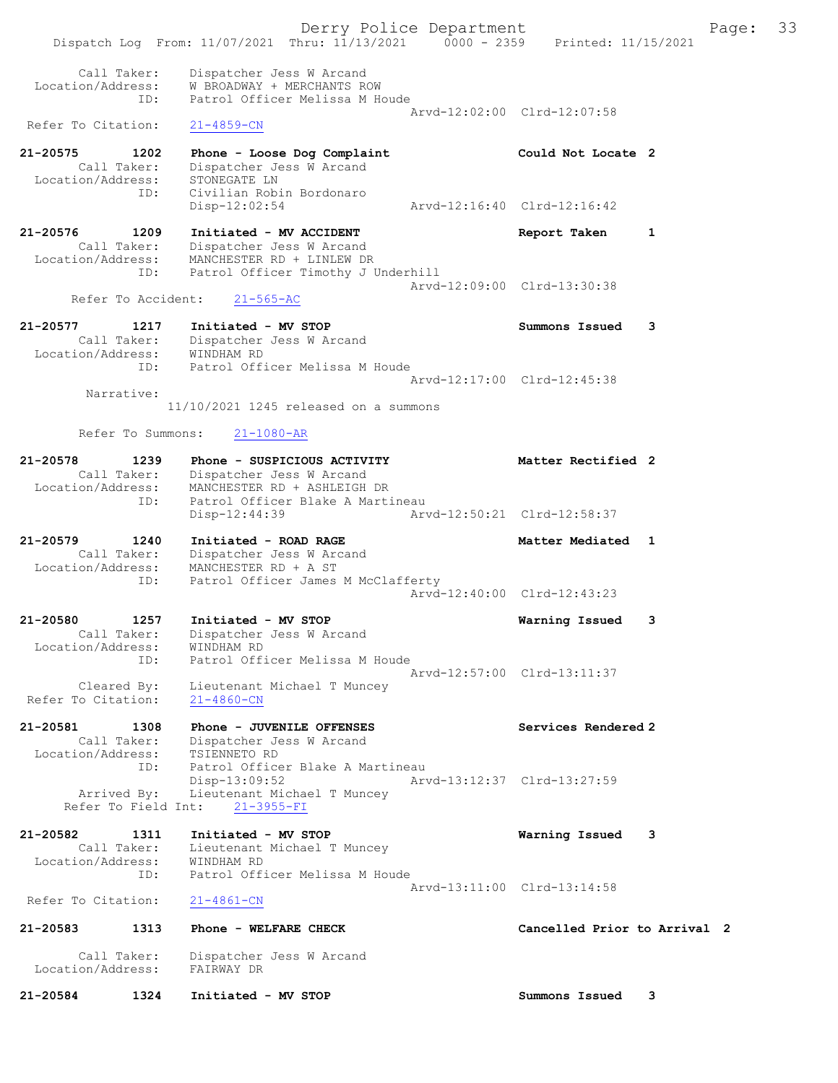Derry Police Department Fage: 33 Dispatch Log From: 11/07/2021 Thru: 11/13/2021 0000 - 2359 Printed: 11/15/2021 Call Taker: Dispatcher Jess W Arcand Location/Address: W BROADWAY + MERCHANTS ROW ID: Patrol Officer Melissa M Houde Arvd-12:02:00 Clrd-12:07:58<br>21-4859-CN Refer To Citation: 21-20575 1202 Phone - Loose Dog Complaint Could Not Locate 2 Call Taker: Dispatcher Jess W Arcand Location/Address: STONEGATE LN ID: Civilian Robin Bordonaro Disp-12:02:54 Arvd-12:16:40 Clrd-12:16:42 21-20576 1209 Initiated - MV ACCIDENT 1 Report Taken 1 Call Taker: Dispatcher Jess W Arcand Location/Address: MANCHESTER RD + LINLEW DR ID: Patrol Officer Timothy J Underhill Arvd-12:09:00 Clrd-13:30:38<br>21-565-AC Refer To Accident: 21-20577 1217 Initiated - MV STOP Summons Issued 3 Call Taker: Dispatcher Jess W Arcand Location/Address: WINDHAM RD ID: Patrol Officer Melissa M Houde Arvd-12:17:00 Clrd-12:45:38 Narrative: 11/10/2021 1245 released on a summons Refer To Summons: 21-1080-AR 21-20578 1239 Phone - SUSPICIOUS ACTIVITY Matter Rectified 2 Call Taker: Dispatcher Jess W Arcand Location/Address: MANCHESTER RD + ASHLEIGH DR ID: Patrol Officer Blake A Martineau Disp-12:44:39 Arvd-12:50:21 Clrd-12:58:37 21-20579 1240 Initiated - ROAD RAGE 1 2008 Matter Mediated 1 Call Taker: Dispatcher Jess W Arcand Location/Address: MANCHESTER RD + A ST ID: Patrol Officer James M McClafferty Arvd-12:40:00 Clrd-12:43:23 21-20580 1257 Initiated - MV STOP Warning Issued 3 Call Taker: Dispatcher Jess W Arcand Location/Address: WINDHAM RD ID: Patrol Officer Melissa M Houde Arvd-12:57:00 Clrd-13:11:37 Cleared By: Lieutenant Michael T Muncey Refer To Citation: 21-4860-CN 21-20581 1308 Phone - JUVENILE OFFENSES Services Rendered 2 Call Taker: Dispatcher Jess W Arcand Location/Address: TSIENNETO RD ID: Patrol Officer Blake A Martineau Disp-13:09:52 Arvd-13:12:37 Clrd-13:27:59 Arrived By: Lieutenant Michael T Muncey Refer To Field Int: 21-3955-FI 21-20582 1311 Initiated - MV STOP Warning Issued 3 Call Taker: Lieutenant Michael T Muncey Location/Address: WINDHAM RD ID: Patrol Officer Melissa M Houde Arvd-13:11:00 Clrd-13:14:58 Refer To Citation: 21-4861-CN 21-20583 1313 Phone - WELFARE CHECK Cancelled Prior to Arrival 2 Call Taker: Dispatcher Jess W Arcand Location/Address: FAIRWAY DR 21-20584 1324 Initiated - MV STOP Summons Issued 3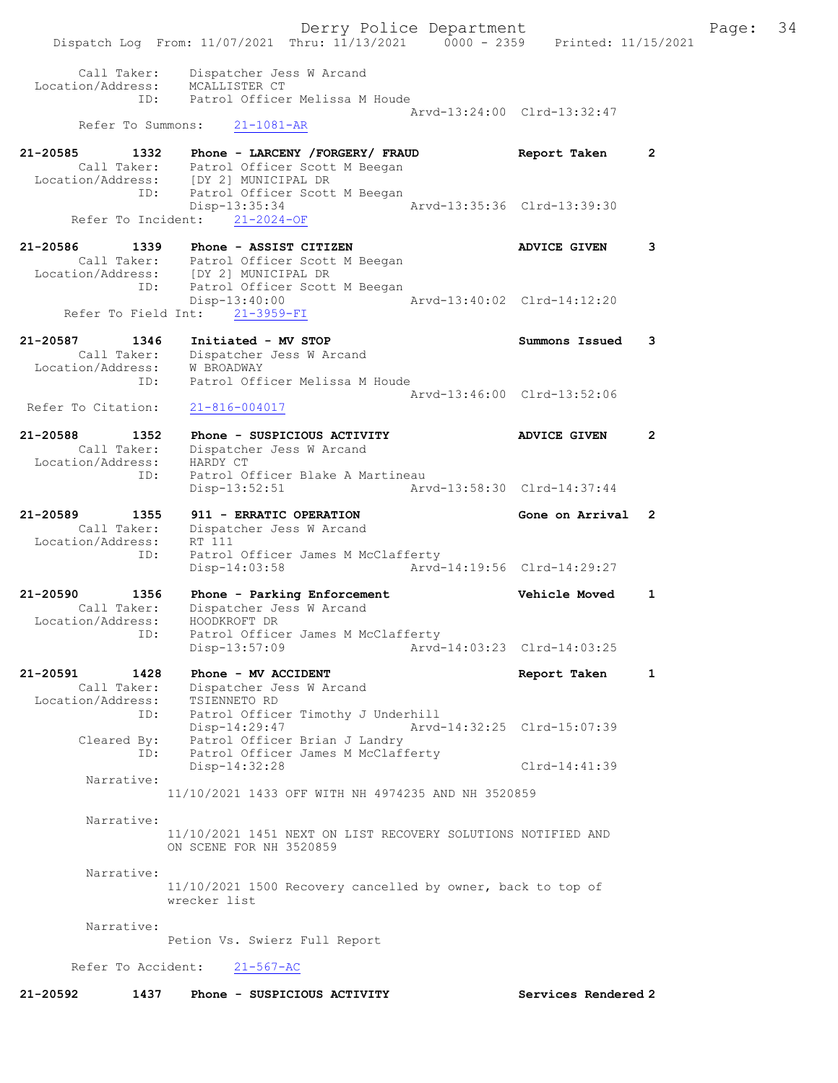Derry Police Department Fage: 34 Dispatch Log From: 11/07/2021 Thru: 11/13/2021 0000 - 2359 Printed: 11/15/2021 Call Taker: Dispatcher Jess W Arcand Location/Address: MCALLISTER CT ID: Patrol Officer Melissa M Houde Arvd-13:24:00 Clrd-13:32:47 Refer To Summons: 21-1081-AR 21-20585 1332 Phone - LARCENY /FORGERY/ FRAUD Report Taken 2 Call Taker: Patrol Officer Scott M Beegan Location/Address: [DY 2] MUNICIPAL DR ID: Patrol Officer Scott M Beegan Disp-13:35:34 Arvd-13:35:36 Clrd-13:39:30 Refer To Incident: 21-2024-OF 21-20586 1339 Phone - ASSIST CITIZEN ADVICE GIVEN 3<br>Call Taker: Patrol Officer Scott M Beegan<br>Leastion (Admosor LEV 21 MINICIPAL PR Call Taker: Patrol Officer Scott M Beegan Location/Address: [DY 2] MUNICIPAL DR ID: Patrol Officer Scott M Beegan Disp-13:40:00 Arvd-13:40:02 Clrd-14:12:20 Refer To Field Int: 21-3959-FI 21-20587 1346 Initiated - MV STOP Summons Issued 3 Call Taker: Dispatcher Jess W Arcand Location/Address: W BROADWAY ID: Patrol Officer Melissa M Houde Arvd-13:46:00 Clrd-13:52:06 Refer To Citation: 21-816-004017 21-20588 1352 Phone - SUSPICIOUS ACTIVITY ADVICE GIVEN 2 Call Taker: Dispatcher Jess W Arcand Location/Address: HARDY CT ID: Patrol Officer Blake A Martineau Disp-13:52:51 Arvd-13:58:30 Clrd-14:37:44 21-20589 1355 911 - ERRATIC OPERATION Gone on Arrival 2 Call Taker: Dispatcher Jess W Arcand Location/Address: RT 111 ID: Patrol Officer James M McClafferty Disp-14:03:58 Arvd-14:19:56 Clrd-14:29:27 21-20590 1356 Phone - Parking Enforcement Vehicle Moved 1 Call Taker: Dispatcher Jess W Arcand Location/Address: HOODKROFT DR ID: Patrol Officer James M McClafferty Disp-13:57:09 Arvd-14:03:23 Clrd-14:03:25 21-20591 1428 Phone - MV ACCIDENT 1 2008 Report Taken 1 Call Taker: Dispatcher Jess W Arcand Location/Address: TSIENNETO RD ID: Patrol Officer Timothy J Underhill Disp-14:29:47 Arvd-14:32:25 Clrd-15:07:39 Cleared By: Patrol Officer Brian J Landry ID: Patrol Officer James M McClafferty Disp-14:32:28 Clrd-14:41:39 Narrative: 11/10/2021 1433 OFF WITH NH 4974235 AND NH 3520859 Narrative: 11/10/2021 1451 NEXT ON LIST RECOVERY SOLUTIONS NOTIFIED AND ON SCENE FOR NH 3520859 Narrative: 11/10/2021 1500 Recovery cancelled by owner, back to top of wrecker list Narrative: Petion Vs. Swierz Full Report Refer To Accident: 21-567-AC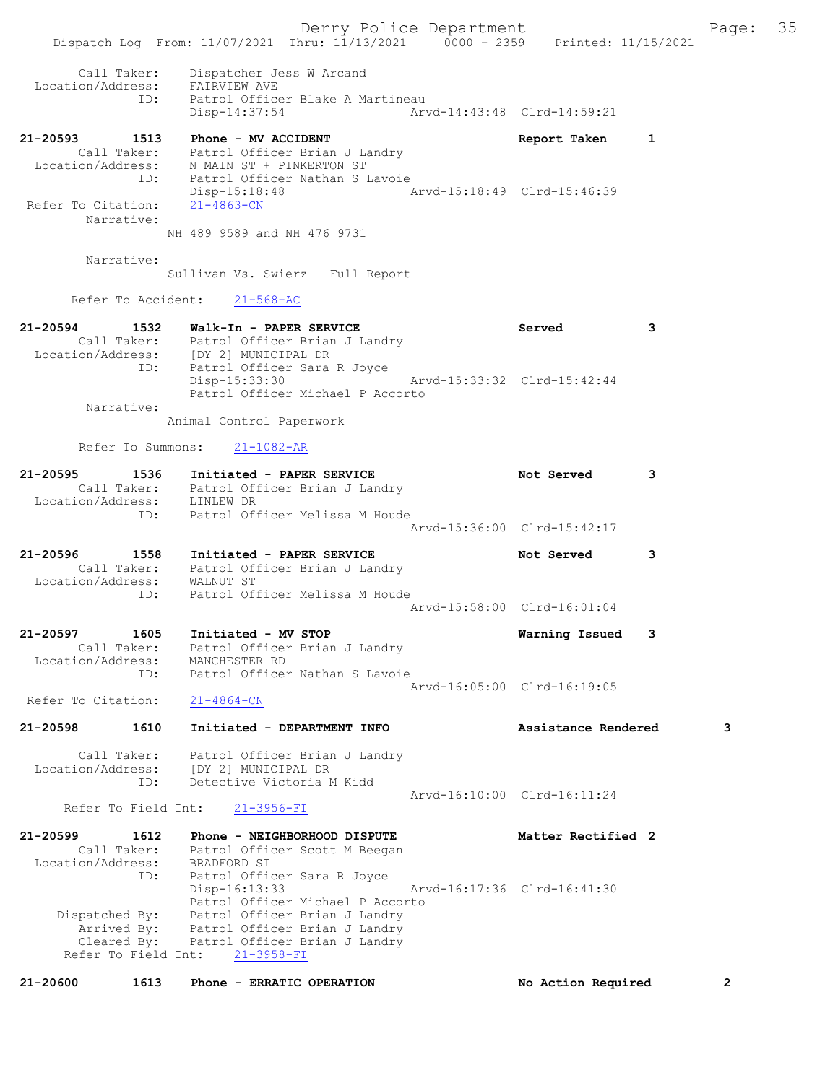Derry Police Department Fage: 35 Dispatch Log From: 11/07/2021 Thru: 11/13/2021 0000 - 2359 Printed: 11/15/2021 Call Taker: Dispatcher Jess W Arcand Location/Address: FAIRVIEW AVE ID: Patrol Officer Blake A Martineau Disp-14:37:54 Arvd-14:43:48 Clrd-14:59:21 21-20593 1513 Phone - MV ACCIDENT Report Taken 1 Call Taker: Patrol Officer Brian J Landry Location/Address: N MAIN ST + PINKERTON ST ID: Patrol Officer Nathan S Lavoie Disp-15:18:48 Arvd-15:18:49 Clrd-15:46:39 Refer To Citation: 21-4863-CM Narrative: NH 489 9589 and NH 476 9731 Narrative: Sullivan Vs. Swierz Full Report Refer To Accident: 21-568-AC 21-20594 1532 Walk-In - PAPER SERVICE Served 3 Call Taker: Patrol Officer Brian J Landry Location/Address: [DY 2] MUNICIPAL DR ID: Patrol Officer Sara R Joyce Disp-15:33:30 Arvd-15:33:32 Clrd-15:42:44 Patrol Officer Michael P Accorto Narrative: Animal Control Paperwork Refer To Summons: 21-1082-AR 21-20595 1536 Initiated - PAPER SERVICE 1988 Not Served 3 Call Taker: Patrol Officer Brian J Landry Location/Address: LINLEW DR ID: Patrol Officer Melissa M Houde Arvd-15:36:00 Clrd-15:42:17 21-20596 1558 Initiated - PAPER SERVICE Not Served 3 Call Taker: Patrol Officer Brian J Landry Location/Address: WALNUT ST ID: Patrol Officer Melissa M Houde Arvd-15:58:00 Clrd-16:01:04 21-20597 1605 Initiated - MV STOP Warning Issued 3 Call Taker: Patrol Officer Brian J Landry Location/Address: MANCHESTER RD ID: Patrol Officer Nathan S Lavoie Arvd-16:05:00 Clrd-16:19:05 Refer To Citation: 21-4864-CN 21-20598 1610 Initiated - DEPARTMENT INFO Assistance Rendered 3 Call Taker: Patrol Officer Brian J Landry Location/Address: [DY 2] MUNICIPAL DR ID: Detective Victoria M Kidd Arvd-16:10:00 Clrd-16:11:24 Refer To Field Int: 21-3956-FI 21-20599 1612 Phone - NEIGHBORHOOD DISPUTE Nether Rectified 2 Call Taker: Patrol Officer Scott M Beegan Location/Address: BRADFORD ST ID: Patrol Officer Sara R Joyce Disp-16:13:33 Arvd-16:17:36 Clrd-16:41:30 Patrol Officer Michael P Accorto Dispatched By: Patrol Officer Brian J Landry Arrived By: Patrol Officer Brian J Landry Cleared By: Patrol Officer Brian J Landry Refer To Field Int: 21-3958-FI 21-20600 1613 Phone - ERRATIC OPERATION No Action Required 2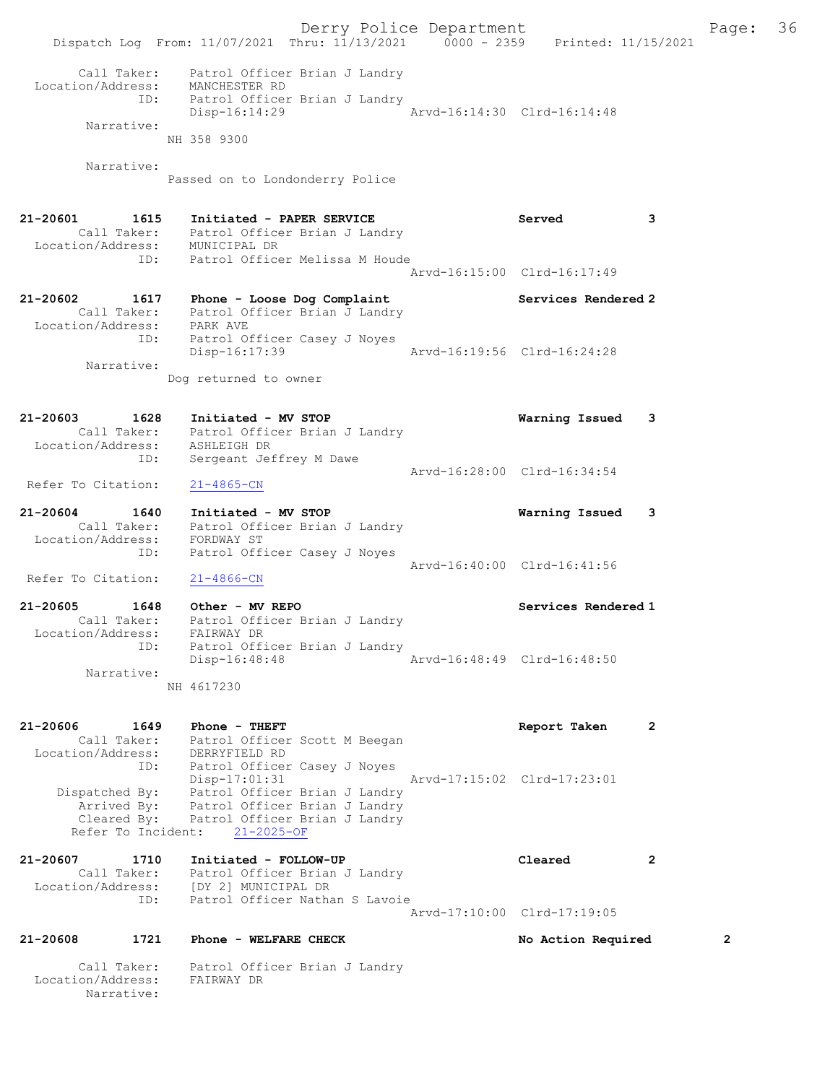Derry Police Department Fage: 36 Dispatch Log From: 11/07/2021 Thru: 11/13/2021 0000 - 2359 Printed: 11/15/2021 Call Taker: Patrol Officer Brian J Landry Location/Address: MANCHESTER RD ID: Patrol Officer Brian J Landry Disp-16:14:29 Arvd-16:14:30 Clrd-16:14:48 Narrative: NH 358 9300 Narrative: Passed on to Londonderry Police 21-20601 1615 Initiated - PAPER SERVICE Served 3 Call Taker: Patrol Officer Brian J Landry Location/Address: MUNICIPAL DR ID: Patrol Officer Melissa M Houde Arvd-16:15:00 Clrd-16:17:49 21-20602 1617 Phone - Loose Dog Complaint Services Rendered 2 Call Taker: Patrol Officer Brian J Landry Location/Address: PARK AVE ID: Patrol Officer Casey J Noyes Disp-16:17:39 Arvd-16:19:56 Clrd-16:24:28 Narrative: Dog returned to owner 21-20603 1628 Initiated - MV STOP Warning Issued 3 Call Taker: Patrol Officer Brian J Landry Location/Address: ASHLEIGH DR ID: Sergeant Jeffrey M Dawe Arvd-16:28:00 Clrd-16:34:54 Refer To Citation: 21-4865-CN 21-20604 1640 Initiated - MV STOP Warning Issued 3 Call Taker: Patrol Officer Brian J Landry Location/Address: FORDWAY ST ID: Patrol Officer Casey J Noyes Arvd-16:40:00 Clrd-16:41:56 Refer To Citation: 21-4866-CN 21-20605 1648 Other - MV REPO Services Rendered 1 Call Taker: Patrol Officer Brian J Landry Location/Address: FAIRWAY DR ID: Patrol Officer Brian J Landry Disp-16:48:48 Arvd-16:48:49 Clrd-16:48:50 Narrative: NH 4617230 21-20606 1649 Phone - THEFT 1999 Phone - THEFT 1999 Report Taken 2 Call Taker: Patrol Officer Scott M Beegan Location/Address: DERRYFIELD RD ID: Patrol Officer Casey J Noyes Disp-17:01:31 Arvd-17:15:02 Clrd-17:23:01 Dispatched By: Patrol Officer Brian J Landry Arrived By: Patrol Officer Brian J Landry Cleared By: Patrol Officer Brian J Landry Refer To Incident: 21-2025-OF 21-20607 1710 Initiated - FOLLOW-UP Cleared 2 Call Taker: Patrol Officer Brian J Landry Location/Address: [DY 2] MUNICIPAL DR ID: Patrol Officer Nathan S Lavoie Arvd-17:10:00 Clrd-17:19:05 21-20608 1721 Phone - WELFARE CHECK No Action Required 2 Call Taker: Patrol Officer Brian J Landry Location/Address: FAIRWAY DR Narrative: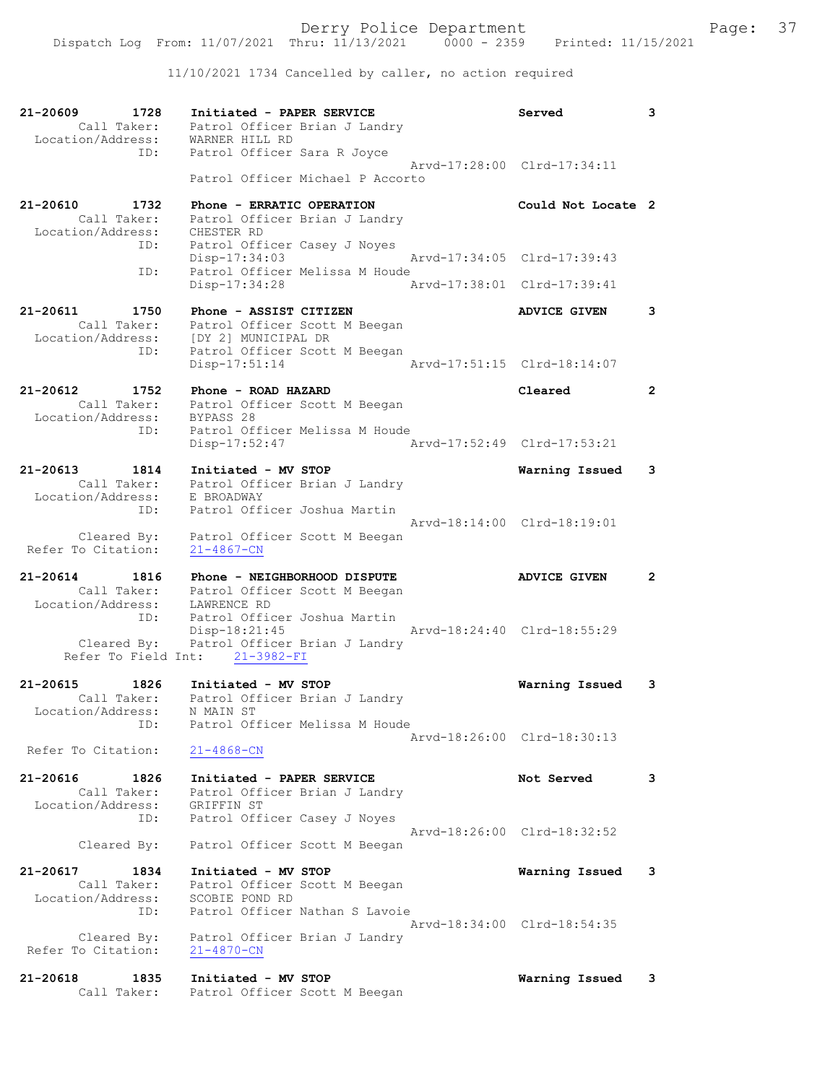11/10/2021 1734 Cancelled by caller, no action required

| 21-20609<br>1728                 | Initiated - PAPER SERVICE                  |                                  | Served                      | 3            |
|----------------------------------|--------------------------------------------|----------------------------------|-----------------------------|--------------|
| Call Taker:                      |                                            | Patrol Officer Brian J Landry    |                             |              |
| Location/Address:                | WARNER HILL RD                             |                                  |                             |              |
| ID:                              | Patrol Officer Sara R Joyce                |                                  | Arvd-17:28:00 Clrd-17:34:11 |              |
|                                  |                                            | Patrol Officer Michael P Accorto |                             |              |
| 21-20610<br>1732                 | Phone - ERRATIC OPERATION                  |                                  | Could Not Locate 2          |              |
| Call Taker:                      |                                            | Patrol Officer Brian J Landry    |                             |              |
| Location/Address:<br>ID:         | CHESTER RD<br>Patrol Officer Casey J Noyes |                                  |                             |              |
|                                  | Disp-17:34:03                              |                                  | Arvd-17:34:05 Clrd-17:39:43 |              |
| ID:                              |                                            | Patrol Officer Melissa M Houde   |                             |              |
|                                  | Disp-17:34:28                              |                                  | Arvd-17:38:01 Clrd-17:39:41 |              |
| 21-20611<br>1750                 | Phone - ASSIST CITIZEN                     |                                  | <b>ADVICE GIVEN</b>         | 3            |
| Call Taker:                      |                                            | Patrol Officer Scott M Beegan    |                             |              |
| Location/Address:                | [DY 2] MUNICIPAL DR                        |                                  |                             |              |
| ID:                              | $Disp-17:51:14$                            | Patrol Officer Scott M Beegan    | Arvd-17:51:15 Clrd-18:14:07 |              |
|                                  |                                            |                                  |                             |              |
| 21-20612<br>1752<br>Call Taker:  | Phone - ROAD HAZARD                        |                                  | Cleared                     | $\mathbf{2}$ |
| Location/Address:                | BYPASS 28                                  | Patrol Officer Scott M Beegan    |                             |              |
| ID:                              |                                            | Patrol Officer Melissa M Houde   |                             |              |
|                                  | Disp-17:52:47                              |                                  | Arvd-17:52:49 Clrd-17:53:21 |              |
| 21-20613<br>1814                 | Initiated - MV STOP                        |                                  | Warning Issued              | 3            |
| Call Taker:                      |                                            | Patrol Officer Brian J Landry    |                             |              |
| Location/Address:                | E BROADWAY                                 |                                  |                             |              |
| ID:                              | Patrol Officer Joshua Martin               |                                  | Arvd-18:14:00 Clrd-18:19:01 |              |
| Cleared By:                      |                                            | Patrol Officer Scott M Beegan    |                             |              |
| Refer To Citation:               | $21 - 4867 - CN$                           |                                  |                             |              |
|                                  |                                            |                                  |                             |              |
| 21-20614<br>1816<br>Call Taker:  | Phone - NEIGHBORHOOD DISPUTE               | Patrol Officer Scott M Beegan    | <b>ADVICE GIVEN</b>         | $\mathbf{2}$ |
| Location/Address:                | LAWRENCE RD                                |                                  |                             |              |
| ID:                              | Patrol Officer Joshua Martin               |                                  |                             |              |
|                                  | Disp-18:21:45                              |                                  | Aryd-18:24:40 Clrd-18:55:29 |              |
| Cleared By:                      | Refer To Field Int: 21-3982-FI             | Patrol Officer Brian J Landry    |                             |              |
|                                  |                                            |                                  |                             |              |
| 21-20615<br>1826                 | Initiated - MV STOP                        |                                  | Warning Issued              | 3            |
| Call Taker:<br>Location/Address: | N MAIN ST                                  | Patrol Officer Brian J Landry    |                             |              |
| ID:                              |                                            | Patrol Officer Melissa M Houde   |                             |              |
|                                  |                                            |                                  | Arvd-18:26:00 Clrd-18:30:13 |              |
| Refer To Citation:               | $21 - 4868 - CN$                           |                                  |                             |              |
| 21-20616<br>1826                 | Initiated - PAPER SERVICE                  |                                  | Not Served                  | 3            |
| Call Taker:                      |                                            | Patrol Officer Brian J Landry    |                             |              |
| Location/Address:                | GRIFFIN ST                                 |                                  |                             |              |
| ID:                              | Patrol Officer Casey J Noyes               |                                  | Arvd-18:26:00 Clrd-18:32:52 |              |
| Cleared By:                      |                                            | Patrol Officer Scott M Beegan    |                             |              |
|                                  |                                            |                                  |                             |              |
| 21-20617<br>1834<br>Call Taker:  | Initiated - MV STOP                        | Patrol Officer Scott M Beegan    | Warning Issued 3            |              |
| Location/Address:                | SCOBIE POND RD                             |                                  |                             |              |
| ID:                              |                                            | Patrol Officer Nathan S Lavoie   |                             |              |
| Cleared By:                      |                                            | Patrol Officer Brian J Landry    | Arvd-18:34:00 Clrd-18:54:35 |              |
| Refer To Citation:               | $21 - 4870 - CN$                           |                                  |                             |              |
|                                  |                                            |                                  |                             |              |
| 21-20618<br>1835                 | Initiated - MV STOP                        |                                  | Warning Issued              | 3            |
| Call Taker:                      | Patrol Officer Scott M Beegan              |                                  |                             |              |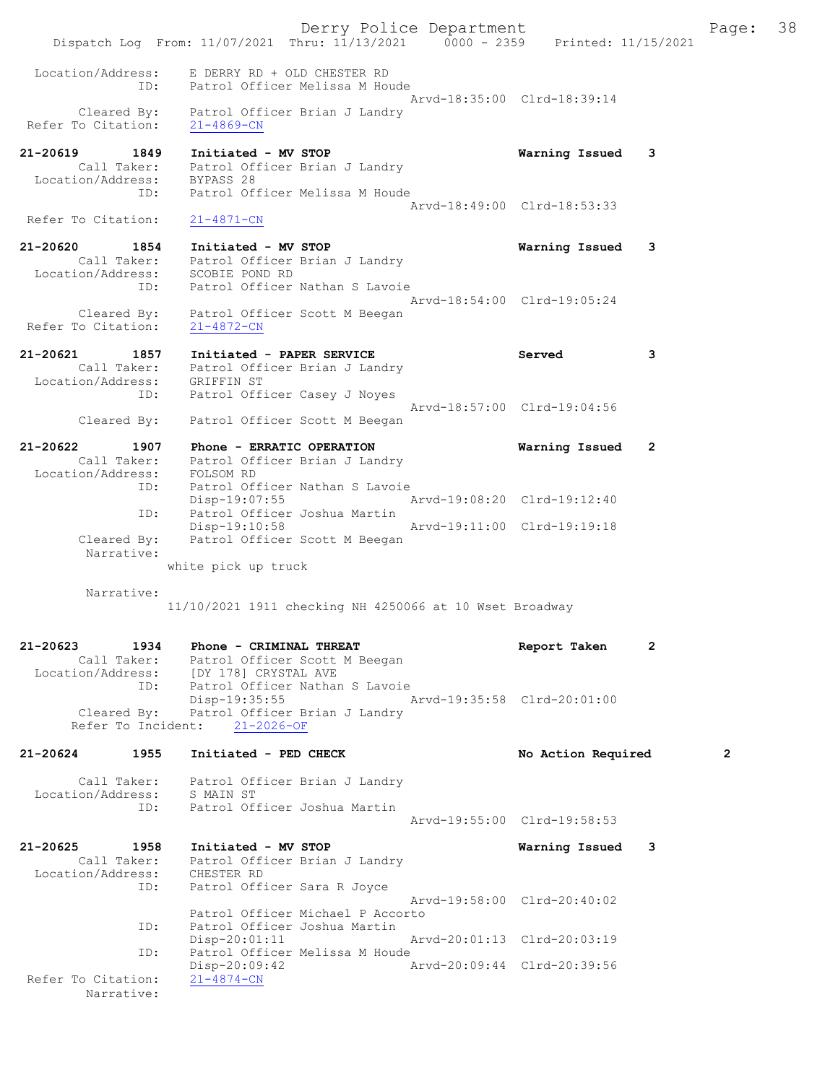|                                              | Derry Police Department<br>Dispatch Log From: 11/07/2021 Thru: 11/13/2021 0000 - 2359 Printed: 11/15/2021                                               |                             |                | Page: | 38 |
|----------------------------------------------|---------------------------------------------------------------------------------------------------------------------------------------------------------|-----------------------------|----------------|-------|----|
| Location/Address:<br>ID:                     | E DERRY RD + OLD CHESTER RD<br>Patrol Officer Melissa M Houde                                                                                           |                             |                |       |    |
| Cleared By:<br>Refer To Citation:            | Patrol Officer Brian J Landry<br>21-4869-CN                                                                                                             | Arvd-18:35:00 Clrd-18:39:14 |                |       |    |
| 21-20619 1849<br>Location/Address: BYPASS 28 | Initiated - MV STOP<br>Call Taker: Patrol Officer Brian J Landry                                                                                        | Warning Issued              | 3              |       |    |
| ID:<br>Refer To Citation:                    | Patrol Officer Melissa M Houde<br>$21 - 4871 - CN$                                                                                                      | Arvd-18:49:00 Clrd-18:53:33 |                |       |    |
| 21-20620<br>1854                             | Initiated - MV STOP<br>Call Taker: Patrol Officer Brian J Landry<br>Location/Address: SCOBIE POND RD                                                    | Warning Issued              | 3              |       |    |
| ID:<br>Cleared By:                           | Patrol Officer Nathan S Lavoie<br>Patrol Officer Scott M Beegan                                                                                         | Arvd-18:54:00 Clrd-19:05:24 |                |       |    |
| Refer To Citation:<br>21-20621<br>1857       | $21 - 4872 - CN$<br>Initiated - PAPER SERVICE                                                                                                           | Served                      | 3              |       |    |
| Location/Address: GRIFFIN ST<br>ID:          | Call Taker: Patrol Officer Brian J Landry<br>Patrol Officer Casey J Noyes                                                                               |                             |                |       |    |
| Cleared By:                                  | Patrol Officer Scott M Beegan                                                                                                                           | Arvd-18:57:00 Clrd-19:04:56 |                |       |    |
| 21-20622<br>1907<br>Location/Address:        | Phone - ERRATIC OPERATION<br>Call Taker: Patrol Officer Brian J Landry<br>FOLSOM RD                                                                     | Warning Issued              | $\overline{2}$ |       |    |
| ID:<br>ID:                                   | Patrol Officer Nathan S Lavoie<br>$Disp-19:07:55$<br>Patrol Officer Joshua Martin                                                                       | Arvd-19:08:20 Clrd-19:12:40 |                |       |    |
| Cleared By:<br>Narrative:                    | $Disp-19:10:58$<br>Patrol Officer Scott M Beegan                                                                                                        | Arvd-19:11:00 Clrd-19:19:18 |                |       |    |
|                                              | white pick up truck                                                                                                                                     |                             |                |       |    |
| Narrative:                                   | 11/10/2021 1911 checking NH 4250066 at 10 Wset Broadway                                                                                                 |                             |                |       |    |
| 21-20623<br>1934<br>ID:                      | <b>Phone - CRIMINAL THREAT</b><br>Call Taker: Patrol Officer Scott M Beegan<br>Location/Address: [DY 178] CRYSTAL AVE<br>Patrol Officer Nathan S Lavoie | Report Taken                | 2              |       |    |
| Refer To Incident:                           | Disp-19:35:55<br>Cleared By: Patrol Officer Brian J Landry<br>$21 - 2026 - OF$                                                                          | Arvd-19:35:58 Clrd-20:01:00 |                |       |    |
| 21-20624<br>1955                             | Initiated - PED CHECK                                                                                                                                   | No Action Required          |                | 2     |    |
| Call Taker:<br>Location/Address:<br>ID:      | Patrol Officer Brian J Landry<br>S MAIN ST<br>Patrol Officer Joshua Martin                                                                              |                             |                |       |    |
|                                              |                                                                                                                                                         | Arvd-19:55:00 Clrd-19:58:53 |                |       |    |
| 21-20625<br>1958<br>Location/Address:<br>ID: | Initiated - MV STOP<br>Call Taker: Patrol Officer Brian J Landry<br>CHESTER RD<br>Patrol Officer Sara R Joyce                                           | Warning Issued              | 3              |       |    |
| ID:                                          | Patrol Officer Michael P Accorto<br>Patrol Officer Joshua Martin                                                                                        | Arvd-19:58:00 Clrd-20:40:02 |                |       |    |
| ID:                                          | $Disp-20:01:11$<br>Patrol Officer Melissa M Houde                                                                                                       | Arvd-20:01:13 Clrd-20:03:19 |                |       |    |
| Refer To Citation:<br>Narrative:             | $Disp-20:09:42$<br>$21 - 4874 - CN$                                                                                                                     | Arvd-20:09:44 Clrd-20:39:56 |                |       |    |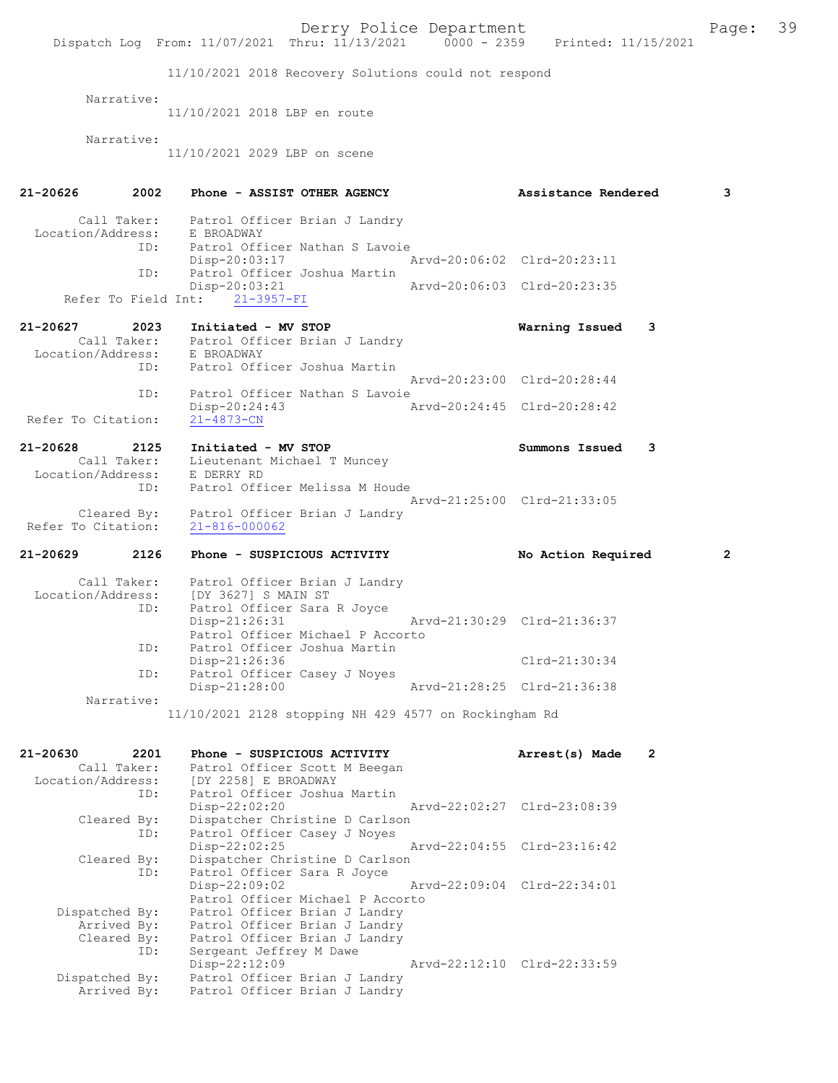Derry Police Department Fage: 39 Dispatch Log From: 11/07/2021 Thru: 11/13/2021 0000 - 2359 Printed: 11/15/2021 11/10/2021 2018 Recovery Solutions could not respond Narrative: 11/10/2021 2018 LBP en route Narrative: 11/10/2021 2029 LBP on scene 21-20626 2002 Phone - ASSIST OTHER AGENCY Assistance Rendered 3 Call Taker: Patrol Officer Brian J Landry Location/Address: E BROADWAY ID: Patrol Officer Nathan S Lavoie<br>Disp-20:03:17 Disp-20:03:17 Arvd-20:06:02 Clrd-20:23:11 ID: Patrol Officer Joshua Martin Arvd-20:06:03 Clrd-20:23:35 Refer To Field Int: 21-3957-FI 21-20627 2023 Initiated - MV STOP Warning Issued 3 Call Taker: Patrol Officer Brian J Landry Location/Address: E BROADWAY ID: Patrol Officer Joshua Martin Arvd-20:23:00 Clrd-20:28:44 ID: Patrol Officer Nathan S Lavoie<br>Disp-20:24:43 Disp-20:24:43 Arvd-20:24:45 Clrd-20:28:42 Refer To Citation: 21-20628 2125 Initiated - MV STOP Summons Issued 3 Call Taker: Lieutenant Michael T Muncey Location/Address: E DERRY RD ID: Patrol Officer Melissa M Houde Arvd-21:25:00 Clrd-21:33:05 Cleared By: Patrol Officer Brian J Landry Refer To Citation: 21-816-000062 21-20629 2126 Phone - SUSPICIOUS ACTIVITY No Action Required 2 Call Taker: Patrol Officer Brian J Landry Location/Address: [DY 3627] S MAIN ST ID: Patrol Officer Sara R Joyce Disp-21:26:31 Arvd-21:30:29 Clrd-21:36:37 Patrol Officer Michael P Accorto<br>TD: Patrol Officer Joshua Martin Patrol Officer Joshua Martin Disp-21:26:36 Clrd-21:30:34<br>TD: Patrol Officer Casey J Noves Patrol Officer Casey J Noyes Disp-21:28:00 Arvd-21:28:25 Clrd-21:36:38 Narrative: 11/10/2021 2128 stopping NH 429 4577 on Rockingham Rd 21-20630 2201 Phone - SUSPICIOUS ACTIVITY Arrest(s) Made 2 Call Taker: Patrol Officer Scott M Beegan Location/Address: [DY 2258] E BROADWAY ID: Patrol Officer Joshua Martin Disp-22:02:20 Arvd-22:02:27 Clrd-23:08:39 Cleared By: Dispatcher Christine D Carlson ID: Patrol Officer Casey J Noyes<br>Disp-22:02:25 Disp-22:02:25 Arvd-22:04:55 Clrd-23:16:42 Cleared By: Dispatcher Christine D Carlson ID: Patrol Officer Sara R Joyce Disp-22:09:02 Arvd-22:09:04 Clrd-22:34:01 Patrol Officer Michael P Accorto Dispatched By: Patrol Officer Brian J Landry Arrived By: Patrol Officer Brian J Landry Cleared By: Patrol Officer Brian J Landry ID: Sergeant Jeffrey M Dawe Disp-22:12:09 Arvd-22:12:10 Clrd-22:33:59 Dispatched By: Patrol Officer Brian J Landry Dispatched By: Patrol Officer Brian J Landry<br>Arrived By: Patrol Officer Brian J Landry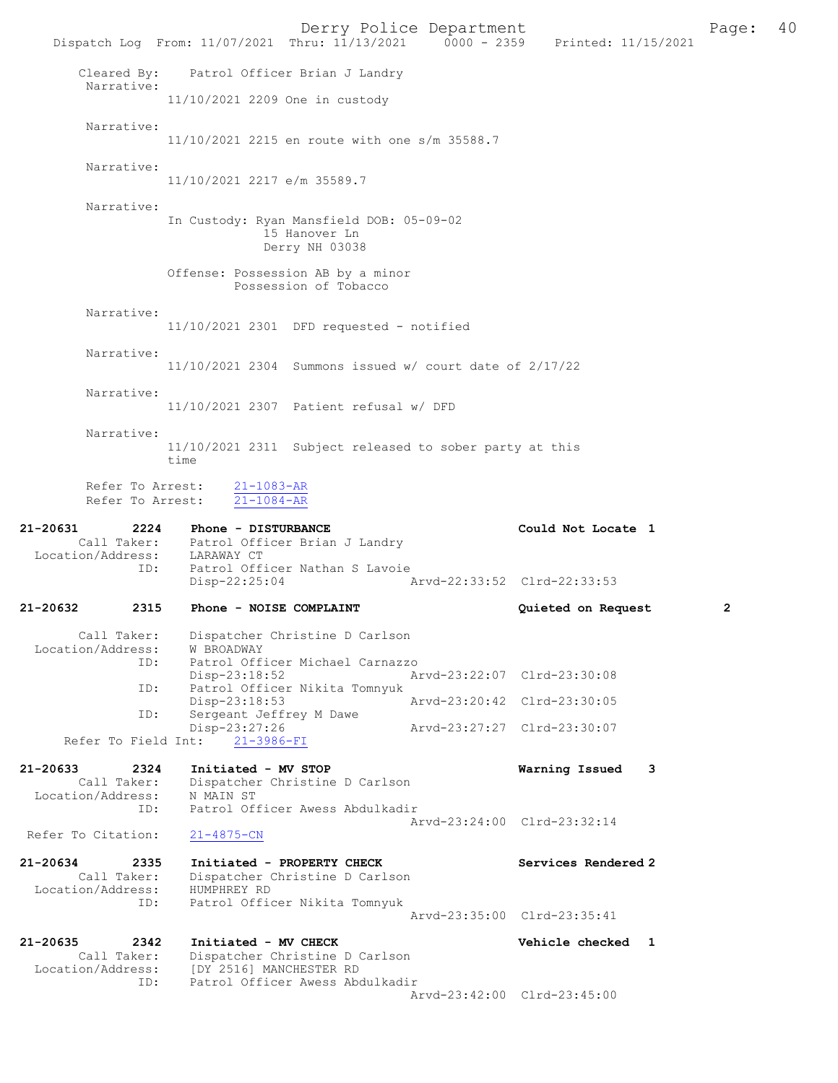Derry Police Department<br>
Page: 40<br>
Printed: 11/15/2021 0000 - 2359 Printed: 11/15/2021 Dispatch Log From: 11/07/2021 Thru: 11/13/2021 Cleared By: Patrol Officer Brian J Landry Narrative: 11/10/2021 2209 One in custody Narrative: 11/10/2021 2215 en route with one s/m 35588.7 Narrative: 11/10/2021 2217 e/m 35589.7 Narrative: In Custody: Ryan Mansfield DOB: 05-09-02 15 Hanover Ln Derry NH 03038 Offense: Possession AB by a minor Possession of Tobacco Narrative: 11/10/2021 2301 DFD requested - notified Narrative: 11/10/2021 2304 Summons issued w/ court date of 2/17/22 Narrative: 11/10/2021 2307 Patient refusal w/ DFD Narrative: 11/10/2021 2311 Subject released to sober party at this time Refer To Arrest:  $\frac{21-1083-AR}{21-1084-AR}$ Refer To Arrest: 21-20631 2224 Phone - DISTURBANCE Could Not Locate 1 Call Taker: Patrol Officer Brian J Landry Location/Address: LARAWAY CT UD: Patrol Officer Nathan S Lavoie<br>Disp-22:25:04 Disp-22:25:04 Arvd-22:33:52 Clrd-22:33:53 21-20632 2315 Phone - NOISE COMPLAINT Quieted on Request 2 Call Taker: Dispatcher Christine D Carlson Location/Address: W BROADWAY ID: Patrol Officer Michael Carnazzo Disp-23:18:52 Arvd-23:22:07 Clrd-23:30:08<br>ID: Patrol Officer Nikita Tomnyuk Patrol Officer Nikita Tomnyuk<br>Disp-23:18:53 Disp-23:18:53 <br>
D: Sergeant Jeffrey M Dawe <br>
D: Sergeant Jeffrey M Dawe Sergeant Jeffrey M Dawe<br>Disp-23:27:26 Disp-23:27:26 Arvd-23:27:27 Clrd-23:30:07 Refer To Field Int: 21-3986-FI 21-20633 2324 Initiated - MV STOP Warning Issued 3 Call Taker: Dispatcher Christine D Carlson Location/Address: N MAIN ST ID: Patrol Officer Awess Abdulkadir Arvd-23:24:00 Clrd-23:32:14<br>21-4875-CN Refer To Citation: 21-20634 2335 Initiated - PROPERTY CHECK Services Rendered 2 Call Taker: Dispatcher Christine D Carlson<br>ion/Address: HUMPHREY RD Location/Address:<br>ID: Patrol Officer Nikita Tomnyuk Arvd-23:35:00 Clrd-23:35:41 21-20635 2342 Initiated - MV CHECK Vehicle checked 1 Call Taker: Dispatcher Christine D Carlson<br>Location/Address: [DY 2516] MANCHESTER RD Location/Address: [DY 2516] MANCHESTER RD ID: Patrol Officer Awess Abdulkadir Arvd-23:42:00 Clrd-23:45:00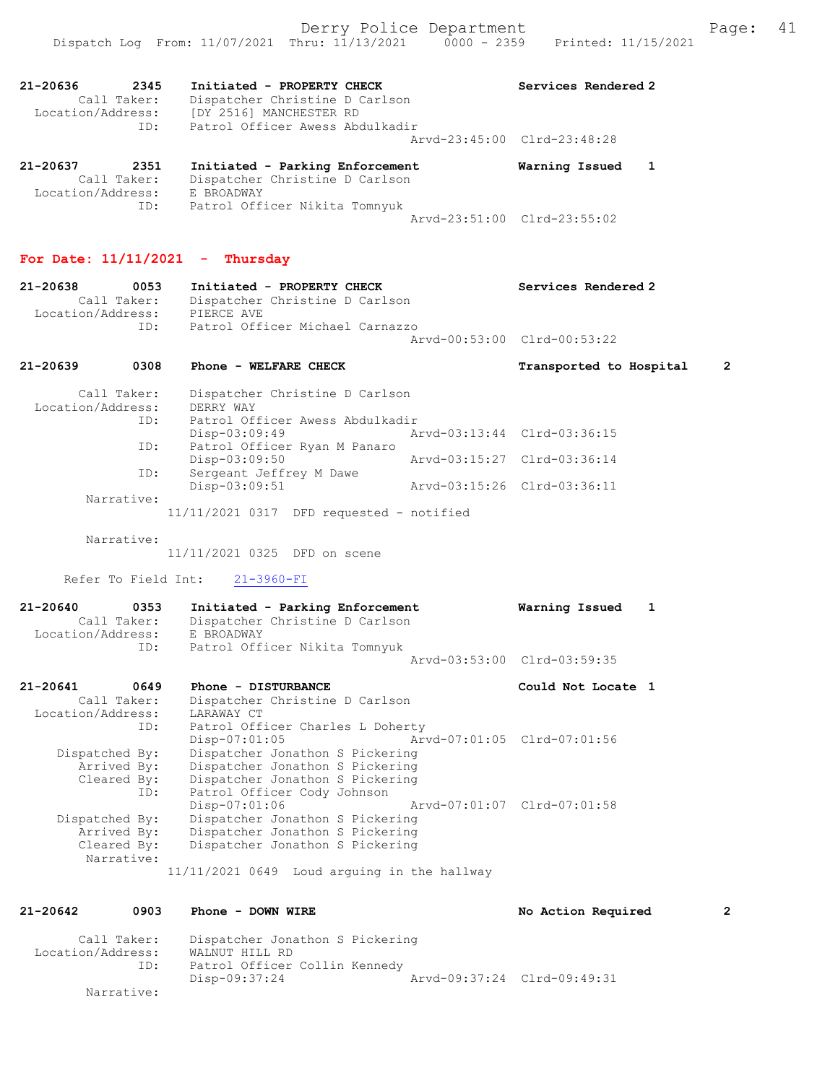Derry Police Department The Rage: 41 Dispatch Log From: 11/07/2021 Thru: 11/13/2021 0000 - 2359 Printed: 11/15/2021 21-20636 2345 Initiated - PROPERTY CHECK Services Rendered 2 Call Taker: Dispatcher Christine D Carlson Location/Address: [DY 2516] MANCHESTER RD ID: Patrol Officer Awess Abdulkadir Arvd-23:45:00 Clrd-23:48:28 21-20637 2351 Initiated - Parking Enforcement Warning Issued 1 Call Taker: Dispatcher Christine D Carlson Location/Address: E BROADWAY ID: Patrol Officer Nikita Tomnyuk Arvd-23:51:00 Clrd-23:55:02 For Date:  $11/11/2021$  - Thursday 21-20638 0053 Initiated - PROPERTY CHECK Services Rendered 2 Call Taker: Dispatcher Christine D Carlson Location/Address: PIERCE AVE ID: Patrol Officer Michael Carnazzo Arvd-00:53:00 Clrd-00:53:22 21-20639 0308 Phone - WELFARE CHECK Transported to Hospital 2 Call Taker: Dispatcher Christine D Carlson Location/Address: DERRY WAY ID: Patrol Officer Awess Abdulkadir Disp-03:09:49 Arvd-03:13:44 Clrd-03:36:15 ID: Patrol Officer Ryan M Panaro Disp-03:09:50 Arvd-03:15:27 Clrd-03:36:14 ID: Sergeant Jeffrey M Dawe Disp-03:09:51 Arvd-03:15:26 Clrd-03:36:11 Narrative: 11/11/2021 0317 DFD requested - notified Narrative: 11/11/2021 0325 DFD on scene Refer To Field Int: 21-3960-FI 21-20640 0353 Initiated - Parking Enforcement Warning Issued 1 Call Taker: Dispatcher Christine D Carlson Location/Address: E BROADWAY ID: Patrol Officer Nikita Tomnyuk Arvd-03:53:00 Clrd-03:59:35

21-20641 0649 Phone - DISTURBANCE Could Not Locate 1 Call Taker: Dispatcher Christine D Carlson Location/Address: LARAWAY CT ID: Patrol Officer Charles L Doherty Disp-07:01:05 Arvd-07:01:05 Clrd-07:01:56 Dispatched By: Dispatcher Jonathon S Pickering Arrived By: Dispatcher Jonathon S Pickering Cleared By: Dispatcher Jonathon S Pickering ID: Patrol Officer Cody Johnson Disp-07:01:06 Arvd-07:01:07 Clrd-07:01:58 Dispatched By: Dispatcher Jonathon S Pickering Arrived By: Dispatcher Jonathon S Pickering Cleared By: Dispatcher Jonathon S Pickering Narrative: 11/11/2021 0649 Loud arguing in the hallway

21-20642 0903 Phone - DOWN WIRE No action Required 2

 Call Taker: Dispatcher Jonathon S Pickering Location/Address: WALNUT HILL RD ID: Patrol Officer Collin Kennedy Disp-09:37:24 Arvd-09:37:24 Clrd-09:49:31 Narrative: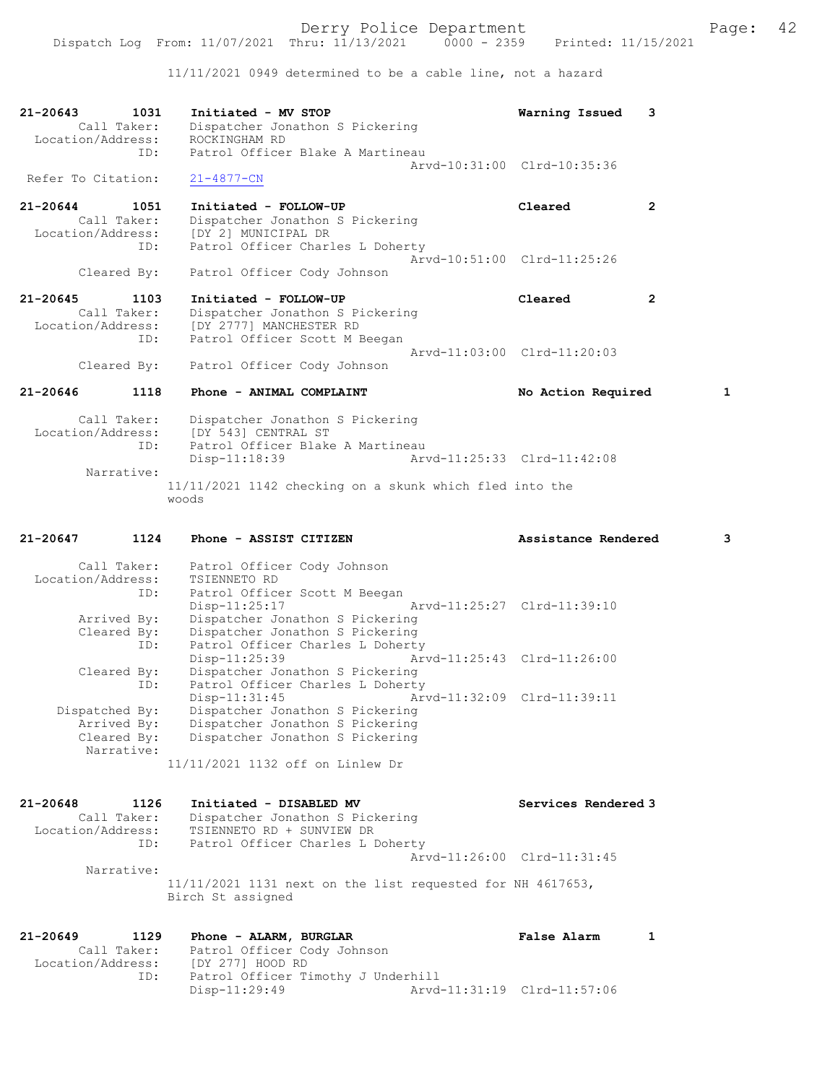11/11/2021 0949 determined to be a cable line, not a hazard

| 21-20643<br>1031<br>Call Taker:<br>Location/Address: | Initiated - MV STOP<br>Dispatcher Jonathon S Pickering<br>ROCKINGHAM RD                     | Warning Issued              | 3              |
|------------------------------------------------------|---------------------------------------------------------------------------------------------|-----------------------------|----------------|
| ID:<br>Refer To Citation:                            | Patrol Officer Blake A Martineau<br>$21 - 4877 - CN$                                        | Arvd-10:31:00 Clrd-10:35:36 |                |
| 21-20644<br>1051                                     | Initiated - FOLLOW-UP                                                                       | Cleared                     | $\overline{2}$ |
| Call Taker:<br>Location/Address:<br>ID:              | Dispatcher Jonathon S Pickering<br>[DY 2] MUNICIPAL DR<br>Patrol Officer Charles L Doherty  |                             |                |
| Cleared By:                                          | Patrol Officer Cody Johnson                                                                 | Arvd-10:51:00 Clrd-11:25:26 |                |
| 21-20645<br>1103                                     | Initiated - FOLLOW-UP                                                                       | Cleared                     | $\mathbf{2}$   |
| Call Taker:<br>Location/Address:<br>ID:              | Dispatcher Jonathon S Pickering<br>[DY 2777] MANCHESTER RD<br>Patrol Officer Scott M Beegan |                             |                |
| Cleared By:                                          | Patrol Officer Cody Johnson                                                                 | Arvd-11:03:00 Clrd-11:20:03 |                |
| $21 - 20646$<br>1118                                 | Phone - ANIMAL COMPLAINT                                                                    | No Action Required          | 1              |
| Call Taker:                                          | Dispatcher Jonathon S Pickering                                                             |                             |                |
| Location/Address:<br>ID:                             | [DY 543] CENTRAL ST<br>Patrol Officer Blake A Martineau                                     |                             |                |
| Narrative:                                           | $Disp-11:18:39$                                                                             | Arvd-11:25:33 Clrd-11:42:08 |                |
|                                                      | 11/11/2021 1142 checking on a skunk which fled into the<br>woods                            |                             |                |
| 1124<br>21-20647                                     | Phone - ASSIST CITIZEN                                                                      | Assistance Rendered         | 3              |
|                                                      |                                                                                             |                             |                |
| Call Taker:<br>Location/Address:                     | Patrol Officer Cody Johnson<br>TSIENNETO RD                                                 |                             |                |
| ID:                                                  | Patrol Officer Scott M Beegan<br>$Disp-11:25:17$                                            | Arvd-11:25:27 Clrd-11:39:10 |                |
| Arrived By:                                          | Dispatcher Jonathon S Pickering                                                             |                             |                |
| Cleared By:<br>ID:                                   | Dispatcher Jonathon S Pickering<br>Patrol Officer Charles L Doherty<br>$Disp-11:25:39$      | Arvd-11:25:43 Clrd-11:26:00 |                |
| Cleared By:<br>ID:                                   | Dispatcher Jonathon S Pickering<br>Patrol Officer Charles L Doherty                         |                             |                |
| Dispatched By:                                       | Disp-11:31:45                                                                               | Arvd-11:32:09 Clrd-11:39:11 |                |
| Arrived By:                                          | Dispatcher Jonathon S Pickering<br>Dispatcher Jonathon S Pickering                          |                             |                |
| Cleared By:<br>Narrative:                            | Dispatcher Jonathon S Pickering                                                             |                             |                |
|                                                      | 11/11/2021 1132 off on Linlew Dr                                                            |                             |                |
| 21-20648<br>1126                                     | Initiated - DISABLED MV                                                                     | Services Rendered 3         |                |
| Call Taker:<br>Location/Address:                     | Dispatcher Jonathon S Pickering<br>TSIENNETO RD + SUNVIEW DR                                |                             |                |
| ID:                                                  | Patrol Officer Charles L Doherty                                                            | Arvd-11:26:00 Clrd-11:31:45 |                |
| Narrative:                                           | 11/11/2021 1131 next on the list requested for NH 4617653,<br>Birch St assigned             |                             |                |
| 21-20649<br>1129                                     | Phone - ALARM, BURGLAR                                                                      | <b>False Alarm</b>          | 1              |
| Call Taker:<br>Location/Address:                     | Patrol Officer Cody Johnson<br>[DY 277] HOOD RD                                             |                             |                |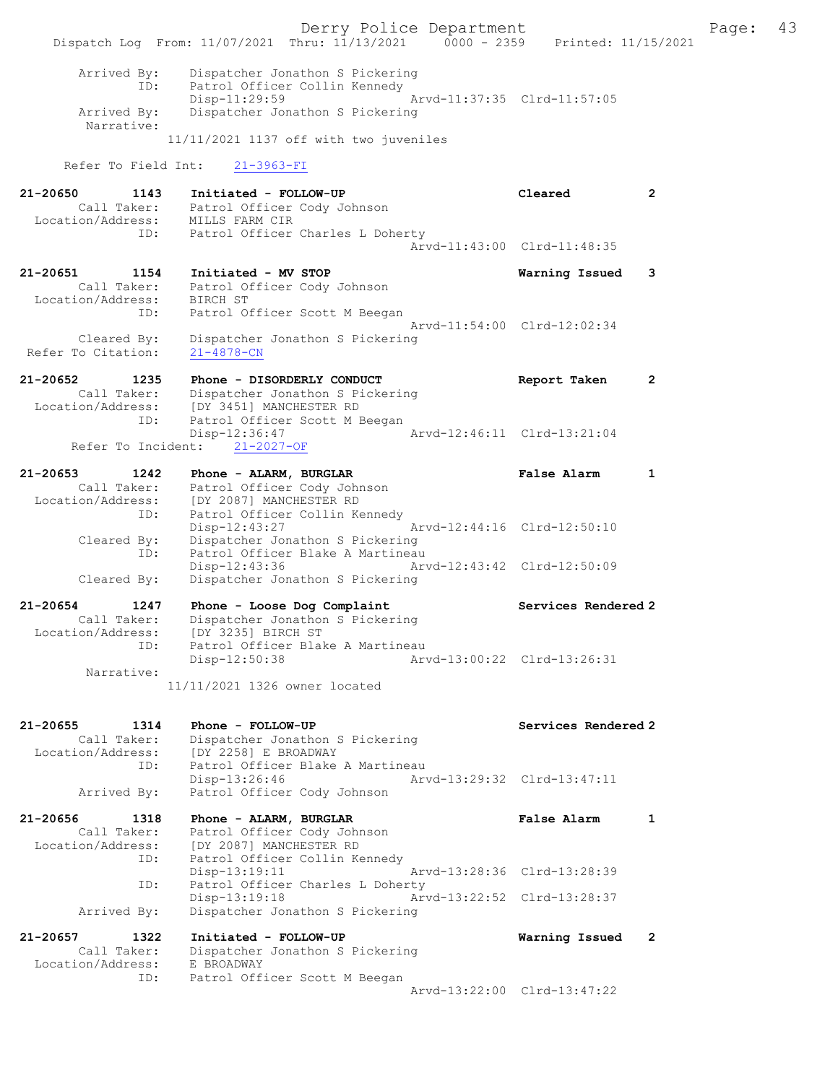Derry Police Department Fage: 43 Dispatch Log From: 11/07/2021 Thru: 11/13/2021 0000 - 2359 Printed: 11/15/2021 Arrived By: Dispatcher Jonathon S Pickering ID: Patrol Officer Collin Kennedy Disp-11:29:59 Arvd-11:37:35 Clrd-11:57:05 Arrived By: Dispatcher Jonathon S Pickering Narrative: 11/11/2021 1137 off with two juveniles Refer To Field Int: 21-3963-FI 21-20650 1143 Initiated - FOLLOW-UP Cleared 2 Call Taker: Patrol Officer Cody Johnson Location/Address: MILLS FARM CIR ID: Patrol Officer Charles L Doherty Arvd-11:43:00 Clrd-11:48:35 21-20651 1154 Initiated - MV STOP Warning Issued 3 Call Taker: Patrol Officer Cody Johnson Location/Address: BIRCH ST ID: Patrol Officer Scott M Beegan Arvd-11:54:00 Clrd-12:02:34 Cleared By: Dispatcher Jonathon S Pickering Refer To Citation: 21-4878-CN 21-20652 1235 Phone - DISORDERLY CONDUCT Report Taken 2 Call Taker: Dispatcher Jonathon S Pickering Location/Address: [DY 3451] MANCHESTER RD ID: Patrol Officer Scott M Beegan Disp-12:36:47 Arvd-12:46:11 Clrd-13:21:04 visp-12:36:47<br>Refer To Incident: 21-2027-OF<br>Refer To Incident: 21-2027-OF 21-20653 1242 Phone - ALARM, BURGLAR False Alarm 1 Call Taker: Patrol Officer Cody Johnson Location/Address: [DY 2087] MANCHESTER RD ID: Patrol Officer Collin Kennedy Disp-12:43:27 Arvd-12:44:16 Clrd-12:50:10 Cleared By: Dispatcher Jonathon S Pickering ID: Patrol Officer Blake A Martineau Disp-12:43:36 Arvd-12:43:42 Clrd-12:50:09 Cleared By: Dispatcher Jonathon S Pickering 21-20654 1247 Phone - Loose Dog Complaint Services Rendered 2 Call Taker: Dispatcher Jonathon S Pickering Location/Address: [DY 3235] BIRCH ST ID: Patrol Officer Blake A Martineau Disp-12:50:38 Arvd-13:00:22 Clrd-13:26:31 Narrative: 11/11/2021 1326 owner located 21-20655 1314 Phone - FOLLOW-UP Services Rendered 2 Call Taker: Dispatcher Jonathon S Pickering Location/Address: [DY 2258] E BROADWAY ID: Patrol Officer Blake A Martineau Disp-13:26:46 Arvd-13:29:32 Clrd-13:47:11 Arrived By: Patrol Officer Cody Johnson 21-20656 1318 Phone - ALARM, BURGLAR 1 1 Phone 1 Call Taker: Patrol Officer Cody Johnson Location/Address: [DY 2087] MANCHESTER RD ID: Patrol Officer Collin Kennedy Disp-13:19:11 Arvd-13:28:36 Clrd-13:28:39 ID: Patrol Officer Charles L Doherty<br>Disp-13:19:18 Arv Arvd-13:22:52 Clrd-13:28:37 Arrived By: Dispatcher Jonathon S Pickering 21-20657 1322 Initiated - FOLLOW-UP Warning Issued 2 Call Taker: Dispatcher Jonathon S Pickering Location/Address: E BROADWAY ID: Patrol Officer Scott M Beegan Arvd-13:22:00 Clrd-13:47:22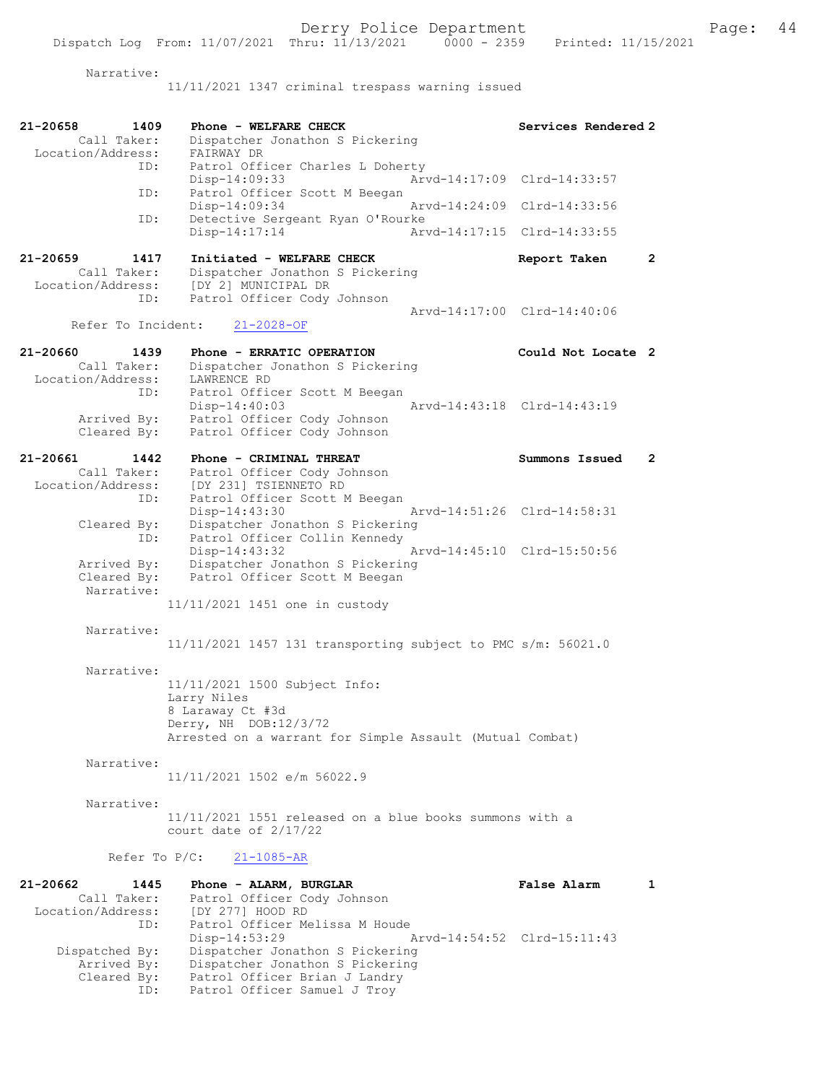Narrative:

11/11/2021 1347 criminal trespass warning issued

| 21-20658<br>1409<br>Call Taker: | Phone - WELFARE CHECK<br>Dispatcher Jonathon S Pickering                          | Services Rendered 2         |              |
|---------------------------------|-----------------------------------------------------------------------------------|-----------------------------|--------------|
| Location/Address:               | FAIRWAY DR                                                                        |                             |              |
| ID:<br>ID:                      | Patrol Officer Charles L Doherty<br>$Disp-14:09:33$                               | Arvd-14:17:09 Clrd-14:33:57 |              |
|                                 | Patrol Officer Scott M Beegan<br>Disp-14:09:34                                    | Arvd-14:24:09 Clrd-14:33:56 |              |
| ID:                             | Detective Sergeant Ryan O'Rourke<br>Disp-14:17:14                                 | Arvd-14:17:15 Clrd-14:33:55 |              |
| 21-20659<br>1417                | Initiated - WELFARE CHECK                                                         | Report Taken                | $\mathbf{2}$ |
| Call Taker:                     | Dispatcher Jonathon S Pickering                                                   |                             |              |
| Location/Address:               | [DY 2] MUNICIPAL DR                                                               |                             |              |
| ID:                             | Patrol Officer Cody Johnson                                                       | Arvd-14:17:00 Clrd-14:40:06 |              |
| Refer To Incident:              | $21 - 2028 - OF$                                                                  |                             |              |
| 21-20660<br>1439                | Phone - ERRATIC OPERATION                                                         | Could Not Locate 2          |              |
| Call Taker:                     | Dispatcher Jonathon S Pickering                                                   |                             |              |
| Location/Address:               | LAWRENCE RD                                                                       |                             |              |
| ID:                             | Patrol Officer Scott M Beegan                                                     |                             |              |
|                                 | $Disp-14:40:03$                                                                   | Arvd-14:43:18 Clrd-14:43:19 |              |
| Arrived By:                     | Patrol Officer Cody Johnson                                                       |                             |              |
| Cleared By:                     | Patrol Officer Cody Johnson                                                       |                             |              |
| 21-20661<br>1442                | Phone - CRIMINAL THREAT                                                           | Summons Issued              | 2            |
| Call Taker:                     | Patrol Officer Cody Johnson                                                       |                             |              |
| Location/Address:               | [DY 231] TSIENNETO RD                                                             |                             |              |
| ID:                             | Patrol Officer Scott M Beegan                                                     |                             |              |
|                                 | Disp-14:43:30                                                                     | Arvd-14:51:26 Clrd-14:58:31 |              |
| Cleared By:<br>ID:              | Dispatcher Jonathon S Pickering<br>Patrol Officer Collin Kennedy                  |                             |              |
|                                 | $Disp-14:43:32$                                                                   | Arvd-14:45:10 Clrd-15:50:56 |              |
| Arrived By:                     | Dispatcher Jonathon S Pickering                                                   |                             |              |
| Cleared By:                     | Patrol Officer Scott M Beegan                                                     |                             |              |
| Narrative:                      |                                                                                   |                             |              |
|                                 | 11/11/2021 1451 one in custody                                                    |                             |              |
| Narrative:                      |                                                                                   |                             |              |
|                                 | $11/11/2021$ 1457 131 transporting subject to PMC s/m: 56021.0                    |                             |              |
|                                 |                                                                                   |                             |              |
| Narrative:                      |                                                                                   |                             |              |
|                                 | 11/11/2021 1500 Subject Info:                                                     |                             |              |
|                                 | Larry Niles                                                                       |                             |              |
|                                 | 8 Laraway Ct #3d                                                                  |                             |              |
|                                 | Derry, NH DOB:12/3/72<br>Arrested on a warrant for Simple Assault (Mutual Combat) |                             |              |
|                                 |                                                                                   |                             |              |
| Narrative:                      |                                                                                   |                             |              |
|                                 | 11/11/2021 1502 e/m 56022.9                                                       |                             |              |
|                                 |                                                                                   |                             |              |
| Narrative:                      | 11/11/2021 1551 released on a blue books summons with a                           |                             |              |
|                                 | court date of $2/17/22$                                                           |                             |              |
|                                 |                                                                                   |                             |              |
|                                 | Refer To $P/C$ :<br>$21 - 1085 - AR$                                              |                             |              |
| 21-20662<br>1445                | Phone - ALARM, BURGLAR                                                            | False Alarm                 | 1            |
| Call Taker:                     | Patrol Officer Cody Johnson                                                       |                             |              |
| Location/Address:               | [DY 277] HOOD RD                                                                  |                             |              |
| ID:                             | Patrol Officer Melissa M Houde                                                    |                             |              |
| Dispatched By:                  | Disp-14:53:29<br>Dispatcher Jonathon S Pickering                                  | Arvd-14:54:52 Clrd-15:11:43 |              |
| Arrived By:                     | Dispatcher Jonathon S Pickering                                                   |                             |              |
| Cleared By:                     | Patrol Officer Brian J Landry                                                     |                             |              |
| ID:                             | Patrol Officer Samuel J Troy                                                      |                             |              |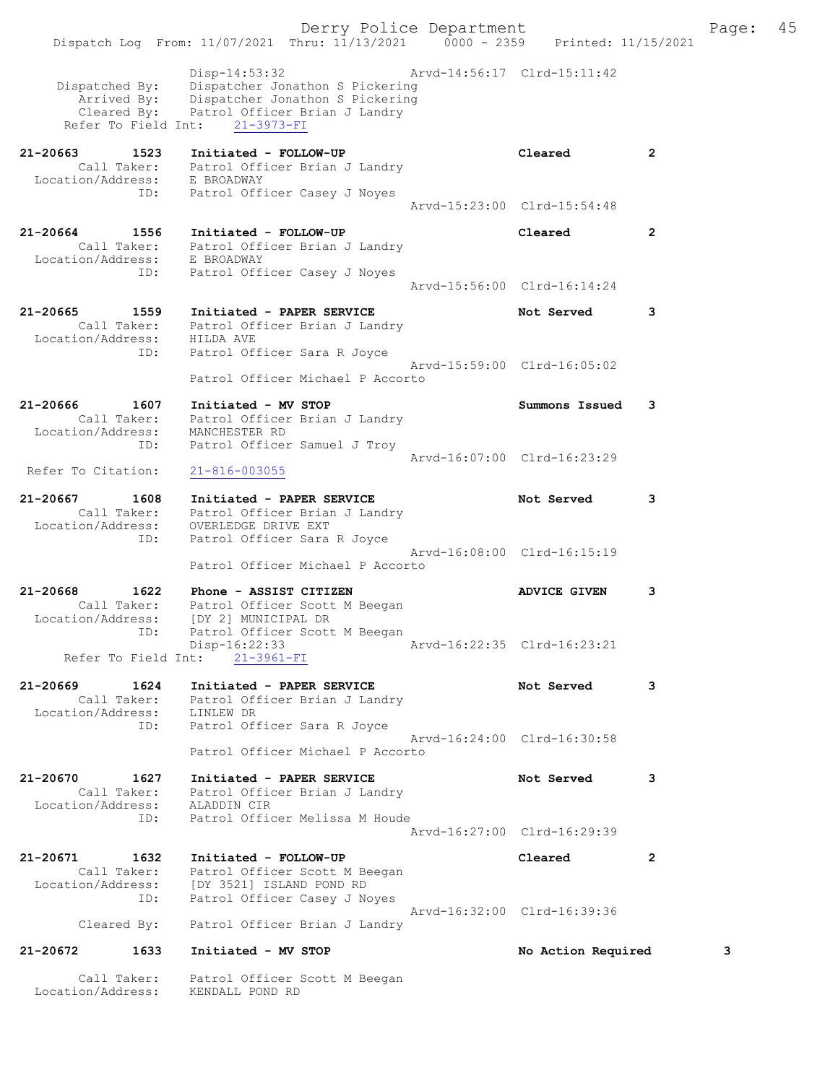|                                                                           | Derry Police Department                                                                                                                                            |                             | Pac            |
|---------------------------------------------------------------------------|--------------------------------------------------------------------------------------------------------------------------------------------------------------------|-----------------------------|----------------|
|                                                                           | Dispatch Log From: 11/07/2021 Thru: 11/13/2021 0000 - 2359 Printed: 11/15/2021                                                                                     |                             |                |
| Dispatched By:<br>Arrived By:                                             | Disp-14:53:32<br>Dispatcher Jonathon S Pickering<br>Dispatcher Jonathon S Pickering<br>Cleared By: Patrol Officer Brian J Landry<br>Refer To Field Int: 21-3973-FI | Arvd-14:56:17 Clrd-15:11:42 |                |
| 21-20663<br>1523<br>Location/Address: E BROADWAY<br>ID:                   | Initiated - FOLLOW-UP<br>Call Taker: Patrol Officer Brian J Landry<br>Patrol Officer Casey J Noyes                                                                 | Cleared                     | $\mathbf{2}$   |
|                                                                           |                                                                                                                                                                    | Arvd-15:23:00 Clrd-15:54:48 |                |
| 21-20664<br>1556<br>Location/Address: E BROADWAY<br>ID: Patrol Off<br>ID: | Initiated - FOLLOW-UP<br>Call Taker: Patrol Officer Brian J Landry<br>Patrol Officer Casey J Noyes                                                                 | Cleared                     | $\mathbf{2}$   |
|                                                                           |                                                                                                                                                                    | Arvd-15:56:00 Clrd-16:14:24 |                |
| 21-20665<br>1559<br>ID:                                                   | Initiated - PAPER SERVICE<br>Call Taker: Patrol Officer Brian J Landry<br>Location/Address: HILDA AVE<br>Patrol Officer Sara R Joyce                               | Not Served                  | 3              |
|                                                                           | Patrol Officer Michael P Accorto                                                                                                                                   | Arvd-15:59:00 Clrd-16:05:02 |                |
| 21-20666<br>1607<br>Call Taker:<br>Location/Address:<br>ID:               | Initiated - MV STOP<br>Patrol Officer Brian J Landry<br>MANCHESTER RD<br>Patrol Officer Samuel J Troy                                                              | Summons Issued              | 3              |
| Refer To Citation:                                                        | $21 - 816 - 003055$                                                                                                                                                | Arvd-16:07:00 Clrd-16:23:29 |                |
| 21-20667<br>1608<br>Call Taker:<br>Location/Address:<br>ID:               | Initiated - PAPER SERVICE<br>Patrol Officer Brian J Landry<br>OVERLEDGE DRIVE EXT<br>Patrol Officer Sara R Joyce                                                   | Not Served                  | 3              |
|                                                                           | Patrol Officer Michael P Accorto                                                                                                                                   | Arvd-16:08:00 Clrd-16:15:19 |                |
| 21-20668<br>1622<br>Call Taker:<br>Location/Address:<br>ID:               | Phone - ASSIST CITIZEN<br>Patrol Officer Scott M Beegan<br>[DY 2] MUNICIPAL DR<br>Patrol Officer Scott M Beegan                                                    | <b>ADVICE GIVEN</b>         | 3              |
|                                                                           | Disp-16:22:33<br>Refer To Field Int: 21-3961-FI                                                                                                                    | Arvd-16:22:35 Clrd-16:23:21 |                |
| 21-20669<br>1624<br>Call Taker:<br>Location/Address: LINLEW DR<br>ID:     | Initiated - PAPER SERVICE<br>Patrol Officer Brian J Landry<br>Patrol Officer Sara R Joyce                                                                          | Not Served                  | 3              |
|                                                                           | Patrol Officer Michael P Accorto                                                                                                                                   | Arvd-16:24:00 Clrd-16:30:58 |                |
| 21-20670<br>1627<br>Call Taker:<br>Location/Address: ALADDIN CIR          | Initiated - PAPER SERVICE<br>Patrol Officer Brian J Landry                                                                                                         | Not Served                  | 3              |
| ID:                                                                       | Patrol Officer Melissa M Houde                                                                                                                                     | Arvd-16:27:00 Clrd-16:29:39 |                |
| 21-20671<br>1632<br>Call Taker:<br>Location/Address:<br>ID:               | Initiated - FOLLOW-UP<br>Patrol Officer Scott M Beegan<br>[DY 3521] ISLAND POND RD<br>Patrol Officer Casey J Noyes                                                 | Cleared                     | $\overline{2}$ |
| Cleared By:                                                               | Patrol Officer Brian J Landry                                                                                                                                      | Arvd-16:32:00 Clrd-16:39:36 |                |
| 21-20672<br>1633                                                          | Initiated - MV STOP                                                                                                                                                | No Action Required          | 3              |
| Call Taker:<br>Location/Address:                                          | Patrol Officer Scott M Beegan<br>KENDALL POND RD                                                                                                                   |                             |                |

Page: 45<br>021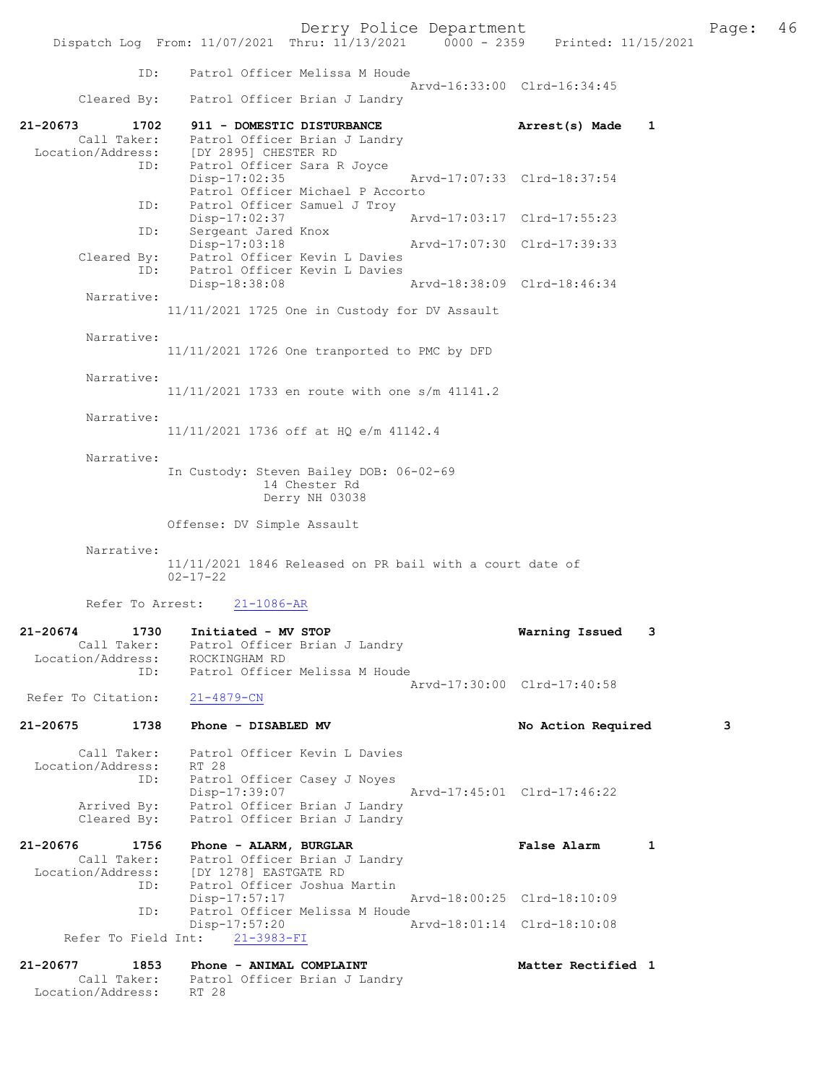|                    |                     | Dispatch Log From: 11/07/2021 Thru: 11/13/2021 0000 - 2359 Printed: 11/15/2021 |                                  |                             |                             |   |
|--------------------|---------------------|--------------------------------------------------------------------------------|----------------------------------|-----------------------------|-----------------------------|---|
|                    | ID:                 |                                                                                | Patrol Officer Melissa M Houde   |                             |                             |   |
|                    |                     | Cleared By: Patrol Officer Brian J Landry                                      |                                  |                             | Arvd-16:33:00 Clrd-16:34:45 |   |
|                    |                     |                                                                                |                                  |                             |                             |   |
| 21-20673           | 1702<br>Call Taker: | 911 - DOMESTIC DISTURBANCE                                                     | Patrol Officer Brian J Landry    |                             | Arrest(s) Made              | 1 |
|                    |                     | Location/Address: [DY 2895] CHESTER RD                                         |                                  |                             |                             |   |
|                    | ID:                 | Patrol Officer Sara R Joyce                                                    |                                  |                             |                             |   |
|                    |                     | Disp-17:02:35                                                                  | Patrol Officer Michael P Accorto |                             | Arvd-17:07:33 Clrd-18:37:54 |   |
|                    | ID:                 |                                                                                | Patrol Officer Samuel J Troy     |                             |                             |   |
|                    | ID:                 | Disp-17:02:37<br>Sergeant Jared Knox                                           |                                  |                             | Arvd-17:03:17 Clrd-17:55:23 |   |
|                    |                     | Disp-17:03:18                                                                  |                                  | Arvd-17:07:30 Clrd-17:39:33 |                             |   |
|                    |                     | Cleared By: Patrol Officer Kevin L Davies                                      |                                  |                             |                             |   |
|                    | ID:                 | Disp-18:38:08                                                                  | Patrol Officer Kevin L Davies    |                             | Arvd-18:38:09 Clrd-18:46:34 |   |
|                    | Narrative:          |                                                                                |                                  |                             |                             |   |
|                    |                     | 11/11/2021 1725 One in Custody for DV Assault                                  |                                  |                             |                             |   |
|                    | Narrative:          |                                                                                |                                  |                             |                             |   |
|                    |                     | 11/11/2021 1726 One tranported to PMC by DFD                                   |                                  |                             |                             |   |
|                    | Narrative:          |                                                                                |                                  |                             |                             |   |
|                    |                     | 11/11/2021 1733 en route with one s/m 41141.2                                  |                                  |                             |                             |   |
|                    | Narrative:          |                                                                                |                                  |                             |                             |   |
|                    |                     | 11/11/2021 1736 off at HO e/m 41142.4                                          |                                  |                             |                             |   |
|                    | Narrative:          |                                                                                |                                  |                             |                             |   |
|                    |                     | In Custody: Steven Bailey DOB: 06-02-69                                        |                                  |                             |                             |   |
|                    |                     |                                                                                | 14 Chester Rd                    |                             |                             |   |
|                    |                     |                                                                                | Derry NH 03038                   |                             |                             |   |
|                    |                     | Offense: DV Simple Assault                                                     |                                  |                             |                             |   |
|                    | Narrative:          |                                                                                |                                  |                             |                             |   |
|                    |                     | 11/11/2021 1846 Released on PR bail with a court date of                       |                                  |                             |                             |   |
|                    |                     | $02 - 17 - 22$                                                                 |                                  |                             |                             |   |
|                    | Refer To Arrest:    | $21 - 1086 - AR$                                                               |                                  |                             |                             |   |
| 21-20674           | 1730                | Initiated - MV STOP                                                            |                                  |                             | Warning Issued              | 3 |
|                    | Call Taker:         |                                                                                | Patrol Officer Brian J Landry    |                             |                             |   |
| Location/Address:  | ID:                 | ROCKINGHAM RD                                                                  | Patrol Officer Melissa M Houde   |                             |                             |   |
|                    |                     |                                                                                |                                  |                             | Arvd-17:30:00 Clrd-17:40:58 |   |
| Refer To Citation: |                     | $21 - 4879 - CN$                                                               |                                  |                             |                             |   |
| 21-20675           | 1738                | Phone - DISABLED MV                                                            |                                  |                             | No Action Required          | 3 |
|                    | Call Taker:         |                                                                                | Patrol Officer Kevin L Davies    |                             |                             |   |
| Location/Address:  |                     | RT 28                                                                          |                                  |                             |                             |   |
|                    | ID:                 | Patrol Officer Casey J Noyes                                                   |                                  |                             | Arvd-17:45:01 Clrd-17:46:22 |   |
|                    |                     | Disp-17:39:07<br>Arrived By: Patrol Officer Brian J Landry                     |                                  |                             |                             |   |
|                    | Cleared By:         |                                                                                | Patrol Officer Brian J Landry    |                             |                             |   |
| 21-20676           | 1756                | Phone - ALARM, BURGLAR                                                         |                                  |                             | <b>False Alarm</b>          | 1 |
|                    |                     | Call Taker: Patrol Officer Brian J Landry                                      |                                  |                             |                             |   |
|                    | ID:                 | Location/Address: [DY 1278] EASTGATE RD<br>Patrol Officer Joshua Martin        |                                  |                             |                             |   |
|                    |                     | Disp-17:57:17                                                                  |                                  |                             | Arvd-18:00:25 Clrd-18:10:09 |   |
|                    | ID:                 | Disp-17:57:20                                                                  | Patrol Officer Melissa M Houde   | Arvd-18:01:14 Clrd-18:10:08 |                             |   |
|                    |                     | Refer To Field Int: 21-3983-FI                                                 |                                  |                             |                             |   |
| 21-20677           | 1853                | Phone - ANIMAL COMPLAINT                                                       |                                  |                             | Matter Rectified 1          |   |
|                    | Call Taker:         |                                                                                | Patrol Officer Brian J Landry    |                             |                             |   |
| Location/Address:  |                     | RT 28                                                                          |                                  |                             |                             |   |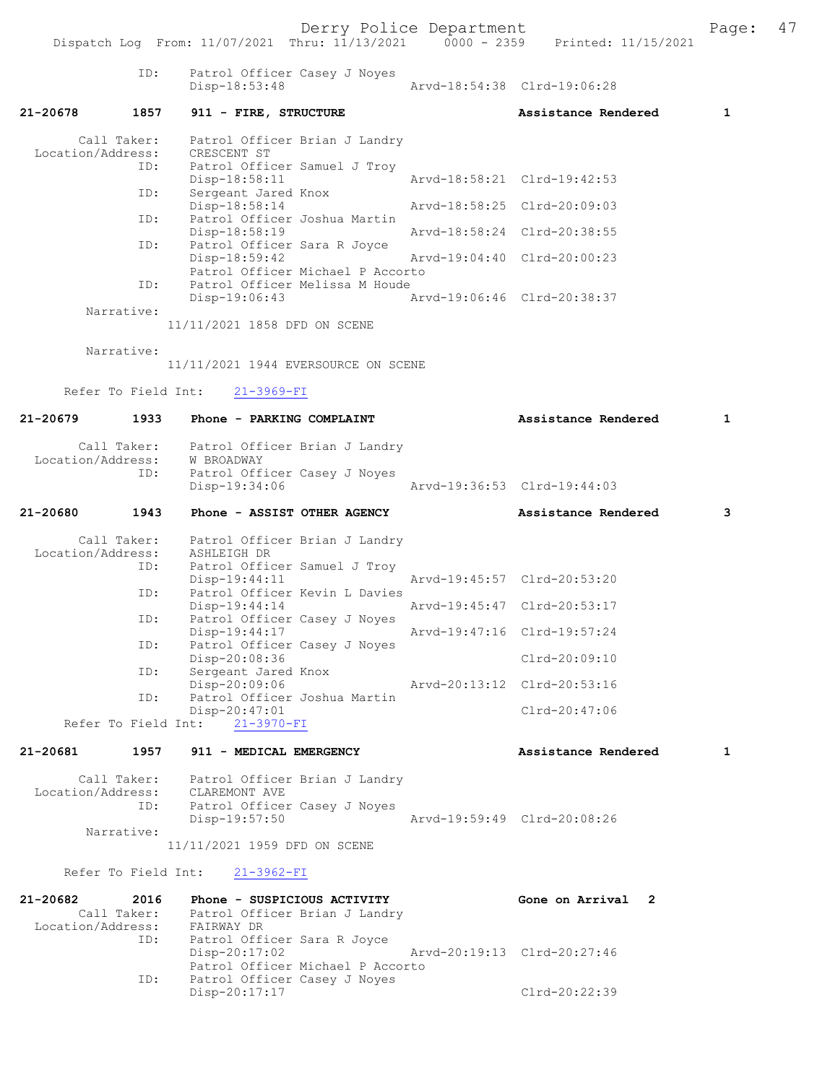|                   |                     | Dispatch Log From: 11/07/2021 Thru: 11/13/2021 0000 - 2359                       | Printed: 11/15/2021         |              |
|-------------------|---------------------|----------------------------------------------------------------------------------|-----------------------------|--------------|
|                   | ID:                 | Patrol Officer Casey J Noyes<br>$Disp-18:53:48$                                  | Arvd-18:54:38 Clrd-19:06:28 |              |
| 21-20678          | 1857                | 911 - FIRE, STRUCTURE                                                            | Assistance Rendered         | $\mathbf{1}$ |
| Location/Address: | Call Taker:         | Patrol Officer Brian J Landry<br>CRESCENT ST                                     |                             |              |
|                   | ID:<br>ID:          | Patrol Officer Samuel J Troy<br>Disp-18:58:11<br>Sergeant Jared Knox             | Arvd-18:58:21 Clrd-19:42:53 |              |
|                   |                     | Disp-18:58:14                                                                    | Arvd-18:58:25 Clrd-20:09:03 |              |
|                   | ID:                 | Patrol Officer Joshua Martin<br>Disp-18:58:19                                    | Arvd-18:58:24 Clrd-20:38:55 |              |
|                   | ID:                 | Patrol Officer Sara R Joyce<br>Disp-18:59:42<br>Patrol Officer Michael P Accorto | Arvd-19:04:40 Clrd-20:00:23 |              |
|                   | ID:                 | Patrol Officer Melissa M Houde<br>$Disp-19:06:43$                                | Arvd-19:06:46 Clrd-20:38:37 |              |
|                   | Narrative:          | 11/11/2021 1858 DFD ON SCENE                                                     |                             |              |
|                   |                     |                                                                                  |                             |              |
|                   | Narrative:          | 11/11/2021 1944 EVERSOURCE ON SCENE                                              |                             |              |
|                   | Refer To Field Int: | $21 - 3969 - FI$                                                                 |                             |              |
| 21-20679          | 1933                | Phone - PARKING COMPLAINT                                                        | Assistance Rendered         | $\mathbf{1}$ |
|                   |                     | Call Taker: Patrol Officer Brian J Landry                                        |                             |              |
| Location/Address: | ID:                 | W BROADWAY<br>Patrol Officer Casey J Noyes                                       |                             |              |
|                   |                     | Disp-19:34:06                                                                    | Arvd-19:36:53 Clrd-19:44:03 |              |
| 21-20680          | 1943                | Phone - ASSIST OTHER AGENCY                                                      | Assistance Rendered         | 3            |
|                   | Call Taker:         | Patrol Officer Brian J Landry                                                    |                             |              |
| Location/Address: | ID:                 | ASHLEIGH DR<br>Patrol Officer Samuel J Troy                                      |                             |              |
|                   | ID:                 | Disp-19:44:11<br>Patrol Officer Kevin L Davies                                   | Arvd-19:45:57 Clrd-20:53:20 |              |
|                   | ID:                 | Disp-19:44:14<br>Patrol Officer Casey J Noyes                                    | Arvd-19:45:47 Clrd-20:53:17 |              |
|                   |                     | $Disp-19:44:17$                                                                  | Arvd-19:47:16 Clrd-19:57:24 |              |
|                   | ID:                 | Patrol Officer Casey J Noyes<br>Disp-20:08:36                                    | $Clrd-20:09:10$             |              |
|                   | ID:                 | Sergeant Jared Knox<br>Disp-20:09:06                                             | Arvd-20:13:12 Clrd-20:53:16 |              |
|                   | ID:                 | Patrol Officer Joshua Martin<br>Disp-20:47:01                                    | $Clrd-20:47:06$             |              |
|                   | Refer To Field Int: | $21 - 3970 - FI$                                                                 |                             |              |
| 21-20681          | 1957                | 911 - MEDICAL EMERGENCY                                                          | Assistance Rendered         | $\mathbf{1}$ |
|                   | Call Taker:         | Patrol Officer Brian J Landry                                                    |                             |              |
| Location/Address: | ID:                 | CLAREMONT AVE<br>Patrol Officer Casey J Noyes                                    |                             |              |
|                   | Narrative:          | Disp-19:57:50                                                                    | Aryd-19:59:49 Clrd-20:08:26 |              |
|                   |                     | 11/11/2021 1959 DFD ON SCENE                                                     |                             |              |
|                   | Refer To Field Int: | $21 - 3962 - FI$                                                                 |                             |              |
| 21-20682          | 2016                | Phone - SUSPICIOUS ACTIVITY                                                      | Gone on Arrival 2           |              |
| Location/Address: | Call Taker:         | Patrol Officer Brian J Landry<br>FAIRWAY DR                                      |                             |              |
|                   | ID:                 | Patrol Officer Sara R Joyce<br>Disp-20:17:02                                     | Arvd-20:19:13 Clrd-20:27:46 |              |
|                   |                     | Patrol Officer Michael P Accorto                                                 |                             |              |
|                   | ID:                 | Patrol Officer Casey J Noyes<br>Disp-20:17:17                                    | Clrd-20:22:39               |              |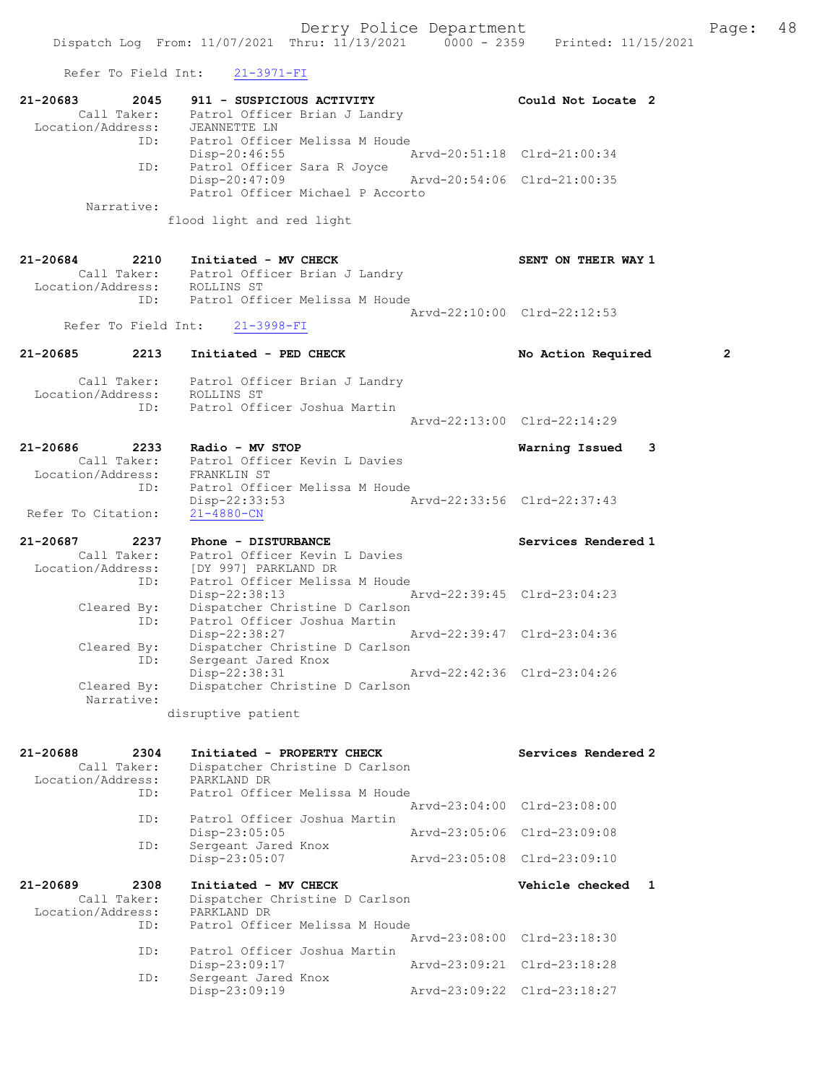Refer To Field Int: 21-3971-FI

| 21-20683<br>2045<br>Call Taker:<br>Location/Address:<br>ID:<br>ID:<br>Narrative: | 911 - SUSPICIOUS ACTIVITY<br>Patrol Officer Brian J Landry<br>JEANNETTE LN<br>Patrol Officer Melissa M Houde<br>Disp-20:46:55<br>Patrol Officer Sara R Joyce<br>Disp-20:47:09<br>Patrol Officer Michael P Accorto<br>flood light and red light | Could Not Locate 2<br>Arvd-20:51:18 Clrd-21:00:34<br>Arvd-20:54:06 Clrd-21:00:35 |                |
|----------------------------------------------------------------------------------|------------------------------------------------------------------------------------------------------------------------------------------------------------------------------------------------------------------------------------------------|----------------------------------------------------------------------------------|----------------|
| 21-20684<br>2210<br>ID:                                                          | Initiated - MV CHECK<br>Call Taker: Patrol Officer Brian J Landry<br>Location/Address: ROLLINS ST<br>Patrol Officer Melissa M Houde                                                                                                            | SENT ON THEIR WAY 1                                                              |                |
| Refer To Field Int:                                                              | $21 - 3998 - FI$                                                                                                                                                                                                                               | Arvd-22:10:00 Clrd-22:12:53                                                      |                |
| 21-20685<br>2213                                                                 | Initiated - PED CHECK                                                                                                                                                                                                                          | No Action Required                                                               | $\overline{2}$ |
|                                                                                  | Call Taker: Patrol Officer Brian J Landry<br>Location/Address: ROLLINS ST                                                                                                                                                                      |                                                                                  |                |
| ID:                                                                              | Patrol Officer Joshua Martin                                                                                                                                                                                                                   | Arvd-22:13:00 Clrd-22:14:29                                                      |                |
| $21 - 20686$<br>2233                                                             | Radio - MV STOP                                                                                                                                                                                                                                | Warning Issued<br>3                                                              |                |
| Call Taker:<br>Location/Address:<br>ID:<br>Refer To Citation:                    | Patrol Officer Kevin L Davies<br>FRANKLIN ST<br>Patrol Officer Melissa M Houde<br>Arvd-22:33:56 Clrd-22:37:43<br>Disp-22:33:53<br>$21 - 4880 - CN$                                                                                             |                                                                                  |                |
| 21-20687<br>2237                                                                 | Phone - DISTURBANCE                                                                                                                                                                                                                            | Services Rendered 1                                                              |                |
| Call Taker:<br>Location/Address:<br>ID:<br>Cleared By:                           | Patrol Officer Kevin L Davies<br>[DY 997] PARKLAND DR<br>Patrol Officer Melissa M Houde<br>Disp-22:38:13<br>Dispatcher Christine D Carlson                                                                                                     | Arvd-22:39:45 Clrd-23:04:23                                                      |                |
| ID:<br>Cleared By:<br>ID:                                                        | Patrol Officer Joshua Martin<br>Disp-22:38:27<br>Dispatcher Christine D Carlson<br>Sergeant Jared Knox                                                                                                                                         | Arvd-22:39:47 Clrd-23:04:36                                                      |                |
| Cleared By:<br>Narrative:                                                        | Disp-22:38:31<br>Dispatcher Christine D Carlson                                                                                                                                                                                                | Arvd-22:42:36 Clrd-23:04:26                                                      |                |
|                                                                                  | disruptive patient                                                                                                                                                                                                                             |                                                                                  |                |
| 21-20688<br>2304<br>Call Taker:<br>Location/Address:                             | Initiated - PROPERTY CHECK<br>Dispatcher Christine D Carlson<br>PARKLAND DR                                                                                                                                                                    | Services Rendered 2                                                              |                |
| ID:                                                                              | Patrol Officer Melissa M Houde                                                                                                                                                                                                                 | Arvd-23:04:00 Clrd-23:08:00                                                      |                |
| ID:                                                                              | Patrol Officer Joshua Martin<br>Disp-23:05:05                                                                                                                                                                                                  | Arvd-23:05:06 Clrd-23:09:08                                                      |                |
| ID:                                                                              | Sergeant Jared Knox<br>Disp-23:05:07                                                                                                                                                                                                           | Aryd-23:05:08 Clrd-23:09:10                                                      |                |
| 21-20689<br>2308<br>Call Taker:<br>Location/Address:<br>ID:                      | Initiated - MV CHECK<br>Dispatcher Christine D Carlson<br>PARKLAND DR<br>Patrol Officer Melissa M Houde                                                                                                                                        | Vehicle checked 1                                                                |                |
| ID:                                                                              | Patrol Officer Joshua Martin                                                                                                                                                                                                                   | Arvd-23:08:00 Clrd-23:18:30                                                      |                |
| ID:                                                                              | Disp-23:09:17<br>Sergeant Jared Knox                                                                                                                                                                                                           | Arvd-23:09:21 Clrd-23:18:28                                                      |                |
|                                                                                  | Disp-23:09:19                                                                                                                                                                                                                                  | Arvd-23:09:22 Clrd-23:18:27                                                      |                |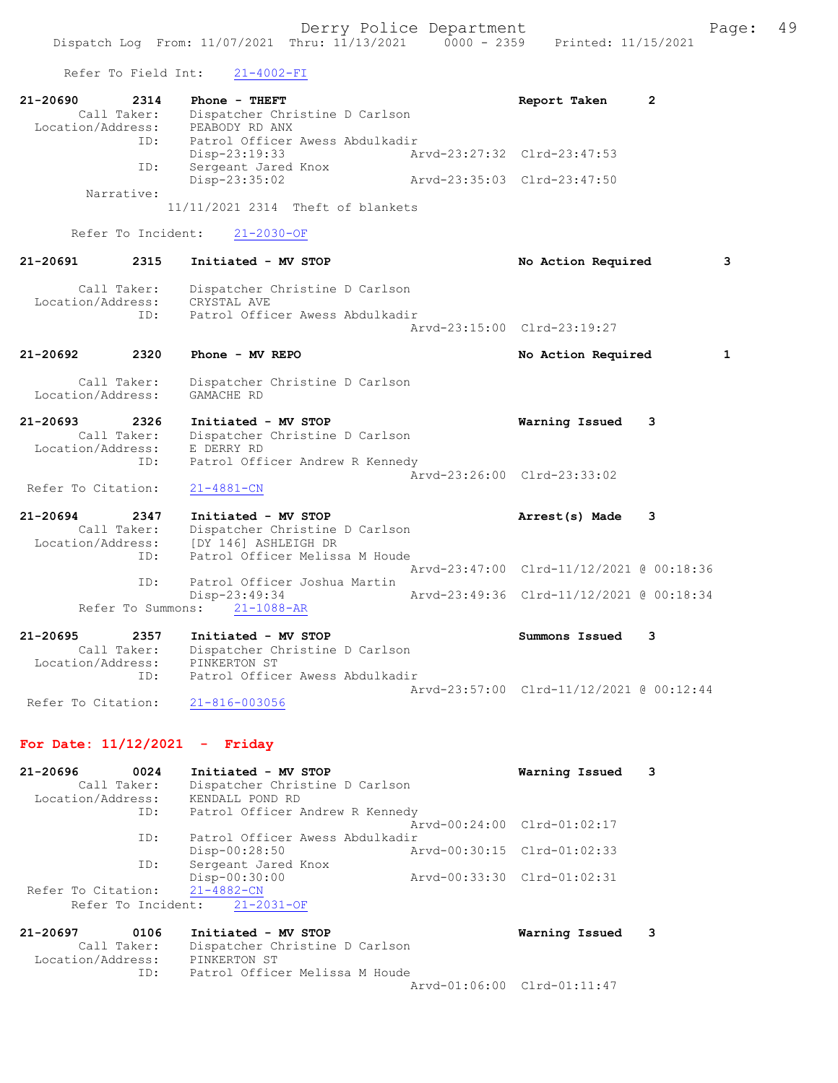|                               | Refer To Field Int: | $21 - 4002 - FI$                                                                         |                             |                                          |   |   |
|-------------------------------|---------------------|------------------------------------------------------------------------------------------|-----------------------------|------------------------------------------|---|---|
| 21-20690<br>Location/Address: | 2314<br>Call Taker: | Phone - THEFT<br>Dispatcher Christine D Carlson<br>PEABODY RD ANX                        |                             | Report Taken                             | 2 |   |
|                               | ID:                 | Patrol Officer Awess Abdulkadir<br>Disp-23:19:33                                         |                             | Arvd-23:27:32 Clrd-23:47:53              |   |   |
|                               | ID:                 | Sergeant Jared Knox                                                                      |                             |                                          |   |   |
|                               | Narrative:          | Disp-23:35:02                                                                            | Arvd-23:35:03 Clrd-23:47:50 |                                          |   |   |
|                               |                     | 11/11/2021 2314 Theft of blankets                                                        |                             |                                          |   |   |
|                               | Refer To Incident:  | $21 - 2030 - OF$                                                                         |                             |                                          |   |   |
| 21-20691                      | 2315                | Initiated - MV STOP                                                                      |                             | No Action Required                       |   | 3 |
| Location/Address:             | Call Taker:         | Dispatcher Christine D Carlson<br>CRYSTAL AVE                                            |                             |                                          |   |   |
|                               | ID:                 | Patrol Officer Awess Abdulkadir                                                          |                             |                                          |   |   |
|                               |                     |                                                                                          |                             | Arvd-23:15:00 Clrd-23:19:27              |   |   |
| 21-20692                      | 2320                | Phone - MV REPO                                                                          |                             | No Action Required                       |   | 1 |
| Location/Address:             | Call Taker:         | Dispatcher Christine D Carlson<br>GAMACHE RD                                             |                             |                                          |   |   |
| 21-20693<br>Location/Address: | 2326<br>Call Taker: | Initiated - MV STOP<br>Dispatcher Christine D Carlson<br>E DERRY RD                      |                             | Warning Issued                           | 3 |   |
|                               | ID:                 | Patrol Officer Andrew R Kennedy                                                          |                             | Arvd-23:26:00 Clrd-23:33:02              |   |   |
| Refer To Citation:            |                     | $21 - 4881 - CN$                                                                         |                             |                                          |   |   |
| 21-20694                      | 2347                | Initiated - MV STOP                                                                      |                             | Arrest(s) Made                           | 3 |   |
| Location/Address:             | Call Taker:<br>ID:  | Dispatcher Christine D Carlson<br>[DY 146] ASHLEIGH DR<br>Patrol Officer Melissa M Houde |                             |                                          |   |   |
|                               | ID:                 | Patrol Officer Joshua Martin                                                             |                             | Arvd-23:47:00 Clrd-11/12/2021 @ 00:18:36 |   |   |
|                               | Refer To Summons:   | Disp-23:49:34<br>$21 - 1088 - AR$                                                        |                             | Arvd-23:49:36 Clrd-11/12/2021 @ 00:18:34 |   |   |
| 21-20695                      | 2357                | Initiated - MV STOP                                                                      |                             | Summons Issued                           | 3 |   |
| Location/Address:             | Call Taker:<br>ID:  | Dispatcher Christine D Carlson<br>PINKERTON ST<br>Patrol Officer Awess Abdulkadir        |                             |                                          |   |   |
| Refer To Citation:            |                     | $21 - 816 - 003056$                                                                      |                             | Arvd-23:57:00 Clrd-11/12/2021 @ 00:12:44 |   |   |
|                               |                     |                                                                                          |                             |                                          |   |   |
|                               |                     | For Date: $11/12/2021$ - Friday                                                          |                             |                                          |   |   |
| 21-20696<br>Location/Address: | 0024<br>Call Taker: | Initiated - MV STOP<br>Dispatcher Christine D Carlson<br>KENDALL POND RD                 |                             | Warning Issued                           | 3 |   |
|                               | ID:                 | Patrol Officer Andrew R Kennedy                                                          |                             | Arvd-00:24:00 Clrd-01:02:17              |   |   |
|                               | ID:                 | Patrol Officer Awess Abdulkadir<br>Disp-00:28:50                                         |                             | Arvd-00:30:15 Clrd-01:02:33              |   |   |
|                               | ID:                 | Sergeant Jared Knox                                                                      |                             | Arvd-00:33:30 Clrd-01:02:31              |   |   |
| Refer To Citation:            | Refer To Incident:  | Disp-00:30:00<br>$21 - 4882 - CN$<br>$21 - 2031 - OF$                                    |                             |                                          |   |   |
| 21-20697                      | 0106                | Initiated - MV STOP                                                                      |                             | Warning Issued                           | 3 |   |
| Location/Address:             | Call Taker:         | Dispatcher Christine D Carlson<br>PINKERTON ST                                           |                             |                                          |   |   |
|                               | ID:                 | Patrol Officer Melissa M Houde                                                           |                             | Arvd-01:06:00 Clrd-01:11:47              |   |   |
|                               |                     |                                                                                          |                             |                                          |   |   |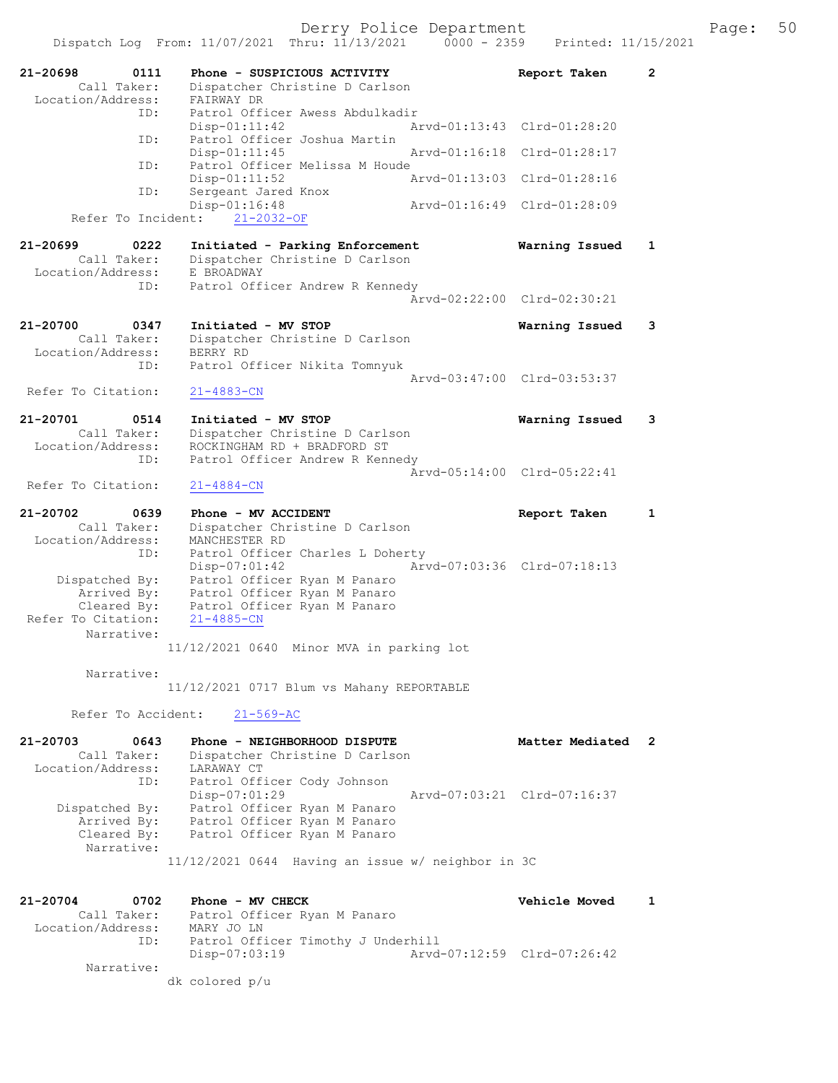Derry Police Department Fage: 50

|                                                             | Dispatch Log From: 11/07/2021 Thru: 11/13/2021                                                     | $0000 - 2359$ | Printed: 11/15/2021         |                |
|-------------------------------------------------------------|----------------------------------------------------------------------------------------------------|---------------|-----------------------------|----------------|
| 21-20698<br>0111<br>Call Taker:<br>Location/Address:        | Phone - SUSPICIOUS ACTIVITY<br>Dispatcher Christine D Carlson<br>FAIRWAY DR                        |               | Report Taken                | $\overline{2}$ |
| ID:                                                         | Patrol Officer Awess Abdulkadir                                                                    |               |                             |                |
|                                                             | $Disp-01:11:42$                                                                                    |               | Arvd-01:13:43 Clrd-01:28:20 |                |
| ID:                                                         | Patrol Officer Joshua Martin<br>Disp-01:11:45                                                      |               | Arvd-01:16:18 Clrd-01:28:17 |                |
| ID:                                                         | Patrol Officer Melissa M Houde<br>$Disp-01:11:52$                                                  |               | Arvd-01:13:03 Clrd-01:28:16 |                |
| ID:                                                         | Sergeant Jared Knox<br>$Disp-01:16:48$                                                             |               | Arvd-01:16:49 Clrd-01:28:09 |                |
| Refer To Incident:                                          | $21 - 2032 - OF$                                                                                   |               |                             |                |
| 21-20699<br>0222<br>Call Taker:<br>Location/Address:        | Initiated - Parking Enforcement<br>Dispatcher Christine D Carlson<br>E BROADWAY                    |               | Warning Issued              | 1              |
| ID:                                                         | Patrol Officer Andrew R Kennedy                                                                    |               |                             |                |
|                                                             |                                                                                                    |               | Arvd-02:22:00 Clrd-02:30:21 |                |
| 21-20700<br>0347<br>Call Taker:<br>Location/Address:<br>ID: | Initiated - MV STOP<br>Dispatcher Christine D Carlson<br>BERRY RD<br>Patrol Officer Nikita Tomnyuk |               | Warning Issued              | 3              |
|                                                             |                                                                                                    |               | Arvd-03:47:00 Clrd-03:53:37 |                |
| Refer To Citation:                                          | $21 - 4883 - CN$                                                                                   |               |                             |                |
| 21-20701<br>0514<br>Call Taker:<br>Location/Address:        | Initiated - MV STOP<br>Dispatcher Christine D Carlson<br>ROCKINGHAM RD + BRADFORD ST               |               | Warning Issued              | 3              |
| ID:                                                         | Patrol Officer Andrew R Kennedy                                                                    |               | Arvd-05:14:00 Clrd-05:22:41 |                |
| Refer To Citation:                                          | $21 - 4884 - CN$                                                                                   |               |                             |                |
| 21-20702<br>0639<br>Call Taker:<br>Location/Address:        | Phone - MV ACCIDENT<br>Dispatcher Christine D Carlson<br>MANCHESTER RD                             |               | Report Taken                | 1              |
| ID:<br>Dispatched By:                                       | Patrol Officer Charles L Doherty<br>$Disp-07:01:42$<br>Patrol Officer Ryan M Panaro                |               | Arvd-07:03:36 Clrd-07:18:13 |                |
| Arrived By:<br>Cleared By:<br>Refer To Citation:            | Patrol Officer Ryan M Panaro<br>Patrol Officer Ryan M Panaro<br>$21 - 4885 - CN$                   |               |                             |                |
| Narrative:                                                  | 11/12/2021 0640 Minor MVA in parking lot                                                           |               |                             |                |
| Narrative:                                                  |                                                                                                    |               |                             |                |
|                                                             | 11/12/2021 0717 Blum vs Mahany REPORTABLE                                                          |               |                             |                |
| Refer To Accident:                                          | $21 - 569 - AC$                                                                                    |               |                             |                |
| 21-20703<br>0643<br>Call Taker:<br>Location/Address:        | Phone - NEIGHBORHOOD DISPUTE<br>Dispatcher Christine D Carlson<br>LARAWAY CT                       |               | Matter Mediated             | 2              |
| ID:<br>Dispatched By:                                       | Patrol Officer Cody Johnson<br>$Disp-07:01:29$<br>Patrol Officer Ryan M Panaro                     |               | Arvd-07:03:21 Clrd-07:16:37 |                |
| Arrived By:<br>Cleared By:<br>Narrative:                    | Patrol Officer Ryan M Panaro<br>Patrol Officer Ryan M Panaro                                       |               |                             |                |
|                                                             | $11/12/2021$ 0644 Having an issue w/ neighbor in 3C                                                |               |                             |                |
| 21-20704<br>0702                                            | Phone - MV CHECK                                                                                   |               | <b>Vehicle Moved</b>        | 1              |
| Call Taker:<br>Location/Address:<br>ID:                     | Patrol Officer Ryan M Panaro<br>MARY JO LN<br>Patrol Officer Timothy J Underhill                   |               |                             |                |
| Narrative:                                                  | $Disp-07:03:19$                                                                                    |               | Arvd-07:12:59 Clrd-07:26:42 |                |
|                                                             | dk colored p/u                                                                                     |               |                             |                |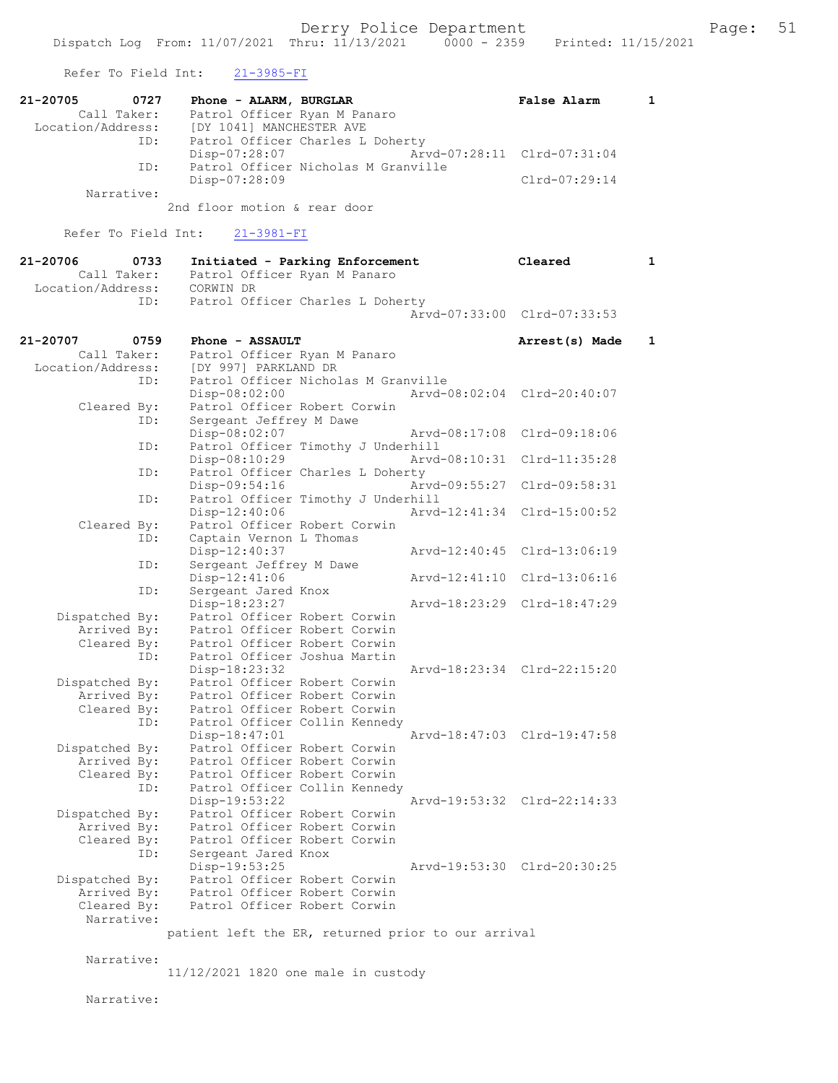Refer To Field Int: 21-3985-FI

| 0727<br>21-20705<br>Call Taker:<br>Location/Address: | Phone - ALARM, BURGLAR<br>Patrol Officer Ryan M Panaro<br>[DY 1041] MANCHESTER AVE       | False Alarm                 | $\mathbf{1}$ |
|------------------------------------------------------|------------------------------------------------------------------------------------------|-----------------------------|--------------|
| ID:<br>ID:                                           | Patrol Officer Charles L Doherty<br>Disp-07:28:07<br>Patrol Officer Nicholas M Granville | Arvd-07:28:11 Clrd-07:31:04 |              |
| Narrative:                                           | Disp-07:28:09                                                                            | Clrd-07:29:14               |              |
|                                                      | 2nd floor motion & rear door                                                             |                             |              |
| Refer To Field Int:                                  | $21 - 3981 - FI$                                                                         |                             |              |
| 21-20706<br>0733<br>Call Taker:                      | Initiated - Parking Enforcement<br>Patrol Officer Ryan M Panaro                          | Cleared                     | $\mathbf{1}$ |
| Location/Address:                                    | CORWIN DR                                                                                |                             |              |
| ID:                                                  | Patrol Officer Charles L Doherty                                                         | Arvd-07:33:00 Clrd-07:33:53 |              |
| 21-20707<br>0759                                     | Phone - ASSAULT                                                                          | Arrest(s) Made              | 1            |
| Call Taker:                                          | Patrol Officer Ryan M Panaro                                                             |                             |              |
| Location/Address:                                    | [DY 997] PARKLAND DR                                                                     |                             |              |
| ID:                                                  | Patrol Officer Nicholas M Granville<br>Disp-08:02:00                                     | Arvd-08:02:04 Clrd-20:40:07 |              |
| Cleared By:                                          | Patrol Officer Robert Corwin                                                             |                             |              |
| ID:                                                  | Sergeant Jeffrey M Dawe                                                                  |                             |              |
|                                                      | Disp-08:02:07                                                                            | Arvd-08:17:08 Clrd-09:18:06 |              |
| ID:<br>ID:                                           | Patrol Officer Timothy J Underhill<br>Disp-08:10:29<br>Patrol Officer Charles L Doherty  | Arvd-08:10:31 Clrd-11:35:28 |              |
|                                                      | Disp-09:54:16<br>Arvd-09:55:27                                                           | Clrd-09:58:31               |              |
| ID:                                                  | Patrol Officer Timothy J Underhill<br>Disp-12:40:06<br>Arvd-12:41:34                     | $Clrd-15:00:52$             |              |
| Cleared By:                                          | Patrol Officer Robert Corwin                                                             |                             |              |
| ID:                                                  | Captain Vernon L Thomas                                                                  |                             |              |
| ID:                                                  | Disp-12:40:37<br>Sergeant Jeffrey M Dawe                                                 | Arvd-12:40:45 Clrd-13:06:19 |              |
|                                                      | Disp-12:41:06<br>Arvd-12:41:10                                                           | Clrd-13:06:16               |              |
| ID:                                                  | Sergeant Jared Knox                                                                      |                             |              |
|                                                      | Disp-18:23:27                                                                            | Arvd-18:23:29 Clrd-18:47:29 |              |
| Dispatched By:<br>Arrived By:                        | Patrol Officer Robert Corwin<br>Patrol Officer Robert Corwin                             |                             |              |
| Cleared By:                                          | Patrol Officer Robert Corwin                                                             |                             |              |
| ID:                                                  | Patrol Officer Joshua Martin                                                             |                             |              |
|                                                      | Disp-18:23:32                                                                            | Arvd-18:23:34 Clrd-22:15:20 |              |
| Dispatched By:                                       | Patrol Officer Robert Corwin                                                             |                             |              |
| Arrived By:<br>Cleared By:                           | Patrol Officer Robert Corwin<br>Patrol Officer Robert Corwin                             |                             |              |
| ID:                                                  | Patrol Officer Collin Kennedy                                                            |                             |              |
|                                                      | $Disp-18:47:01$                                                                          | Arvd-18:47:03 Clrd-19:47:58 |              |
| Dispatched By:                                       | Patrol Officer Robert Corwin                                                             |                             |              |
| Arrived By:                                          | Patrol Officer Robert Corwin                                                             |                             |              |
| Cleared By:<br>ID:                                   | Patrol Officer Robert Corwin<br>Patrol Officer Collin Kennedy                            |                             |              |
|                                                      | $Disp-19:53:22$                                                                          | Arvd-19:53:32 Clrd-22:14:33 |              |
| Dispatched By:                                       | Patrol Officer Robert Corwin                                                             |                             |              |
| Arrived By:                                          | Patrol Officer Robert Corwin                                                             |                             |              |
| Cleared By:                                          | Patrol Officer Robert Corwin                                                             |                             |              |
| ID:                                                  | Sergeant Jared Knox<br>Disp-19:53:25                                                     | Arvd-19:53:30 Clrd-20:30:25 |              |
| Dispatched By:                                       | Patrol Officer Robert Corwin                                                             |                             |              |
| Arrived By:<br>Cleared By:                           | Patrol Officer Robert Corwin<br>Patrol Officer Robert Corwin                             |                             |              |
| Narrative:                                           |                                                                                          |                             |              |
|                                                      | patient left the ER, returned prior to our arrival                                       |                             |              |
| Narrative:                                           | 11/12/2021 1820 one male in custody                                                      |                             |              |

Narrative: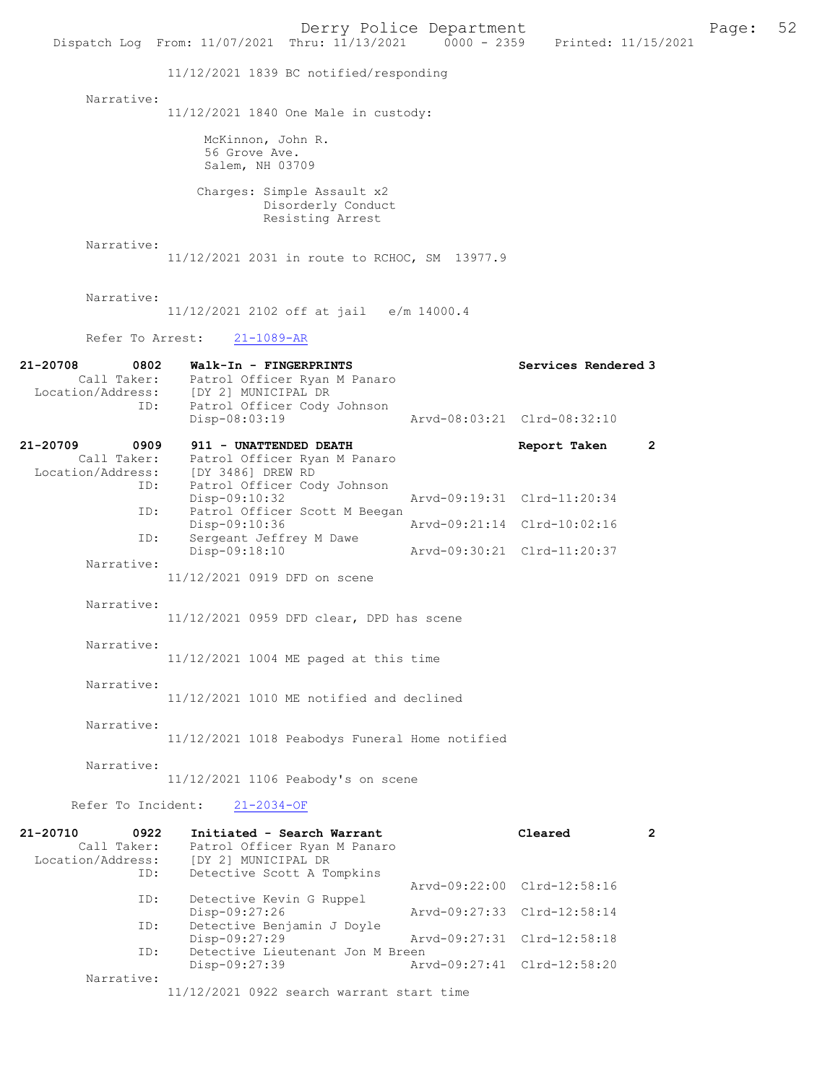|                                                      | Derry Police Department<br>Dispatch Log From: 11/07/2021 Thru: 11/13/2021 0000 - 2359 Printed: 11/15/2021                                  |                             |                | Page: | 52 |
|------------------------------------------------------|--------------------------------------------------------------------------------------------------------------------------------------------|-----------------------------|----------------|-------|----|
|                                                      | 11/12/2021 1839 BC notified/responding                                                                                                     |                             |                |       |    |
| Narrative:                                           | 11/12/2021 1840 One Male in custody:                                                                                                       |                             |                |       |    |
|                                                      | McKinnon, John R.<br>56 Grove Ave.<br>Salem, NH 03709                                                                                      |                             |                |       |    |
|                                                      | Charges: Simple Assault x2<br>Disorderly Conduct<br>Resisting Arrest                                                                       |                             |                |       |    |
| Narrative:                                           | 11/12/2021 2031 in route to RCHOC, SM 13977.9                                                                                              |                             |                |       |    |
| Narrative:                                           | 11/12/2021 2102 off at jail e/m 14000.4                                                                                                    |                             |                |       |    |
| Refer To Arrest:                                     | $21 - 1089 - AR$                                                                                                                           |                             |                |       |    |
| 21-20708<br>0802<br>ID:                              | Walk-In - FINGERPRINTS<br>Call Taker: Patrol Officer Ryan M Panaro<br>Location/Address: [DY 2] MUNICIPAL DR<br>Patrol Officer Cody Johnson | Services Rendered 3         |                |       |    |
|                                                      | Disp-08:03:19                                                                                                                              | Arvd-08:03:21 Clrd-08:32:10 |                |       |    |
| 21-20709<br>0909<br>Call Taker:<br>Location/Address: | 911 - UNATTENDED DEATH<br>Patrol Officer Ryan M Panaro<br>[DY 3486] DREW RD                                                                | Report Taken                | 2              |       |    |
| ID:<br>ID:                                           | Patrol Officer Cody Johnson<br>Disp-09:10:32                                                                                               | Arvd-09:19:31 Clrd-11:20:34 |                |       |    |
|                                                      | Patrol Officer Scott M Beegan<br>Disp-09:10:36                                                                                             | Arvd-09:21:14 Clrd-10:02:16 |                |       |    |
| ID:                                                  | Sergeant Jeffrey M Dawe<br>Disp-09:18:10                                                                                                   | Aryd-09:30:21 Clrd-11:20:37 |                |       |    |
| Narrative:                                           | 11/12/2021 0919 DFD on scene                                                                                                               |                             |                |       |    |
| Narrative:                                           | $11/12/2021$ 0959 DFD clear, DPD has scene                                                                                                 |                             |                |       |    |
| Narrative:                                           | 11/12/2021 1004 ME paged at this time                                                                                                      |                             |                |       |    |
| Narrative:                                           | $11/12/2021$ 1010 ME notified and declined                                                                                                 |                             |                |       |    |
| Narrative:                                           | 11/12/2021 1018 Peabodys Funeral Home notified                                                                                             |                             |                |       |    |
| Narrative:                                           | 11/12/2021 1106 Peabody's on scene                                                                                                         |                             |                |       |    |
| Refer To Incident:                                   | 21-2034-OF                                                                                                                                 |                             |                |       |    |
| 21-20710<br>0922<br>Call Taker:<br>Location/Address: | Initiated - Search Warrant<br>Patrol Officer Ryan M Panaro<br>[DY 2] MUNICIPAL DR                                                          | Cleared                     | $\overline{2}$ |       |    |
| ID:                                                  | Detective Scott A Tompkins                                                                                                                 | Arvd-09:22:00 Clrd-12:58:16 |                |       |    |
| ID:                                                  | Detective Kevin G Ruppel<br>Disp-09:27:26                                                                                                  | Arvd-09:27:33 Clrd-12:58:14 |                |       |    |
| ID:                                                  | Detective Benjamin J Doyle<br>Disp-09:27:29                                                                                                | Arvd-09:27:31 Clrd-12:58:18 |                |       |    |
| ID:<br>Narrative:                                    | Detective Lieutenant Jon M Breen<br>Disp-09:27:39                                                                                          | Arvd-09:27:41 Clrd-12:58:20 |                |       |    |
|                                                      | 11/12/2021 0922 search warrant start time                                                                                                  |                             |                |       |    |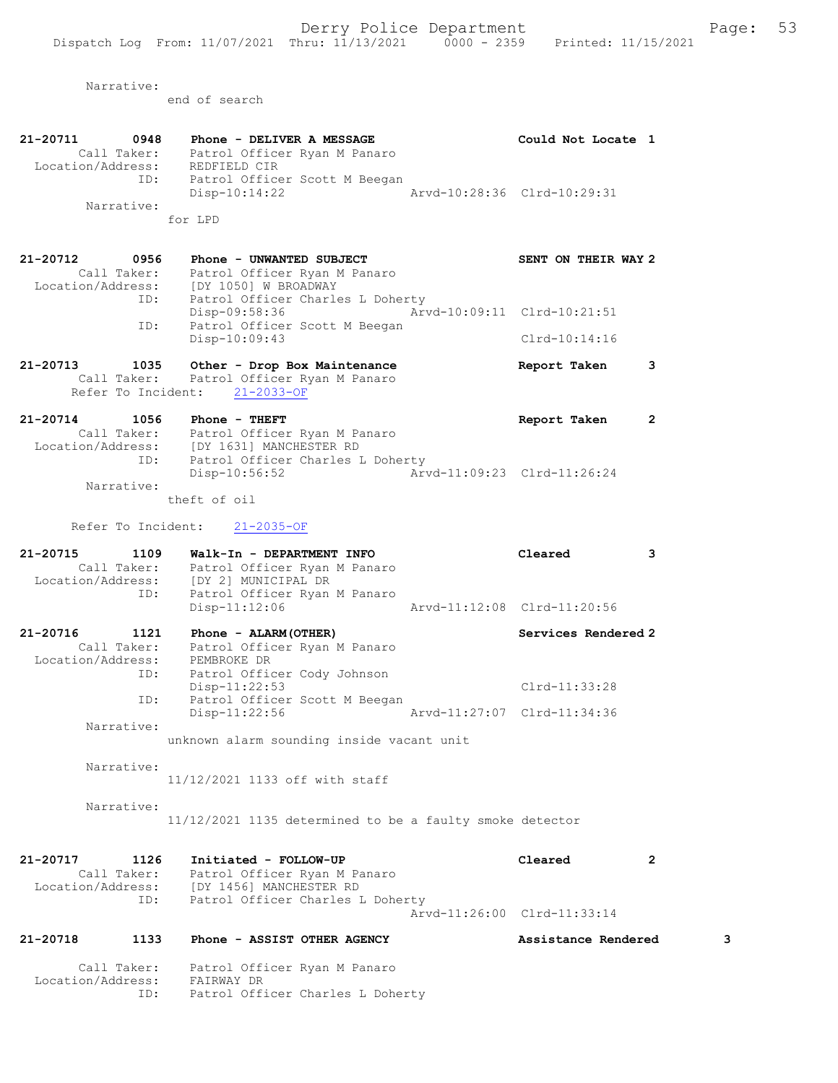end of search

Call Taker: Patrol Officer Ryan M Panaro

ID: Patrol Officer Charles L Doherty

Location/Address: FAIRWAY DR

| 21-20711<br>0948                             | Phone - DELIVER A MESSAGE<br>Call Taker: Patrol Officer Ryan M Panaro<br>Location/Address: REDFIELD CIR                                    |                             | Could Not Locate 1                                 |                |
|----------------------------------------------|--------------------------------------------------------------------------------------------------------------------------------------------|-----------------------------|----------------------------------------------------|----------------|
| ID:<br>Narrative:                            | Patrol Officer Scott M Beegan<br>Disp-10:14:22<br>for LPD                                                                                  | Arvd-10:28:36 Clrd-10:29:31 |                                                    |                |
| 21-20712<br>0956<br>Call Taker:              | Phone - UNWANTED SUBJECT<br>Patrol Officer Ryan M Panaro<br>Location/Address: [DY 1050] W BROADWAY<br>ID: Patrol Officer Charles L Doherty |                             | SENT ON THEIR WAY 2                                |                |
| ID:                                          | Disp-09:58:36<br>Patrol Officer Scott M Beegan<br>Disp-10:09:43                                                                            | Arvd-10:09:11 Clrd-10:21:51 | $Clrd-10:14:16$                                    |                |
| 21-20713<br>1035<br>Refer To Incident:       | Other - Drop Box Maintenance<br>Call Taker: Patrol Officer Ryan M Panaro<br>21-2033-OF                                                     |                             | Report Taken                                       | 3              |
| 21-20714<br>1056                             | Phone - THEFT<br>Call Taker: Patrol Officer Ryan M Panaro<br>Location/Address: [DY 1631] MANCHESTER RD                                     |                             | Report Taken                                       | $\overline{2}$ |
| ID:<br>Narrative:                            | Patrol Officer Charles L Doherty<br>Disp-10:56:52<br>theft of oil                                                                          | Arvd-11:09:23 Clrd-11:26:24 |                                                    |                |
| Refer To Incident:                           | $21 - 2035 - OF$                                                                                                                           |                             |                                                    |                |
| 21-20715<br>1109                             | Walk-In - DEPARTMENT INFO<br>Call Taker: Patrol Officer Ryan M Panaro<br>Location/Address: [DY 2] MUNICIPAL DR                             |                             | Cleared                                            | 3              |
| ID:                                          | Patrol Officer Ryan M Panaro<br>$Disp-11:12:06$                                                                                            |                             | Arvd-11:12:08 Clrd-11:20:56                        |                |
| 21-20716<br>1121<br>Location/Address:<br>ID: | Phone - ALARM (OTHER)<br>Call Taker: Patrol Officer Ryan M Panaro<br>PEMBROKE DR<br>Patrol Officer Cody Johnson                            |                             | Services Rendered 2                                |                |
| ID:                                          | $Disp-11:22:53$<br>Patrol Officer Scott M Beegan                                                                                           |                             | Clrd-11:33:28                                      |                |
| Narrative:                                   | Disp-11:22:56<br>unknown alarm sounding inside vacant unit                                                                                 | Arvd-11:27:07 Clrd-11:34:36 |                                                    |                |
| Narrative:                                   | 11/12/2021 1133 off with staff                                                                                                             |                             |                                                    |                |
| Narrative:                                   | $11/12/2021$ 1135 determined to be a faulty smoke detector                                                                                 |                             |                                                    |                |
| 21-20717<br>1126<br>Call Taker:<br>ID:       | Initiated - FOLLOW-UP<br>Patrol Officer Ryan M Panaro<br>Location/Address: [DY 1456] MANCHESTER RD<br>Patrol Officer Charles L Doherty     |                             | Cleared                                            | 2              |
| 21-20718<br>1133                             | Phone - ASSIST OTHER AGENCY                                                                                                                |                             | Arvd-11:26:00 Clrd-11:33:14<br>Assistance Rendered | 3              |
|                                              |                                                                                                                                            |                             |                                                    |                |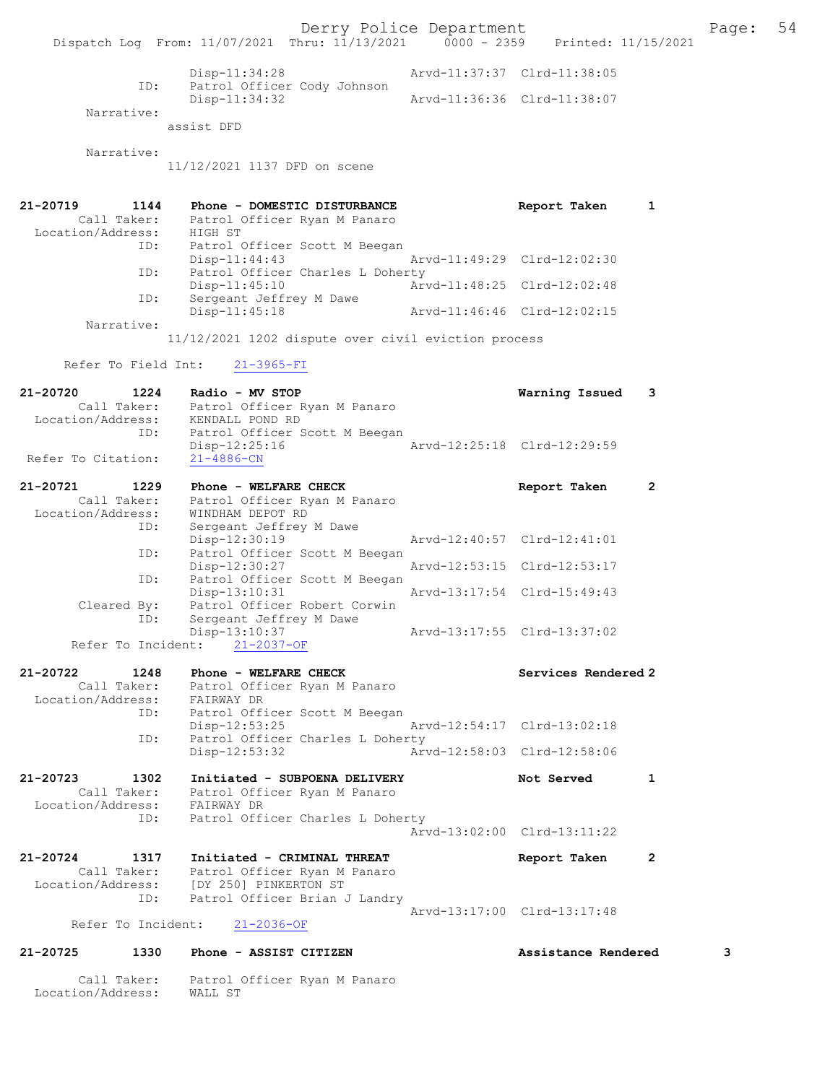Derry Police Department Fage: 54

|            | Dispatch Log From: 11/07/2021 Thru: 11/13/2021 |  | $0000 - 2359$ |  |                             | Printed: 11/15/2021 |
|------------|------------------------------------------------|--|---------------|--|-----------------------------|---------------------|
|            | Disp-11:34:28                                  |  |               |  | Arvd-11:37:37 Clrd-11:38:05 |                     |
| ID:        | Patrol Officer Cody Johnson<br>Disp-11:34:32   |  |               |  | Arvd-11:36:36 Clrd-11:38:07 |                     |
| Narrative: |                                                |  |               |  |                             |                     |
|            | assist DFD                                     |  |               |  |                             |                     |

Narrative:

11/12/2021 1137 DFD on scene

| 21-20719          | 1144        | Phone - DOMESTIC DISTURBANCE     | Report Taken                |  |
|-------------------|-------------|----------------------------------|-----------------------------|--|
|                   | Call Taker: | Patrol Officer Ryan M Panaro     |                             |  |
| Location/Address: |             | HIGH ST                          |                             |  |
|                   | ID:         | Patrol Officer Scott M Beegan    |                             |  |
|                   |             | $Disp-11:44:43$                  | Arvd-11:49:29 Clrd-12:02:30 |  |
|                   | ID:         | Patrol Officer Charles L Doherty |                             |  |
|                   |             | $Disp-11:45:10$                  | Arvd-11:48:25 Clrd-12:02:48 |  |
|                   | ID:         | Sergeant Jeffrey M Dawe          |                             |  |
|                   |             | $Disp-11:45:18$                  | Arvd-11:46:46 Clrd-12:02:15 |  |
|                   | Narrative:  |                                  |                             |  |

11/12/2021 1202 dispute over civil eviction process

Refer To Field Int: 21-3965-FI

| 21-20720<br>1224     | Radio - MV STOP                  | Warning Issued              | 3                    |
|----------------------|----------------------------------|-----------------------------|----------------------|
| Call Taker:          | Patrol Officer Ryan M Panaro     |                             |                      |
| Location/Address:    | KENDALL POND RD                  |                             |                      |
| ID:                  | Patrol Officer Scott M Beegan    |                             |                      |
|                      | $Disp-12:25:16$                  | Arvd-12:25:18 Clrd-12:29:59 |                      |
| Refer To Citation:   | $21 - 4886 - CN$                 |                             |                      |
| 21-20721<br>1229     | Phone - WELFARE CHECK            | Report Taken                | $\mathbf{2}^{\circ}$ |
| Call Taker:          | Patrol Officer Ryan M Panaro     |                             |                      |
| Location/Address:    | WINDHAM DEPOT RD                 |                             |                      |
| ID:                  | Sergeant Jeffrey M Dawe          |                             |                      |
|                      | Disp-12:30:19                    | Arvd-12:40:57 Clrd-12:41:01 |                      |
| ID:                  | Patrol Officer Scott M Beegan    |                             |                      |
|                      | Disp-12:30:27                    | Arvd-12:53:15 Clrd-12:53:17 |                      |
| ID:                  | Patrol Officer Scott M Beegan    |                             |                      |
|                      | Disp-13:10:31                    | Arvd-13:17:54 Clrd-15:49:43 |                      |
| Cleared By:          | Patrol Officer Robert Corwin     |                             |                      |
| ID:                  | Sergeant Jeffrey M Dawe          |                             |                      |
|                      | Disp-13:10:37                    | Arvd-13:17:55 Clrd-13:37:02 |                      |
|                      | Refer To Incident: 21-2037-OF    |                             |                      |
| 21-20722<br>1248     | Phone - WELFARE CHECK            | Services Rendered 2         |                      |
| Call Taker:          | Patrol Officer Ryan M Panaro     |                             |                      |
| Location/Address:    | FAIRWAY DR                       |                             |                      |
| ID:                  | Patrol Officer Scott M Beegan    |                             |                      |
|                      | $Disp-12:53:25$                  | Arvd-12:54:17 Clrd-13:02:18 |                      |
| ID:                  | Patrol Officer Charles L Doherty |                             |                      |
|                      | Disp-12:53:32                    | Arvd-12:58:03 Clrd-12:58:06 |                      |
| 21-20723<br>1302     | Initiated - SUBPOENA DELIVERY    | Not Served                  | 1                    |
| Call Taker:          | Patrol Officer Ryan M Panaro     |                             |                      |
| Location/Address:    | FAIRWAY DR                       |                             |                      |
| ID:                  | Patrol Officer Charles L Doherty |                             |                      |
|                      |                                  | Arvd-13:02:00 Clrd-13:11:22 |                      |
| $21 - 20724$<br>1317 | Initiated - CRIMINAL THREAT      | Report Taken                | $\mathbf{2}$         |
| Call Taker:          | Patrol Officer Ryan M Panaro     |                             |                      |

 ID: Patrol Officer Brian J Landry Arvd-13:17:00 Clrd-13:17:48 Refer To Incident: 21-2036-OF

Call Taker: Patrol Officer Ryan M Panaro

# 21-20725 1330 Phone - ASSIST CITIZEN Assistance Rendered 3

Location/Address: WALL ST

Location/Address: [DY 250] PINKERTON ST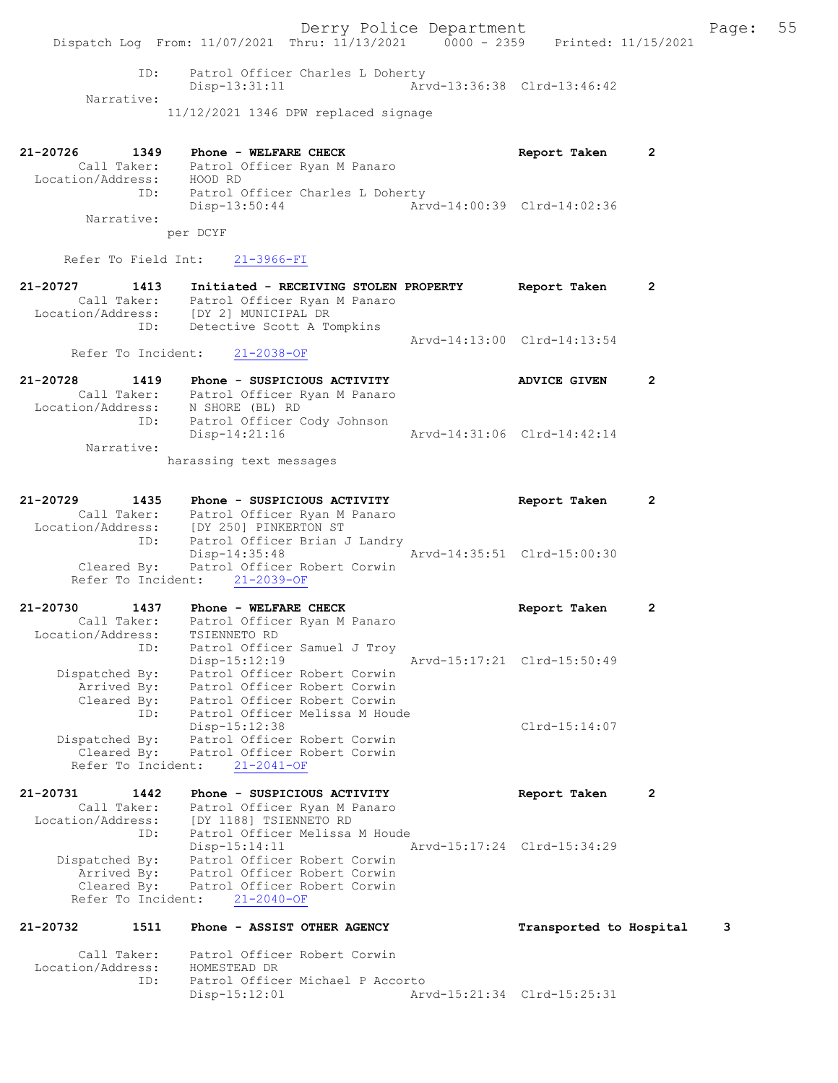Derry Police Department Fage: 55 Dispatch Log From: 11/07/2021 Thru: 11/13/2021 0000 - 2359 Printed: 11/15/2021 ID: Patrol Officer Charles L Doherty Disp-13:31:11 Arvd-13:36:38 Clrd-13:46:42 Narrative: 11/12/2021 1346 DPW replaced signage 21-20726 1349 Phone - WELFARE CHECK Report Taken 2 Call Taker: Patrol Officer Ryan M Panaro Location/Address: HOOD RD ID: Patrol Officer Charles L Doherty Disp-13:50:44 Arvd-14:00:39 Clrd-14:02:36 Narrative: per DCYF Refer To Field Int: 21-3966-FI 21-20727 1413 Initiated - RECEIVING STOLEN PROPERTY Report Taken 2 Call Taker: Patrol Officer Ryan M Panaro Location/Address: [DY 2] MUNICIPAL DR ID: Detective Scott A Tompkins Arvd-14:13:00 Clrd-14:13:54 Refer To Incident: 21-2038-OF 21-20728 1419 Phone - SUSPICIOUS ACTIVITY ADVICE GIVEN 2 Call Taker: Patrol Officer Ryan M Panaro Location/Address: N SHORE (BL) RD ID: Patrol Officer Cody Johnson Disp-14:21:16 Arvd-14:31:06 Clrd-14:42:14 Narrative: harassing text messages 21-20729 1435 Phone - SUSPICIOUS ACTIVITY Report Taken 2 Call Taker: Patrol Officer Ryan M Panaro Location/Address: [DY 250] PINKERTON ST ID: Patrol Officer Brian J Landry Disp-14:35:48 Arvd-14:35:51 Clrd-15:00:30 Cleared By: Patrol Officer Robert Corwin Refer To Incident: 21-2039-OF 21-20730 1437 Phone - WELFARE CHECK Report Taken 2 Call Taker: Patrol Officer Ryan M Panaro Location/Address: TSIENNETO RD ID: Patrol Officer Samuel J Troy Disp-15:12:19 Arvd-15:17:21 Clrd-15:50:49 Dispatched By: Patrol Officer Robert Corwin Arrived By: Patrol Officer Robert Corwin Cleared By: Patrol Officer Robert Corwin ID: Patrol Officer Melissa M Houde Disp-15:12:38 Clrd-15:14:07 Dispatched By: Patrol Officer Robert Corwin Cleared By: Patrol Officer Robert Corwin Refer To Incident: 21-2041-OF 21-20731 1442 Phone - SUSPICIOUS ACTIVITY Report Taken 2 Call Taker: Patrol Officer Ryan M Panaro Location/Address: [DY 1188] TSIENNETO RD ID: Patrol Officer Melissa M Houde Disp-15:14:11 Arvd-15:17:24 Clrd-15:34:29 Dispatched By: Patrol Officer Robert Corwin Arrived By: Patrol Officer Robert Corwin Cleared By: Patrol Officer Robert Corwin Refer To Incident: 21-2040-OF 21-20732 1511 Phone - ASSIST OTHER AGENCY Transported to Hospital 3 Call Taker: Patrol Officer Robert Corwin Location/Address: HOMESTEAD DR ID: Patrol Officer Michael P Accorto Disp-15:12:01 Arvd-15:21:34 Clrd-15:25:31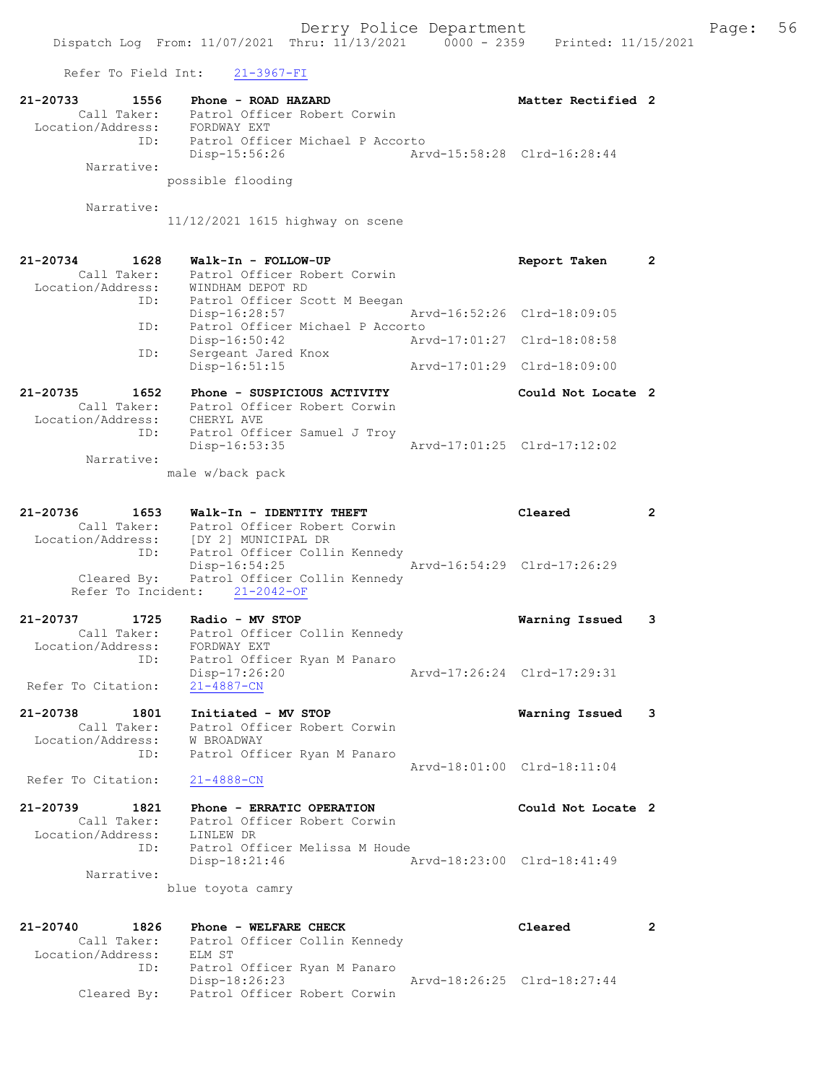Refer To Field Int: 21-3967-FI

| 21-20733<br>1556<br>Call Taker:<br>Location/Address: | Phone - ROAD HAZARD<br>Patrol Officer Robert Corwin<br>FORDWAY EXT   | Matter Rectified 2          |                |
|------------------------------------------------------|----------------------------------------------------------------------|-----------------------------|----------------|
| ID:<br>Narrative:                                    | Patrol Officer Michael P Accorto<br>Disp-15:56:26                    | Arvd-15:58:28 Clrd-16:28:44 |                |
|                                                      | possible flooding                                                    |                             |                |
| Narrative:                                           | 11/12/2021 1615 highway on scene                                     |                             |                |
| 21-20734<br>1628<br>Call Taker:                      | Walk-In - FOLLOW-UP<br>Patrol Officer Robert Corwin                  | Report Taken                | $\mathbf{2}$   |
| Location/Address:<br>ID:                             | WINDHAM DEPOT RD<br>Patrol Officer Scott M Beegan                    |                             |                |
| ID:                                                  | $Disp-16:28:57$<br>Patrol Officer Michael P Accorto                  | Arvd-16:52:26 Clrd-18:09:05 |                |
| ID:                                                  | Disp-16:50:42<br>Sergeant Jared Knox                                 | Arvd-17:01:27 Clrd-18:08:58 |                |
|                                                      | Disp-16:51:15                                                        | Arvd-17:01:29 Clrd-18:09:00 |                |
| 21-20735<br>1652<br>Call Taker:                      | Phone - SUSPICIOUS ACTIVITY<br>Patrol Officer Robert Corwin          | Could Not Locate 2          |                |
| Location/Address: CHERYL AVE<br>ID:                  | Patrol Officer Samuel J Troy                                         |                             |                |
| Narrative:                                           | Disp-16:53:35                                                        | Arvd-17:01:25 Clrd-17:12:02 |                |
|                                                      | male w/back pack                                                     |                             |                |
|                                                      |                                                                      |                             |                |
| 21-20736<br>1653                                     | Walk-In - IDENTITY THEFT<br>Call Taker: Patrol Officer Robert Corwin | Cleared                     | $\overline{2}$ |
| Location/Address:<br>ID:                             | [DY 2] MUNICIPAL DR<br>Patrol Officer Collin Kennedy                 |                             |                |
| Cleared By:                                          | $Disp-16:54:25$<br>Patrol Officer Collin Kennedy                     | Arvd-16:54:29 Clrd-17:26:29 |                |
| Refer To Incident:                                   | $21 - 2042 - OF$                                                     |                             |                |
| 21-20737<br>1725<br>Call Taker:                      | Radio - MV STOP<br>Patrol Officer Collin Kennedy                     | Warning Issued              | 3              |
| Location/Address:                                    | FORDWAY EXT                                                          |                             |                |
| ID:                                                  | Patrol Officer Ryan M Panaro<br>Disp-17:26:20                        | Arvd-17:26:24 Clrd-17:29:31 |                |
| Refer To Citation:                                   | $21 - 4887 - CN$                                                     |                             |                |
| 21-20738<br>1801<br>Call Taker:                      | Initiated - MV STOP<br>Patrol Officer Robert Corwin                  | Warning Issued              | 3              |
| Location/Address:<br>ID:                             | W BROADWAY<br>Patrol Officer Ryan M Panaro                           |                             |                |
| Refer To Citation:                                   | $21 - 4888 - CN$                                                     | Arvd-18:01:00 Clrd-18:11:04 |                |
| 21-20739<br>1821                                     | Phone - ERRATIC OPERATION                                            | Could Not Locate 2          |                |
| Call Taker:                                          | Patrol Officer Robert Corwin<br>LINLEW DR                            |                             |                |
| Location/Address:<br>ID:                             | Patrol Officer Melissa M Houde                                       |                             |                |
| Narrative:                                           | Disp-18:21:46                                                        | Arvd-18:23:00 Clrd-18:41:49 |                |
|                                                      | blue toyota camry                                                    |                             |                |
| 21-20740<br>1826                                     | Phone - WELFARE CHECK                                                | Cleared                     | $\mathbf{2}$   |
| Call Taker:<br>Location/Address:                     | Patrol Officer Collin Kennedy<br>ELM ST                              |                             |                |
| ID:                                                  | Patrol Officer Ryan M Panaro<br>Disp-18:26:23                        | Arvd-18:26:25 Clrd-18:27:44 |                |
| Cleared By:                                          | Patrol Officer Robert Corwin                                         |                             |                |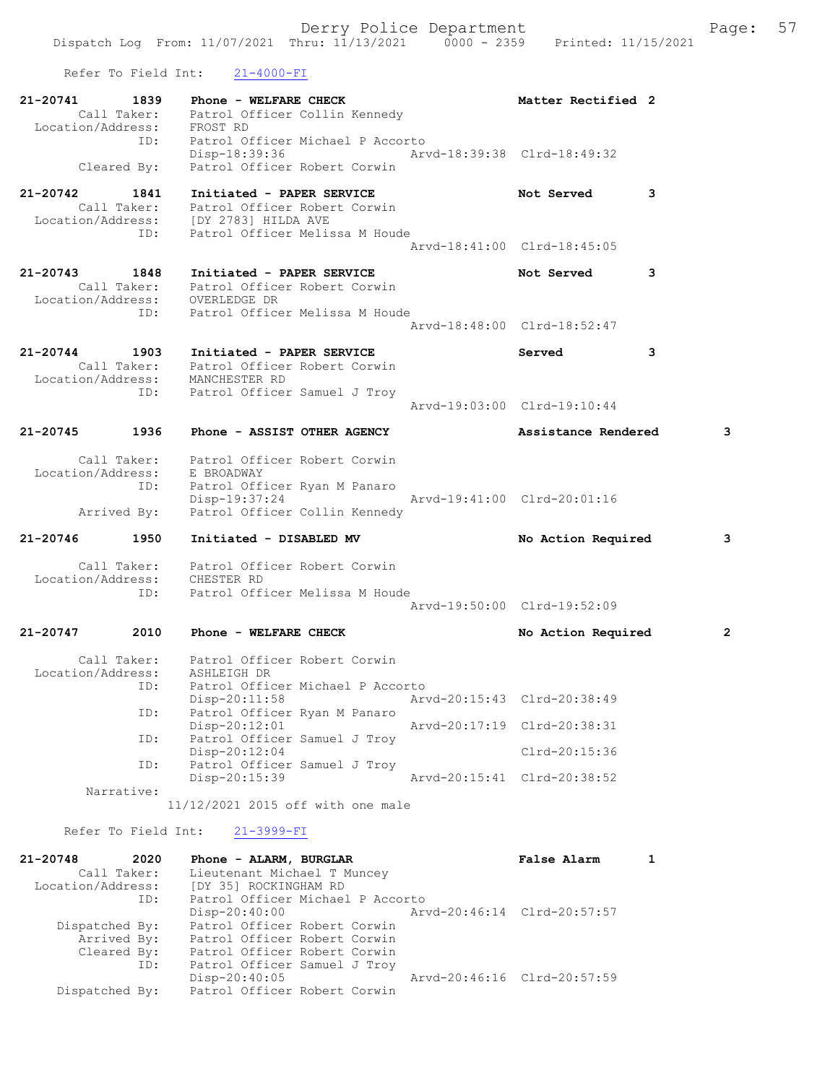|                                        |                    | Dispatch Log From: 11/07/2021 Thru: 11/13/2021 0000 - 2359 Printed: 11/15/2021                                      | Derry Police Department     |                             |   | Page:          | 57 |
|----------------------------------------|--------------------|---------------------------------------------------------------------------------------------------------------------|-----------------------------|-----------------------------|---|----------------|----|
|                                        |                    | Refer To Field Int: 21-4000-FI                                                                                      |                             |                             |   |                |    |
|                                        |                    |                                                                                                                     |                             |                             |   |                |    |
| 21-20741<br>Location/Address: FROST RD | 1839               | Phone - WELFARE CHECK<br>Call Taker: Patrol Officer Collin Kennedy                                                  |                             | Matter Rectified 2          |   |                |    |
|                                        | ID:<br>Cleared By: | Patrol Officer Michael P Accorto<br>Disp-18:39:36<br>Patrol Officer Robert Corwin                                   | Arvd-18:39:38 Clrd-18:49:32 |                             |   |                |    |
| 21-20742                               | 1841               | Initiated - PAPER SERVICE                                                                                           |                             | Not Served                  | 3 |                |    |
|                                        | ID:                | Call Taker: Patrol Officer Robert Corwin<br>Location/Address: [DY 2783] HILDA AVE<br>Patrol Officer Melissa M Houde |                             |                             |   |                |    |
|                                        |                    |                                                                                                                     |                             | Arvd-18:41:00 Clrd-18:45:05 |   |                |    |
| $21 - 20743$                           | 1848               | Initiated - PAPER SERVICE<br>Call Taker: Patrol Officer Robert Corwin<br>Location/Address: OVERLEDGE DR             |                             | Not Served                  | 3 |                |    |
|                                        | ID:                | Patrol Officer Melissa M Houde                                                                                      |                             | Arvd-18:48:00 Clrd-18:52:47 |   |                |    |
| $21 - 20744$                           | 1903<br>ID:        | Initiated - PAPER SERVICE<br>Call Taker: Patrol Officer Robert Corwin<br>Location/Address: MANCHESTER RD            |                             | Served                      | 3 |                |    |
|                                        |                    | Patrol Officer Samuel J Troy                                                                                        |                             | Arvd-19:03:00 Clrd-19:10:44 |   |                |    |
| 21-20745                               | 1936               | Phone - ASSIST OTHER AGENCY                                                                                         |                             | Assistance Rendered         |   | 3              |    |
| Location/Address:                      | Call Taker:<br>ID: | Patrol Officer Robert Corwin<br>E BROADWAY<br>Patrol Officer Ryan M Panaro                                          |                             |                             |   |                |    |
|                                        | Arrived By:        | $Disp-19:37:24$<br>Patrol Officer Collin Kennedy                                                                    |                             | Arvd-19:41:00 Clrd-20:01:16 |   |                |    |
| 21-20746 1950                          |                    | Initiated - DISABLED MV                                                                                             |                             | No Action Required          |   | 3              |    |
|                                        | ID:                | Call Taker: Patrol Officer Robert Corwin<br>Location/Address: CHESTER RD<br>Patrol Officer Melissa M Houde          |                             |                             |   |                |    |
|                                        |                    |                                                                                                                     |                             | Arvd-19:50:00 Clrd-19:52:09 |   |                |    |
| 21-20747                               | 2010               | Phone - WELFARE CHECK                                                                                               |                             | No Action Required          |   | $\overline{2}$ |    |

| Call Taker:<br>Location/Address: | Patrol Officer Robert Corwin<br>ASHLEIGH DR |                             |
|----------------------------------|---------------------------------------------|-----------------------------|
| ID:                              | Patrol Officer Michael P Accorto            |                             |
|                                  | Disp-20:11:58                               | Arvd-20:15:43 Clrd-20:38:49 |
| ID:                              | Patrol Officer Ryan M Panaro                |                             |
|                                  | Disp-20:12:01                               | Arvd-20:17:19 Clrd-20:38:31 |
| ID:                              | Patrol Officer Samuel J Troy                |                             |
|                                  | Disp-20:12:04                               | $Clrd-20:15:36$             |
| ID:                              | Patrol Officer Samuel J Troy                |                             |
|                                  | Disp-20:15:39                               | Arvd-20:15:41 Clrd-20:38:52 |
| Narrative:                       |                                             |                             |

11/12/2021 2015 off with one male

Refer To Field Int: 21-3999-FI

| $21 - 20748$<br>2020 | Phone - ALARM, BURGLAR           | <b>False Alarm</b>          |  |
|----------------------|----------------------------------|-----------------------------|--|
| Call Taker:          | Lieutenant Michael T Muncey      |                             |  |
| Location/Address:    | [DY 35] ROCKINGHAM RD            |                             |  |
| ID:                  | Patrol Officer Michael P Accorto |                             |  |
|                      | $Disp-20:40:00$                  | Arvd-20:46:14 Clrd-20:57:57 |  |
| Dispatched By:       | Patrol Officer Robert Corwin     |                             |  |
| Arrived By:          | Patrol Officer Robert Corwin     |                             |  |
| Cleared By:          | Patrol Officer Robert Corwin     |                             |  |
| ID:                  | Patrol Officer Samuel J Troy     |                             |  |
|                      | $Disp-20:40:05$                  | Arvd-20:46:16 Clrd-20:57:59 |  |
| Dispatched By:       | Patrol Officer Robert Corwin     |                             |  |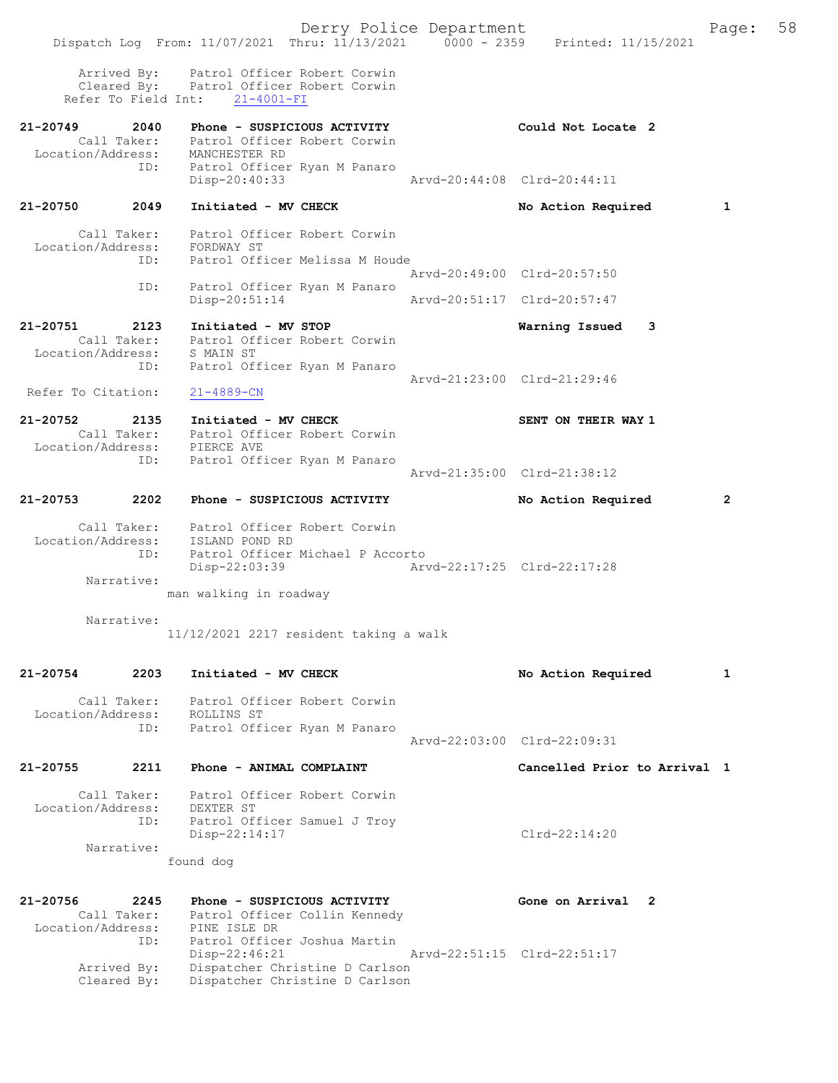Derry Police Department Fage: 58 Dispatch Log From: 11/07/2021 Thru: 11/13/2021 0000 - 2359 Printed: 11/15/2021 Arrived By: Patrol Officer Robert Corwin Cleared By: Patrol Officer Robert Corwin Refer To Field Int: 21-4001-FI 21-20749 2040 Phone - SUSPICIOUS ACTIVITY Could Not Locate 2 Call Taker: Patrol Officer Robert Corwin Location/Address: MANCHESTER RD ID: Patrol Officer Ryan M Panaro Disp-20:40:33 Arvd-20:44:08 Clrd-20:44:11 21-20750 2049 Initiated - MV CHECK No Action Required 1 Call Taker: Patrol Officer Robert Corwin Location/Address: FORDWAY ST ID: Patrol Officer Melissa M Houde Arvd-20:49:00 Clrd-20:57:50 ID: Patrol Officer Ryan M Panaro Disp-20:51:14 Arvd-20:51:17 Clrd-20:57:47 21-20751 2123 Initiated - MV STOP Warning Issued 3 Call Taker: Patrol Officer Robert Corwin Location/Address: S MAIN ST ID: Patrol Officer Ryan M Panaro Arvd-21:23:00 Clrd-21:29:46 Refer To Citation: 21-4889-CN 21-20752 2135 Initiated - MV CHECK SENT ON THEIR WAY 1 Call Taker: Patrol Officer Robert Corwin Location/Address: PIERCE AVE ID: Patrol Officer Ryan M Panaro Arvd-21:35:00 Clrd-21:38:12 21-20753 2202 Phone - SUSPICIOUS ACTIVITY No Action Required 2 Call Taker: Patrol Officer Robert Corwin Location/Address: ISLAND POND RD ID: Patrol Officer Michael P Accorto Disp-22:03:39 Arvd-22:17:25 Clrd-22:17:28 Narrative: man walking in roadway Narrative: 11/12/2021 2217 resident taking a walk 21-20754 2203 Initiated - MV CHECK No Action Required 1 Call Taker: Patrol Officer Robert Corwin Location/Address: ROLLINS ST ID: Patrol Officer Ryan M Panaro Arvd-22:03:00 Clrd-22:09:31 21-20755 2211 Phone - ANIMAL COMPLAINT Cancelled Prior to Arrival 1 Call Taker: Patrol Officer Robert Corwin Location/Address: DEXTER ST ID: Patrol Officer Samuel J Troy Disp-22:14:17 Clrd-22:14:20 Narrative: found dog 21-20756 2245 Phone - SUSPICIOUS ACTIVITY Gone on Arrival 2 Call Taker: Patrol Officer Collin Kennedy Location/Address: PINE ISLE DR ID: Patrol Officer Joshua Martin<br>Disp-22:46:21 Disp-22:46:21 Arvd-22:51:15 Clrd-22:51:17 Arrived By: Dispatcher Christine D Carlson Cleared By: Dispatcher Christine D Carlson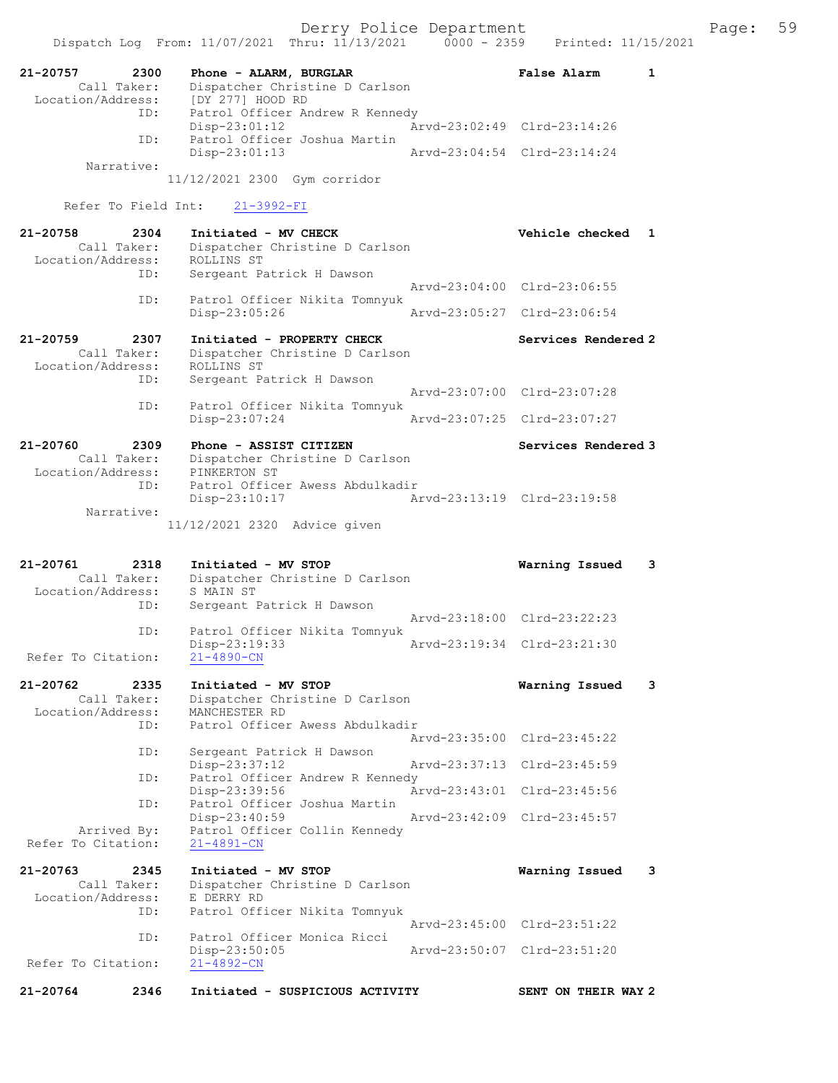Dispatch Log From: 11/07/2021 Thru: 11/13/2021 0000 - 2359 Printed: 11/15/2021 21-20757 2300 Phone - ALARM, BURGLAR False Alarm 1 Call Taker: Dispatcher Christine D Carlson Location/Address: [DY 277] HOOD RD ID: Patrol Officer Andrew R Kennedy<br>Disp-23:01:12 Ar Disp-23:01:12 Arvd-23:02:49 Clrd-23:14:26 ID: Patrol Officer Joshua Martin Disp-23:01:13 Arvd-23:04:54 Clrd-23:14:24 Narrative: 11/12/2021 2300 Gym corridor Refer To Field Int: 21-3992-FI 21-20758 2304 Initiated - MV CHECK Vehicle checked 1 Call Taker: Dispatcher Christine D Carlson Location/Address: ROLLINS ST ID: Sergeant Patrick H Dawson Arvd-23:04:00 Clrd-23:06:55<br>TD: Patrol Officer Nikita Tompyuk Patrol Officer Nikita Tomnyuk<br>Disp-23:05:26 Disp-23:05:26 Arvd-23:05:27 Clrd-23:06:54 21-20759 2307 Initiated - PROPERTY CHECK Services Rendered 2 Call Taker: Dispatcher Christine D Carlson Location/Address: ROLLINS ST ID: Sergeant Patrick H Dawson Arvd-23:07:00 Clrd-23:07:28 ID: Patrol Officer Nikita Tomnyuk Disp-23:07:24 Arvd-23:07:25 Clrd-23:07:27 21-20760 2309 Phone - ASSIST CITIZEN Services Rendered 3 Call Taker: Dispatcher Christine D Carlson Location/Address: PINKERTON ST ID: Patrol Officer Awess Abdulkadir Disp-23:10:17 Arvd-23:13:19 Clrd-23:19:58 Narrative: 11/12/2021 2320 Advice given 21-20761 2318 Initiated - MV STOP Warning Issued 3 Call Taker: Dispatcher Christine D Carlson<br>:ion/Address: S MAIN ST Location/Address: ID: Sergeant Patrick H Dawson Arvd-23:18:00 Clrd-23:22:23<br>ID: Patrol Officer Nikita Tomnyuk Patrol Officer Nikita Tomnyuk<br>Disp-23:19:33 Disp-23:19:33 Arvd-23:19:34 Clrd-23:21:30 Refer To Citation: 21-4890-CN 21-20762 2335 Initiated - MV STOP Warning Issued 3 Call Taker: Dispatcher Christine D Carlson Location/Address: MANCHESTER RD ID: Patrol Officer Awess Abdulkadir Arvd-23:35:00 Clrd-23:45:22<br>TD: Sergeant Patrick H Dawson Sergeant Patrick H Dawson<br>Disp-23:37:12 Disp-23:37:12 Arvd-23:37:13 Clrd-23:45:59<br>ID: Patrol Officer Andrew R Kennedy Patrol Officer Andrew R Kennedy<br>Disp-23:39:56 Ar Disp-23:39:56 Arvd-23:43:01 Clrd-23:45:56<br>ID: Patrol Officer Joshua Martin Patrol Officer Joshua Martin Disp-23:40:59 Arvd-23:42:09 Clrd-23:45:57 Arrived By: Patrol Officer Collin Kennedy Refer To Citation: 21-4891-CN 21-20763 2345 Initiated - MV STOP Warning Issued 3 Call Taker: Dispatcher Christine D Carlson Location/Address: E DERRY RD ID: Patrol Officer Nikita Tomnyuk Arvd-23:45:00 Clrd-23:51:22 ID: Patrol Officer Monica Ricci Disp-23:50:05 Arvd-23:50:07 Clrd-23:51:20 Refer To Citation: 21-20764 2346 Initiated - SUSPICIOUS ACTIVITY SENT ON THEIR WAY 2

Derry Police Department The Page: 59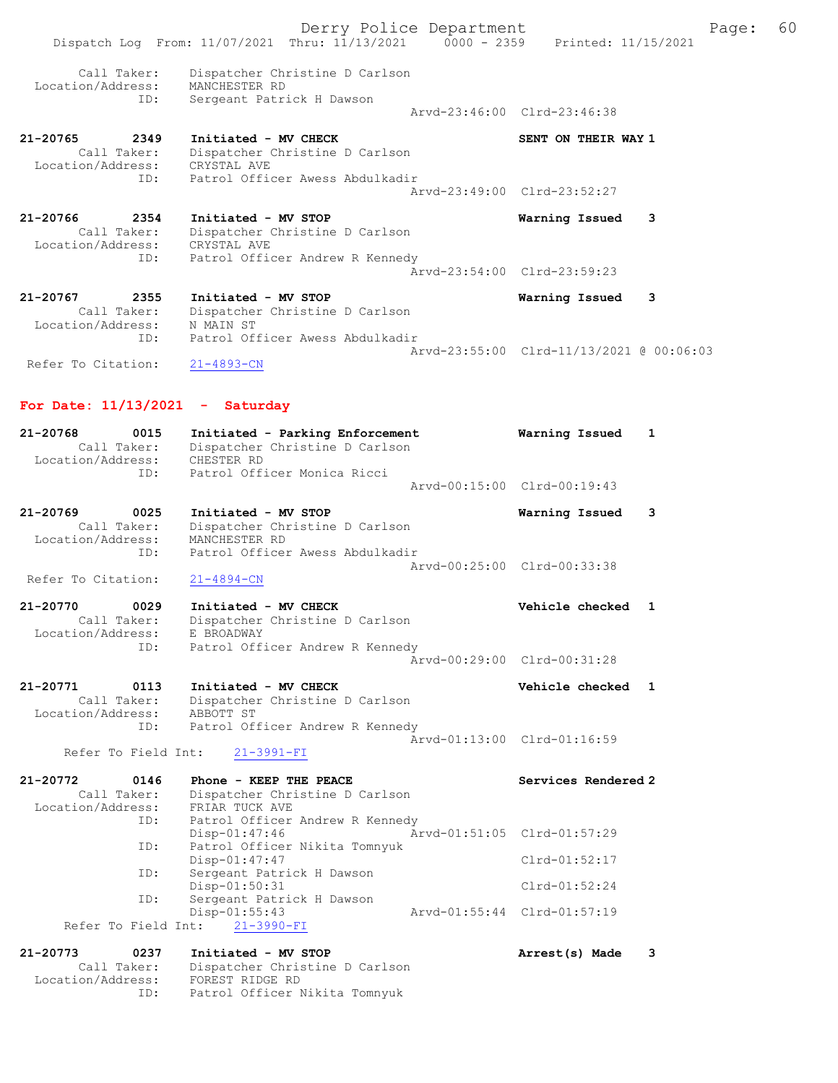|                                                             | Derry Police Department<br>Dispatch Log From: 11/07/2021 Thru: 11/13/2021 0000 - 2359                    | Printed: 11/15/2021                      | 60<br>Page: |
|-------------------------------------------------------------|----------------------------------------------------------------------------------------------------------|------------------------------------------|-------------|
| Call Taker:<br>Location/Address:<br>ID:                     | Dispatcher Christine D Carlson<br>MANCHESTER RD<br>Sergeant Patrick H Dawson                             |                                          |             |
|                                                             |                                                                                                          | Arvd-23:46:00 Clrd-23:46:38              |             |
| 21-20765<br>2349<br>Call Taker:<br>Location/Address:<br>ID: | Initiated - MV CHECK<br>Dispatcher Christine D Carlson<br>CRYSTAL AVE<br>Patrol Officer Awess Abdulkadir | SENT ON THEIR WAY 1                      |             |
|                                                             |                                                                                                          | Arvd-23:49:00 Clrd-23:52:27              |             |
| 21-20766<br>2354<br>Call Taker:<br>Location/Address:<br>ID: | Initiated - MV STOP<br>Dispatcher Christine D Carlson<br>CRYSTAL AVE<br>Patrol Officer Andrew R Kennedy  | Warning Issued                           | 3           |
|                                                             |                                                                                                          | Arvd-23:54:00 Clrd-23:59:23              |             |
| 21-20767<br>2355<br>Call Taker:<br>Location/Address:        | Initiated - MV STOP<br>Dispatcher Christine D Carlson<br>N MAIN ST                                       | Warning Issued                           | 3           |
| ID:<br>Refer To Citation:                                   | Patrol Officer Awess Abdulkadir<br>$21 - 4893 - CN$                                                      | Arvd-23:55:00 Clrd-11/13/2021 @ 00:06:03 |             |
| For Date: $11/13/2021$ - Saturday                           |                                                                                                          |                                          |             |
| 0015<br>21-20768<br>Call Taker:<br>Location/Address:        | Initiated - Parking Enforcement<br>Dispatcher Christine D Carlson<br>CHESTER RD                          | Warning Issued                           | 1           |
| ID:                                                         | Patrol Officer Monica Ricci                                                                              | Arvd-00:15:00 Clrd-00:19:43              |             |
| 21-20769<br>0025<br>Call Taker:<br>Location/Address:        | Initiated - MV STOP<br>Dispatcher Christine D Carlson<br>MANCHESTER RD                                   | Warning Issued                           | 3           |
| ID:<br>Refer To Citation:                                   | Patrol Officer Awess Abdulkadir<br>$21 - 4894 - CN$                                                      | Arvd-00:25:00 Clrd-00:33:38              |             |
| 21-20770<br>0029<br>Call Taker:<br>Location/Address:        | Initiated - MV CHECK<br>Dispatcher Christine D Carlson<br>E BROADWAY                                     | Vehicle checked 1                        |             |
| ID:                                                         | Patrol Officer Andrew R Kennedy                                                                          | Arvd-00:29:00 Clrd-00:31:28              |             |
| 21-20771<br>0113<br>Call Taker:<br>Location/Address:        | Initiated - MV CHECK<br>Dispatcher Christine D Carlson<br>ABBOTT ST                                      | Vehicle checked 1                        |             |
| ID:<br>Refer To Field Int:                                  | Patrol Officer Andrew R Kennedy<br>$21 - 3991 - FI$                                                      | Arvd-01:13:00 Clrd-01:16:59              |             |
| 21-20772<br>0146<br>Call Taker:<br>Location/Address:        | Phone - KEEP THE PEACE<br>Dispatcher Christine D Carlson<br>FRIAR TUCK AVE                               | Services Rendered 2                      |             |
| ID:                                                         | Patrol Officer Andrew R Kennedy<br>$Disp-01:47:46$                                                       | Arvd-01:51:05 Clrd-01:57:29              |             |
| ID:                                                         | Patrol Officer Nikita Tomnyuk<br>$Disp-01:47:47$                                                         | $Clrd-01:52:17$                          |             |
| ID:<br>ID:                                                  | Sergeant Patrick H Dawson<br>Disp-01:50:31<br>Sergeant Patrick H Dawson                                  | $Clrd-01:52:24$                          |             |
| Refer To Field Int:                                         | $Disp-01:55:43$<br>$21 - 3990 - FI$                                                                      | Arvd-01:55:44 Clrd-01:57:19              |             |
| 21-20773<br>0237                                            | Initiated - MV STOP                                                                                      | Arrest(s) Made                           | 3           |

 Call Taker: Dispatcher Christine D Carlson Location/Address: FOREST RIDGE RD ID: Patrol Officer Nikita Tomnyuk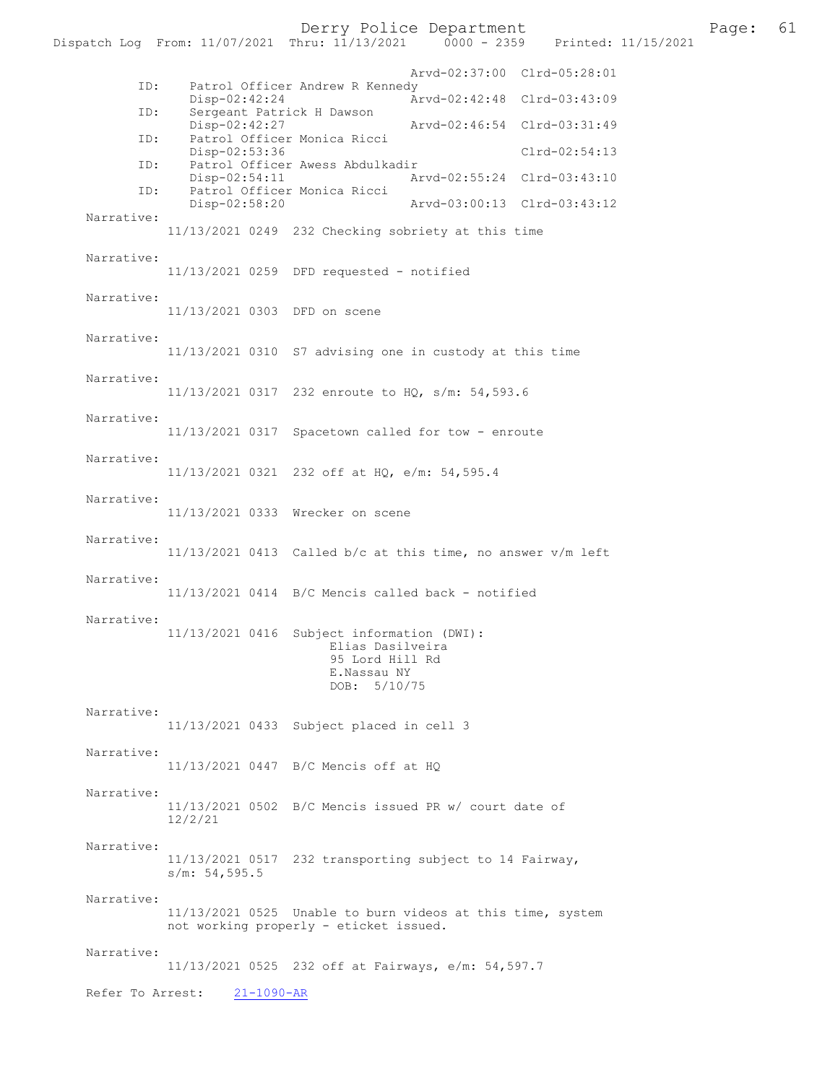Derry Police Department<br>  $P_{\text{hru}: 11/13/2021}$  0000 - 2359 Printed: 11/15/2021 Dispatch Log From: 11/07/2021 Thru: 11/13/2021

 Arvd-02:37:00 Clrd-05:28:01 ID: Patrol Officer Andrew R Kennedy<br>Disp-02:42:24 A Disp-02:42:24 <br>
D: Sergeant Patrick H Dawson<br>
D: Sergeant Patrick H Dawson Sergeant Patrick H Dawson<br>Disp-02:42:27 Disp-02:42:27 Arvd-02:46:54 Clrd-03:31:49<br>ID: Patrol Officer Monica Ricci Patrol Officer Monica Ricci Disp-02:53:36 Clrd-02:54:13<br>The Patrol Officer Awess Abdulkadir Patrol Officer Awess Abdulkadir<br>Disp-02:54:11 Ar Disp-02:54:11 Arvd-02:55:24 Clrd-03:43:10 ID: Patrol Officer Monica Ricci Arvd-03:00:13 Clrd-03:43:12 Narrative: 11/13/2021 0249 232 Checking sobriety at this time Narrative: 11/13/2021 0259 DFD requested - notified Narrative: 11/13/2021 0303 DFD on scene Narrative: 11/13/2021 0310 S7 advising one in custody at this time Narrative: 11/13/2021 0317 232 enroute to HQ, s/m: 54,593.6 Narrative: 11/13/2021 0317 Spacetown called for tow - enroute Narrative: 11/13/2021 0321 232 off at HQ, e/m: 54,595.4 Narrative: 11/13/2021 0333 Wrecker on scene Narrative: 11/13/2021 0413 Called b/c at this time, no answer v/m left Narrative: 11/13/2021 0414 B/C Mencis called back - notified Narrative: 11/13/2021 0416 Subject information (DWI): Elias Dasilveira 95 Lord Hill Rd E.Nassau NY DOB: 5/10/75 Narrative: 11/13/2021 0433 Subject placed in cell 3 Narrative: 11/13/2021 0447 B/C Mencis off at HQ Narrative: 11/13/2021 0502 B/C Mencis issued PR w/ court date of 12/2/21 Narrative: 11/13/2021 0517 232 transporting subject to 14 Fairway, s/m: 54,595.5 Narrative: 11/13/2021 0525 Unable to burn videos at this time, system not working properly - eticket issued. Narrative: 11/13/2021 0525 232 off at Fairways, e/m: 54,597.7 Refer To Arrest: 21-1090-AR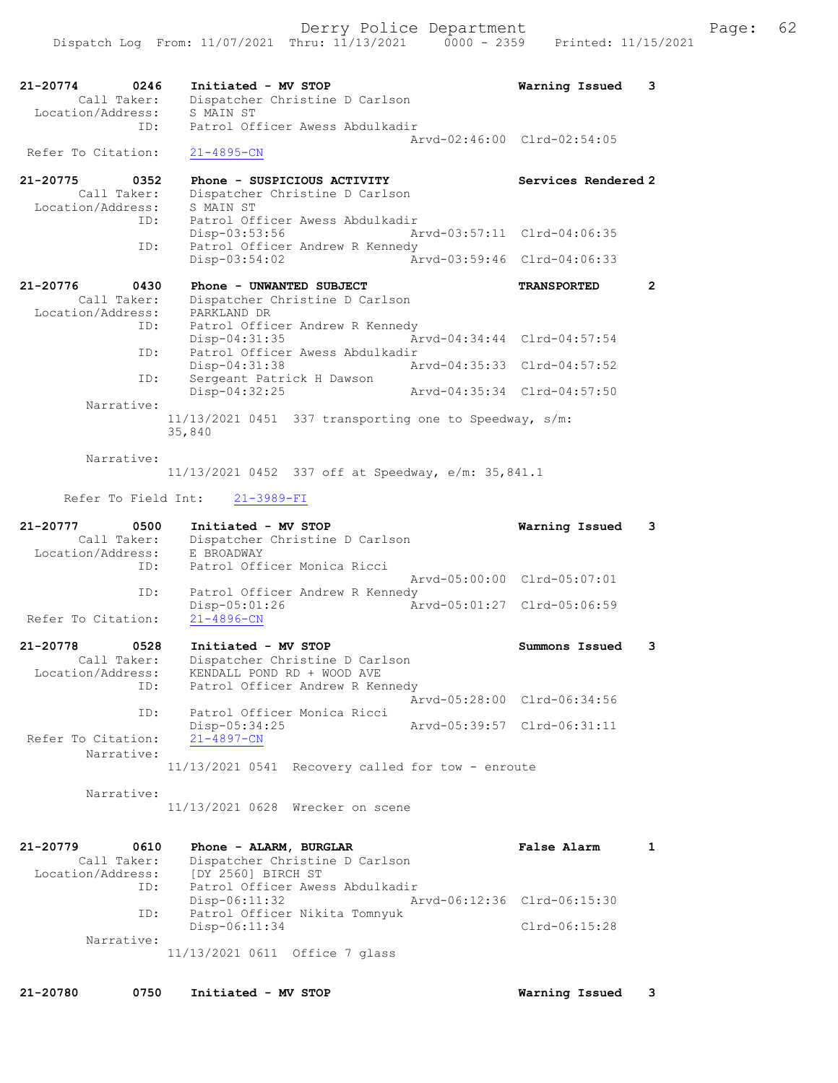| 21-20774<br>0246<br>Call Taker:  | Initiated - MV STOP<br>Dispatcher Christine D Carlson              | Warning Issued              | 3            |
|----------------------------------|--------------------------------------------------------------------|-----------------------------|--------------|
| Location/Address:                | S MAIN ST                                                          |                             |              |
| ID:                              | Patrol Officer Awess Abdulkadir                                    |                             |              |
| Refer To Citation:               | $21 - 4895 - CN$                                                   | Arvd-02:46:00 Clrd-02:54:05 |              |
| 21-20775<br>0352                 | Phone - SUSPICIOUS ACTIVITY                                        | Services Rendered 2         |              |
| Call Taker:                      | Dispatcher Christine D Carlson                                     |                             |              |
| Location/Address:<br>ID:         | S MAIN ST<br>Patrol Officer Awess Abdulkadir                       |                             |              |
|                                  | Disp-03:53:56                                                      | Arvd-03:57:11 Clrd-04:06:35 |              |
| ID:                              | Patrol Officer Andrew R Kennedy<br>Disp-03:54:02                   | Arvd-03:59:46 Clrd-04:06:33 |              |
|                                  |                                                                    |                             |              |
| 21-20776<br>0430<br>Call Taker:  | Phone - UNWANTED SUBJECT<br>Dispatcher Christine D Carlson         | <b>TRANSPORTED</b>          | $\mathbf{2}$ |
| Location/Address:                | PARKLAND DR                                                        |                             |              |
| ID:                              | Patrol Officer Andrew R Kennedy                                    |                             |              |
| ID:                              | $Disp-04:31:35$<br>Patrol Officer Awess Abdulkadir                 | Arvd-04:34:44 Clrd-04:57:54 |              |
|                                  | $Disp-04:31:38$                                                    | Arvd-04:35:33 Clrd-04:57:52 |              |
| ID:                              | Sergeant Patrick H Dawson<br>$Disp-04:32:25$                       | Arvd-04:35:34 Clrd-04:57:50 |              |
| Narrative:                       |                                                                    |                             |              |
|                                  | $11/13/2021$ 0451 337 transporting one to Speedway, s/m:<br>35,840 |                             |              |
|                                  |                                                                    |                             |              |
| Narrative:                       | 11/13/2021 0452 337 off at Speedway, e/m: 35,841.1                 |                             |              |
|                                  |                                                                    |                             |              |
| Refer To Field Int:              | $21 - 3989 - FI$                                                   |                             |              |
| 21-20777<br>0500                 | Initiated - MV STOP                                                | Warning Issued              | 3            |
|                                  |                                                                    |                             |              |
| Call Taker:                      | Dispatcher Christine D Carlson                                     |                             |              |
| Location/Address:<br>ID:         | E BROADWAY<br>Patrol Officer Monica Ricci                          |                             |              |
|                                  |                                                                    | Arvd-05:00:00 Clrd-05:07:01 |              |
| ID:                              | Patrol Officer Andrew R Kennedy                                    |                             |              |
| Refer To Citation:               | $Disp-05:01:26$<br>$21 - 4896 - CN$                                | Arvd-05:01:27 Clrd-05:06:59 |              |
|                                  |                                                                    |                             |              |
| 21-20778<br>0528<br>Call Taker:  | Initiated - MV STOP<br>Dispatcher Christine D Carlson              | Summons Issued              | 3            |
| Location/Address:                | KENDALL POND RD + WOOD AVE                                         |                             |              |
| ID:                              | Patrol Officer Andrew R Kennedy                                    | Arvd-05:28:00 Clrd-06:34:56 |              |
| ID:                              | Patrol Officer Monica Ricci                                        |                             |              |
| Refer To Citation:               | Disp-05:34:25                                                      | Arvd-05:39:57 Clrd-06:31:11 |              |
| Narrative:                       | $21 - 4897 - CN$                                                   |                             |              |
|                                  | $11/13/2021$ 0541 Recovery called for tow - enroute                |                             |              |
| Narrative:                       |                                                                    |                             |              |
|                                  | 11/13/2021 0628 Wrecker on scene                                   |                             |              |
|                                  |                                                                    |                             |              |
| 21-20779<br>0610                 | Phone - ALARM, BURGLAR                                             | False Alarm                 | 1            |
| Call Taker:<br>Location/Address: | Dispatcher Christine D Carlson<br>[DY 2560] BIRCH ST               |                             |              |
| ID:                              | Patrol Officer Awess Abdulkadir                                    |                             |              |
| ID:                              | Disp-06:11:32<br>Patrol Officer Nikita Tomnyuk                     | Arvd-06:12:36 Clrd-06:15:30 |              |
|                                  | Disp-06:11:34                                                      | Clrd-06:15:28               |              |
| Narrative:                       | 11/13/2021 0611 Office 7 glass                                     |                             |              |
|                                  |                                                                    |                             |              |

21-20780 0750 Initiated - MV STOP Warning Issued 3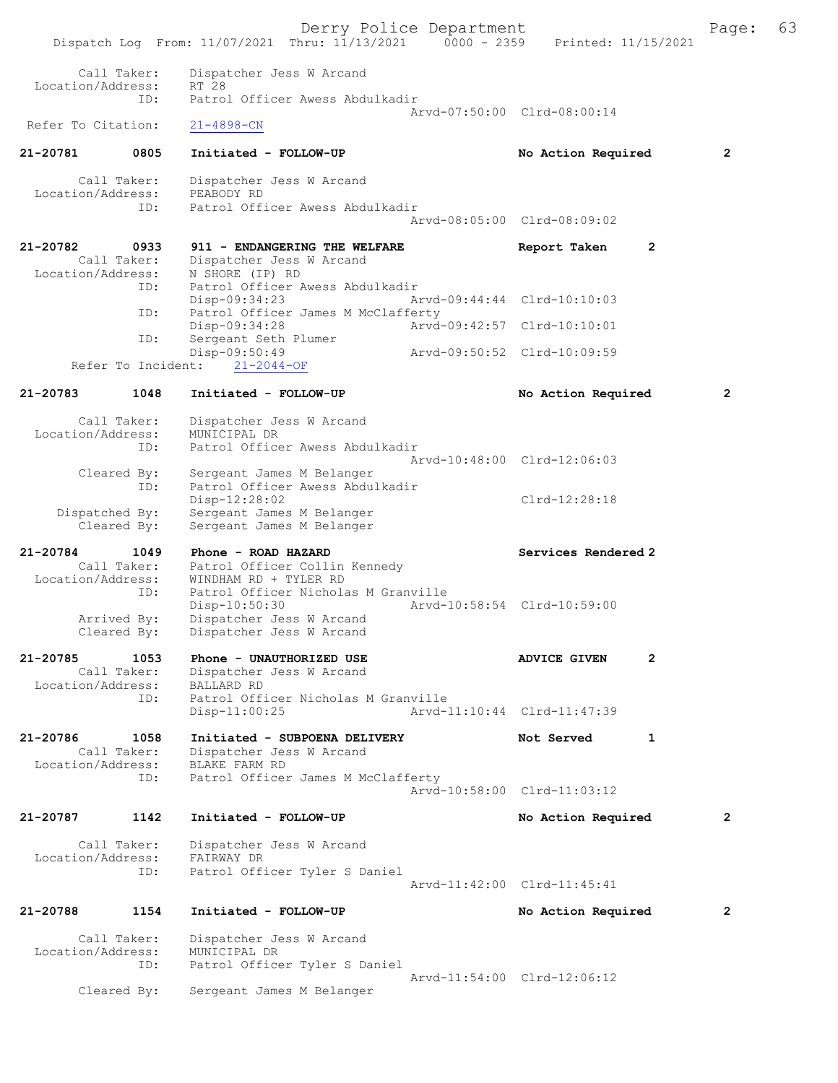Derry Police Department Fage: 63 Dispatch Log From: 11/07/2021 Thru: 11/13/2021 0000 - 2359 Printed: 11/15/2021 Call Taker: Dispatcher Jess W Arcand Location/Address: RT 28 Patrol Officer Awess Abdulkadir Arvd-07:50:00 Clrd-08:00:14<br>21-4898-CN Refer To Citation: 21-20781 0805 Initiated - FOLLOW-UP No Action Required 2 Call Taker: Dispatcher Jess W Arcand<br>ion/Address: PEABODY RD Location/Address: ID: Patrol Officer Awess Abdulkadir Arvd-08:05:00 Clrd-08:09:02 21-20782 0933 911 - ENDANGERING THE WELFARE Report Taken 2 Call Taker: Dispatcher Jess W Arcand Location/Address: N SHORE (IP) RD ID: Patrol Officer Awess Abdulkadir<br>Disp-09:34:23 Ar Disp-09:34:23 Arvd-09:44:44 Clrd-10:10:03<br>TD: Patrol Officer James M McClafferty Patrol Officer James M McClafferty<br>Disp-09:34:28 Arvd Disp-09:34:28 Arvd-09:42:57 Clrd-10:10:01<br>ID: Sergeant Seth Plumer Sergeant Seth Plumer<br>Disp-09:50:49 09:50:49 <br>21-2044-OF <br>21-2044-OF Refer To Incident: 21-20783 1048 Initiated - FOLLOW-UP No Action Required 2 Call Taker: Dispatcher Jess W Arcand<br>ion/Address: MUNICIPAL DR Location/Address:<br>ID: Patrol Officer Awess Abdulkadir Arvd-10:48:00 Clrd-12:06:03 Cleared By: Sergeant James M Belanger ID: Patrol Officer Awess Abdulkadir Disp-12:28:02 Clrd-12:28:18 Dispatched By: Sergeant James M Belanger Cleared By: Sergeant James M Belanger 21-20784 1049 Phone - ROAD HAZARD Services Rendered 2 Call Taker: Patrol Officer Collin Kennedy Location/Address: WINDHAM RD + TYLER RD ID: Patrol Officer Nicholas M Granville<br>Disp-10:50:30 Arvd-2 Disp-10:50:30 Arvd-10:58:54 Clrd-10:59:00 Arrived By: Dispatcher Jess W Arcand Cleared By: Dispatcher Jess W Arcand 21-20785 1053 Phone - UNAUTHORIZED USE **ADVICE GIVEN** 2 Call Taker: Dispatcher Jess W Arcand<br>ion/Address: BALLARD RD Location/Address:<br>ID: Patrol Officer Nicholas M Granville<br>Disp-11:00:25 Arvd-Arvd-11:10:44 Clrd-11:47:39 21-20786 1058 Initiated - SUBPOENA DELIVERY Not Served 1 Call Taker: Dispatcher Jess W Arcand -20180<br>Call Taker: Dispatcher Jes<br>Location/Address: BLAKE FARM RD<br>ID: Patrol Officer Patrol Officer James M McClafferty Arvd-10:58:00 Clrd-11:03:12 21-20787 1142 Initiated - FOLLOW-UP No Action Required 2 Call Taker: Dispatcher Jess W Arcand Location/Address: FAIRWAY DR Patrol Officer Tyler S Daniel Arvd-11:42:00 Clrd-11:45:41 21-20788 1154 Initiated - FOLLOW-UP No Action Required 2 Call Taker: Dispatcher Jess W Arcand<br>ion/Address: MUNICIPAL DR Location/Address:<br>ID: Patrol Officer Tyler S Daniel Cleared By: Sergeant James M Belanger Arvd-11:54:00 Clrd-12:06:12 Sergeant James M Belanger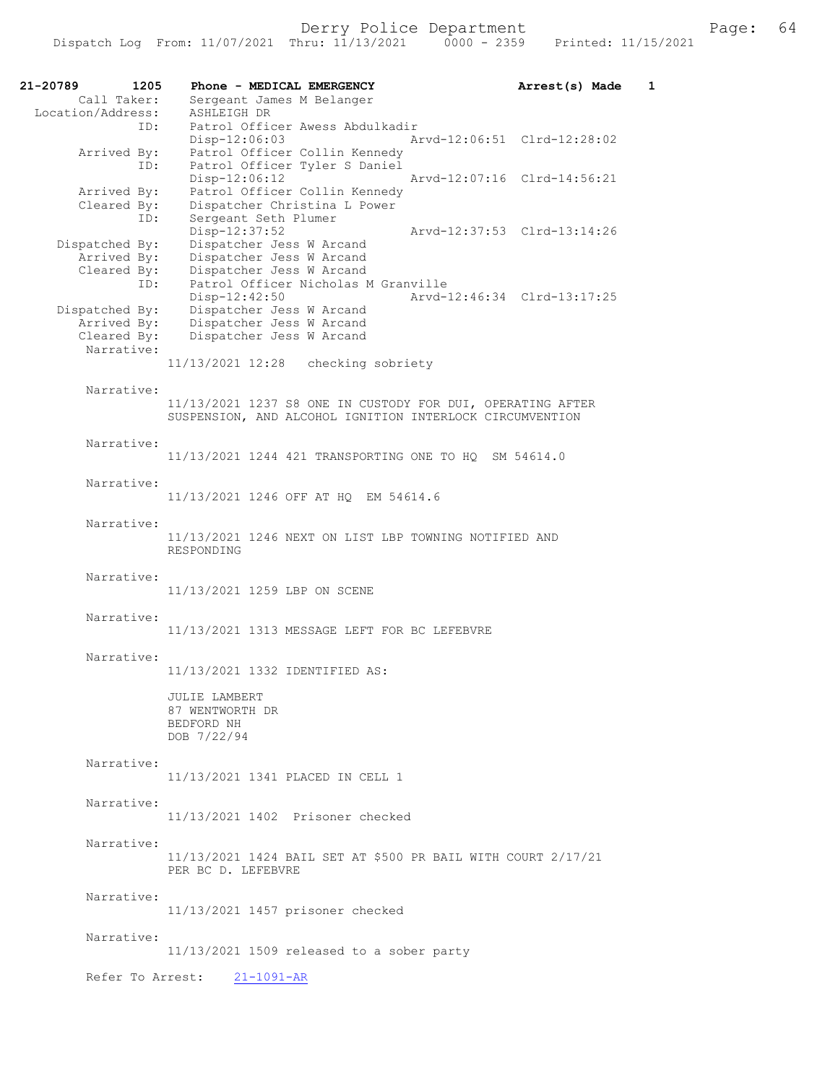21-20789 1205 Phone - MEDICAL EMERGENCY Arrest(s) Made 1<br>Call Taker: Sergeant James M Belanger Call Taker: Sergeant James M Belanger Location/Address: ASHLEIGH DR ID: Patrol Officer Awess Abdulkadir Disp-12:06:03 Arvd-12:06:51 Clrd-12:28:02 Arrived By: Patrol Officer Collin Kennedy ID: Patrol Officer Tyler S Daniel Disp-12:06:12 Arvd-12:07:16 Clrd-14:56:21 Arrived By: Patrol Officer Collin Kennedy Cleared By: Dispatcher Christina L Power ID: Sergeant Seth Plumer<br>Disp-12:37:52 Disp-12:37:52 Arvd-12:37:53 Clrd-13:14:26 Dispatched By: Dispatcher Jess W Arcand Arrived By: Dispatcher Jess W Arcand Cleared By: Dispatcher Jess W Arcand ID: Patrol Officer Nicholas M Granville Disp-12:42:50 Arvd-12:46:34 Clrd-13:17:25 Dispatched By: Dispatcher Jess W Arcand Arrived By: Dispatcher Jess W Arcand Cleared By: Dispatcher Jess W Arcand Narrative: 11/13/2021 12:28 checking sobriety Narrative: 11/13/2021 1237 S8 ONE IN CUSTODY FOR DUI, OPERATING AFTER SUSPENSION, AND ALCOHOL IGNITION INTERLOCK CIRCUMVENTION Narrative: 11/13/2021 1244 421 TRANSPORTING ONE TO HQ SM 54614.0 Narrative: 11/13/2021 1246 OFF AT HQ EM 54614.6 Narrative: 11/13/2021 1246 NEXT ON LIST LBP TOWNING NOTIFIED AND RESPONDING Narrative: 11/13/2021 1259 LBP ON SCENE Narrative: 11/13/2021 1313 MESSAGE LEFT FOR BC LEFEBVRE Narrative: 11/13/2021 1332 IDENTIFIED AS: JULIE LAMBERT 87 WENTWORTH DR BEDFORD NH DOB 7/22/94 Narrative: 11/13/2021 1341 PLACED IN CELL 1 Narrative: 11/13/2021 1402 Prisoner checked Narrative: 11/13/2021 1424 BAIL SET AT \$500 PR BAIL WITH COURT 2/17/21 PER BC D. LEFEBVRE Narrative: 11/13/2021 1457 prisoner checked Narrative: 11/13/2021 1509 released to a sober party Refer To Arrest: 21-1091-AR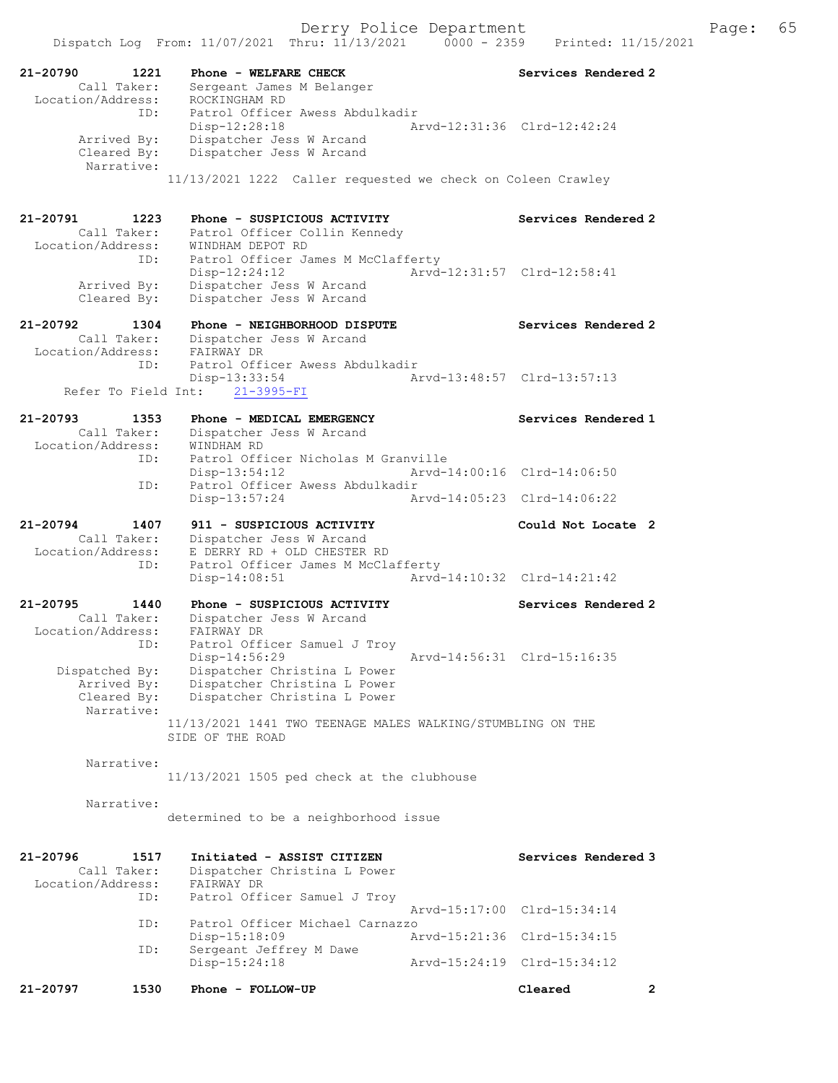| 21-20790<br>1221<br>Call Taker:<br>Location/Address:        | Phone - WELFARE CHECK<br>Sergeant James M Belanger<br>ROCKINGHAM RD                                           |                             | Services Rendered 2                        |
|-------------------------------------------------------------|---------------------------------------------------------------------------------------------------------------|-----------------------------|--------------------------------------------|
| ID:<br>Arrived By:<br>Cleared By:<br>Narrative:             | Patrol Officer Awess Abdulkadir<br>Disp-12:28:18<br>Dispatcher Jess W Arcand<br>Dispatcher Jess W Arcand      |                             | Arvd-12:31:36 Clrd-12:42:24                |
|                                                             | 11/13/2021 1222 Caller requested we check on Coleen Crawley                                                   |                             |                                            |
| 21-20791<br>1223<br>Call Taker:<br>Location/Address:        | Phone - SUSPICIOUS ACTIVITY<br>Patrol Officer Collin Kennedy<br>WINDHAM DEPOT RD                              |                             | Services Rendered 2                        |
| ID:<br>Arrived By:<br>Cleared By:                           | Patrol Officer James M McClafferty<br>$Disp-12:24:12$<br>Dispatcher Jess W Arcand<br>Dispatcher Jess W Arcand |                             | Arvd-12:31:57 Clrd-12:58:41                |
| 21-20792<br>1304<br>Call Taker:<br>Location/Address:        | Phone - NEIGHBORHOOD DISPUTE<br>Dispatcher Jess W Arcand<br>FAIRWAY DR                                        |                             | Services Rendered 2                        |
| ID:                                                         | Patrol Officer Awess Abdulkadir<br>Disp-13:33:54<br>Refer To Field Int: 21-3995-FI                            |                             | Arvd-13:48:57 Clrd-13:57:13                |
| $21 - 20793$<br>1353<br>Call Taker:<br>Location/Address:    | Phone - MEDICAL EMERGENCY<br>Dispatcher Jess W Arcand<br>WINDHAM RD                                           |                             | Services Rendered 1                        |
| ID:<br>ID:                                                  | Patrol Officer Nicholas M Granville<br>$Disp-13:54:12$<br>Patrol Officer Awess Abdulkadir                     | Arvd-14:00:16 Clrd-14:06:50 |                                            |
|                                                             | Disp-13:57:24                                                                                                 | Arvd-14:05:23 Clrd-14:06:22 |                                            |
| 21-20794<br>1407<br>Call Taker:<br>Location/Address:        | 911 - SUSPICIOUS ACTIVITY<br>Dispatcher Jess W Arcand<br>E DERRY RD + OLD CHESTER RD                          |                             | Could Not Locate 2                         |
| ID:                                                         | Patrol Officer James M McClafferty<br>$Disp-14:08:51$                                                         |                             | Arvd-14:10:32 Clrd-14:21:42                |
| 21-20795<br>1440<br>Call Taker:                             | Phone - SUSPICIOUS ACTIVITY<br>Dispatcher Jess W Arcand                                                       |                             | Services Rendered 2                        |
| Location/Address:<br>ID:                                    | FAIRWAY DR<br>Patrol Officer Samuel J Troy<br>Disp-14:56:29                                                   |                             | Arvd-14:56:31 Clrd-15:16:35                |
| Dispatched By:<br>Arrived By:<br>Cleared By:<br>Narrative:  | Dispatcher Christina L Power<br>Dispatcher Christina L Power<br>Dispatcher Christina L Power                  |                             |                                            |
|                                                             | 11/13/2021 1441 TWO TEENAGE MALES WALKING/STUMBLING ON THE<br>SIDE OF THE ROAD                                |                             |                                            |
| Narrative:                                                  | 11/13/2021 1505 ped check at the clubhouse                                                                    |                             |                                            |
| Narrative:                                                  | determined to be a neighborhood issue                                                                         |                             |                                            |
| 21-20796<br>1517<br>Call Taker:<br>Location/Address:<br>ID: | Initiated - ASSIST CITIZEN<br>Dispatcher Christina L Power<br>FAIRWAY DR<br>Patrol Officer Samuel J Troy      |                             | Services Rendered 3                        |
| ID:                                                         | Patrol Officer Michael Carnazzo                                                                               | Arvd-15:17:00               | $Clrd-15:34:14$                            |
| ID:                                                         | Disp-15:18:09<br>Sergeant Jeffrey M Dawe                                                                      | Arvd-15:21:36               | Clrd-15:34:15                              |
| 21-20797<br>1530                                            | $Disp-15:24:18$<br>Phone - FOLLOW-UP                                                                          | Arvd-15:24:19               | Clrd-15:34:12<br>Cleared<br>$\overline{2}$ |
|                                                             |                                                                                                               |                             |                                            |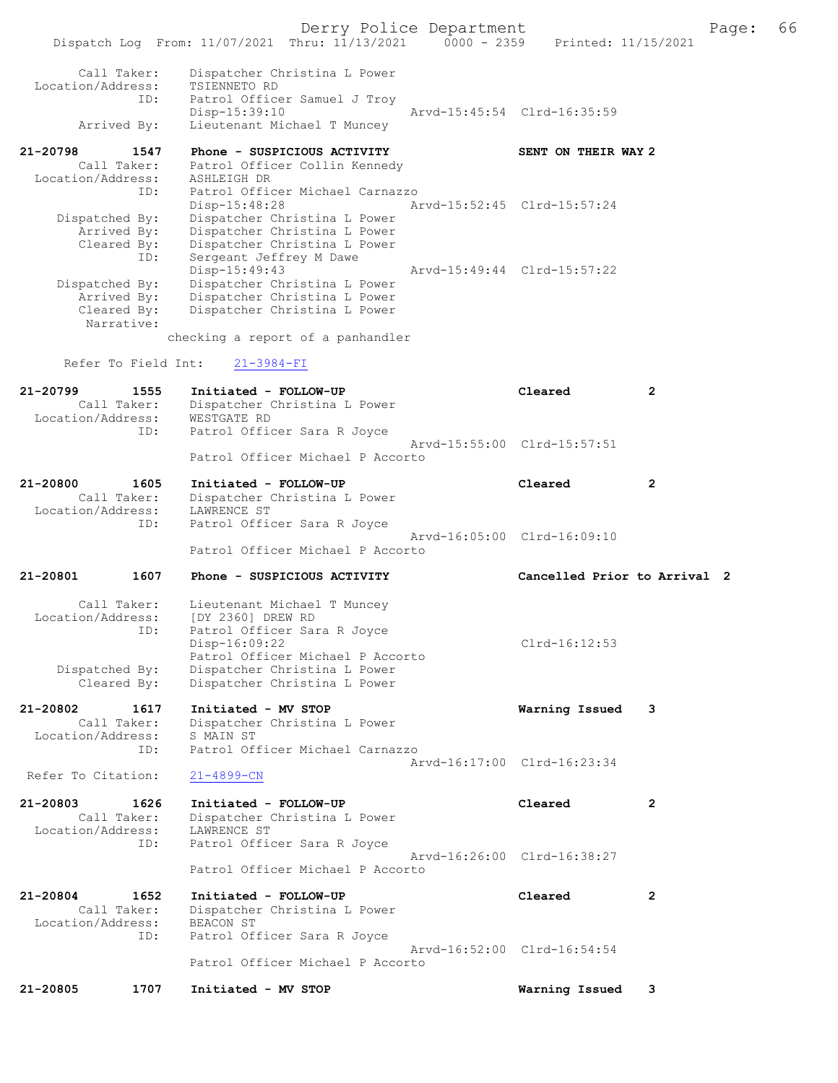Derry Police Department Fage: 66 Dispatch Log From: 11/07/2021 Thru: 11/13/2021 0000 - 2359 Printed: 11/15/2021 Call Taker: Dispatcher Christina L Power Location/Address: TSIENNETO RD ID: Patrol Officer Samuel J Troy Disp-15:39:10 Arvd-15:45:54 Clrd-16:35:59 Arrived By: Lieutenant Michael T Muncey 21-20798 1547 Phone - SUSPICIOUS ACTIVITY SENT ON THEIR WAY 2 Call Taker: Patrol Officer Collin Kennedy Location/Address: ASHLEIGH DR ID: Patrol Officer Michael Carnazzo Disp-15:48:28 Arvd-15:52:45 Clrd-15:57:24 Dispatched By: Dispatcher Christina L Power Arrived By: Dispatcher Christina L Power Cleared By: Dispatcher Christina L Power ID: Sergeant Jeffrey M Dawe Disp-15:49:43 Arvd-15:49:44 Clrd-15:57:22 Dispatched By: Dispatcher Christina L Power Dispatched By: Dispatcher Christina L Power<br>Arrived By: Dispatcher Christina L Power<br>Cleared By: Dispatcher Christina L Power Dispatcher Christina L Power Narrative: checking a report of a panhandler Refer To Field Int: 21-3984-FI 21-20799 1555 Initiated - FOLLOW-UP Cleared 2 Call Taker: Dispatcher Christina L Power Location/Address: WESTGATE RD ID: Patrol Officer Sara R Joyce Arvd-15:55:00 Clrd-15:57:51 Patrol Officer Michael P Accorto 21-20800 1605 Initiated - FOLLOW-UP Cleared 2 Call Taker: Dispatcher Christina L Power Location/Address: LAWRENCE ST ID: Patrol Officer Sara R Joyce Arvd-16:05:00 Clrd-16:09:10 Patrol Officer Michael P Accorto 21-20801 1607 Phone - SUSPICIOUS ACTIVITY Cancelled Prior to Arrival 2 Call Taker: Lieutenant Michael T Muncey Location/Address: [DY 2360] DREW RD ID: Patrol Officer Sara R Joyce Disp-16:09:22 Clrd-16:12:53 Patrol Officer Michael P Accorto Dispatched By: Dispatcher Christina L Power Cleared By: Dispatcher Christina L Power 21-20802 1617 Initiated - MV STOP Warning Issued 3 Call Taker: Dispatcher Christina L Power Location/Address: S MAIN ST ID: Patrol Officer Michael Carnazzo Arvd-16:17:00 Clrd-16:23:34 Refer To Citation: 21-4899-CN 21-20803 1626 Initiated - FOLLOW-UP Cleared 2 Call Taker: Dispatcher Christina L Power Location/Address: LAWRENCE ST ID: Patrol Officer Sara R Joyce Arvd-16:26:00 Clrd-16:38:27 Patrol Officer Michael P Accorto 21-20804 1652 Initiated - FOLLOW-UP Cleared 2 Call Taker: Dispatcher Christina L Power Location/Address: BEACON ST ID: Patrol Officer Sara R Joyce Arvd-16:52:00 Clrd-16:54:54 Patrol Officer Michael P Accorto

21-20805 1707 Initiated - MV STOP Warning Issued 3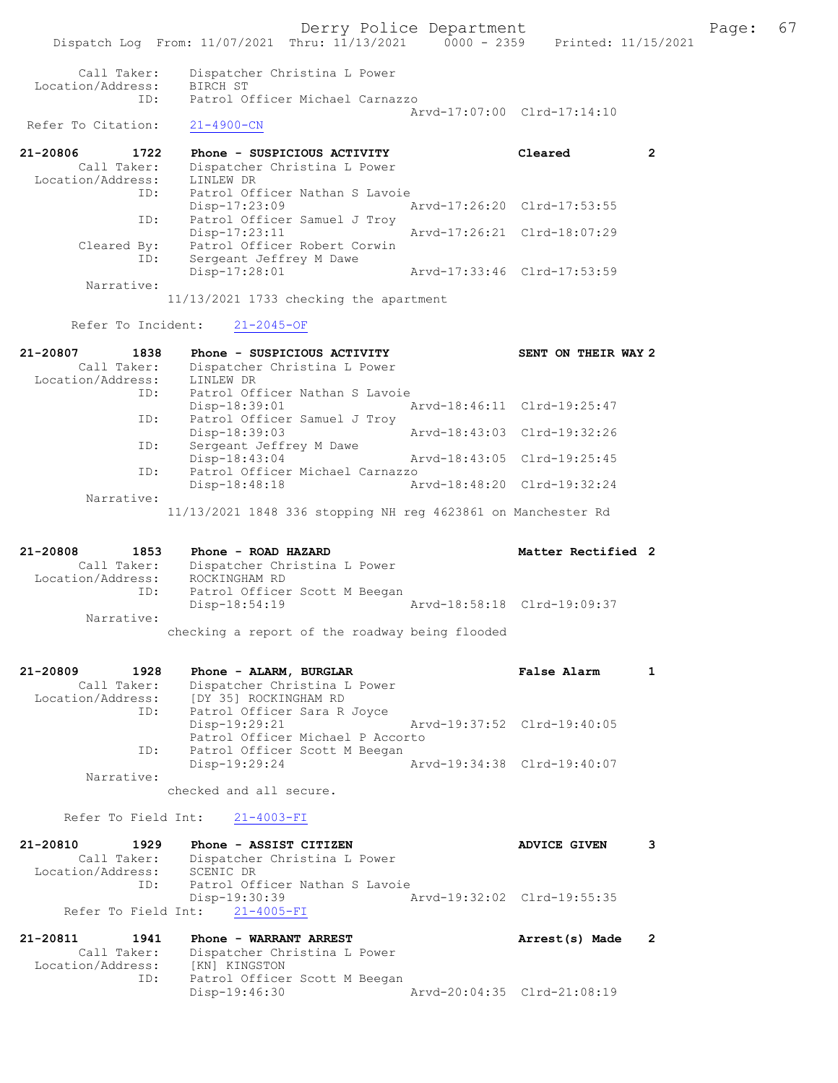Derry Police Department Fage: 67 Dispatch Log From: 11/07/2021 Thru: 11/13/2021 0000 - 2359 Printed: 11/15/2021 Call Taker: Dispatcher Christina L Power Location/Address: BIRCH ST ID: Patrol Officer Michael Carnazzo Arvd-17:07:00 Clrd-17:14:10<br>
21-4900-CN Refer To Citation: 21-20806 1722 Phone - SUSPICIOUS ACTIVITY Cleared 2 Call Taker: Dispatcher Christina L Power Location/Address: LINLEW DR ID: Patrol Officer Nathan S Lavoie Disp-17:23:09 Arvd-17:26:20 Clrd-17:53:55 ID: Patrol Officer Samuel J Troy Disp-17:23:11 Arvd-17:26:21 Clrd-18:07:29 Cleared By: Patrol Officer Robert Corwin ID: Sergeant Jeffrey M Dawe Disp-17:28:01 Arvd-17:33:46 Clrd-17:53:59 Narrative: 11/13/2021 1733 checking the apartment Refer To Incident: 21-2045-OF 21-20807 1838 Phone - SUSPICIOUS ACTIVITY SENT ON THEIR WAY 2 Call Taker: Dispatcher Christina L Power Location/Address: LINLEW DR ID: Patrol Officer Nathan S Lavoie<br>Disp-18:39:01 1 Disp-18:39:01 Arvd-18:46:11 Clrd-19:25:47<br>The Patrol Officer Samuel J Troy Patrol Officer Samuel J Troy Disp-18:39:03 Arvd-18:43:03 Clrd-19:32:26 ID: Sergeant Jeffrey M Dawe<br>Disp-18:43:04 Disp-18:43:04 Arvd-18:43:05 Clrd-19:25:45<br>TD: Patrol Officer Michael Carnazzo Patrol Officer Michael Carnazzo<br>Disp-18:48:18 Ar Disp-18:48:18 Arvd-18:48:20 Clrd-19:32:24 Narrative: 11/13/2021 1848 336 stopping NH reg 4623861 on Manchester Rd 21-20808 1853 Phone - ROAD HAZARD Matter Rectified 2 Call Taker: Dispatcher Christina L Power Location/Address: ROCKINGHAM RD ID: Patrol Officer Scott M Beegan Disp-18:54:19 Arvd-18:58:18 Clrd-19:09:37 Narrative: checking a report of the roadway being flooded 21-20809 1928 Phone - ALARM, BURGLAR False Alarm 1 Call Taker: Dispatcher Christina L Power Location/Address: [DY 35] ROCKINGHAM RD ID: Patrol Officer Sara R Joyce<br>Disp-19:29:21 Disp-19:29:21 Arvd-19:37:52 Clrd-19:40:05 Patrol Officer Michael P Accorto<br>ID: Patrol Officer Scott M Beegan Patrol Officer Scott M Beegan Disp-19:29:24 Arvd-19:34:38 Clrd-19:40:07 Narrative: checked and all secure. Refer To Field Int: 21-4003-FI 21-20810 1929 Phone - ASSIST CITIZEN ADVICE GIVEN 3 Call Taker: Dispatcher Christina L Power Call lanel. ---1<br>Location/Address: SCENIC DR ID: Patrol Officer Nathan S Lavoie Disp-19:30:39 Arvd-19:32:02 Clrd-19:55:35 Refer To Field Int: 21-4005-FI 21-20811 1941 Phone - WARRANT ARREST Arrest(s) Made 2 Call Taker: Dispatcher Christina L Power Location/Address: [KN] KINGSTON ID: Patrol Officer Scott M Beegan<br>Disp-19:46:30 Disp-19:46:30 Arvd-20:04:35 Clrd-21:08:19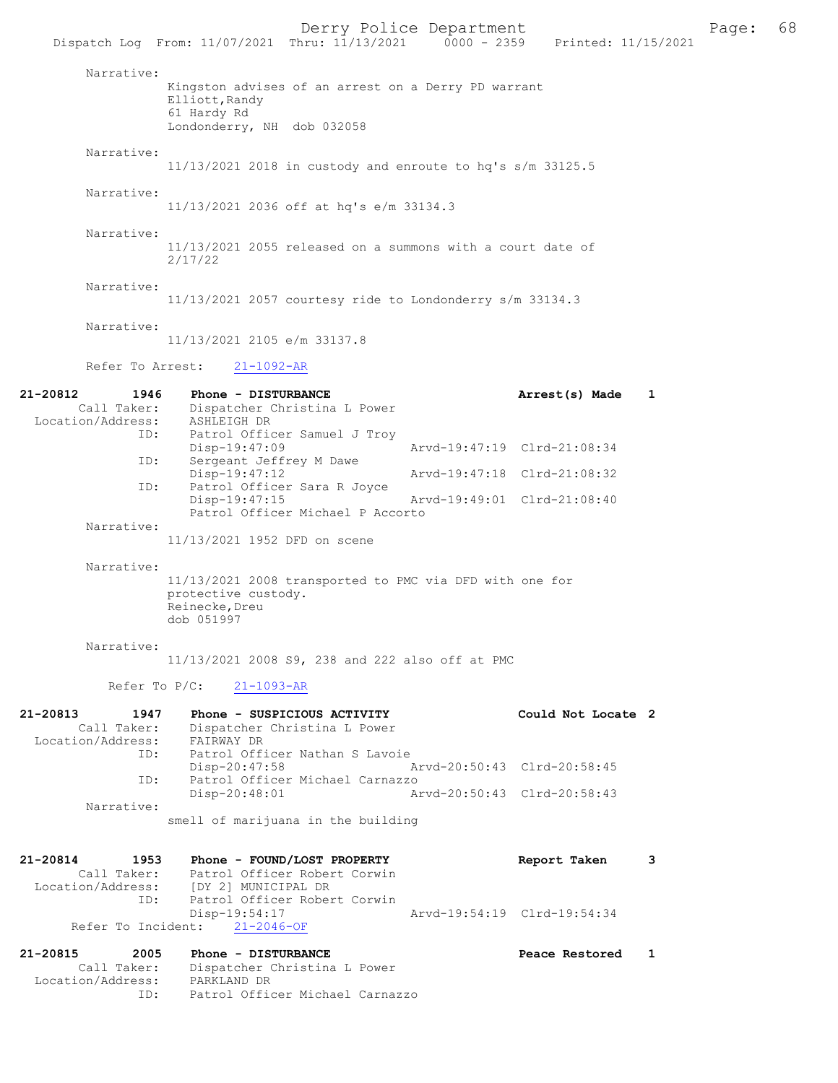Derry Police Department<br>
Page: 68<br>
Printed: 11/15/2021<br>
Printed: 11/15/2021 Dispatch Log From: 11/07/2021 Thru: 11/13/2021 Narrative: Kingston advises of an arrest on a Derry PD warrant Elliott,Randy 61 Hardy Rd Londonderry, NH dob 032058 Narrative: 11/13/2021 2018 in custody and enroute to hq's s/m 33125.5 Narrative: 11/13/2021 2036 off at hq's e/m 33134.3 Narrative: 11/13/2021 2055 released on a summons with a court date of 2/17/22 Narrative: 11/13/2021 2057 courtesy ride to Londonderry s/m 33134.3 Narrative: 11/13/2021 2105 e/m 33137.8 Refer To Arrest: 21-1092-AR 21-20812 1946 Phone - DISTURBANCE Call Taker: Dispatcher Christina L Power **Arrest(s) Made** 1 Dispatcher Christina L Power<br>ASHLEIGH DR Location/Address:<br>ID: Patrol Officer Samuel J Troy<br>Disp-19:47:09 Disp-19:47:09 Arvd-19:47:19 Clrd-21:08:34

Disp-19:47:12 Arvd-19:47:18 Clrd-21:08:32<br>ID: Patrol Officer Sara R Joyce

11/13/2021 2008 transported to PMC via DFD with one for

Disp-19:47:15 Arvd-19:49:01 Clrd-21:08:40

# Narrative:

Narrative:

Narrative:

11/13/2021 2008 S9, 238 and 222 also off at PMC

#### Refer To P/C: 21-1093-AR

ID: Sergeant Jeffrey M Dawe<br>Disp-19:47:12

protective custody. Reinecke, Dreu dob 051997

Patrol Officer Sara R Joyce<br>Disp-19:47:15

11/13/2021 1952 DFD on scene

Patrol Officer Michael P Accorto

| 21-20813          | 1947        | Phone - SUSPICIOUS ACTIVITY        | Could Not Locate 2          |  |
|-------------------|-------------|------------------------------------|-----------------------------|--|
|                   | Call Taker: | Dispatcher Christina L Power       |                             |  |
| Location/Address: |             | FAIRWAY DR                         |                             |  |
|                   | ID:         | Patrol Officer Nathan S Lavoie     |                             |  |
|                   |             | $Disp-20:47:58$                    | Arvd-20:50:43 Clrd-20:58:45 |  |
|                   | ID:         | Patrol Officer Michael Carnazzo    |                             |  |
|                   |             | $Disp-20:48:01$                    | Arvd-20:50:43 Clrd-20:58:43 |  |
|                   | Narrative:  |                                    |                             |  |
|                   |             | smell of marijuana in the building |                             |  |

| 21-20814 | 1953              | Phone - FOUND/LOST PROPERTY                   | Report Taken                |  |
|----------|-------------------|-----------------------------------------------|-----------------------------|--|
|          | Call Taker:       | Patrol Officer Robert Corwin                  |                             |  |
|          | Location/Address: | [DY 2] MUNICIPAL DR                           |                             |  |
|          | ID:               | Patrol Officer Robert Corwin<br>Disp-19:54:17 | Arvd-19:54:19 Clrd-19:54:34 |  |
|          |                   | Refer To Incident: 21-2046-OF                 |                             |  |

| 21-20815          | 2005        | Phone - DISTURBANCE             | Peace Restored |  |
|-------------------|-------------|---------------------------------|----------------|--|
|                   | Call Taker: | Dispatcher Christina L Power    |                |  |
| Location/Address: |             | PARKLAND DR                     |                |  |
|                   | ID:         | Patrol Officer Michael Carnazzo |                |  |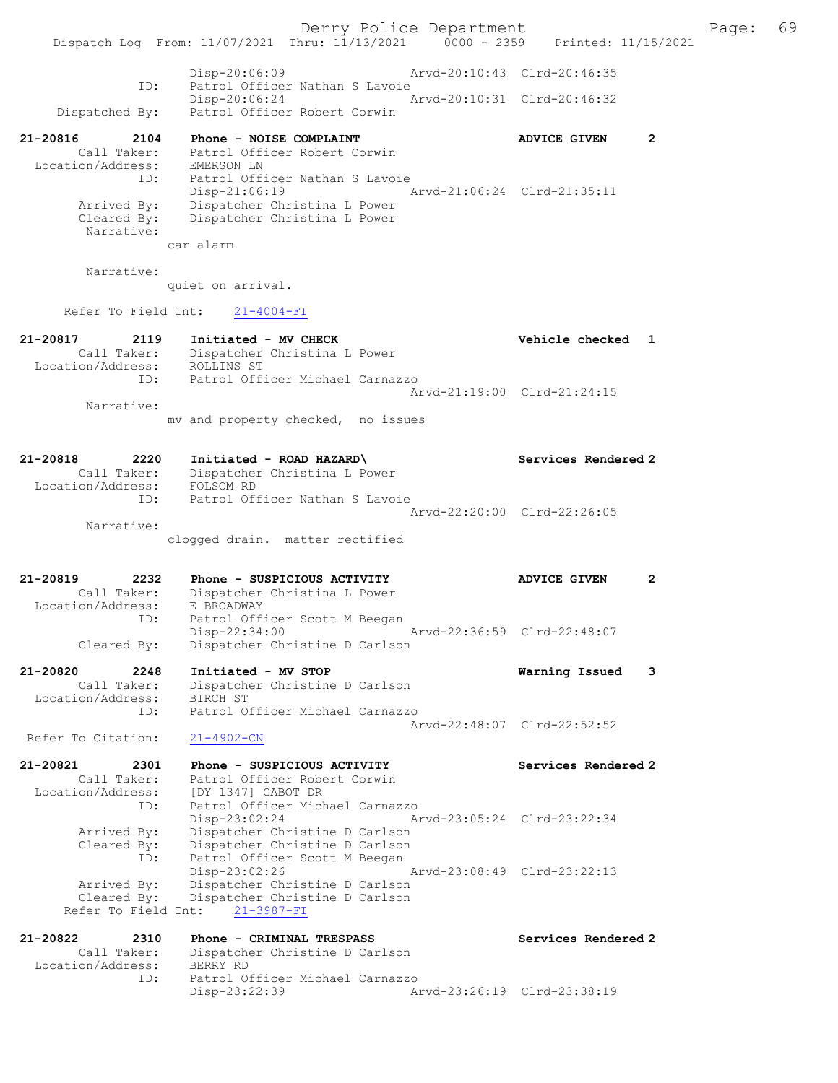Derry Police Department Fage: 69 Dispatch Log From: 11/07/2021 Thru: 11/13/2021 0000 - 2359 Printed: 11/15/2021 Disp-20:06:09 Arvd-20:10:43 Clrd-20:46:35 ID: Patrol Officer Nathan S Lavoie Disp-20:06:24 Arvd-20:10:31 Clrd-20:46:32 Dispatched By: Patrol Officer Robert Corwin 21-20816 2104 Phone - NOISE COMPLAINT AND ADVICE GIVEN 2 Call Taker: Patrol Officer Robert Corwin Location/Address: EMERSON LN ID: Patrol Officer Nathan S Lavoie Disp-21:06:19 Arvd-21:06:24 Clrd-21:35:11 Arrived By: Dispatcher Christina L Power Cleared By: Dispatcher Christina L Power Narrative: car alarm Narrative: quiet on arrival. Refer To Field Int: 21-4004-FI 21-20817 2119 Initiated - MV CHECK Vehicle checked 1 Call Taker: Dispatcher Christina L Power Location/Address: ROLLINS ST ID: Patrol Officer Michael Carnazzo Arvd-21:19:00 Clrd-21:24:15 Narrative: mv and property checked, no issues 21-20818 2220 Initiated - ROAD HAZARD\ Services Rendered 2 Call Taker: Dispatcher Christina L Power Location/Address: FOLSOM RD ID: Patrol Officer Nathan S Lavoie Arvd-22:20:00 Clrd-22:26:05 Narrative: clogged drain. matter rectified 21-20819 2232 Phone - SUSPICIOUS ACTIVITY ADVICE GIVEN 2 Call Taker: Dispatcher Christina L Power Location/Address: E BROADWAY ID: Patrol Officer Scott M Beegan Disp-22:34:00 Arvd-22:36:59 Clrd-22:48:07 Cleared By: Dispatcher Christine D Carlson 21-20820 2248 Initiated - MV STOP Warning Issued 3 Call Taker: Dispatcher Christine D Carlson Location/Address: BIRCH ST ID: Patrol Officer Michael Carnazzo Arvd-22:48:07 Clrd-22:52:52 Refer To Citation: 21-4902-CN 21-20821 2301 Phone - SUSPICIOUS ACTIVITY Services Rendered 2 Call Taker: Patrol Officer Robert Corwin Location/Address: [DY 1347] CABOT DR ID: Patrol Officer Michael Carnazzo Disp-23:02:24 Arvd-23:05:24 Clrd-23:22:34 Arrived By: Dispatcher Christine D Carlson Cleared By: Dispatcher Christine D Carlson ID: Patrol Officer Scott M Beegan Disp-23:02:26 Arvd-23:08:49 Clrd-23:22:13 Arrived By: Dispatcher Christine D Carlson Cleared By: Dispatcher Christine D Carlson Refer To Field Int: 21-3987-FI 21-20822 2310 Phone - CRIMINAL TRESPASS Services Rendered 2 Call Taker: Dispatcher Christine D Carlson Location/Address: BERRY RD ID: Patrol Officer Michael Carnazzo Disp-23:22:39 Arvd-23:26:19 Clrd-23:38:19